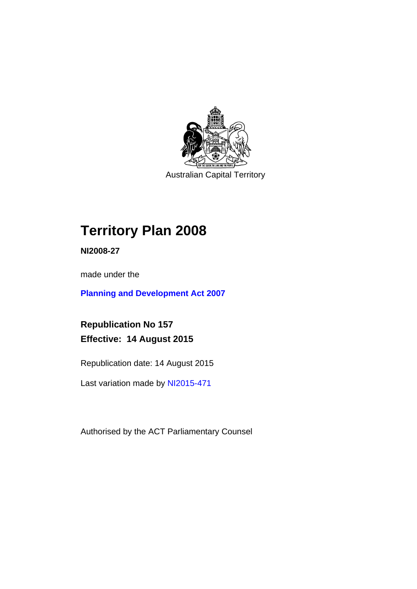

Australian Capital Territory

# **Territory Plan 2008**

**NI2008-27** 

made under the

**[Planning and Development Act 2007](http://www.legislation.act.gov.au/a/2007-24/default.asp)**

**Republication No 157 Effective: 14 August 2015** 

Republication date: 14 August 2015

Last variation made by [NI2015-471](http://www.legislation.act.gov.au/ni/2015-471/default.asp)

Authorised by the ACT Parliamentary Counsel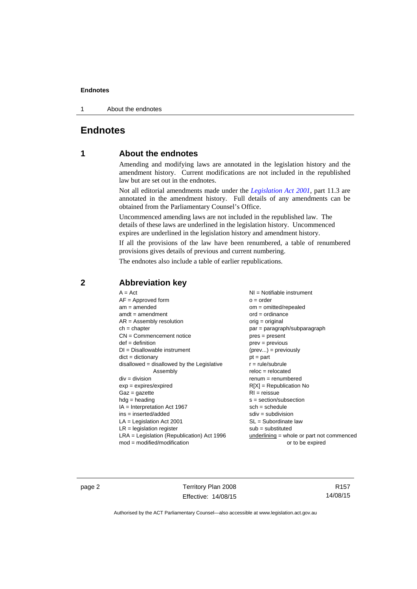1 About the endnotes

## **Endnotes**

## **1 About the endnotes**

Amending and modifying laws are annotated in the legislation history and the amendment history. Current modifications are not included in the republished law but are set out in the endnotes.

Not all editorial amendments made under the *[Legislation Act 2001](http://www.legislation.act.gov.au/a/2001-14/default.asp)*, part 11.3 are annotated in the amendment history. Full details of any amendments can be obtained from the Parliamentary Counsel's Office.

Uncommenced amending laws are not included in the republished law. The details of these laws are underlined in the legislation history. Uncommenced expires are underlined in the legislation history and amendment history.

If all the provisions of the law have been renumbered, a table of renumbered provisions gives details of previous and current numbering.

The endnotes also include a table of earlier republications.

| $A = Act$                                    | $NI =$ Notifiable instrument              |
|----------------------------------------------|-------------------------------------------|
| $AF =$ Approved form                         | $o = order$                               |
| $am = amended$                               | $om = omitted/report$                     |
| $amdt = amendment$                           | $ord = ordinance$                         |
| $AR = Assembly resolution$                   | $orig = original$                         |
| $ch = chapter$                               | par = paragraph/subparagraph              |
| $CN =$ Commencement notice                   | $pres = present$                          |
| $def = definition$                           | prev = previous                           |
| $DI = Disallowable instrument$               | $(\text{prev}) = \text{previously}$       |
| $dict = dictionary$                          | $pt = part$                               |
| disallowed = disallowed by the Legislative   | $r = rule/subrule$                        |
| Assembly                                     | $reloc = relocated$                       |
| $div = division$                             | $remum = renumbered$                      |
| $exp = expires/expired$                      | $R[X]$ = Republication No                 |
| $Gaz = gazette$                              | $RI =$ reissue                            |
| $h dq =$ heading                             | $s = section/subsection$                  |
| $IA = Interpretation Act 1967$               | $sch = schedule$                          |
| $ins = inserted/added$                       | $sdiv = subdivision$                      |
| $LA =$ Legislation Act 2001                  | $SL = Subordinate$ law                    |
| $LR =$ legislation register                  | $sub =$ substituted                       |
| $LRA =$ Legislation (Republication) Act 1996 | underlining = whole or part not commenced |
| $mod = modified/modification$                | or to be expired                          |
|                                              |                                           |

## **2 Abbreviation key**

page 2 Territory Plan 2008 Effective: 14/08/15

R157 14/08/15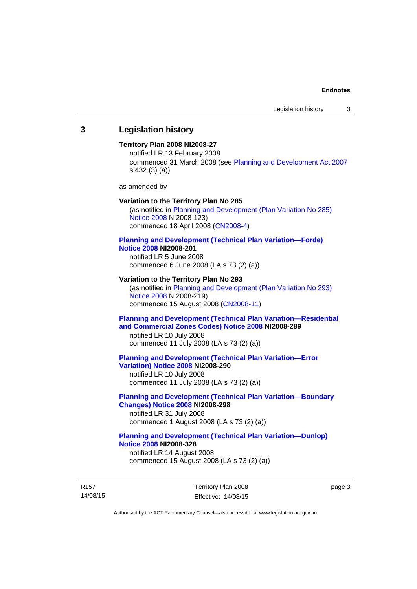## **3 Legislation history**

#### **Territory Plan 2008 NI2008-27**

notified LR 13 February 2008 commenced 31 March 2008 (see [Planning and Development Act 2007](http://www.legislation.act.gov.au/a/2007-24/default.asp) s 432 (3) (a))

as amended by

#### **Variation to the Territory Plan No 285**

(as notified in [Planning and Development \(Plan Variation No 285\)](http://www.legislation.act.gov.au/ni/2008-123/)  [Notice 2008](http://www.legislation.act.gov.au/ni/2008-123/) NI2008-123) commenced 18 April 2008 [\(CN2008-4\)](http://www.legislation.act.gov.au/cn/2008-4/)

#### **[Planning and Development \(Technical Plan Variation—Forde\)](http://www.legislation.act.gov.au/ni/2008-201/)  [Notice 2008](http://www.legislation.act.gov.au/ni/2008-201/) NI2008-201**

notified LR 5 June 2008 commenced 6 June 2008 (LA s 73 (2) (a))

#### **Variation to the Territory Plan No 293**

(as notified in [Planning and Development \(Plan Variation No 293\)](http://www.legislation.act.gov.au/ni/2008-219/)  [Notice 2008](http://www.legislation.act.gov.au/ni/2008-219/) NI2008-219) commenced 15 August 2008 [\(CN2008-11\)](http://www.legislation.act.gov.au/cn/2008-11/)

## **[Planning and Development \(Technical Plan Variation—Residential](http://www.legislation.act.gov.au/ni/2008-289/)  [and Commercial Zones Codes\) Notice 2008](http://www.legislation.act.gov.au/ni/2008-289/) NI2008-289**

notified LR 10 July 2008 commenced 11 July 2008 (LA s 73 (2) (a))

#### **[Planning and Development \(Technical Plan Variation—Error](http://www.legislation.act.gov.au/ni/2008-290/)  [Variation\) Notice 2008](http://www.legislation.act.gov.au/ni/2008-290/) NI2008-290**

notified LR 10 July 2008 commenced 11 July 2008 (LA s 73 (2) (a))

#### **[Planning and Development \(Technical Plan Variation—Boundary](http://www.legislation.act.gov.au/ni/2008-298/)  [Changes\) Notice 2008](http://www.legislation.act.gov.au/ni/2008-298/) NI2008-298**  notified LR 31 July 2008

commenced 1 August 2008 (LA s 73 (2) (a))

## **[Planning and Development \(Technical Plan Variation—Dunlop\)](http://www.legislation.act.gov.au/ni/2008-328/)  [Notice 2008](http://www.legislation.act.gov.au/ni/2008-328/) NI2008-328**

notified LR 14 August 2008 commenced 15 August 2008 (LA s 73 (2) (a))

R157 14/08/15 Territory Plan 2008 Effective: 14/08/15 page 3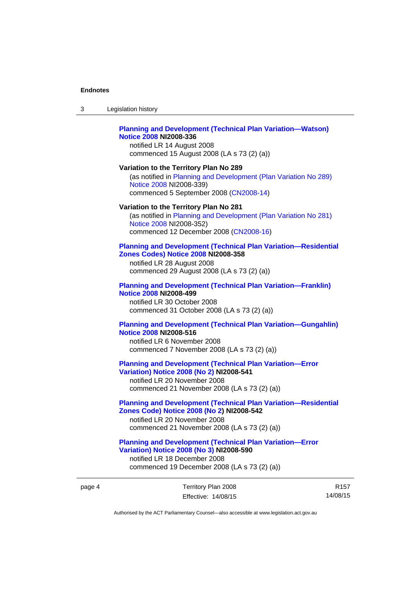| 3      | Legislation history                                                                                                                                                                                |
|--------|----------------------------------------------------------------------------------------------------------------------------------------------------------------------------------------------------|
|        | <b>Planning and Development (Technical Plan Variation-Watson)</b><br><b>Notice 2008 NI2008-336</b><br>notified LR 14 August 2008<br>commenced 15 August 2008 (LA s 73 (2) (a))                     |
|        | Variation to the Territory Plan No 289<br>(as notified in Planning and Development (Plan Variation No 289)<br>Notice 2008 NI2008-339)<br>commenced 5 September 2008 (CN2008-14)                    |
|        | Variation to the Territory Plan No 281<br>(as notified in Planning and Development (Plan Variation No 281)<br>Notice 2008 NI2008-352)<br>commenced 12 December 2008 (CN2008-16)                    |
|        | <b>Planning and Development (Technical Plan Variation-Residential</b><br>Zones Codes) Notice 2008 NI2008-358<br>notified LR 28 August 2008<br>commenced 29 August 2008 (LA s 73 (2) (a))           |
|        | <b>Planning and Development (Technical Plan Variation-Franklin)</b><br><b>Notice 2008 NI2008-499</b><br>notified LR 30 October 2008<br>commenced 31 October 2008 (LA s 73 (2) (a))                 |
|        | <b>Planning and Development (Technical Plan Variation-Gungahlin)</b><br><b>Notice 2008 NI2008-516</b><br>notified LR 6 November 2008<br>commenced 7 November 2008 (LA s 73 (2) (a))                |
|        | <b>Planning and Development (Technical Plan Variation-Error</b><br>Variation) Notice 2008 (No 2) NI2008-541<br>notified LR 20 November 2008<br>commenced 21 November 2008 (LA s 73 (2) (a))        |
|        | <b>Planning and Development (Technical Plan Variation-Residential</b><br>Zones Code) Notice 2008 (No 2) NI2008-542<br>notified LR 20 November 2008<br>commenced 21 November 2008 (LA s 73 (2) (a)) |
|        | <b>Planning and Development (Technical Plan Variation-Error</b><br>Variation) Notice 2008 (No 3) NI2008-590<br>notified LR 18 December 2008<br>commenced 19 December 2008 (LA s 73 (2) (a))        |
| page 4 | Territory Plan 2008<br>R<br>14/08<br>Effective: 14/08/15                                                                                                                                           |
|        | Authorised by the ACT Parliamentary Counsel—also accessible at www.legislation.act.gov.au                                                                                                          |

R157 14/08/15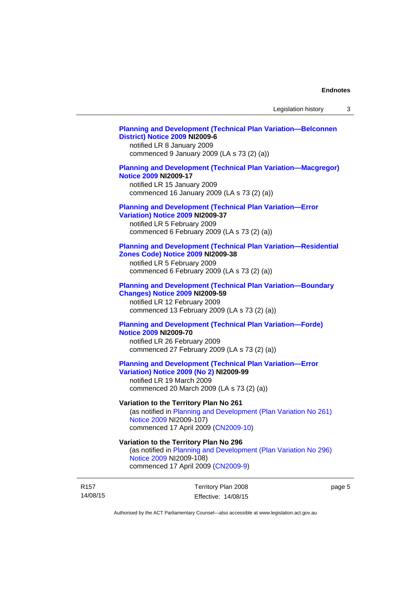#### **[Planning and Development \(Technical Plan Variation—Belconnen](http://www.legislation.act.gov.au/ni/2009-6/)  [District\) Notice 2009](http://www.legislation.act.gov.au/ni/2009-6/) NI2009-6**

notified LR 8 January 2009 commenced 9 January 2009 (LA s 73 (2) (a))

### **[Planning and Development \(Technical Plan Variation—Macgregor\)](http://www.legislation.act.gov.au/ni/2009-17/)  [Notice 2009](http://www.legislation.act.gov.au/ni/2009-17/) NI2009-17**

notified LR 15 January 2009 commenced 16 January 2009 (LA s 73 (2) (a))

## **[Planning and Development \(Technical Plan Variation—Error](http://www.legislation.act.gov.au/ni/2009-37/)**

**[Variation\) Notice 2009](http://www.legislation.act.gov.au/ni/2009-37/) NI2009-37** 

notified LR 5 February 2009 commenced 6 February 2009 (LA s 73 (2) (a))

#### **[Planning and Development \(Technical Plan Variation—Residential](http://www.legislation.act.gov.au/ni/2009-38/)  [Zones Code\) Notice 2009](http://www.legislation.act.gov.au/ni/2009-38/) NI2009-38**

notified LR 5 February 2009 commenced 6 February 2009 (LA s 73 (2) (a))

#### **[Planning and Development \(Technical Plan Variation—Boundary](http://www.legislation.act.gov.au/ni/2009-59/)  [Changes\) Notice 2009](http://www.legislation.act.gov.au/ni/2009-59/) NI2009-59**

notified LR 12 February 2009 commenced 13 February 2009 (LA s 73 (2) (a))

## **[Planning and Development \(Technical Plan Variation—Forde\)](http://www.legislation.act.gov.au/ni/2009-70/)  [Notice 2009](http://www.legislation.act.gov.au/ni/2009-70/) NI2009-70**

notified LR 26 February 2009 commenced 27 February 2009 (LA s 73 (2) (a))

## **[Planning and Development \(Technical Plan Variation—Error](http://www.legislation.act.gov.au/ni/2009-99/)  [Variation\) Notice 2009 \(No 2\)](http://www.legislation.act.gov.au/ni/2009-99/) NI2009-99**

notified LR 19 March 2009 commenced 20 March 2009 (LA s 73 (2) (a))

## **Variation to the Territory Plan No 261**

(as notified in [Planning and Development \(Plan Variation No 261\)](http://www.legislation.act.gov.au/ni/2009-107/)  [Notice 2009](http://www.legislation.act.gov.au/ni/2009-107/) NI2009-107) commenced 17 April 2009 [\(CN2009-10\)](http://www.legislation.act.gov.au/cn/2009-10/)

## **Variation to the Territory Plan No 296**

(as notified in [Planning and Development \(Plan Variation No 296\)](http://www.legislation.act.gov.au/ni/2009-108/)  [Notice 2009](http://www.legislation.act.gov.au/ni/2009-108/) NI2009-108) commenced 17 April 2009 [\(CN2009-9\)](http://www.legislation.act.gov.au/cn/2009-9/)

R157 14/08/15 Territory Plan 2008 Effective: 14/08/15 page 5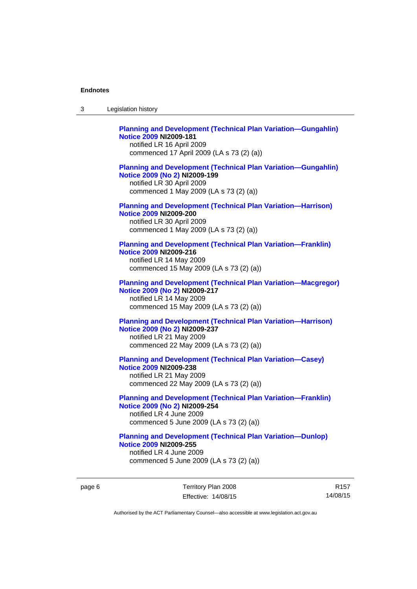| 3 | Legislation history                                                                                                                                                             |
|---|---------------------------------------------------------------------------------------------------------------------------------------------------------------------------------|
|   | <b>Planning and Development (Technical Plan Variation-Gungahlin)</b><br><b>Notice 2009 NI2009-181</b><br>notified LR 16 April 2009<br>commenced 17 April 2009 (LA s 73 (2) (a)) |
|   | <b>Planning and Development (Technical Plan Variation-Gungahlin)</b><br>Notice 2009 (No 2) NI2009-199<br>notified LR 30 April 2009<br>commenced 1 May 2009 (LA s 73 (2) (a))    |
|   | <b>Planning and Development (Technical Plan Variation-Harrison)</b><br><b>Notice 2009 NI2009-200</b><br>notified LR 30 April 2009<br>commenced 1 May 2009 (LA s 73 (2) (a))     |
|   | <b>Planning and Development (Technical Plan Variation-Franklin)</b><br><b>Notice 2009 NI2009-216</b><br>notified LR 14 May 2009<br>commenced 15 May 2009 (LA s 73 (2) (a))      |
|   | <b>Planning and Development (Technical Plan Variation-Macgregor)</b><br>Notice 2009 (No 2) NI2009-217<br>notified LR 14 May 2009<br>commenced 15 May 2009 (LA s 73 (2) (a))     |
|   | <b>Planning and Development (Technical Plan Variation-Harrison)</b><br>Notice 2009 (No 2) NI2009-237<br>notified LR 21 May 2009<br>commenced 22 May 2009 (LA s 73 (2) (a))      |
|   | <b>Planning and Development (Technical Plan Variation-Casey)</b><br><b>Notice 2009 NI2009-238</b><br>notified LR 21 May 2009<br>commenced 22 May 2009 (LA s 73 (2) (a))         |
|   | <b>Planning and Development (Technical Plan Variation-Franklin)</b><br>Notice 2009 (No 2) NI2009-254<br>notified LR 4 June 2009<br>commenced 5 June 2009 (LA s 73 (2) (a))      |
|   | <b>Planning and Development (Technical Plan Variation-Dunlop)</b><br><b>Notice 2009 NI2009-255</b><br>notified LR 4 June 2009<br>commenced 5 June 2009 (LA s 73 (2) (a))        |

page 6 Territory Plan 2008 Effective: 14/08/15

R157 14/08/15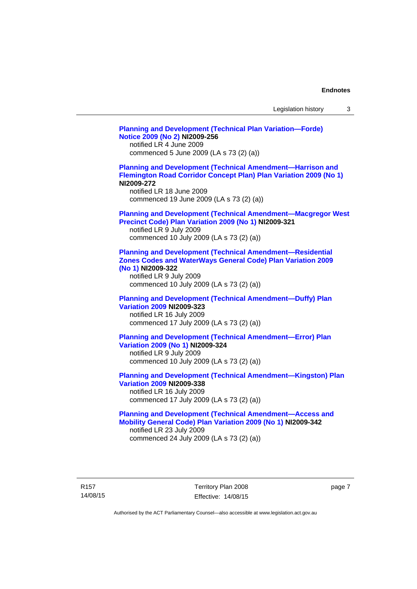| Legislation history |  |  |
|---------------------|--|--|
|---------------------|--|--|

**[Planning and Development \(Technical Plan Variation—Forde\)](http://www.legislation.act.gov.au/ni/2009-256/)  [Notice 2009 \(No 2\)](http://www.legislation.act.gov.au/ni/2009-256/) NI2009-256**  notified LR 4 June 2009 commenced 5 June 2009 (LA s 73 (2) (a)) **[Planning and Development \(Technical Amendment—Harrison and](http://www.legislation.act.gov.au/ni/2009-272/)  [Flemington Road Corridor Concept Plan\) Plan Variation 2009 \(No 1\)](http://www.legislation.act.gov.au/ni/2009-272/) NI2009-272**  notified LR 18 June 2009 commenced 19 June 2009 (LA s 73 (2) (a)) **[Planning and Development \(Technical Amendment—Macgregor West](http://www.legislation.act.gov.au/ni/2009-321/)  [Precinct Code\) Plan Variation 2009 \(No 1\)](http://www.legislation.act.gov.au/ni/2009-321/) NI2009-321**  notified LR 9 July 2009 commenced 10 July 2009 (LA s 73 (2) (a)) **[Planning and Development \(Technical Amendment—Residential](http://www.legislation.act.gov.au/ni/2009-322/)  [Zones Codes and WaterWays General Code\) Plan Variation 2009](http://www.legislation.act.gov.au/ni/2009-322/)  [\(No 1\)](http://www.legislation.act.gov.au/ni/2009-322/) NI2009-322**  notified LR 9 July 2009 commenced 10 July 2009 (LA s 73 (2) (a)) **[Planning and Development \(Technical Amendment—Duffy\) Plan](http://www.legislation.act.gov.au/ni/2009-323/)  [Variation 2009](http://www.legislation.act.gov.au/ni/2009-323/) NI2009-323**  notified LR 16 July 2009 commenced 17 July 2009 (LA s 73 (2) (a)) **[Planning and Development \(Technical Amendment—Error\) Plan](http://www.legislation.act.gov.au/ni/2009-324/)  [Variation 2009 \(No 1\)](http://www.legislation.act.gov.au/ni/2009-324/) NI2009-324**  notified LR 9 July 2009 commenced 10 July 2009 (LA s 73 (2) (a)) **[Planning and Development \(Technical Amendment—Kingston\) Plan](http://www.legislation.act.gov.au/ni/2009-338/)  [Variation 2009](http://www.legislation.act.gov.au/ni/2009-338/) NI2009-338**  notified LR 16 July 2009 commenced 17 July 2009 (LA s 73 (2) (a)) **[Planning and Development \(Technical Amendment—Access and](http://www.legislation.act.gov.au/ni/2009-342/)  [Mobility General Code\) Plan Variation 2009 \(No 1\)](http://www.legislation.act.gov.au/ni/2009-342/) NI2009-342**  notified LR 23 July 2009 commenced 24 July 2009 (LA s 73 (2) (a))

R157 14/08/15 Territory Plan 2008 Effective: 14/08/15 page 7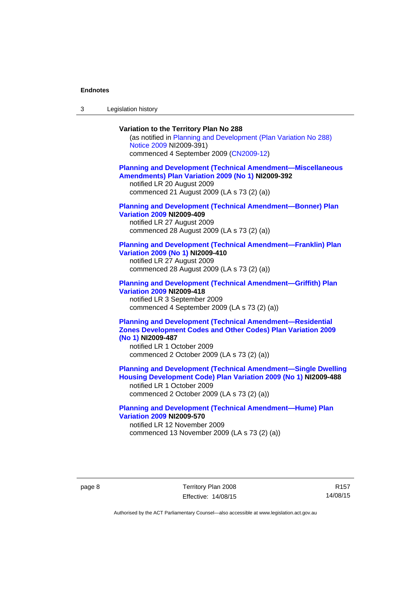3 Legislation history

### **Variation to the Territory Plan No 288**

(as notified in [Planning and Development \(Plan Variation No 288\)](http://www.legislation.act.gov.au/ni/2009-391/)  [Notice 2009](http://www.legislation.act.gov.au/ni/2009-391/) NI2009-391) commenced 4 September 2009 ([CN2009-12\)](http://www.legislation.act.gov.au/cn/2009-12/)

#### **[Planning and Development \(Technical Amendment—Miscellaneous](http://www.legislation.act.gov.au/ni/2009-392/)  [Amendments\) Plan Variation 2009 \(No 1\)](http://www.legislation.act.gov.au/ni/2009-392/) NI2009-392**  notified LR 20 August 2009

commenced 21 August 2009 (LA s 73 (2) (a))

## **[Planning and Development \(Technical Amendment—Bonner\) Plan](http://www.legislation.act.gov.au/ni/2009-409/)  [Variation 2009](http://www.legislation.act.gov.au/ni/2009-409/) NI2009-409**

notified LR 27 August 2009 commenced 28 August 2009 (LA s 73 (2) (a))

#### **[Planning and Development \(Technical Amendment—Franklin\) Plan](http://www.legislation.act.gov.au/ni/2009-410/)  [Variation 2009 \(No 1\)](http://www.legislation.act.gov.au/ni/2009-410/) NI2009-410**

notified LR 27 August 2009 commenced 28 August 2009 (LA s 73 (2) (a))

#### **[Planning and Development \(Technical Amendment—Griffith\) Plan](http://www.legislation.act.gov.au/ni/2009-418/)  [Variation 2009](http://www.legislation.act.gov.au/ni/2009-418/) NI2009-418**  notified LR 3 September 2009

commenced 4 September 2009 (LA s 73 (2) (a))

## **[Planning and Development \(Technical Amendment—Residential](http://www.legislation.act.gov.au/ni/2009-487/)  [Zones Development Codes and Other Codes\) Plan Variation 2009](http://www.legislation.act.gov.au/ni/2009-487/)  [\(No 1\)](http://www.legislation.act.gov.au/ni/2009-487/) NI2009-487**

notified LR 1 October 2009 commenced 2 October 2009 (LA s 73 (2) (a))

**[Planning and Development \(Technical Amendment—Single Dwelling](http://www.legislation.act.gov.au/ni/2009-488/)  [Housing Development Code\) Plan Variation 2009 \(No 1\)](http://www.legislation.act.gov.au/ni/2009-488/) NI2009-488** 

notified LR 1 October 2009 commenced 2 October 2009 (LA s 73 (2) (a))

### **[Planning and Development \(Technical Amendment—Hume\) Plan](http://www.legislation.act.gov.au/ni/2009-570/)  [Variation 2009](http://www.legislation.act.gov.au/ni/2009-570/) NI2009-570**

notified LR 12 November 2009 commenced 13 November 2009 (LA s 73 (2) (a))

R157 14/08/15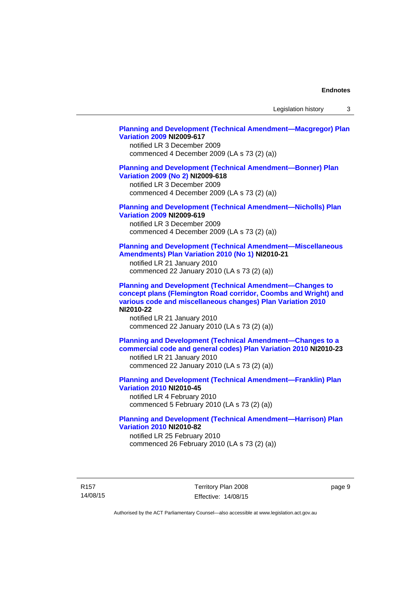Legislation history 3

#### **[Planning and Development \(Technical Amendment—Macgregor\) Plan](http://www.legislation.act.gov.au/ni/2009-617/)  [Variation 2009](http://www.legislation.act.gov.au/ni/2009-617/) NI2009-617**

notified LR 3 December 2009 commenced 4 December 2009 (LA s 73 (2) (a))

### **[Planning and Development \(Technical Amendment—Bonner\) Plan](http://www.legislation.act.gov.au/ni/2009-618/)  [Variation 2009 \(No 2\)](http://www.legislation.act.gov.au/ni/2009-618/) NI2009-618**

notified LR 3 December 2009 commenced 4 December 2009 (LA s 73 (2) (a))

## **[Planning and Development \(Technical Amendment—Nicholls\) Plan](http://www.legislation.act.gov.au/ni/2009-619/)  [Variation 2009](http://www.legislation.act.gov.au/ni/2009-619/) NI2009-619**

notified LR 3 December 2009 commenced 4 December 2009 (LA s 73 (2) (a))

#### **[Planning and Development \(Technical Amendment—Miscellaneous](http://www.legislation.act.gov.au/ni/2010-21/)  [Amendments\) Plan Variation 2010 \(No 1\)](http://www.legislation.act.gov.au/ni/2010-21/) NI2010-21**

notified LR 21 January 2010 commenced 22 January 2010 (LA s 73 (2) (a))

**[Planning and Development \(Technical Amendment—Changes to](http://www.legislation.act.gov.au/ni/2010-22/)  [concept plans \(Flemington Road corridor, Coombs and Wright\) and](http://www.legislation.act.gov.au/ni/2010-22/)  [various code and miscellaneous changes\) Plan Variation 2010](http://www.legislation.act.gov.au/ni/2010-22/) NI2010-22** 

notified LR 21 January 2010 commenced 22 January 2010 (LA s 73 (2) (a))

**[Planning and Development \(Technical Amendment—Changes to a](http://www.legislation.act.gov.au/ni/2010-23/)  [commercial code and general codes\) Plan Variation 2010](http://www.legislation.act.gov.au/ni/2010-23/) NI2010-23**  notified LR 21 January 2010

commenced 22 January 2010 (LA s 73 (2) (a))

**[Planning and Development \(Technical Amendment—Franklin\) Plan](http://www.legislation.act.gov.au/ni/2010-45/)  [Variation 2010](http://www.legislation.act.gov.au/ni/2010-45/) NI2010-45**  notified LR 4 February 2010 commenced 5 February 2010 (LA s 73 (2) (a))

## **[Planning and Development \(Technical Amendment—Harrison\) Plan](http://www.legislation.act.gov.au/ni/2010-82/)  [Variation 2010](http://www.legislation.act.gov.au/ni/2010-82/) NI2010-82**

notified LR 25 February 2010 commenced 26 February 2010 (LA s 73 (2) (a))

R157 14/08/15 Territory Plan 2008 Effective: 14/08/15 page 9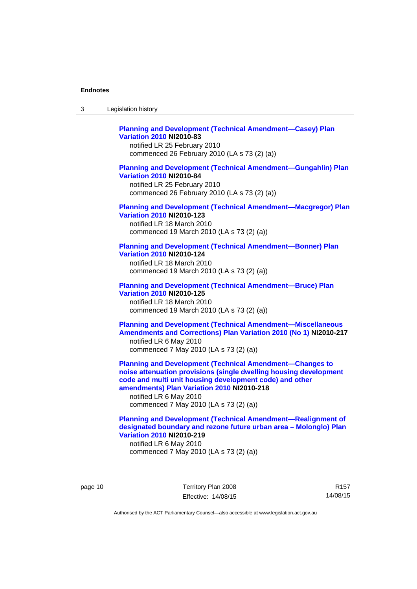| 3 | Legislation history |  |
|---|---------------------|--|
|---|---------------------|--|

## **[Planning and Development \(Technical Amendment—Casey\) Plan](http://www.legislation.act.gov.au/ni/2010-83/)  [Variation 2010](http://www.legislation.act.gov.au/ni/2010-83/) NI2010-83**

notified LR 25 February 2010 commenced 26 February 2010 (LA s 73 (2) (a))

#### **[Planning and Development \(Technical Amendment—Gungahlin\) Plan](http://www.legislation.act.gov.au/ni/2010-84/)  [Variation 2010](http://www.legislation.act.gov.au/ni/2010-84/) NI2010-84**

notified LR 25 February 2010 commenced 26 February 2010 (LA s 73 (2) (a))

#### **[Planning and Development \(Technical Amendment—Macgregor\) Plan](http://www.legislation.act.gov.au/ni/2010-123/)  [Variation 2010](http://www.legislation.act.gov.au/ni/2010-123/) NI2010-123**

notified LR 18 March 2010 commenced 19 March 2010 (LA s 73 (2) (a))

## **[Planning and Development \(Technical Amendment—Bonner\) Plan](http://www.legislation.act.gov.au/ni/2010-124/)**

**[Variation 2010](http://www.legislation.act.gov.au/ni/2010-124/) NI2010-124**  notified LR 18 March 2010 commenced 19 March 2010 (LA s 73 (2) (a))

#### **[Planning and Development \(Technical Amendment—Bruce\) Plan](http://www.legislation.act.gov.au/ni/2010-125/)  [Variation 2010](http://www.legislation.act.gov.au/ni/2010-125/) NI2010-125**

notified LR 18 March 2010 commenced 19 March 2010 (LA s 73 (2) (a))

### **[Planning and Development \(Technical Amendment—Miscellaneous](http://www.legislation.act.gov.au/ni/2010-217/)  [Amendments and Corrections\) Plan Variation 2010 \(No 1\)](http://www.legislation.act.gov.au/ni/2010-217/) NI2010-217**  notified LR 6 May 2010 commenced 7 May 2010 (LA s 73 (2) (a))

**[Planning and Development \(Technical Amendment—Changes to](http://www.legislation.act.gov.au/ni/2010-218/)  [noise attenuation provisions \(single dwelling housing development](http://www.legislation.act.gov.au/ni/2010-218/)  [code and multi unit housing development code\) and other](http://www.legislation.act.gov.au/ni/2010-218/)  [amendments\) Plan Variation 2010](http://www.legislation.act.gov.au/ni/2010-218/) NI2010-218** 

notified LR 6 May 2010 commenced 7 May 2010 (LA s 73 (2) (a))

## **[Planning and Development \(Technical Amendment—Realignment of](http://www.legislation.act.gov.au/ni/2010-219/)  [designated boundary and rezone future urban area – Molonglo\) Plan](http://www.legislation.act.gov.au/ni/2010-219/)  [Variation 2010](http://www.legislation.act.gov.au/ni/2010-219/) NI2010-219**

notified LR 6 May 2010 commenced 7 May 2010 (LA s 73 (2) (a))

page 10 Territory Plan 2008 Effective: 14/08/15

R157 14/08/15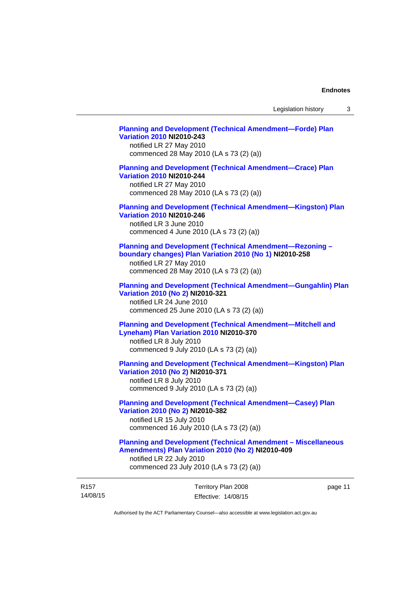## **[Planning and Development \(Technical Amendment—Forde\) Plan](http://www.legislation.act.gov.au/ni/2010-243/)  [Variation 2010](http://www.legislation.act.gov.au/ni/2010-243/) NI2010-243**  notified LR 27 May 2010 commenced 28 May 2010 (LA s 73 (2) (a)) **[Planning and Development \(Technical Amendment—Crace\) Plan](http://www.legislation.act.gov.au/ni/2010-244/)  [Variation 2010](http://www.legislation.act.gov.au/ni/2010-244/) NI2010-244**  notified LR 27 May 2010 commenced 28 May 2010 (LA s 73 (2) (a)) **[Planning and Development \(Technical Amendment—Kingston\) Plan](http://www.legislation.act.gov.au/ni/2010-246/)  [Variation 2010](http://www.legislation.act.gov.au/ni/2010-246/) NI2010-246**  notified LR 3 June 2010 commenced 4 June 2010 (LA s 73 (2) (a)) **[Planning and Development \(Technical Amendment—Rezoning –](http://www.legislation.act.gov.au/ni/2010-258/)  [boundary changes\) Plan Variation 2010 \(No 1\)](http://www.legislation.act.gov.au/ni/2010-258/) NI2010-258**  notified LR 27 May 2010 commenced 28 May 2010 (LA s 73 (2) (a))

#### **[Planning and Development \(Technical Amendment—Gungahlin\) Plan](http://www.legislation.act.gov.au/ni/2010-321/)  [Variation 2010 \(No 2\)](http://www.legislation.act.gov.au/ni/2010-321/) NI2010-321**

notified LR 24 June 2010 commenced 25 June 2010 (LA s 73 (2) (a))

## **[Planning and Development \(Technical Amendment—Mitchell and](http://www.legislation.act.gov.au/ni/2010-370/)  [Lyneham\) Plan Variation 2010](http://www.legislation.act.gov.au/ni/2010-370/) NI2010-370**

notified LR 8 July 2010 commenced 9 July 2010 (LA s 73 (2) (a))

## **[Planning and Development \(Technical Amendment—Kingston\) Plan](http://www.legislation.act.gov.au/ni/2010-371/)  [Variation 2010 \(No 2\)](http://www.legislation.act.gov.au/ni/2010-371/) NI2010-371**

notified LR 8 July 2010 commenced 9 July 2010 (LA s 73 (2) (a))

## **[Planning and Development \(Technical Amendment—Casey\) Plan](http://www.legislation.act.gov.au/ni/2010-382/)  [Variation 2010 \(No 2\)](http://www.legislation.act.gov.au/ni/2010-382/) NI2010-382**

notified LR 15 July 2010 commenced 16 July 2010 (LA s 73 (2) (a))

#### **[Planning and Development \(Technical Amendment – Miscellaneous](http://www.legislation.act.gov.au/ni/2010-409/)  [Amendments\) Plan Variation 2010 \(No 2\)](http://www.legislation.act.gov.au/ni/2010-409/) NI2010-409**

notified LR 22 July 2010 commenced 23 July 2010 (LA s 73 (2) (a))

| R <sub>157</sub> | Territory Plan 2008 | page 11 |
|------------------|---------------------|---------|
| 14/08/15         | Effective: 14/08/15 |         |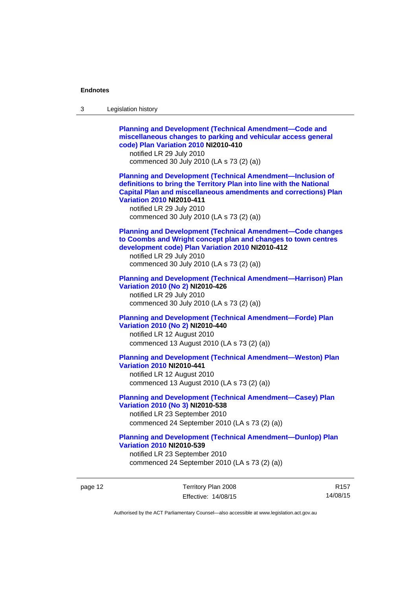| 3 | Legislation history                                                                                                                                                                                                                                                                                                            |
|---|--------------------------------------------------------------------------------------------------------------------------------------------------------------------------------------------------------------------------------------------------------------------------------------------------------------------------------|
|   | <b>Planning and Development (Technical Amendment-Code and</b><br>miscellaneous changes to parking and vehicular access general<br>code) Plan Variation 2010 NI2010-410<br>notified LR 29 July 2010<br>commenced 30 July 2010 (LA s 73 (2) (a))                                                                                 |
|   | <b>Planning and Development (Technical Amendment-Inclusion of</b><br>definitions to bring the Territory Plan into line with the National<br><b>Capital Plan and miscellaneous amendments and corrections) Plan</b><br><b>Variation 2010 NI2010-411</b><br>notified LR 29 July 2010<br>commenced 30 July 2010 (LA s 73 (2) (a)) |
|   | <b>Planning and Development (Technical Amendment-Code changes</b><br>to Coombs and Wright concept plan and changes to town centres<br>development code) Plan Variation 2010 NI2010-412<br>notified LR 29 July 2010<br>commenced 30 July 2010 (LA s 73 (2) (a))                                                                 |
|   | <b>Planning and Development (Technical Amendment-Harrison) Plan</b><br>Variation 2010 (No 2) NI2010-426<br>notified LR 29 July 2010<br>commenced 30 July 2010 (LA s 73 (2) (a))                                                                                                                                                |
|   | <b>Planning and Development (Technical Amendment-Forde) Plan</b><br>Variation 2010 (No 2) NI2010-440<br>notified LR 12 August 2010<br>commenced 13 August 2010 (LA s 73 (2) (a))                                                                                                                                               |
|   | <b>Planning and Development (Technical Amendment-Weston) Plan</b><br><b>Variation 2010 NI2010-441</b><br>notified LR 12 August 2010<br>commenced 13 August 2010 (LA s 73 (2) (a))                                                                                                                                              |
|   | <b>Planning and Development (Technical Amendment-Casey) Plan</b><br>Variation 2010 (No 3) NI2010-538<br>notified LR 23 September 2010<br>commenced 24 September 2010 (LA s 73 (2) (a))                                                                                                                                         |
|   | <b>Planning and Development (Technical Amendment-Dunlop) Plan</b><br><b>Variation 2010 NI2010-539</b><br>notified LR 23 September 2010<br>commenced 24 September 2010 (LA s 73 (2) (a))                                                                                                                                        |

page 12 Territory Plan 2008 Effective: 14/08/15

R157 14/08/15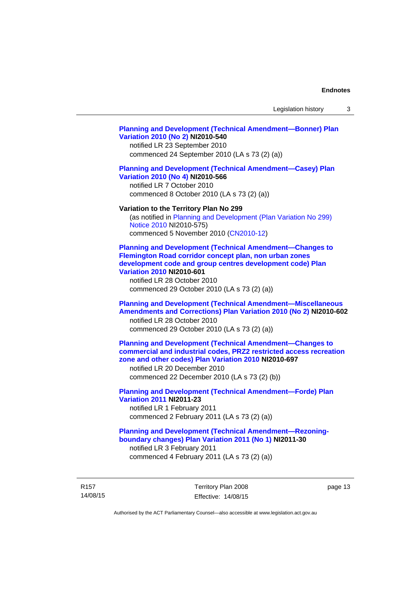#### **[Planning and Development \(Technical Amendment—Bonner\) Plan](http://www.legislation.act.gov.au/ni/2010-540/)  [Variation 2010 \(No 2\)](http://www.legislation.act.gov.au/ni/2010-540/) NI2010-540**

notified LR 23 September 2010 commenced 24 September 2010 (LA s 73 (2) (a))

#### **[Planning and Development \(Technical Amendment—Casey\) Plan](http://www.legislation.act.gov.au/ni/2010-566/)  [Variation 2010 \(No 4\)](http://www.legislation.act.gov.au/ni/2010-566/) NI2010-566**

notified LR 7 October 2010 commenced 8 October 2010 (LA s 73 (2) (a))

#### **Variation to the Territory Plan No 299**

(as notified in [Planning and Development \(Plan Variation No 299\)](http://www.legislation.act.gov.au/ni/2010-575/)  [Notice 2010](http://www.legislation.act.gov.au/ni/2010-575/) NI2010-575) commenced 5 November 2010 ([CN2010-12](http://www.legislation.act.gov.au/cn/2010-12/))

**[Planning and Development \(Technical Amendment—Changes to](http://www.legislation.act.gov.au/ni/2010-601/)  [Flemington Road corridor concept plan, non urban zones](http://www.legislation.act.gov.au/ni/2010-601/)  [development code and group centres development code\) Plan](http://www.legislation.act.gov.au/ni/2010-601/)  [Variation 2010](http://www.legislation.act.gov.au/ni/2010-601/) NI2010-601** 

notified LR 28 October 2010 commenced 29 October 2010 (LA s 73 (2) (a))

## **[Planning and Development \(Technical Amendment—Miscellaneous](http://www.legislation.act.gov.au/ni/2010-602/)  [Amendments and Corrections\) Plan Variation 2010 \(No 2\)](http://www.legislation.act.gov.au/ni/2010-602/) NI2010-602**

notified LR 28 October 2010 commenced 29 October 2010 (LA s 73 (2) (a))

## **[Planning and Development \(Technical Amendment—Changes to](http://www.legislation.act.gov.au/ni/2010-697/)  [commercial and industrial codes, PRZ2 restricted access recreation](http://www.legislation.act.gov.au/ni/2010-697/)  [zone and other codes\) Plan Variation 2010](http://www.legislation.act.gov.au/ni/2010-697/) NI2010-697**

notified LR 20 December 2010 commenced 22 December 2010 (LA s 73 (2) (b))

## **[Planning and Development \(Technical Amendment—Forde\) Plan](http://www.legislation.act.gov.au/ni/2011-23/)  [Variation 2011](http://www.legislation.act.gov.au/ni/2011-23/) NI2011-23**  notified LR 1 February 2011

commenced 2 February 2011 (LA s 73 (2) (a))

## **[Planning and Development \(Technical Amendment—Rezoning](http://www.legislation.act.gov.au/ni/2011-30/)[boundary changes\) Plan Variation 2011 \(No 1\)](http://www.legislation.act.gov.au/ni/2011-30/) NI2011-30**  notified LR 3 February 2011

commenced 4 February 2011 (LA s 73 (2) (a))

R157 14/08/15 Territory Plan 2008 Effective: 14/08/15 page 13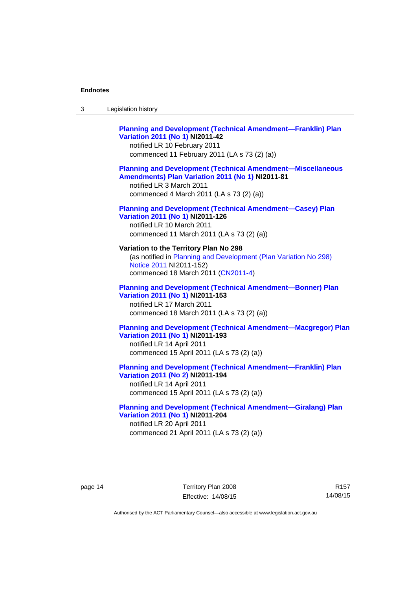| -3 | Legislation history |  |
|----|---------------------|--|
|----|---------------------|--|

## **[Planning and Development \(Technical Amendment—Franklin\) Plan](http://www.legislation.act.gov.au/ni/2011-42/)  [Variation 2011 \(No 1\)](http://www.legislation.act.gov.au/ni/2011-42/) NI2011-42**  notified LR 10 February 2011 commenced 11 February 2011 (LA s 73 (2) (a)) **[Planning and Development \(Technical Amendment—Miscellaneous](http://www.legislation.act.gov.au/ni/2011-81/)  [Amendments\) Plan Variation 2011 \(No 1\)](http://www.legislation.act.gov.au/ni/2011-81/) NI2011-81**

notified LR 3 March 2011 commenced 4 March 2011 (LA s 73 (2) (a))

## **[Planning and Development \(Technical Amendment—Casey\) Plan](http://www.legislation.act.gov.au/ni/2011-126/)  [Variation 2011 \(No 1\)](http://www.legislation.act.gov.au/ni/2011-126/) NI2011-126**

notified LR 10 March 2011 commenced 11 March 2011 (LA s 73 (2) (a))

## **Variation to the Territory Plan No 298**

(as notified in [Planning and Development \(Plan Variation No 298\)](http://www.legislation.act.gov.au/ni/2011-152/)  [Notice 2011](http://www.legislation.act.gov.au/ni/2011-152/) NI2011-152) commenced 18 March 2011 [\(CN2011-4\)](http://www.legislation.act.gov.au/cn/2011-4/)

## **[Planning and Development \(Technical Amendment—Bonner\) Plan](http://www.legislation.act.gov.au/ni/2011-153/)  [Variation 2011 \(No 1\)](http://www.legislation.act.gov.au/ni/2011-153/) NI2011-153**  notified LR 17 March 2011

commenced 18 March 2011 (LA s 73 (2) (a))

## **[Planning and Development \(Technical Amendment—Macgregor\) Plan](http://www.legislation.act.gov.au/ni/2011-193/)  [Variation 2011 \(No 1\)](http://www.legislation.act.gov.au/ni/2011-193/) NI2011-193**

notified LR 14 April 2011 commenced 15 April 2011 (LA s 73 (2) (a))

#### **[Planning and Development \(Technical Amendment—Franklin\) Plan](http://www.legislation.act.gov.au/ni/2011-194/)  [Variation 2011 \(No 2\)](http://www.legislation.act.gov.au/ni/2011-194/) NI2011-194**

notified LR 14 April 2011 commenced 15 April 2011 (LA s 73 (2) (a))

#### **[Planning and Development \(Technical Amendment—Giralang\) Plan](http://www.legislation.act.gov.au/ni/2011-204/)  [Variation 2011 \(No 1\)](http://www.legislation.act.gov.au/ni/2011-204/) NI2011-204**  notified LR 20 April 2011

commenced 21 April 2011 (LA s 73 (2) (a))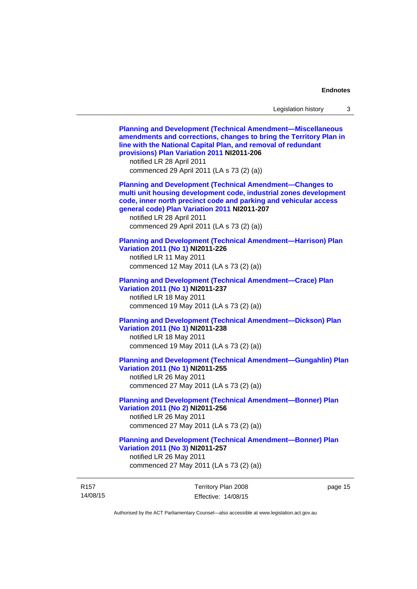14/08/15 Territory Plan 2008 Effective: 14/08/15 page 15 **[Planning and Development \(Technical Amendment—Miscellaneous](http://www.legislation.act.gov.au/ni/2011-206/)  [amendments and corrections, changes to bring the Territory Plan in](http://www.legislation.act.gov.au/ni/2011-206/)  [line with the National Capital Plan, and removal of redundant](http://www.legislation.act.gov.au/ni/2011-206/)  [provisions\) Plan Variation 2011](http://www.legislation.act.gov.au/ni/2011-206/) NI2011-206**  notified LR 28 April 2011 commenced 29 April 2011 (LA s 73 (2) (a)) **[Planning and Development \(Technical Amendment—Changes to](http://www.legislation.act.gov.au/ni/2011-207/)  [multi unit housing development code, industrial zones development](http://www.legislation.act.gov.au/ni/2011-207/)  [code, inner north precinct code and parking and vehicular access](http://www.legislation.act.gov.au/ni/2011-207/)  [general code\) Plan Variation 2011](http://www.legislation.act.gov.au/ni/2011-207/) NI2011-207**  notified LR 28 April 2011 commenced 29 April 2011 (LA s 73 (2) (a)) **[Planning and Development \(Technical Amendment—Harrison\) Plan](http://www.legislation.act.gov.au/ni/2011-226/)  [Variation 2011 \(No 1\)](http://www.legislation.act.gov.au/ni/2011-226/) NI2011-226**  notified LR 11 May 2011 commenced 12 May 2011 (LA s 73 (2) (a)) **[Planning and Development \(Technical Amendment—Crace\) Plan](http://www.legislation.act.gov.au/ni/2011-237/)  [Variation 2011 \(No 1\)](http://www.legislation.act.gov.au/ni/2011-237/) NI2011-237**  notified LR 18 May 2011 commenced 19 May 2011 (LA s 73 (2) (a)) **[Planning and Development \(Technical Amendment—Dickson\) Plan](http://www.legislation.act.gov.au/ni/2011-238/)  [Variation 2011 \(No 1\)](http://www.legislation.act.gov.au/ni/2011-238/) NI2011-238**  notified LR 18 May 2011 commenced 19 May 2011 (LA s 73 (2) (a)) **[Planning and Development \(Technical Amendment—Gungahlin\) Plan](http://www.legislation.act.gov.au/ni/2011-255/)  [Variation 2011 \(No 1\)](http://www.legislation.act.gov.au/ni/2011-255/) NI2011-255**  notified LR 26 May 2011 commenced 27 May 2011 (LA s 73 (2) (a)) **[Planning and Development \(Technical Amendment—Bonner\) Plan](http://www.legislation.act.gov.au/ni/2011-256/)  [Variation 2011 \(No 2\)](http://www.legislation.act.gov.au/ni/2011-256/) NI2011-256**  notified LR 26 May 2011 commenced 27 May 2011 (LA s 73 (2) (a)) **[Planning and Development \(Technical Amendment—Bonner\) Plan](http://www.legislation.act.gov.au/ni/2011-257/)  [Variation 2011 \(No 3\)](http://www.legislation.act.gov.au/ni/2011-257/) NI2011-257**  notified LR 26 May 2011 commenced 27 May 2011 (LA s 73 (2) (a))

Authorised by the ACT Parliamentary Counsel—also accessible at www.legislation.act.gov.au

R157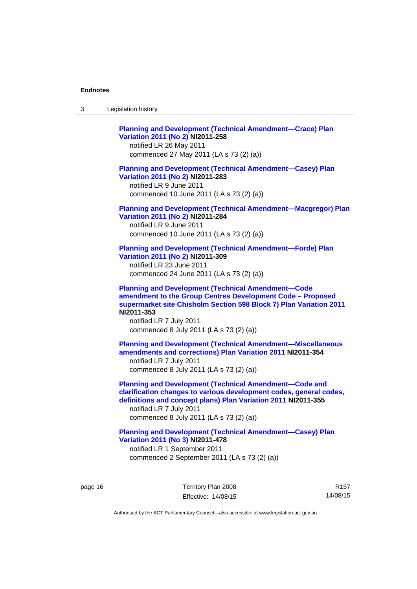| Legislation history<br>-3 |  |
|---------------------------|--|
|---------------------------|--|

**[Planning and Development \(Technical Amendment—Crace\) Plan](http://www.legislation.act.gov.au/ni/2011-258/)  [Variation 2011 \(No 2\)](http://www.legislation.act.gov.au/ni/2011-258/) NI2011-258**  notified LR 26 May 2011 commenced 27 May 2011 (LA s 73 (2) (a)) **[Planning and Development \(Technical Amendment—Casey\) Plan](http://www.legislation.act.gov.au/ni/2011-283/)  [Variation 2011 \(No 2\)](http://www.legislation.act.gov.au/ni/2011-283/) NI2011-283**  notified LR 9 June 2011 commenced 10 June 2011 (LA s 73 (2) (a)) **[Planning and Development \(Technical Amendment—Macgregor\) Plan](http://www.legislation.act.gov.au/ni/2011-284/)  [Variation 2011 \(No 2\)](http://www.legislation.act.gov.au/ni/2011-284/) NI2011-284**  notified LR 9 June 2011 commenced 10 June 2011 (LA s 73 (2) (a)) **[Planning and Development \(Technical Amendment—Forde\) Plan](http://www.legislation.act.gov.au/ni/2011-309/)  [Variation 2011 \(No 2\)](http://www.legislation.act.gov.au/ni/2011-309/) NI2011-309**  notified LR 23 June 2011 commenced 24 June 2011 (LA s 73 (2) (a)) **[Planning and Development \(Technical Amendment—Code](http://www.legislation.act.gov.au/ni/2011-353/)  [amendment to the Group Centres Development Code – Proposed](http://www.legislation.act.gov.au/ni/2011-353/)  [supermarket site Chisholm Section 598 Block 7\) Plan Variation 2011](http://www.legislation.act.gov.au/ni/2011-353/) NI2011-353**  notified LR 7 July 2011 commenced 8 July 2011 (LA s 73 (2) (a)) **[Planning and Development \(Technical Amendment—Miscellaneous](http://www.legislation.act.gov.au/ni/2011-354/)  [amendments and corrections\) Plan Variation 2011](http://www.legislation.act.gov.au/ni/2011-354/) NI2011-354**  notified LR 7 July 2011 commenced 8 July 2011 (LA s 73 (2) (a)) **[Planning and Development \(Technical Amendment—Code and](http://www.legislation.act.gov.au/ni/2011-355/)  [clarification changes to various development codes, general codes,](http://www.legislation.act.gov.au/ni/2011-355/)  [definitions and concept plans\) Plan Variation 2011](http://www.legislation.act.gov.au/ni/2011-355/) NI2011-355**  notified LR 7 July 2011 commenced 8 July 2011 (LA s 73 (2) (a)) **[Planning and Development \(Technical Amendment—Casey\) Plan](http://www.legislation.act.gov.au/ni/2011-478/)  [Variation 2011 \(No 3\)](http://www.legislation.act.gov.au/ni/2011-478/) NI2011-478** 

notified LR 1 September 2011 commenced 2 September 2011 (LA s 73 (2) (a))

page 16 Territory Plan 2008 Effective: 14/08/15

R157 14/08/15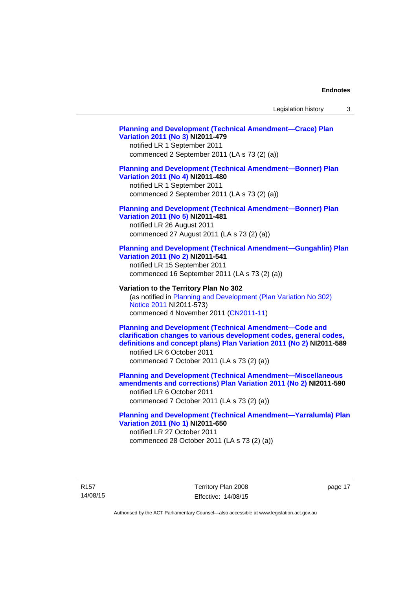## **[Planning and Development \(Technical Amendment—Crace\) Plan](http://www.legislation.act.gov.au/ni/2011-479/)  [Variation 2011 \(No 3\)](http://www.legislation.act.gov.au/ni/2011-479/) NI2011-479**  notified LR 1 September 2011 commenced 2 September 2011 (LA s 73 (2) (a)) **[Planning and Development \(Technical Amendment—Bonner\) Plan](http://www.legislation.act.gov.au/ni/2011-480/)  [Variation 2011 \(No 4\)](http://www.legislation.act.gov.au/ni/2011-480/) NI2011-480**  notified LR 1 September 2011 commenced 2 September 2011 (LA s 73 (2) (a)) **[Planning and Development \(Technical Amendment—Bonner\) Plan](http://www.legislation.act.gov.au/ni/2011-481/)  [Variation 2011 \(No 5\)](http://www.legislation.act.gov.au/ni/2011-481/) NI2011-481**  notified LR 26 August 2011 commenced 27 August 2011 (LA s 73 (2) (a)) **[Planning and Development \(Technical Amendment—Gungahlin\) Plan](http://www.legislation.act.gov.au/ni/2011-541/)  [Variation 2011 \(No 2\)](http://www.legislation.act.gov.au/ni/2011-541/) NI2011-541**  notified LR 15 September 2011 commenced 16 September 2011 (LA s 73 (2) (a)) **Variation to the Territory Plan No 302**  (as notified in [Planning and Development \(Plan Variation No 302\)](http://www.legislation.act.gov.au/ni/2011-573/)  [Notice 2011](http://www.legislation.act.gov.au/ni/2011-573/) NI2011-573) commenced 4 November 2011 ([CN2011-11](http://www.legislation.act.gov.au/cn/2011-11/)) **[Planning and Development \(Technical Amendment—Code and](http://www.legislation.act.gov.au/ni/2011-589/)  [clarification changes to various development codes, general codes,](http://www.legislation.act.gov.au/ni/2011-589/)  [definitions and concept plans\) Plan Variation 2011 \(No 2\)](http://www.legislation.act.gov.au/ni/2011-589/) NI2011-589**  notified LR 6 October 2011 commenced 7 October 2011 (LA s 73 (2) (a)) **[Planning and Development \(Technical Amendment—Miscellaneous](http://www.legislation.act.gov.au/ni/2011-590/)  [amendments and corrections\) Plan Variation 2011 \(No 2\)](http://www.legislation.act.gov.au/ni/2011-590/) NI2011-590**  notified LR 6 October 2011 commenced 7 October 2011 (LA s 73 (2) (a)) **[Planning and Development \(Technical Amendment—Yarralumla\) Plan](http://www.legislation.act.gov.au/ni/2011-650/)  [Variation 2011 \(No 1\)](http://www.legislation.act.gov.au/ni/2011-650/) NI2011-650**

notified LR 27 October 2011 commenced 28 October 2011 (LA s 73 (2) (a))

R157 14/08/15 Territory Plan 2008 Effective: 14/08/15 page 17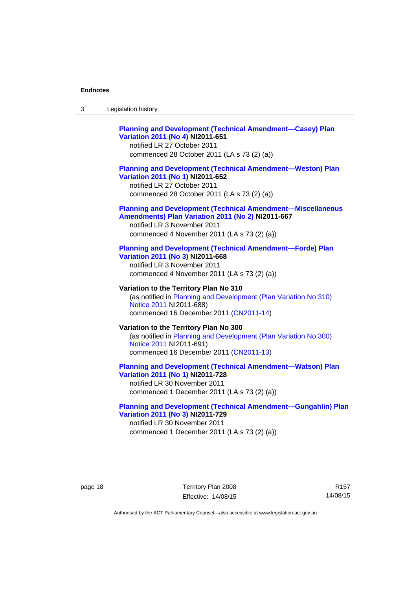| -3 | Legislation history |  |
|----|---------------------|--|
|----|---------------------|--|

## **[Planning and Development \(Technical Amendment—Casey\) Plan](http://www.legislation.act.gov.au/ni/2011-651/)  [Variation 2011 \(No 4\)](http://www.legislation.act.gov.au/ni/2011-651/) NI2011-651**

notified LR 27 October 2011 commenced 28 October 2011 (LA s 73 (2) (a))

#### **[Planning and Development \(Technical Amendment—Weston\) Plan](http://www.legislation.act.gov.au/ni/2011-652/)  [Variation 2011 \(No 1\)](http://www.legislation.act.gov.au/ni/2011-652/) NI2011-652**

notified LR 27 October 2011 commenced 28 October 2011 (LA s 73 (2) (a))

#### **[Planning and Development \(Technical Amendment—Miscellaneous](http://www.legislation.act.gov.au/ni/2011-667/)  [Amendments\) Plan Variation 2011 \(No 2\)](http://www.legislation.act.gov.au/ni/2011-667/) NI2011-667**

notified LR 3 November 2011 commenced 4 November 2011 (LA s 73 (2) (a))

#### **[Planning and Development \(Technical Amendment—Forde\) Plan](http://www.legislation.act.gov.au/ni/2011-668/)  [Variation 2011 \(No 3\)](http://www.legislation.act.gov.au/ni/2011-668/) NI2011-668**

notified LR 3 November 2011 commenced 4 November 2011 (LA s 73 (2) (a))

**Variation to the Territory Plan No 310**  (as notified in [Planning and Development \(Plan Variation No 310\)](http://www.legislation.act.gov.au/ni/2011-688/)  [Notice 2011](http://www.legislation.act.gov.au/ni/2011-688/) NI2011-688) commenced 16 December 2011 [\(CN2011-14\)](http://www.legislation.act.gov.au/cn/2011-14/)

#### **Variation to the Territory Plan No 300**  (as notified in [Planning and Development \(Plan Variation No 300\)](http://www.legislation.act.gov.au/ni/2011-691/)  [Notice 2011](http://www.legislation.act.gov.au/ni/2011-691/) NI2011-691) commenced 16 December 2011 [\(CN2011-13\)](http://www.legislation.act.gov.au/cn/2011-13/)

#### **[Planning and Development \(Technical Amendment—Watson\) Plan](http://www.legislation.act.gov.au/ni/2011-728/)  [Variation 2011 \(No 1\)](http://www.legislation.act.gov.au/ni/2011-728/) NI2011-728**

notified LR 30 November 2011 commenced 1 December 2011 (LA s 73 (2) (a))

### **[Planning and Development \(Technical Amendment—Gungahlin\) Plan](http://www.legislation.act.gov.au/ni/2011-729/)  [Variation 2011 \(No 3\)](http://www.legislation.act.gov.au/ni/2011-729/) NI2011-729**

notified LR 30 November 2011 commenced 1 December 2011 (LA s 73 (2) (a))

page 18 Territory Plan 2008 Effective: 14/08/15

R157 14/08/15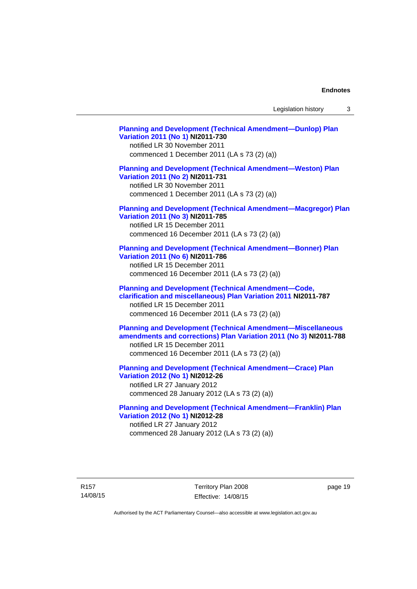Legislation history 3

**[Planning and Development \(Technical Amendment—Dunlop\) Plan](http://www.legislation.act.gov.au/ni/2011-730/)  [Variation 2011 \(No 1\)](http://www.legislation.act.gov.au/ni/2011-730/) NI2011-730**  notified LR 30 November 2011 commenced 1 December 2011 (LA s 73 (2) (a)) **[Planning and Development \(Technical Amendment—Weston\) Plan](http://www.legislation.act.gov.au/ni/2011-731/)  [Variation 2011 \(No 2\)](http://www.legislation.act.gov.au/ni/2011-731/) NI2011-731**  notified LR 30 November 2011 commenced 1 December 2011 (LA s 73 (2) (a)) **[Planning and Development \(Technical Amendment—Macgregor\) Plan](http://www.legislation.act.gov.au/ni/2011-785/)  [Variation 2011 \(No 3\)](http://www.legislation.act.gov.au/ni/2011-785/) NI2011-785**  notified LR 15 December 2011 commenced 16 December 2011 (LA s 73 (2) (a)) **[Planning and Development \(Technical Amendment—Bonner\) Plan](http://www.legislation.act.gov.au/ni/2011-786/)  [Variation 2011 \(No 6\)](http://www.legislation.act.gov.au/ni/2011-786/) NI2011-786**  notified LR 15 December 2011 commenced 16 December 2011 (LA s 73 (2) (a)) **[Planning and Development \(Technical Amendment—Code,](http://www.legislation.act.gov.au/ni/2011-787/)  [clarification and miscellaneous\) Plan Variation 2011](http://www.legislation.act.gov.au/ni/2011-787/) NI2011-787**  notified LR 15 December 2011 commenced 16 December 2011 (LA s 73 (2) (a)) **[Planning and Development \(Technical Amendment—Miscellaneous](http://www.legislation.act.gov.au/ni/2011-788/)  [amendments and corrections\) Plan Variation 2011 \(No 3\)](http://www.legislation.act.gov.au/ni/2011-788/) NI2011-788**  notified LR 15 December 2011 commenced 16 December 2011 (LA s 73 (2) (a)) **[Planning and Development \(Technical Amendment—Crace\) Plan](http://www.legislation.act.gov.au/ni/2012-26/)  [Variation 2012 \(No 1\)](http://www.legislation.act.gov.au/ni/2012-26/) NI2012-26**  notified LR 27 January 2012 commenced 28 January 2012 (LA s 73 (2) (a)) **[Planning and Development \(Technical Amendment—Franklin\) Plan](http://www.legislation.act.gov.au/ni/2012-28/)  [Variation 2012 \(No 1\)](http://www.legislation.act.gov.au/ni/2012-28/) NI2012-28**  notified LR 27 January 2012

R157 14/08/15 Territory Plan 2008 Effective: 14/08/15 page 19

Authorised by the ACT Parliamentary Counsel—also accessible at www.legislation.act.gov.au

commenced 28 January 2012 (LA s 73 (2) (a))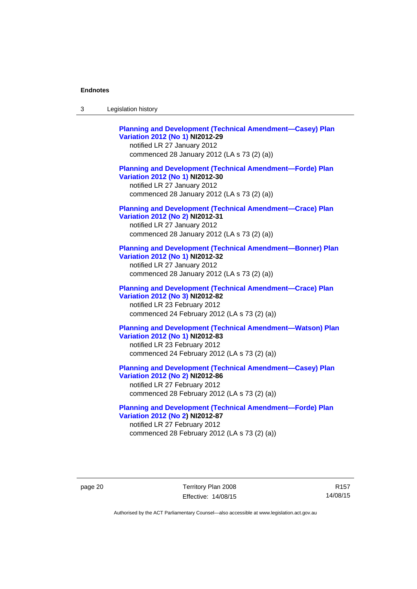| Legislation history<br>3 |  |
|--------------------------|--|
|--------------------------|--|

**[Planning and Development \(Technical Amendment—Casey\) Plan](http://www.legislation.act.gov.au/ni/2012-29/)  [Variation 2012 \(No 1\)](http://www.legislation.act.gov.au/ni/2012-29/) NI2012-29**  notified LR 27 January 2012 commenced 28 January 2012 (LA s 73 (2) (a)) **[Planning and Development \(Technical Amendment—Forde\) Plan](http://www.legislation.act.gov.au/ni/2012-30/)  [Variation 2012 \(No 1\)](http://www.legislation.act.gov.au/ni/2012-30/) NI2012-30**  notified LR 27 January 2012 commenced 28 January 2012 (LA s 73 (2) (a)) **[Planning and Development \(Technical Amendment—Crace\) Plan](http://www.legislation.act.gov.au/ni/2012-31/)  [Variation 2012 \(No 2\)](http://www.legislation.act.gov.au/ni/2012-31/) NI2012-31**  notified LR 27 January 2012 commenced 28 January 2012 (LA s 73 (2) (a)) **[Planning and Development \(Technical Amendment—Bonner\) Plan](http://www.legislation.act.gov.au/ni/2012-32/)  [Variation 2012 \(No 1\)](http://www.legislation.act.gov.au/ni/2012-32/) NI2012-32**  notified LR 27 January 2012 commenced 28 January 2012 (LA s 73 (2) (a)) **[Planning and Development \(Technical Amendment—Crace\) Plan](http://www.legislation.act.gov.au/ni/2012-82/)  [Variation 2012 \(No 3\)](http://www.legislation.act.gov.au/ni/2012-82/) NI2012-82**  notified LR 23 February 2012 commenced 24 February 2012 (LA s 73 (2) (a)) **[Planning and Development \(Technical Amendment—Watson\) Plan](http://www.legislation.act.gov.au/ni/2012-83/)  [Variation 2012 \(No 1\)](http://www.legislation.act.gov.au/ni/2012-83/) NI2012-83**  notified LR 23 February 2012 commenced 24 February 2012 (LA s 73 (2) (a)) **[Planning and Development \(Technical Amendment—Casey\) Plan](http://www.legislation.act.gov.au/ni/2012-86/)  [Variation 2012 \(No 2\)](http://www.legislation.act.gov.au/ni/2012-86/) NI2012-86**  notified LR 27 February 2012

commenced 28 February 2012 (LA s 73 (2) (a))

**[Planning and Development \(Technical Amendment—Forde\) Plan](http://www.legislation.act.gov.au/ni/2012-87/)  [Variation 2012 \(No 2\)](http://www.legislation.act.gov.au/ni/2012-87/) NI2012-87**  notified LR 27 February 2012 commenced 28 February 2012 (LA s 73 (2) (a))

page 20 Territory Plan 2008 Effective: 14/08/15

R157 14/08/15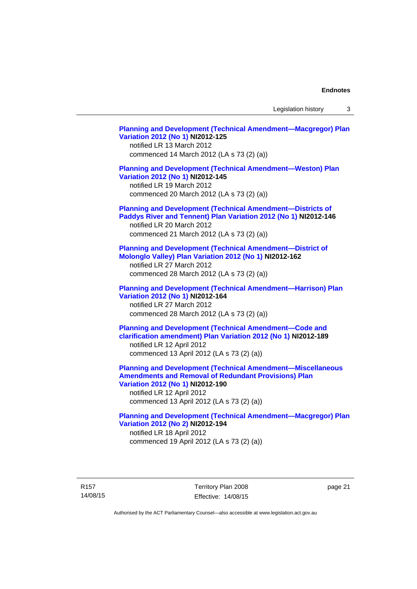Legislation history 3

**[Planning and Development \(Technical Amendment—Macgregor\) Plan](http://www.legislation.act.gov.au/ni/2012-125/)  [Variation 2012 \(No 1\)](http://www.legislation.act.gov.au/ni/2012-125/) NI2012-125**  notified LR 13 March 2012 commenced 14 March 2012 (LA s 73 (2) (a)) **[Planning and Development \(Technical Amendment—Weston\) Plan](http://www.legislation.act.gov.au/ni/2012-145/)  [Variation 2012 \(No 1\)](http://www.legislation.act.gov.au/ni/2012-145/) NI2012-145**  notified LR 19 March 2012 commenced 20 March 2012 (LA s 73 (2) (a)) **[Planning and Development \(Technical Amendment—Districts of](http://www.legislation.act.gov.au/ni/2012-146/)  [Paddys River and Tennent\) Plan Variation 2012 \(No 1\)](http://www.legislation.act.gov.au/ni/2012-146/) NI2012-146**  notified LR 20 March 2012 commenced 21 March 2012 (LA s 73 (2) (a)) **[Planning and Development \(Technical Amendment—District of](http://www.legislation.act.gov.au/ni/2012-162/)  [Molonglo Valley\) Plan Variation 2012 \(No 1\)](http://www.legislation.act.gov.au/ni/2012-162/) NI2012-162**  notified LR 27 March 2012 commenced 28 March 2012 (LA s 73 (2) (a)) **[Planning and Development \(Technical Amendment—Harrison\) Plan](http://www.legislation.act.gov.au/ni/2012-164/)  [Variation 2012 \(No 1\)](http://www.legislation.act.gov.au/ni/2012-164/) NI2012-164**  notified LR 27 March 2012 commenced 28 March 2012 (LA s 73 (2) (a)) **[Planning and Development \(Technical Amendment—Code and](http://www.legislation.act.gov.au/ni/2012-189/)  [clarification amendment\) Plan Variation 2012 \(No 1\)](http://www.legislation.act.gov.au/ni/2012-189/) NI2012-189**  notified LR 12 April 2012 commenced 13 April 2012 (LA s 73 (2) (a)) **[Planning and Development \(Technical Amendment—Miscellaneous](http://www.legislation.act.gov.au/ni/2012-190/)  [Amendments and Removal of Redundant Provisions\) Plan](http://www.legislation.act.gov.au/ni/2012-190/)  [Variation 2012 \(No 1\)](http://www.legislation.act.gov.au/ni/2012-190/) NI2012-190**  notified LR 12 April 2012 commenced 13 April 2012 (LA s 73 (2) (a)) **[Planning and Development \(Technical Amendment—Macgregor\) Plan](http://www.legislation.act.gov.au/ni/2012-194/)  [Variation 2012 \(No 2\)](http://www.legislation.act.gov.au/ni/2012-194/) NI2012-194**  notified LR 18 April 2012 commenced 19 April 2012 (LA s 73 (2) (a))

R157 14/08/15 Territory Plan 2008 Effective: 14/08/15 page 21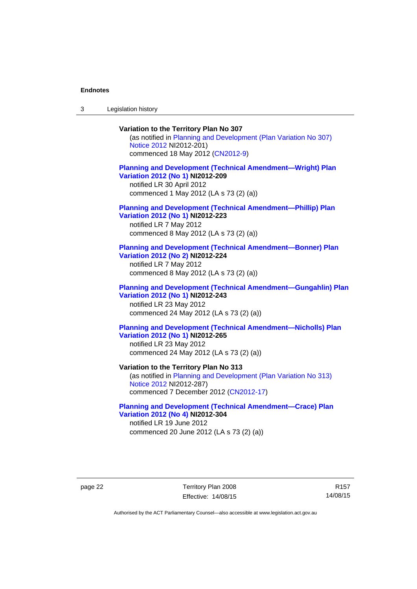3 Legislation history

## **Variation to the Territory Plan No 307**

(as notified in [Planning and Development \(Plan Variation No 307\)](http://www.legislation.act.gov.au/ni/2012-201/)  [Notice 2012](http://www.legislation.act.gov.au/ni/2012-201/) NI2012-201) commenced 18 May 2012 [\(CN2012-9\)](http://www.legislation.act.gov.au/cn/2012-9/)

## **[Planning and Development \(Technical Amendment—Wright\) Plan](http://www.legislation.act.gov.au/ni/2012-209/)  [Variation 2012 \(No 1\)](http://www.legislation.act.gov.au/ni/2012-209/) NI2012-209**

notified LR 30 April 2012 commenced 1 May 2012 (LA s 73 (2) (a))

#### **[Planning and Development \(Technical Amendment—Phillip\) Plan](http://www.legislation.act.gov.au/ni/2012-223/)  [Variation 2012 \(No 1\)](http://www.legislation.act.gov.au/ni/2012-223/) NI2012-223**

notified LR 7 May 2012 commenced 8 May 2012 (LA s 73 (2) (a))

#### **[Planning and Development \(Technical Amendment—Bonner\) Plan](http://www.legislation.act.gov.au/ni/2012-224/)  [Variation 2012 \(No 2\)](http://www.legislation.act.gov.au/ni/2012-224/) NI2012-224**

notified LR 7 May 2012 commenced 8 May 2012 (LA s 73 (2) (a))

## **[Planning and Development \(Technical Amendment—Gungahlin\) Plan](http://www.legislation.act.gov.au/ni/2012-243/)  [Variation 2012 \(No 1\)](http://www.legislation.act.gov.au/ni/2012-243/) NI2012-243**  notified LR 23 May 2012

commenced 24 May 2012 (LA s 73 (2) (a))

## **[Planning and Development \(Technical Amendment—Nicholls\) Plan](http://www.legislation.act.gov.au/ni/2012-265/)  [Variation 2012 \(No 1\)](http://www.legislation.act.gov.au/ni/2012-265/) NI2012-265**

notified LR 23 May 2012 commenced 24 May 2012 (LA s 73 (2) (a))

#### **Variation to the Territory Plan No 313**

(as notified in [Planning and Development \(Plan Variation No 313\)](http://www.legislation.act.gov.au/ni/2012-287/default.asp)  [Notice 2012](http://www.legislation.act.gov.au/ni/2012-287/default.asp) NI2012-287) commenced 7 December 2012 ([CN2012-17](http://www.legislation.act.gov.au/cn/2012-17/default.asp))

#### **[Planning and Development \(Technical Amendment—Crace\) Plan](http://www.legislation.act.gov.au/ni/2012-304/)  [Variation 2012 \(No 4\)](http://www.legislation.act.gov.au/ni/2012-304/) NI2012-304**

notified LR 19 June 2012 commenced 20 June 2012 (LA s 73 (2) (a))

page 22 Territory Plan 2008 Effective: 14/08/15

R157 14/08/15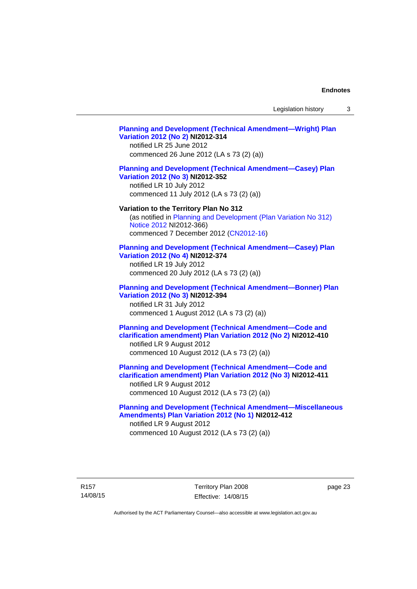Legislation history 3

## **[Planning and Development \(Technical Amendment—Wright\) Plan](http://www.legislation.act.gov.au/ni/2012-314/)  [Variation 2012 \(No 2\)](http://www.legislation.act.gov.au/ni/2012-314/) NI2012-314**  notified LR 25 June 2012 commenced 26 June 2012 (LA s 73 (2) (a)) **[Planning and Development \(Technical Amendment—Casey\) Plan](http://www.legislation.act.gov.au/ni/2012-352/)  [Variation 2012 \(No 3\)](http://www.legislation.act.gov.au/ni/2012-352/) NI2012-352**  notified LR 10 July 2012 commenced 11 July 2012 (LA s 73 (2) (a)) **Variation to the Territory Plan No 312**  (as notified in [Planning and Development \(Plan Variation No 312\)](http://www.legislation.act.gov.au/ni/2012-366/default.asp)  [Notice 2012](http://www.legislation.act.gov.au/ni/2012-366/default.asp) NI2012-366) commenced 7 December 2012 ([CN2012-16](http://www.legislation.act.gov.au/cn/2012-16/default.asp)) **[Planning and Development \(Technical Amendment—Casey\) Plan](http://www.legislation.act.gov.au/ni/2012-374/)  [Variation 2012 \(No 4\)](http://www.legislation.act.gov.au/ni/2012-374/) NI2012-374**  notified LR 19 July 2012 commenced 20 July 2012 (LA s 73 (2) (a)) **[Planning and Development \(Technical Amendment—Bonner\) Plan](http://www.legislation.act.gov.au/ni/2012-394/)  [Variation 2012 \(No 3\)](http://www.legislation.act.gov.au/ni/2012-394/) NI2012-394**  notified LR 31 July 2012 commenced 1 August 2012 (LA s 73 (2) (a)) **[Planning and Development \(Technical Amendment—Code and](http://www.legislation.act.gov.au/ni/2012-410/)  [clarification amendment\) Plan Variation 2012 \(No 2\)](http://www.legislation.act.gov.au/ni/2012-410/) NI2012-410**  notified LR 9 August 2012 commenced 10 August 2012 (LA s 73 (2) (a)) **[Planning and Development \(Technical Amendment—Code and](http://www.legislation.act.gov.au/ni/2012-411/)  [clarification amendment\) Plan Variation 2012 \(No 3\)](http://www.legislation.act.gov.au/ni/2012-411/) NI2012-411**  notified LR 9 August 2012 commenced 10 August 2012 (LA s 73 (2) (a)) **[Planning and Development \(Technical Amendment—Miscellaneous](http://www.legislation.act.gov.au/ni/2012-412/)  [Amendments\) Plan Variation 2012 \(No 1\)](http://www.legislation.act.gov.au/ni/2012-412/) NI2012-412**  notified LR 9 August 2012 commenced 10 August 2012 (LA s 73 (2) (a))

page 23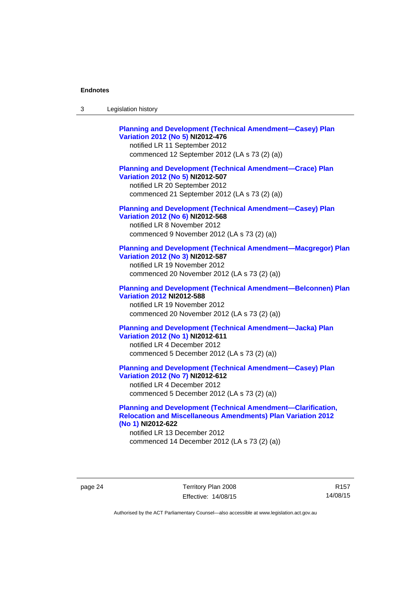| Legislation history<br>-3 |  |
|---------------------------|--|
|---------------------------|--|

| <b>Planning and Development (Technical Amendment-Casey) Plan</b><br>Variation 2012 (No 5) NI2012-476<br>notified LR 11 September 2012<br>commenced 12 September 2012 (LA s 73 (2) (a))   |
|------------------------------------------------------------------------------------------------------------------------------------------------------------------------------------------|
| <b>Planning and Development (Technical Amendment-Crace) Plan</b><br>Variation 2012 (No 5) NI2012-507<br>notified LR 20 September 2012<br>commenced 21 September 2012 (LA s 73 (2) (a))   |
| <b>Planning and Development (Technical Amendment-Casey) Plan</b><br>Variation 2012 (No 6) NI2012-568<br>notified LR 8 November 2012<br>commenced 9 November 2012 (LA s 73 (2) (a))       |
| <b>Planning and Development (Technical Amendment-Macgregor) Plan</b><br>Variation 2012 (No 3) NI2012-587<br>notified LR 19 November 2012<br>commenced 20 November 2012 (LA s 73 (2) (a)) |
| <b>Planning and Development (Technical Amendment-Belconnen) Plan</b><br><b>Variation 2012 NI2012-588</b><br>notified LR 19 November 2012<br>commenced 20 November 2012 (LA s 73 (2) (a)) |
| <b>Planning and Development (Technical Amendment-Jacka) Plan</b><br>Variation 2012 (No 1) NI2012-611<br>notified LR 4 December 2012<br>commenced 5 December 2012 (LA s 73 (2) (a))       |
| <b>Planning and Development (Technical Amendment-Casey) Plan</b><br>Variation 2012 (No 7) NI2012-612<br>notified LR 4 December 2012<br>commenced 5 December 2012 (LA s 73 (2) (a))       |

## **[Planning and Development \(Technical Amendment—Clarification,](http://www.legislation.act.gov.au/ni/2012-622/default.asp)  [Relocation and Miscellaneous Amendments\) Plan Variation 2012](http://www.legislation.act.gov.au/ni/2012-622/default.asp)  [\(No 1\)](http://www.legislation.act.gov.au/ni/2012-622/default.asp) NI2012-622**

notified LR 13 December 2012 commenced 14 December 2012 (LA s 73 (2) (a))

page 24 Territory Plan 2008 Effective: 14/08/15

R157 14/08/15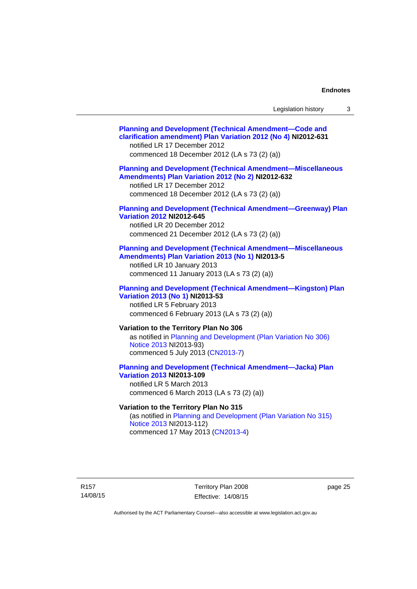| Legislation history |  |
|---------------------|--|
|---------------------|--|

| <b>Planning and Development (Technical Amendment-Code and</b><br>clarification amendment) Plan Variation 2012 (No 4) NI2012-631<br>notified LR 17 December 2012<br>commenced 18 December 2012 (LA s 73 (2) (a)) |
|-----------------------------------------------------------------------------------------------------------------------------------------------------------------------------------------------------------------|
| <b>Planning and Development (Technical Amendment-Miscellaneous</b><br>Amendments) Plan Variation 2012 (No 2) NI2012-632<br>notified LR 17 December 2012<br>commenced 18 December 2012 (LA s 73 (2) (a))         |
| <b>Planning and Development (Technical Amendment-Greenway) Plan</b><br><b>Variation 2012 NI2012-645</b><br>notified LR 20 December 2012<br>commenced 21 December 2012 (LA s 73 (2) (a))                         |
| <b>Planning and Development (Technical Amendment-Miscellaneous</b><br>Amendments) Plan Variation 2013 (No 1) NI2013-5<br>notified LR 10 January 2013<br>commenced 11 January 2013 (LA s 73 (2) (a))             |
| <b>Planning and Development (Technical Amendment-Kingston) Plan</b><br>Variation 2013 (No 1) NI2013-53<br>notified LR 5 February 2013<br>commenced 6 February 2013 (LA s 73 (2) (a))                            |
| Variation to the Territory Plan No 306<br>as notified in Planning and Development (Plan Variation No 306)<br>Notice 2013 NI2013-93)<br>commenced 5 July 2013 (CN2013-7)                                         |
| <b>Planning and Development (Technical Amendment-Jacka) Plan</b><br><b>Variation 2013 NI2013-109</b><br>notified LR 5 March 2013<br>commenced 6 March 2013 (LA s 73 (2) (a))                                    |
| Variation to the Territory Plan No 315<br>(as notified in Planning and Development (Plan Variation No 315)<br>Notice 2013 NI2013-112)                                                                           |

commenced 17 May 2013 [\(CN2013-4\)](http://www.legislation.act.gov.au/cn/2013-4/default.asp)

R157 14/08/15

Territory Plan 2008 Effective: 14/08/15 page 25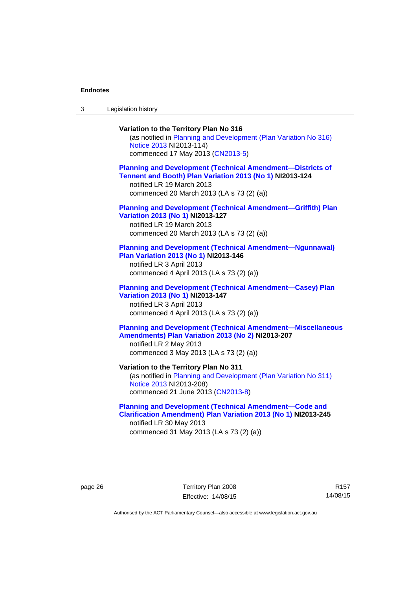3 Legislation history

## **Variation to the Territory Plan No 316**  (as notified in [Planning and Development \(Plan Variation No 316\)](http://www.legislation.act.gov.au/ni/2013-114/default.asp)  [Notice 2013](http://www.legislation.act.gov.au/ni/2013-114/default.asp) NI2013-114) commenced 17 May 2013 [\(CN2013-5\)](http://www.legislation.act.gov.au/cn/2013-5/default.asp) **[Planning and Development \(Technical Amendment—Districts of](http://www.legislation.act.gov.au/ni/2013-124/default.asp)  [Tennent and Booth\) Plan Variation 2013 \(No 1\)](http://www.legislation.act.gov.au/ni/2013-124/default.asp) NI2013-124**  notified LR 19 March 2013 commenced 20 March 2013 (LA s 73 (2) (a)) **[Planning and Development \(Technical Amendment—Griffith\) Plan](http://www.legislation.act.gov.au/ni/2013-127/default.asp)  [Variation 2013 \(No 1\)](http://www.legislation.act.gov.au/ni/2013-127/default.asp) NI2013-127**  notified LR 19 March 2013 commenced 20 March 2013 (LA s 73 (2) (a)) **[Planning and Development \(Technical Amendment—Ngunnawal\)](http://www.legislation.act.gov.au/ni/2013-146/default.asp)  [Plan Variation 2013 \(No 1\)](http://www.legislation.act.gov.au/ni/2013-146/default.asp) NI2013-146**  notified LR 3 April 2013 commenced 4 April 2013 (LA s 73 (2) (a)) **[Planning and Development \(Technical Amendment—Casey\) Plan](http://www.legislation.act.gov.au/ni/2013-147/default.asp)  [Variation 2013 \(No 1\)](http://www.legislation.act.gov.au/ni/2013-147/default.asp) NI2013-147**  notified LR 3 April 2013 commenced 4 April 2013 (LA s 73 (2) (a)) **[Planning and Development \(Technical Amendment—Miscellaneous](http://www.legislation.act.gov.au/ni/2013-207/default.asp)  [Amendments\) Plan Variation 2013 \(No 2\)](http://www.legislation.act.gov.au/ni/2013-207/default.asp) NI2013-207**  notified LR 2 May 2013 commenced 3 May 2013 (LA s 73 (2) (a)) **Variation to the Territory Plan No 311**  (as notified in [Planning and Development \(Plan Variation No 311\)](http://www.legislation.act.gov.au/ni/2013-208/default.asp)  [Notice 2013](http://www.legislation.act.gov.au/ni/2013-208/default.asp) NI2013-208) commenced 21 June 2013 ([CN2013-8\)](http://www.legislation.act.gov.au/cn/2013-8/default.asp) **[Planning and Development \(Technical Amendment—Code and](http://www.legislation.act.gov.au/ni/2013-245/default.asp)  [Clarification Amendment\) Plan Variation 2013 \(No 1\)](http://www.legislation.act.gov.au/ni/2013-245/default.asp) NI2013-245**

notified LR 30 May 2013 commenced 31 May 2013 (LA s 73 (2) (a))

page 26 Territory Plan 2008 Effective: 14/08/15

R157 14/08/15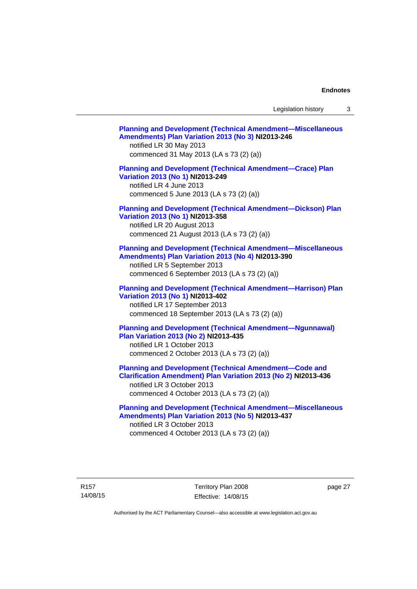Legislation history 3

| <b>Planning and Development (Technical Amendment-Miscellaneous</b><br>Amendments) Plan Variation 2013 (No 3) NI2013-246<br>notified LR 30 May 2013<br>commenced 31 May 2013 (LA s 73 (2) (a))               |  |
|-------------------------------------------------------------------------------------------------------------------------------------------------------------------------------------------------------------|--|
| <b>Planning and Development (Technical Amendment-Crace) Plan</b><br>Variation 2013 (No 1) NI2013-249<br>notified LR 4 June 2013<br>commenced 5 June 2013 (LA s 73 (2) (a))                                  |  |
| <b>Planning and Development (Technical Amendment-Dickson) Plan</b><br>Variation 2013 (No 1) NI2013-358<br>notified LR 20 August 2013<br>commenced 21 August 2013 (LA s 73 (2) (a))                          |  |
| <b>Planning and Development (Technical Amendment-Miscellaneous</b><br>Amendments) Plan Variation 2013 (No 4) NI2013-390<br>notified LR 5 September 2013<br>commenced 6 September 2013 (LA s 73 (2) (a))     |  |
| <b>Planning and Development (Technical Amendment-Harrison) Plan</b><br>Variation 2013 (No 1) NI2013-402<br>notified LR 17 September 2013<br>commenced 18 September 2013 (LA s 73 (2) (a))                   |  |
| <b>Planning and Development (Technical Amendment-Ngunnawal)</b><br><b>Plan Variation 2013 (No 2) NI2013-435</b><br>notified LR 1 October 2013<br>commenced 2 October 2013 (LA s 73 (2) (a))                 |  |
| <b>Planning and Development (Technical Amendment-Code and</b><br>Clarification Amendment) Plan Variation 2013 (No 2) NI2013-436<br>notified LR 3 October 2013<br>commenced 4 October 2013 (LA s 73 (2) (a)) |  |
| <b>Planning and Development (Technical Amendment-Miscellaneous</b><br>Amendments) Plan Variation 2013 (No 5) NI2013-437<br>notified LR 3 October 2013<br>commenced 4 October 2013 (LA s 73 (2) (a))         |  |

page 27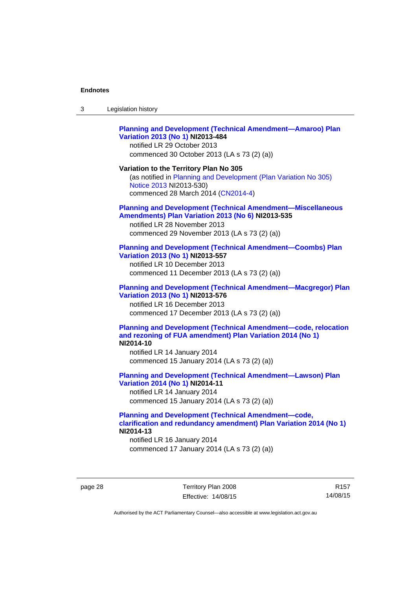| 3 | Legislation history |  |
|---|---------------------|--|
|---|---------------------|--|

## **[Planning and Development \(Technical Amendment—Amaroo\) Plan](http://www.legislation.act.gov.au/ni/2013-484/default.asp)  [Variation 2013 \(No 1\)](http://www.legislation.act.gov.au/ni/2013-484/default.asp) NI2013-484**

notified LR 29 October 2013 commenced 30 October 2013 (LA s 73 (2) (a))

#### **Variation to the Territory Plan No 305**

(as notified in [Planning and Development \(Plan Variation No 305\)](http://www.legislation.act.gov.au/ni/2013-530/default.asp)  [Notice 2013](http://www.legislation.act.gov.au/ni/2013-530/default.asp) NI2013-530) commenced 28 March 2014 [\(CN2014-4\)](http://www.legislation.act.gov.au/cn/2014-4/default.asp)

#### **[Planning and Development \(Technical Amendment—Miscellaneous](http://www.legislation.act.gov.au/ni/2013-535/default.asp)  [Amendments\) Plan Variation 2013 \(No 6\)](http://www.legislation.act.gov.au/ni/2013-535/default.asp) NI2013-535**

notified LR 28 November 2013 commenced 29 November 2013 (LA s 73 (2) (a))

#### **[Planning and Development \(Technical Amendment—Coombs\) Plan](http://www.legislation.act.gov.au/ni/2013-557/default.asp)  [Variation 2013 \(No 1\)](http://www.legislation.act.gov.au/ni/2013-557/default.asp) NI2013-557**

notified LR 10 December 2013 commenced 11 December 2013 (LA s 73 (2) (a))

## **[Planning and Development \(Technical Amendment—Macgregor\) Plan](http://www.legislation.act.gov.au/ni/2013-576/default.asp)  [Variation 2013 \(No 1\)](http://www.legislation.act.gov.au/ni/2013-576/default.asp) NI2013-576**  notified LR 16 December 2013

commenced 17 December 2013 (LA s 73 (2) (a))

#### **[Planning and Development \(Technical Amendment—code, relocation](http://www.legislation.act.gov.au/ni/2014-10/default.asp)  [and rezoning of FUA amendment\) Plan Variation 2014 \(No 1\)](http://www.legislation.act.gov.au/ni/2014-10/default.asp) NI2014-10**

notified LR 14 January 2014 commenced 15 January 2014 (LA s 73 (2) (a))

### **[Planning and Development \(Technical Amendment—Lawson\) Plan](http://www.legislation.act.gov.au/ni/2014-11/default.asp)  [Variation 2014 \(No 1\)](http://www.legislation.act.gov.au/ni/2014-11/default.asp) NI2014-11**

notified LR 14 January 2014 commenced 15 January 2014 (LA s 73 (2) (a))

## **[Planning and Development \(Technical Amendment—code,](http://www.legislation.act.gov.au/ni/2014-13/default.asp)  [clarification and redundancy amendment\) Plan Variation 2014 \(No 1\)](http://www.legislation.act.gov.au/ni/2014-13/default.asp) NI2014-13**

notified LR 16 January 2014 commenced 17 January 2014 (LA s 73 (2) (a))

page 28 Territory Plan 2008 Effective: 14/08/15

R157 14/08/15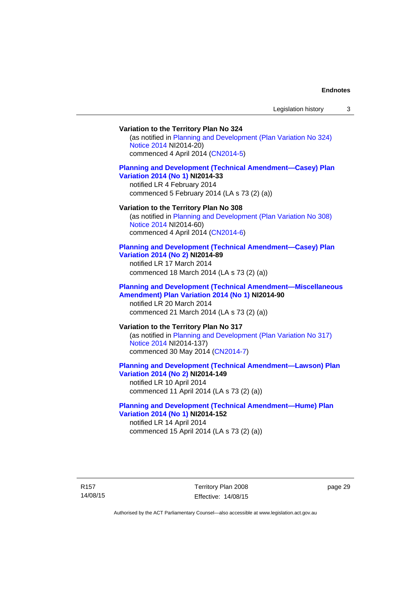## **Variation to the Territory Plan No 324**

(as notified in [Planning and Development \(Plan Variation No 324\)](http://www.legislation.act.gov.au/ni/2014-20/default.asp)  [Notice 2014](http://www.legislation.act.gov.au/ni/2014-20/default.asp) NI2014-20) commenced 4 April 2014 ([CN2014-5](http://www.legislation.act.gov.au/cn/2014-5/default.asp))

#### **[Planning and Development \(Technical Amendment—Casey\) Plan](http://www.legislation.act.gov.au/ni/2014-33/default.asp)  [Variation 2014 \(No 1\)](http://www.legislation.act.gov.au/ni/2014-33/default.asp) NI2014-33**

notified LR 4 February 2014 commenced 5 February 2014 (LA s 73 (2) (a))

#### **Variation to the Territory Plan No 308**

(as notified in [Planning and Development \(Plan Variation No 308\)](http://www.legislation.act.gov.au/ni/2014-60/default.asp)  [Notice 2014](http://www.legislation.act.gov.au/ni/2014-60/default.asp) NI2014-60) commenced 4 April 2014 ([CN2014-6](http://www.legislation.act.gov.au/cn/2014-6/default.asp))

#### **[Planning and Development \(Technical Amendment—Casey\) Plan](http://www.legislation.act.gov.au/ni/2014-89/default.asp)  [Variation 2014 \(No 2\)](http://www.legislation.act.gov.au/ni/2014-89/default.asp) NI2014-89**

notified LR 17 March 2014 commenced 18 March 2014 (LA s 73 (2) (a))

#### **[Planning and Development \(Technical Amendment—Miscellaneous](http://www.legislation.act.gov.au/ni/2014-90/default.asp)  [Amendment\) Plan Variation 2014 \(No 1\)](http://www.legislation.act.gov.au/ni/2014-90/default.asp) NI2014-90**  notified LR 20 March 2014

commenced 21 March 2014 (LA s 73 (2) (a))

## **Variation to the Territory Plan No 317**

(as notified in [Planning and Development \(Plan Variation No 317\)](http://www.legislation.act.gov.au/ni/2014-137/default.asp)  [Notice 2014](http://www.legislation.act.gov.au/ni/2014-137/default.asp) NI2014-137) commenced 30 May 2014 [\(CN2014-7\)](http://www.legislation.act.gov.au/cn/2014-7/default.asp)

## **[Planning and Development \(Technical Amendment—Lawson\) Plan](http://www.legislation.act.gov.au/ni/2014-149/default.asp)  [Variation 2014 \(No 2\)](http://www.legislation.act.gov.au/ni/2014-149/default.asp) NI2014-149**

notified LR 10 April 2014 commenced 11 April 2014 (LA s 73 (2) (a))

#### **[Planning and Development \(Technical Amendment—Hume\) Plan](http://www.legislation.act.gov.au/ni/2014-152/default.asp)  [Variation 2014 \(No 1\)](http://www.legislation.act.gov.au/ni/2014-152/default.asp) NI2014-152**

notified LR 14 April 2014 commenced 15 April 2014 (LA s 73 (2) (a))

R157 14/08/15 Territory Plan 2008 Effective: 14/08/15 page 29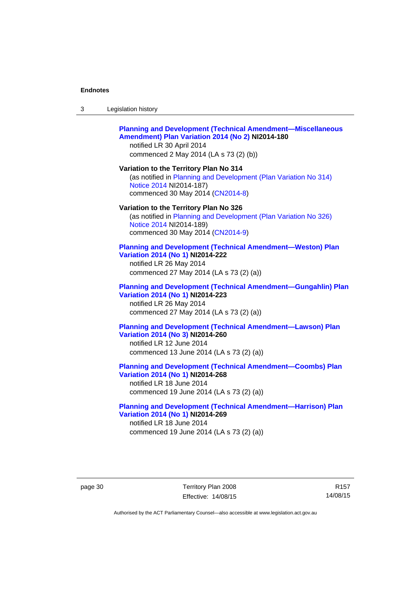| -3 | Legislation history |  |
|----|---------------------|--|
|----|---------------------|--|

#### **[Planning and Development \(Technical Amendment—Miscellaneous](http://www.legislation.act.gov.au/ni/2014-180/default.asp)  [Amendment\) Plan Variation 2014 \(No 2\)](http://www.legislation.act.gov.au/ni/2014-180/default.asp) NI2014-180**  notified LR 30 April 2014

commenced 2 May 2014 (LA s 73 (2) (b))

**Variation to the Territory Plan No 314**  (as notified in [Planning and Development \(Plan Variation No 314\)](http://www.legislation.act.gov.au/ni/2014-187/default.asp)  [Notice 2014](http://www.legislation.act.gov.au/ni/2014-187/default.asp) NI2014-187)

commenced 30 May 2014 [\(CN2014-8\)](http://www.legislation.act.gov.au/cn/2014-8/default.asp)

#### **Variation to the Territory Plan No 326**

(as notified in [Planning and Development \(Plan Variation No 326\)](http://www.legislation.act.gov.au/ni/2014-189/default.asp)  [Notice 2014](http://www.legislation.act.gov.au/ni/2014-189/default.asp) NI2014-189) commenced 30 May 2014 [\(CN2014-9\)](http://www.legislation.act.gov.au/cn/2014-9/default.asp)

#### **[Planning and Development \(Technical Amendment—Weston\) Plan](http://www.legislation.act.gov.au/ni/2014-222/default.asp)  [Variation 2014 \(No 1\)](http://www.legislation.act.gov.au/ni/2014-222/default.asp) NI2014-222**

notified LR 26 May 2014 commenced 27 May 2014 (LA s 73 (2) (a))

#### **[Planning and Development \(Technical Amendment—Gungahlin\) Plan](http://www.legislation.act.gov.au/ni/2014-223/default.asp)  [Variation 2014 \(No 1\)](http://www.legislation.act.gov.au/ni/2014-223/default.asp) NI2014-223**  notified LR 26 May 2014

commenced 27 May 2014 (LA s 73 (2) (a))

## **[Planning and Development \(Technical Amendment—Lawson\) Plan](http://www.legislation.act.gov.au/ni/2014-260/default.asp)  [Variation 2014 \(No 3\)](http://www.legislation.act.gov.au/ni/2014-260/default.asp) NI2014-260**

notified LR 12 June 2014 commenced 13 June 2014 (LA s 73 (2) (a))

**[Planning and Development \(Technical Amendment—Coombs\) Plan](http://www.legislation.act.gov.au/ni/2014-268/default.asp)  [Variation 2014 \(No 1\)](http://www.legislation.act.gov.au/ni/2014-268/default.asp) NI2014-268** 

notified LR 18 June 2014 commenced 19 June 2014 (LA s 73 (2) (a))

#### **[Planning and Development \(Technical Amendment—Harrison\) Plan](http://www.legislation.act.gov.au/ni/2014-269/default.asp)  [Variation 2014 \(No 1\)](http://www.legislation.act.gov.au/ni/2014-269/default.asp) NI2014-269**  notified LR 18 June 2014

commenced 19 June 2014 (LA s 73 (2) (a))

R157 14/08/15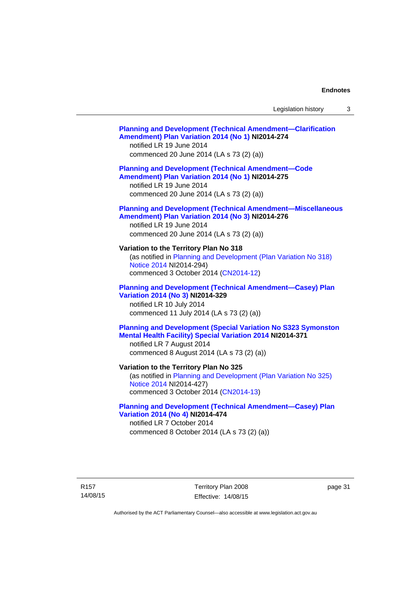## **[Planning and Development \(Technical Amendment—Clarification](http://www.legislation.act.gov.au/ni/2014-274/default.asp)  [Amendment\) Plan Variation 2014 \(No 1\)](http://www.legislation.act.gov.au/ni/2014-274/default.asp) NI2014-274**  notified LR 19 June 2014 commenced 20 June 2014 (LA s 73 (2) (a)) **[Planning and Development \(Technical Amendment—Code](http://www.legislation.act.gov.au/ni/2014-275/default.asp)  [Amendment\) Plan Variation 2014 \(No 1\)](http://www.legislation.act.gov.au/ni/2014-275/default.asp) NI2014-275**  notified LR 19 June 2014 commenced 20 June 2014 (LA s 73 (2) (a)) **[Planning and Development \(Technical Amendment—Miscellaneous](http://www.legislation.act.gov.au/ni/2014-276/default.asp)  [Amendment\) Plan Variation 2014 \(No 3\)](http://www.legislation.act.gov.au/ni/2014-276/default.asp) NI2014-276**  notified LR 19 June 2014 commenced 20 June 2014 (LA s 73 (2) (a)) **Variation to the Territory Plan No 318**  (as notified in [Planning and Development \(Plan Variation No 318\)](http://www.legislation.act.gov.au/ni/2014-294/default.asp)  [Notice 2014](http://www.legislation.act.gov.au/ni/2014-294/default.asp) NI2014-294) commenced 3 October 2014 [\(CN2014-12\)](http://www.legislation.act.gov.au/cn/2014-12/default.asp) **[Planning and Development \(Technical Amendment—Casey\) Plan](http://www.legislation.act.gov.au/ni/2014-329/default.asp)  [Variation 2014 \(No 3\)](http://www.legislation.act.gov.au/ni/2014-329/default.asp) NI2014-329**  notified LR 10 July 2014 commenced 11 July 2014 (LA s 73 (2) (a)) **[Planning and Development \(Special Variation No S323 Symonston](http://www.legislation.act.gov.au/ni/2014-371/default.asp)  [Mental Health Facility\) Special Variation 2014](http://www.legislation.act.gov.au/ni/2014-371/default.asp) NI2014-371**  notified LR 7 August 2014 commenced 8 August 2014 (LA s 73 (2) (a)) **Variation to the Territory Plan No 325**  (as notified in [Planning and Development \(Plan Variation No 325\)](http://www.legislation.act.gov.au/ni/2014-427/default.asp)  [Notice 2014](http://www.legislation.act.gov.au/ni/2014-427/default.asp) NI2014-427) commenced 3 October 2014 [\(CN2014-13\)](http://www.legislation.act.gov.au/cn/2014-13/default.asp) **[Planning and Development \(Technical Amendment—Casey\) Plan](http://www.legislation.act.gov.au/ni/2014-474/default.asp)  [Variation 2014 \(No 4\)](http://www.legislation.act.gov.au/ni/2014-474/default.asp) NI2014-474**  notified LR 7 October 2014 commenced 8 October 2014 (LA s 73 (2) (a))

R157 14/08/15 Territory Plan 2008 Effective: 14/08/15 page 31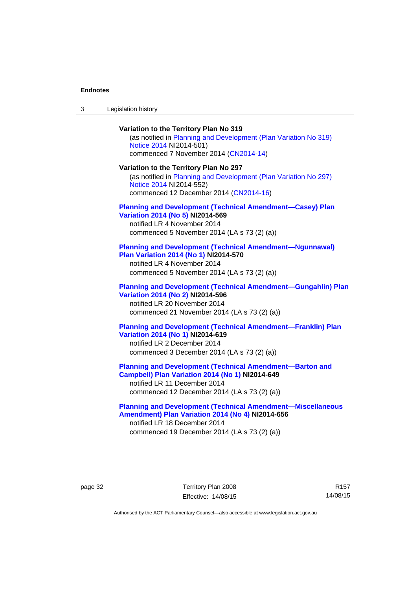| $\sqrt{2}$<br>- 3 | Legislation history |  |
|-------------------|---------------------|--|
|-------------------|---------------------|--|

**Variation to the Territory Plan No 319**  (as notified in [Planning and Development \(Plan Variation No 319\)](http://www.legislation.act.gov.au/ni/2014-501/default.asp)  [Notice 2014](http://www.legislation.act.gov.au/ni/2014-501/default.asp) NI2014-501) commenced 7 November 2014 ([CN2014-14](http://www.legislation.act.gov.au/cn/2014-14/default.asp)) **Variation to the Territory Plan No 297**  (as notified in [Planning and Development \(Plan Variation No 297\)](http://www.legislation.act.gov.au/ni/2014-552/default.asp)  [Notice 2014](http://www.legislation.act.gov.au/ni/2014-552/default.asp) NI2014-552) commenced 12 December 2014 [\(CN2014-16\)](http://www.legislation.act.gov.au/cn/2014-16/default.asp) **[Planning and Development \(Technical Amendment—Casey\) Plan](http://www.legislation.act.gov.au/ni/2014-569/default.asp)  [Variation 2014 \(No 5\)](http://www.legislation.act.gov.au/ni/2014-569/default.asp) NI2014-569**  notified LR 4 November 2014 commenced 5 November 2014 (LA s 73 (2) (a)) **[Planning and Development \(Technical Amendment—Ngunnawal\)](http://www.legislation.act.gov.au/ni/2014-570/default.asp)  [Plan Variation 2014 \(No 1\)](http://www.legislation.act.gov.au/ni/2014-570/default.asp) NI2014-570**  notified LR 4 November 2014 commenced 5 November 2014 (LA s 73 (2) (a)) **[Planning and Development \(Technical Amendment—Gungahlin\) Plan](http://www.legislation.act.gov.au/ni/2014-596/default.asp)  [Variation 2014 \(No 2\)](http://www.legislation.act.gov.au/ni/2014-596/default.asp) NI2014-596**  notified LR 20 November 2014 commenced 21 November 2014 (LA s 73 (2) (a)) **[Planning and Development \(Technical Amendment—Franklin\) Plan](http://www.legislation.act.gov.au/ni/2014-619/default.asp)  [Variation 2014 \(No 1\)](http://www.legislation.act.gov.au/ni/2014-619/default.asp) NI2014-619**  notified LR 2 December 2014 commenced 3 December 2014 (LA s 73 (2) (a)) **[Planning and Development \(Technical Amendment—Barton and](http://www.legislation.act.gov.au/ni/2014-649/default.asp)  [Campbell\) Plan Variation 2014 \(No 1\)](http://www.legislation.act.gov.au/ni/2014-649/default.asp) NI2014-649**  notified LR 11 December 2014 commenced 12 December 2014 (LA s 73 (2) (a))

**[Planning and Development \(Technical Amendment—Miscellaneous](http://www.legislation.act.gov.au/ni/2014-656/default.asp)  [Amendment\) Plan Variation 2014 \(No 4\)](http://www.legislation.act.gov.au/ni/2014-656/default.asp) NI2014-656**  notified LR 18 December 2014 commenced 19 December 2014 (LA s 73 (2) (a))

page 32 Territory Plan 2008 Effective: 14/08/15

R157 14/08/15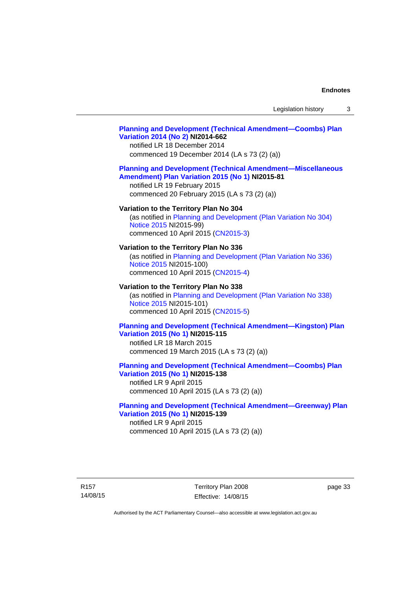## **[Planning and Development \(Technical Amendment—Coombs\) Plan](http://www.legislation.act.gov.au/ni/2014-662/default.asp)  [Variation 2014 \(No 2\)](http://www.legislation.act.gov.au/ni/2014-662/default.asp) NI2014-662**

notified LR 18 December 2014 commenced 19 December 2014 (LA s 73 (2) (a))

#### **[Planning and Development \(Technical Amendment—Miscellaneous](http://www.legislation.act.gov.au/ni/2015-81/default.asp)  [Amendment\) Plan Variation 2015 \(No 1\)](http://www.legislation.act.gov.au/ni/2015-81/default.asp) NI2015-81**

notified LR 19 February 2015 commenced 20 February 2015 (LA s 73 (2) (a))

#### **Variation to the Territory Plan No 304**

(as notified in [Planning and Development \(Plan Variation No 304\)](http://www.legislation.act.gov.au/ni/2015-99/default.asp)  [Notice 2015](http://www.legislation.act.gov.au/ni/2015-99/default.asp) NI2015-99) commenced 10 April 2015 [\(CN2015-3\)](http://www.legislation.act.gov.au/cn/2015-3/default.asp)

#### **Variation to the Territory Plan No 336**

(as notified in [Planning and Development \(Plan Variation No 336\)](http://www.legislation.act.gov.au/ni/2015-100/default.asp)  [Notice 2015](http://www.legislation.act.gov.au/ni/2015-100/default.asp) NI2015-100) commenced 10 April 2015 [\(CN2015-4\)](http://www.legislation.act.gov.au/cn/2015-4/default.asp)

#### **Variation to the Territory Plan No 338**

(as notified in [Planning and Development \(Plan Variation No 338\)](http://www.legislation.act.gov.au/ni/2015-101/default.asp)  [Notice 2015](http://www.legislation.act.gov.au/ni/2015-101/default.asp) NI2015-101) commenced 10 April 2015 [\(CN2015-5\)](http://www.legislation.act.gov.au/cn/2015-5/default.asp)

## **[Planning and Development \(Technical Amendment—Kingston\) Plan](http://www.legislation.act.gov.au/ni/2015-115/default.asp)  [Variation 2015 \(No 1\)](http://www.legislation.act.gov.au/ni/2015-115/default.asp) NI2015-115**

notified LR 18 March 2015 commenced 19 March 2015 (LA s 73 (2) (a))

## **[Planning and Development \(Technical Amendment—Coombs\) Plan](http://www.legislation.act.gov.au/ni/2015-138/default.asp)  [Variation 2015 \(No 1\)](http://www.legislation.act.gov.au/ni/2015-138/default.asp) NI2015-138**

notified LR 9 April 2015 commenced 10 April 2015 (LA s 73 (2) (a))

#### **[Planning and Development \(Technical Amendment—Greenway\) Plan](http://www.legislation.act.gov.au/ni/2015-139/default.asp)  [Variation 2015 \(No 1\)](http://www.legislation.act.gov.au/ni/2015-139/default.asp) NI2015-139**

notified LR 9 April 2015 commenced 10 April 2015 (LA s 73 (2) (a))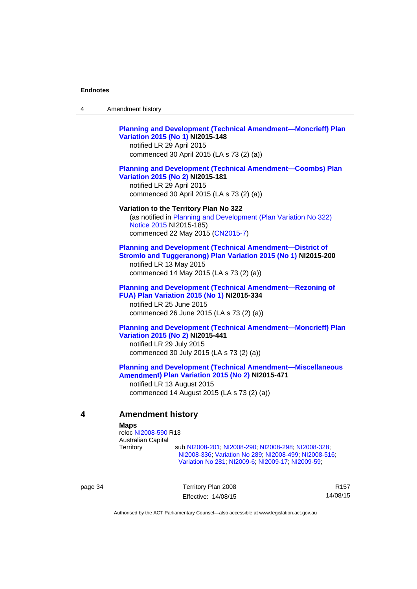4 Amendment history

|   | <b>Planning and Development (Technical Amendment-Moncrieff) Plan</b><br>Variation 2015 (No 1) NI2015-148<br>notified LR 29 April 2015<br>commenced 30 April 2015 (LA s 73 (2) (a))                       |
|---|----------------------------------------------------------------------------------------------------------------------------------------------------------------------------------------------------------|
|   | <b>Planning and Development (Technical Amendment-Coombs) Plan</b><br>Variation 2015 (No 2) NI2015-181<br>notified LR 29 April 2015<br>commenced 30 April 2015 (LA s 73 (2) (a))                          |
|   | Variation to the Territory Plan No 322<br>(as notified in Planning and Development (Plan Variation No 322)<br>Notice 2015 NI2015-185)<br>commenced 22 May 2015 (CN2015-7)                                |
|   | <b>Planning and Development (Technical Amendment-District of</b><br>Stromlo and Tuggeranong) Plan Variation 2015 (No 1) NI2015-200<br>notified LR 13 May 2015<br>commenced 14 May 2015 (LA s 73 (2) (a)) |
|   | <b>Planning and Development (Technical Amendment-Rezoning of</b><br>FUA) Plan Variation 2015 (No 1) NI2015-334<br>notified LR 25 June 2015<br>commenced 26 June 2015 (LA s 73 (2) (a))                   |
|   | <b>Planning and Development (Technical Amendment-Moncrieff) Plan</b><br>Variation 2015 (No 2) NI2015-441<br>notified LR 29 July 2015<br>commenced 30 July 2015 (LA s 73 (2) (a))                         |
|   | <b>Planning and Development (Technical Amendment-Miscellaneous</b><br>Amendment) Plan Variation 2015 (No 2) NI2015-471<br>notified LR 13 August 2015<br>commenced 14 August 2015 (LA s 73 (2) (a))       |
| 4 | <b>Amendment history</b><br><b>Maps</b><br>reloc NI2008-590 R13                                                                                                                                          |

Australian Capital

sub [NI2008-201](http://www.legislation.act.gov.au/ni/2008-201/); [NI2008-290](http://www.legislation.act.gov.au/ni/2008-290/); [NI2008-298](http://www.legislation.act.gov.au/ni/2008-298/); [NI2008-328](http://www.legislation.act.gov.au/ni/2008-328/); [NI2008-336](http://www.legislation.act.gov.au/ni/2008-336/); [Variation No 289](http://www.legislation.act.gov.au/ni/2008-339/); [NI2008-499](http://www.legislation.act.gov.au/ni/2008-499/); [NI2008-516](http://www.legislation.act.gov.au/ni/2008-516/); [Variation No 281](http://www.legislation.act.gov.au/ni/2008-352/); [NI2009-6](http://www.legislation.act.gov.au/ni/2009-6/); [NI2009-17](http://www.legislation.act.gov.au/ni/2009-17/); [NI2009-59](http://www.legislation.act.gov.au/ni/2009-59/);

page 34 Territory Plan 2008 Effective: 14/08/15

R157 14/08/15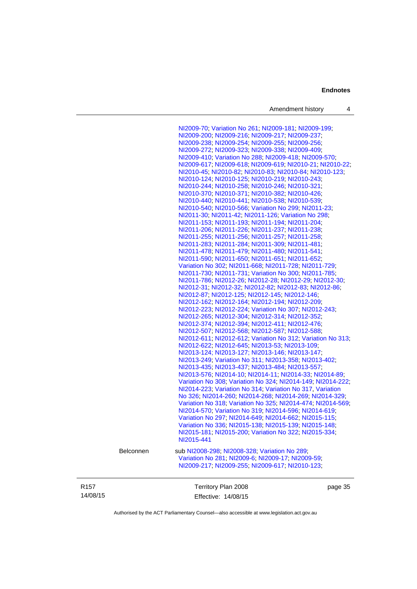Amendment history 4

[NI2009-70](http://www.legislation.act.gov.au/ni/2009-70/); [Variation No 261](http://www.legislation.act.gov.au/ni/2009-107/); [NI2009-181](http://www.legislation.act.gov.au/ni/2009-181/); [NI2009-199](http://www.legislation.act.gov.au/ni/2009-199/); [NI2009-200](http://www.legislation.act.gov.au/ni/2009-200/); [NI2009-216](http://www.legislation.act.gov.au/ni/2009-216/); [NI2009-217](http://www.legislation.act.gov.au/ni/2009-217/); [NI2009-237](http://www.legislation.act.gov.au/ni/2009-237/); [NI2009-238](http://www.legislation.act.gov.au/ni/2009-238/); [NI2009-254](http://www.legislation.act.gov.au/ni/2009-254/); [NI2009-255](http://www.legislation.act.gov.au/ni/2009-255/); [NI2009-256](http://www.legislation.act.gov.au/ni/2009-256/); [NI2009-272](http://www.legislation.act.gov.au/ni/2009-272/); [NI2009-323](http://www.legislation.act.gov.au/ni/2009-323/); [NI2009-338](http://www.legislation.act.gov.au/ni/2009-338/); [NI2009-409](http://www.legislation.act.gov.au/ni/2009-409/); [NI2009-410](http://www.legislation.act.gov.au/ni/2009-410/); [Variation No 288](http://www.legislation.act.gov.au/ni/2009-391/); [NI2009-418](http://www.legislation.act.gov.au/ni/2009-418/); [NI2009-570](http://www.legislation.act.gov.au/ni/2009-570/); [NI2009-617](http://www.legislation.act.gov.au/ni/2009-617/); [NI2009-618;](http://www.legislation.act.gov.au/ni/2009-618/) [NI2009-619;](http://www.legislation.act.gov.au/ni/2009-619/) [NI2010-21;](http://www.legislation.act.gov.au/ni/2010-21/) [NI2010-22](http://www.legislation.act.gov.au/ni/2010-22/); [NI2010-45;](http://www.legislation.act.gov.au/ni/2010-45/) [NI2010-82](http://www.legislation.act.gov.au/ni/2010-82/); [NI2010-83](http://www.legislation.act.gov.au/ni/2010-83/); [NI2010-84](http://www.legislation.act.gov.au/ni/2010-84/); [NI2010-123](http://www.legislation.act.gov.au/ni/2010-123/); [NI2010-124](http://www.legislation.act.gov.au/ni/2010-124/); [NI2010-125](http://www.legislation.act.gov.au/ni/2010-125/); [NI2010-219](http://www.legislation.act.gov.au/ni/2010-219/); [NI2010-243](http://www.legislation.act.gov.au/ni/2010-243/); [NI2010-244](http://www.legislation.act.gov.au/ni/2010-244/); [NI2010-258](http://www.legislation.act.gov.au/ni/2010-258/); [NI2010-246](http://www.legislation.act.gov.au/ni/2010-246/); [NI2010-321](http://www.legislation.act.gov.au/ni/2010-321/); [NI2010-370](http://www.legislation.act.gov.au/ni/2010-370/); [NI2010-371](http://www.legislation.act.gov.au/ni/2010-371/); [NI2010-382](http://www.legislation.act.gov.au/ni/2010-382/); [NI2010-426](http://www.legislation.act.gov.au/ni/2010-426/); [NI2010-440](http://www.legislation.act.gov.au/ni/2010-440/); [NI2010-441](http://www.legislation.act.gov.au/ni/2010-441/); [NI2010-538](http://www.legislation.act.gov.au/ni/2010-538/); [NI2010-539](http://www.legislation.act.gov.au/ni/2010-539/); [NI2010-540](http://www.legislation.act.gov.au/ni/2010-540/); [NI2010-566](http://www.legislation.act.gov.au/ni/2010-566/); [Variation No 299](http://www.legislation.act.gov.au/ni/2010-575/); [NI2011-23](http://www.legislation.act.gov.au/ni/2011-23/); [NI2011-30;](http://www.legislation.act.gov.au/ni/2011-30/) [NI2011-42](http://www.legislation.act.gov.au/ni/2011-42/); [NI2011-126](http://www.legislation.act.gov.au/ni/2011-126/); [Variation No 298](http://www.legislation.act.gov.au/ni/2011-152/); [NI2011-153](http://www.legislation.act.gov.au/ni/2011-153/); [NI2011-193](http://www.legislation.act.gov.au/ni/2011-193/); [NI2011-194](http://www.legislation.act.gov.au/ni/2011-194/); [NI2011-204](http://www.legislation.act.gov.au/ni/2011-204/); [NI2011-206](http://www.legislation.act.gov.au/ni/2011-206/); [NI2011-226](http://www.legislation.act.gov.au/ni/2011-226/); [NI2011-237](http://www.legislation.act.gov.au/ni/2011-237/); [NI2011-238](http://www.legislation.act.gov.au/ni/2011-238/); [NI2011-255](http://www.legislation.act.gov.au/ni/2011-255/); [NI2011-256](http://www.legislation.act.gov.au/ni/2011-256/); [NI2011-257](http://www.legislation.act.gov.au/ni/2011-257/); [NI2011-258](http://www.legislation.act.gov.au/ni/2011-258/); [NI2011-283](http://www.legislation.act.gov.au/ni/2011-283/); [NI2011-284](http://www.legislation.act.gov.au/ni/2011-284/); [NI2011-309](http://www.legislation.act.gov.au/ni/2011-309/); [NI2011-481](http://www.legislation.act.gov.au/ni/2011-481/); [NI2011-478](http://www.legislation.act.gov.au/ni/2011-478/); [NI2011-479](http://www.legislation.act.gov.au/ni/2011-479/); [NI2011-480](http://www.legislation.act.gov.au/ni/2011-480/); [NI2011-541](http://www.legislation.act.gov.au/ni/2011-541/); [NI2011-590](http://www.legislation.act.gov.au/ni/2011-590/); [NI2011-650](http://www.legislation.act.gov.au/ni/2011-650/); [NI2011-651](http://www.legislation.act.gov.au/ni/2011-651/); [NI2011-652](http://www.legislation.act.gov.au/ni/2011-652/); [Variation No 302](http://www.legislation.act.gov.au/ni/2011-573/); [NI2011-668](http://www.legislation.act.gov.au/ni/2011-668/); [NI2011-728](http://www.legislation.act.gov.au/ni/2011-728/); [NI2011-729](http://www.legislation.act.gov.au/ni/2011-729/); [NI2011-730](http://www.legislation.act.gov.au/ni/2011-730/); [NI2011-731](http://www.legislation.act.gov.au/ni/2011-731/); [Variation No 300](http://www.legislation.act.gov.au/ni/2011-691/); [NI2011-785](http://www.legislation.act.gov.au/ni/2011-785/); [NI2011-786](http://www.legislation.act.gov.au/ni/2011-786/); [NI2012-26](http://www.legislation.act.gov.au/ni/2012-26/); [NI2012-28](http://www.legislation.act.gov.au/ni/2012-28/); [NI2012-29](http://www.legislation.act.gov.au/ni/2012-29/); [NI2012-30](http://www.legislation.act.gov.au/ni/2012-30/); [NI2012-31](http://www.legislation.act.gov.au/ni/2012-31/); [NI2012-32](http://www.legislation.act.gov.au/ni/2012-32/); [NI2012-82](http://www.legislation.act.gov.au/ni/2012-82/); [NI2012-83](http://www.legislation.act.gov.au/ni/2012-83/); [NI2012-86](http://www.legislation.act.gov.au/ni/2012-86/); [NI2012-87](http://www.legislation.act.gov.au/ni/2012-87/); [NI2012-125](http://www.legislation.act.gov.au/ni/2012-125/); [NI2012-145](http://www.legislation.act.gov.au/ni/2012-145/); [NI2012-146](http://www.legislation.act.gov.au/ni/2012-146/); [NI2012-162](http://www.legislation.act.gov.au/ni/2012-162/); [NI2012-164](http://www.legislation.act.gov.au/ni/2012-164/); [NI2012-194](http://www.legislation.act.gov.au/ni/2012-194/); [NI2012-209](http://www.legislation.act.gov.au/ni/2012-209/); [NI2012-223](http://www.legislation.act.gov.au/ni/2012-223/); [NI2012-224](http://www.legislation.act.gov.au/ni/2012-224/); [Variation No 307](http://www.legislation.act.gov.au/ni/2012-201/); [NI2012-243](http://www.legislation.act.gov.au/ni/2012-243/); [NI2012-265](http://www.legislation.act.gov.au/ni/2012-265/); [NI2012-304](http://www.legislation.act.gov.au/ni/2012-304/); [NI2012-314](http://www.legislation.act.gov.au/ni/2012-314/); [NI2012-352](http://www.legislation.act.gov.au/ni/2012-352/); [NI2012-374](http://www.legislation.act.gov.au/ni/2012-374/); [NI2012-394](http://www.legislation.act.gov.au/ni/2012-394/); [NI2012-411](http://www.legislation.act.gov.au/ni/2012-411/); [NI2012-476](http://www.legislation.act.gov.au/ni/2012-476/default.asp); [NI2012-507](http://www.legislation.act.gov.au/ni/2012-507/); [NI2012-568](http://www.legislation.act.gov.au/ni/2012-568/default.asp); [NI2012-587](http://www.legislation.act.gov.au/ni/2012-587/default.asp); [NI2012-588](http://www.legislation.act.gov.au/ni/2012-588/default.asp); [NI2012-611](http://www.legislation.act.gov.au/ni/2012-611/default.asp); [NI2012-612](http://www.legislation.act.gov.au/ni/2012-612/default.asp); [Variation No 312](http://www.legislation.act.gov.au/ni/2012-366/default.asp); [Variation No 313](http://www.legislation.act.gov.au/ni/2012-287/default.asp); [NI2012-622](http://www.legislation.act.gov.au/ni/2012-622/default.asp); [NI2012-645](http://www.legislation.act.gov.au/ni/2012-645/default.asp); [NI2013-53](http://www.legislation.act.gov.au/ni/2013-53/default.asp); [NI2013-109](http://www.legislation.act.gov.au/ni/2013-109/default.asp); [NI2013-124](http://www.legislation.act.gov.au/ni/2013-124/default.asp); [NI2013-127](http://www.legislation.act.gov.au/ni/2013-127/default.asp); [NI2013-146](http://www.legislation.act.gov.au/ni/2013-146/default.asp); [NI2013-147](http://www.legislation.act.gov.au/ni/2013-147/default.asp); [NI2013-249](http://www.legislation.act.gov.au/ni/2013-248/default.asp); [Variation No 311](http://www.legislation.act.gov.au/ni/2013-208/default.asp); [NI2013-358](http://www.legislation.act.gov.au/ni/2013-358/default.asp); [NI2013-402](http://www.legislation.act.gov.au/ni/2013-402/default.asp); [NI2013-435](http://www.legislation.act.gov.au/ni/2013-435/default.asp); [NI2013-437](http://www.legislation.act.gov.au/ni/2013-437/default.asp); [NI2013-484](http://www.legislation.act.gov.au/ni/2013-484/default.asp); [NI2013-557](http://www.legislation.act.gov.au/ni/2013-557/default.asp); [NI2013-576](http://www.legislation.act.gov.au/ni/2013-576/default.asp); [NI2014-10](http://www.legislation.act.gov.au/ni/2014-10/default.asp); [NI2014-11](http://www.legislation.act.gov.au/ni/2014-11/default.asp); [NI2014-33](http://www.legislation.act.gov.au/ni/2014-33/default.asp); [NI2014-89](http://www.legislation.act.gov.au/ni/2014-89/default.asp); [Variation No 308](http://www.legislation.act.gov.au/ni/2014-60/default.asp); [Variation No 324](http://www.legislation.act.gov.au/ni/2014-20/default.asp); [NI2014-149](http://www.legislation.act.gov.au/ni/2014-149/default.asp); [NI2014-222](http://www.legislation.act.gov.au/ni/2014-222/default.asp); [NI2014-223](http://www.legislation.act.gov.au/ni/2014-223/default.asp); [Variation No 314](http://www.legislation.act.gov.au/ni/2014-187/default.asp); [Variation No 317](http://www.legislation.act.gov.au/ni/2014-137/default.asp), [Variation](http://www.legislation.act.gov.au/ni/2014-189/default.asp)  [No 326](http://www.legislation.act.gov.au/ni/2014-189/default.asp); [NI2014-260](http://www.legislation.act.gov.au/ni/2014-260/default.asp); [NI2014-268](http://www.legislation.act.gov.au/ni/2014-268/default.asp); [NI2014-269](http://www.legislation.act.gov.au/ni/2014-269/default.asp); [NI2014-329](http://www.legislation.act.gov.au/ni/2014-329/default.asp); [Variation No 318](http://www.legislation.act.gov.au/ni/2014-294/default.asp); [Variation No 325](http://www.legislation.act.gov.au/ni/2014-427/default.asp); [NI2014-474](http://www.legislation.act.gov.au/ni/2014-474/default.asp); [NI2014-569](http://www.legislation.act.gov.au/ni/2014-569/default.asp); [NI2014-570](http://www.legislation.act.gov.au/ni/2014-570/default.asp); [Variation No 319](http://www.legislation.act.gov.au/ni/2014-501/default.asp); [NI2014-596](http://www.legislation.act.gov.au/ni/2014-596/default.asp); [NI2014-619](http://www.legislation.act.gov.au/ni/2014-619/default.asp); [Variation No 297](http://www.legislation.act.gov.au/ni/2014-552/default.asp); [NI2014-649](http://www.legislation.act.gov.au/ni/2014-649/default.asp); [NI2014-662](http://www.legislation.act.gov.au/ni/2014-662/default.asp); [NI2015-115](http://www.legislation.act.gov.au/ni/2015-115/default.asp); [Variation No 336](http://www.legislation.act.gov.au/ni/2015-100/default.asp); [NI2015-138](http://www.legislation.act.gov.au/ni/2015-138/default.asp); [NI2015-139](http://www.legislation.act.gov.au/ni/2015-139/default.asp); [NI2015-148](http://www.legislation.act.gov.au/ni/2015-148/default.asp); [NI2015-181](http://www.legislation.act.gov.au/ni/2015-181/default.asp); [NI2015-200](http://www.legislation.act.gov.au/ni/2015-200/default.asp); [Variation No 322](http://www.legislation.act.gov.au/ni/2015-185/default.asp); [NI2015-334](http://www.legislation.act.gov.au/ni/2015-334/default.asp); [NI2015-441](http://www.legislation.act.gov.au/ni/2015-441/default.asp) Belconnen sub [NI2008-298](http://www.legislation.act.gov.au/ni/2008-298/); [NI2008-328](http://www.legislation.act.gov.au/ni/2008-328/); [Variation No 289](http://www.legislation.act.gov.au/ni/2008-339/); [Variation No 281](http://www.legislation.act.gov.au/ni/2008-352/); [NI2009-6](http://www.legislation.act.gov.au/ni/2009-6/); [NI2009-17](http://www.legislation.act.gov.au/ni/2009-17/); [NI2009-59](http://www.legislation.act.gov.au/ni/2009-59/); [NI2009-217](http://www.legislation.act.gov.au/ni/2009-217/); [NI2009-255](http://www.legislation.act.gov.au/ni/2009-255/); [NI2009-617](http://www.legislation.act.gov.au/ni/2009-617/); [NI2010-123](http://www.legislation.act.gov.au/ni/2010-123/);

R157 14/08/15 Territory Plan 2008 Effective: 14/08/15 page 35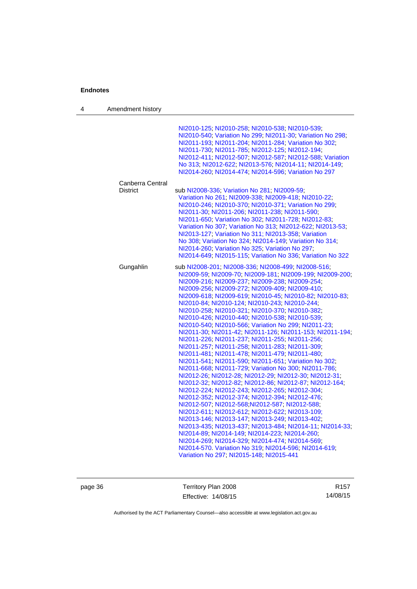|                  | NI2010-125; NI2010-258; NI2010-538; NI2010-539;<br>NI2010-540; Variation No 299; NI2011-30; Variation No 298;<br>NI2011-193; NI2011-204; NI2011-284; Variation No 302;<br>NI2011-730, NI2011-785, NI2012-125, NI2012-194,<br>NI2012-411, NI2012-507, NI2012-587, NI2012-588, Variation<br>No 313; NI2012-622; NI2013-576; NI2014-11; NI2014-149;<br>NI2014-260; NI2014-474; NI2014-596; Variation No 297                                                                                                                                                                                                                                                                                                                                                                                                                                                                                                                                                                                                                                                                                                                                                                                                                                                                                                                                                                                                                                                                                              |
|------------------|-------------------------------------------------------------------------------------------------------------------------------------------------------------------------------------------------------------------------------------------------------------------------------------------------------------------------------------------------------------------------------------------------------------------------------------------------------------------------------------------------------------------------------------------------------------------------------------------------------------------------------------------------------------------------------------------------------------------------------------------------------------------------------------------------------------------------------------------------------------------------------------------------------------------------------------------------------------------------------------------------------------------------------------------------------------------------------------------------------------------------------------------------------------------------------------------------------------------------------------------------------------------------------------------------------------------------------------------------------------------------------------------------------------------------------------------------------------------------------------------------------|
| Canberra Central |                                                                                                                                                                                                                                                                                                                                                                                                                                                                                                                                                                                                                                                                                                                                                                                                                                                                                                                                                                                                                                                                                                                                                                                                                                                                                                                                                                                                                                                                                                       |
| <b>District</b>  | sub NI2008-336; Variation No 281; NI2009-59;<br>Variation No 261, NI2009-338, NI2009-418, NI2010-22,<br>NI2010-246; NI2010-370; NI2010-371; Variation No 299;<br>NI2011-30, NI2011-206, NI2011-238, NI2011-590,<br>NI2011-650; Variation No 302; NI2011-728; NI2012-83;<br>Variation No 307; Variation No 313; NI2012-622; NI2013-53;<br>NI2013-127; Variation No 311; NI2013-358; Variation<br>No 308; Variation No 324; NI2014-149; Variation No 314;<br>NI2014-260; Variation No 325; Variation No 297;<br>NI2014-649; NI2015-115; Variation No 336; Variation No 322                                                                                                                                                                                                                                                                                                                                                                                                                                                                                                                                                                                                                                                                                                                                                                                                                                                                                                                              |
| Gungahlin        | sub NI2008-201, NI2008-336, NI2008-499, NI2008-516,<br>NI2009-59; NI2009-70; NI2009-181; NI2009-199; NI2009-200;<br>NI2009-216, NI2009-237; NI2009-238; NI2009-254;<br>NI2009-256, NI2009-272, NI2009-409, NI2009-410,<br>NI2009-618, NI2009-619, NI2010-45, NI2010-82, NI2010-83,<br>NI2010-84, NI2010-124, NI2010-243, NI2010-244,<br>NI2010-258, NI2010-321, NI2010-370, NI2010-382,<br>NI2010-426, NI2010-440, NI2010-538, NI2010-539,<br>NI2010-540; NI2010-566; Variation No 299; NI2011-23;<br>NI2011-30; NI2011-42; NI2011-126; NI2011-153; NI2011-194;<br>NI2011-226, NI2011-237, NI2011-255, NI2011-256,<br>NI2011-257, NI2011-258, NI2011-283, NI2011-309,<br>NI2011-481, NI2011-478, NI2011-479, NI2011-480,<br>NI2011-541; NI2011-590; NI2011-651; Variation No 302;<br>NI2011-668, NI2011-729, Variation No 300, NI2011-786,<br>NI2012-26, NI2012-28, NI2012-29, NI2012-30, NI2012-31,<br>NI2012-32, NI2012-82, NI2012-86, NI2012-87, NI2012-164,<br>NI2012-224, NI2012-243, NI2012-265, NI2012-304,<br>NI2012-352, NI2012-374, NI2012-394, NI2012-476,<br>NI2012-507, NI2012-568, NI2012-587, NI2012-588,<br>NI2012-611, NI2012-612, NI2012-622, NI2013-109;<br>NI2013-146; NI2013-147; NI2013-249; NI2013-402;<br>NI2013-435; NI2013-437; NI2013-484; NI2014-11; NI2014-33;<br>NI2014-89, NI2014-149, NI2014-223, NI2014-260;<br>NI2014-269, NI2014-329, NI2014-474, NI2014-569,<br>NI2014-570. Variation No 319, NI2014-596, NI2014-619,<br>Variation No 297, NI2015-148, NI2015-441 |

page 36 Territory Plan 2008 Effective: 14/08/15

R157 14/08/15

Authorised by the ACT Parliamentary Counsel—also accessible at www.legislation.act.gov.au

4 Amendment history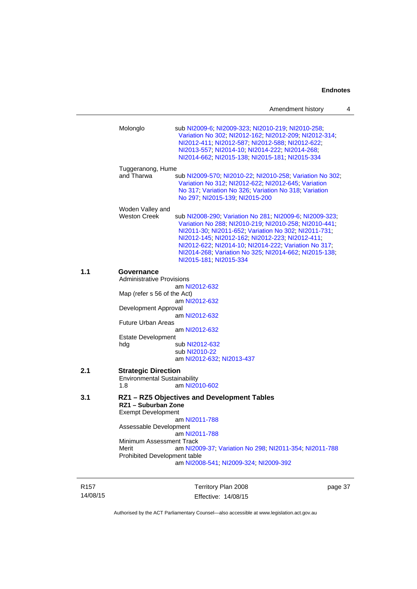|     |                                                                          | Amendment history                                                                                                                                                                                                                                                                                                                                                      | 4 |
|-----|--------------------------------------------------------------------------|------------------------------------------------------------------------------------------------------------------------------------------------------------------------------------------------------------------------------------------------------------------------------------------------------------------------------------------------------------------------|---|
|     | Molonglo<br>Tuggeranong, Hume                                            | sub NI2009-6; NI2009-323; NI2010-219; NI2010-258;<br>Variation No 302; NI2012-162; NI2012-209; NI2012-314;<br>NI2012-411; NI2012-587; NI2012-588; NI2012-622;<br>NI2013-557, NI2014-10, NI2014-222, NI2014-268,<br>NI2014-662; NI2015-138; NI2015-181; NI2015-334                                                                                                      |   |
|     | and Tharwa                                                               | sub NI2009-570; NI2010-22; NI2010-258; Variation No 302;<br>Variation No 312, NI2012-622, NI2012-645, Variation<br>No 317, Variation No 326, Variation No 318, Variation<br>No 297; NI2015-139; NI2015-200                                                                                                                                                             |   |
|     | Woden Valley and<br><b>Weston Creek</b>                                  | sub NI2008-290; Variation No 281; NI2009-6; NI2009-323;<br>Variation No 288, NI2010-219, NI2010-258, NI2010-441,<br>NI2011-30, NI2011-652, Variation No 302, NI2011-731,<br>NI2012-145; NI2012-162; NI2012-223; NI2012-411;<br>NI2012-622; NI2014-10; NI2014-222; Variation No 317;<br>NI2014-268; Variation No 325; NI2014-662; NI2015-138;<br>NI2015-181; NI2015-334 |   |
| 1.1 | Governance<br><b>Administrative Provisions</b>                           |                                                                                                                                                                                                                                                                                                                                                                        |   |
|     | Map (refer s 56 of the Act)                                              | am NI2012-632                                                                                                                                                                                                                                                                                                                                                          |   |
|     | Development Approval                                                     | am NI2012-632<br>am NI2012-632                                                                                                                                                                                                                                                                                                                                         |   |
|     | <b>Future Urban Areas</b>                                                | am NI2012-632                                                                                                                                                                                                                                                                                                                                                          |   |
|     | <b>Estate Development</b><br>hdg                                         | sub NI2012-632<br>sub NI2010-22<br>am NI2012-632; NI2013-437                                                                                                                                                                                                                                                                                                           |   |
| 2.1 | <b>Strategic Direction</b><br><b>Environmental Sustainability</b><br>1.8 | am NI2010-602                                                                                                                                                                                                                                                                                                                                                          |   |
| 3.1 | RZ1 - Suburban Zone<br><b>Exempt Development</b>                         | RZ1 - RZ5 Objectives and Development Tables                                                                                                                                                                                                                                                                                                                            |   |
|     | Assessable Development                                                   | am NI2011-788                                                                                                                                                                                                                                                                                                                                                          |   |
|     | Minimum Assessment Track<br>Merit<br>Prohibited Development table        | am NI2011-788<br>am NI2009-37, Variation No 298, NI2011-354, NI2011-788<br>am NI2008-541; NI2009-324; NI2009-392                                                                                                                                                                                                                                                       |   |
|     |                                                                          |                                                                                                                                                                                                                                                                                                                                                                        |   |

R157 14/08/15

Territory Plan 2008 Effective: 14/08/15

page 37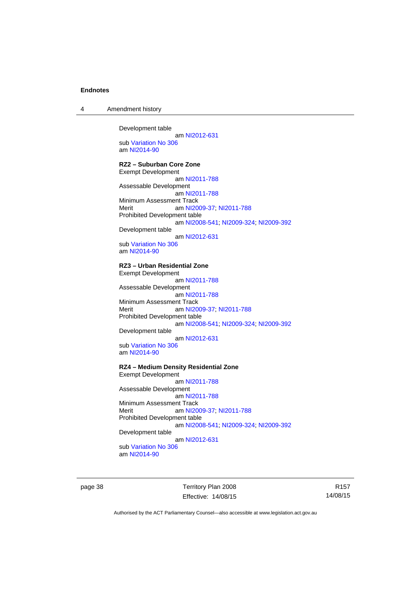4 Amendment history

Development table

 am [NI2012-631](http://www.legislation.act.gov.au/ni/2012-631/default.asp) sub [Variation No 306](http://www.legislation.act.gov.au/ni/2013-93/default.asp) am [NI2014-90](http://www.legislation.act.gov.au/ni/2014-90/default.asp)

#### **RZ2 – Suburban Core Zone**

Exempt Development am [NI2011-788](http://www.legislation.act.gov.au/ni/2011-788/) Assessable Development am [NI2011-788](http://www.legislation.act.gov.au/ni/2011-788/) Minimum Assessment Track Merit am [NI2009-37](http://www.legislation.act.gov.au/ni/2009-37/); [NI2011-788](http://www.legislation.act.gov.au/ni/2011-788/) Prohibited Development table am [NI2008-541](http://www.legislation.act.gov.au/ni/2008-541/); [NI2009-324](http://www.legislation.act.gov.au/ni/2009-324/); [NI2009-392](http://www.legislation.act.gov.au/ni/2009-392/) Development table am [NI2012-631](http://www.legislation.act.gov.au/ni/2012-631/default.asp) sub [Variation No 306](http://www.legislation.act.gov.au/ni/2013-93/default.asp) am [NI2014-90](http://www.legislation.act.gov.au/ni/2014-90/default.asp)

### **RZ3 – Urban Residential Zone**

Exempt Development am [NI2011-788](http://www.legislation.act.gov.au/ni/2011-788/) Assessable Development am [NI2011-788](http://www.legislation.act.gov.au/ni/2011-788/) Minimum Assessment Track Merit **am [NI2009-37](http://www.legislation.act.gov.au/ni/2009-37/); [NI2011-788](http://www.legislation.act.gov.au/ni/2011-788/)** Prohibited Development table am [NI2008-541](http://www.legislation.act.gov.au/ni/2008-541/); [NI2009-324](http://www.legislation.act.gov.au/ni/2009-324/); [NI2009-392](http://www.legislation.act.gov.au/ni/2009-392/) Development table am [NI2012-631](http://www.legislation.act.gov.au/ni/2012-631/default.asp)

sub [Variation No 306](http://www.legislation.act.gov.au/ni/2013-93/default.asp) am [NI2014-90](http://www.legislation.act.gov.au/ni/2014-90/default.asp)

#### **RZ4 – Medium Density Residential Zone**

Exempt Development am [NI2011-788](http://www.legislation.act.gov.au/ni/2011-788/) Assessable Development am [NI2011-788](http://www.legislation.act.gov.au/ni/2011-788/) Minimum Assessment Track<br>Merit am NI20 am [NI2009-37](http://www.legislation.act.gov.au/ni/2009-37/); [NI2011-788](http://www.legislation.act.gov.au/ni/2011-788/) Prohibited Development table am [NI2008-541](http://www.legislation.act.gov.au/ni/2008-541/); [NI2009-324](http://www.legislation.act.gov.au/ni/2009-324/); [NI2009-392](http://www.legislation.act.gov.au/ni/2009-392/) Development table

 am [NI2012-631](http://www.legislation.act.gov.au/ni/2012-631/default.asp) sub [Variation No 306](http://www.legislation.act.gov.au/ni/2013-93/default.asp) am [NI2014-90](http://www.legislation.act.gov.au/ni/2014-90/default.asp)

page 38 Territory Plan 2008 Effective: 14/08/15

R157 14/08/15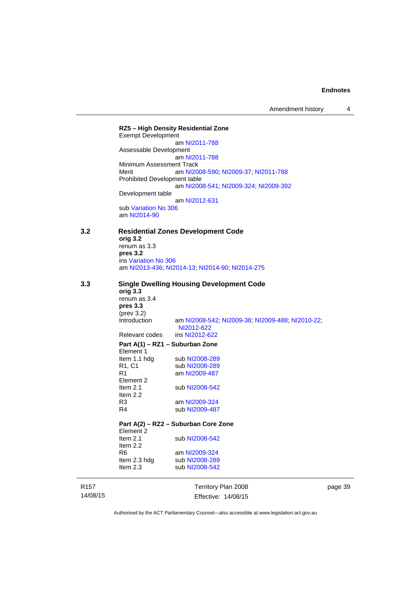Amendment history 4

R157 14/08/15 Territory Plan 2008 Effective: 14/08/15 page 39 **RZ5 – High Density Residential Zone**  Exempt Development am [NI2011-788](http://www.legislation.act.gov.au/ni/2011-788/) Assessable Development am [NI2011-788](http://www.legislation.act.gov.au/ni/2011-788/) Minimum Assessment Track Merit am [NI2008-590](http://www.legislation.act.gov.au/ni/2008-590/default.asp); [NI2009-37](http://www.legislation.act.gov.au/ni/2009-37/); [NI2011-788](http://www.legislation.act.gov.au/ni/2011-788/) Prohibited Development table am [NI2008-541](http://www.legislation.act.gov.au/ni/2008-541/); [NI2009-324](http://www.legislation.act.gov.au/ni/2009-324/); [NI2009-392](http://www.legislation.act.gov.au/ni/2009-392/) Development table am [NI2012-631](http://www.legislation.act.gov.au/ni/2012-631/default.asp) sub [Variation No 306](http://www.legislation.act.gov.au/ni/2013-93/default.asp) am [NI2014-90](http://www.legislation.act.gov.au/ni/2014-90/default.asp) **3.2 Residential Zones Development Code orig 3.2**  renum as 3.3 **pres 3.2**  ins [Variation No 306](http://www.legislation.act.gov.au/ni/2013-93/default.asp) am [NI2013-436](http://www.legislation.act.gov.au/ni/2013-436/default.asp); [NI2014-13](http://www.legislation.act.gov.au/ni/2014-13/default.asp); [NI2014-90](http://www.legislation.act.gov.au/ni/2014-90/default.asp); [NI2014-275](http://www.legislation.act.gov.au/ni/2014-275/default.asp) **3.3 Single Dwelling Housing Development Code orig 3.3**  renum as 3.4 **pres 3.3**  (prev 3.2)<br>Introduction am [NI2008-542](http://www.legislation.act.gov.au/ni/2008-542/); [NI2009-38](http://www.legislation.act.gov.au/ni/2009-38/); [NI2009-488](http://www.legislation.act.gov.au/ni/2009-488/); [NI2010-22](http://www.legislation.act.gov.au/ni/2010-22/); [NI2012-622](http://www.legislation.act.gov.au/ni/2012-622/default.asp)<br>ins NI2012-622 Relevant codes **Part A(1) – RZ1 – Suburban Zone**  Element 1 Item 1.1 hdg sub [NI2008-289](http://www.legislation.act.gov.au/ni/2008-289/)<br>R1, C1 sub NI2008-289 R1, C1 sub [NI2008-289](http://www.legislation.act.gov.au/ni/2008-289/)<br>R1 am NI2009-487 am [NI2009-487](http://www.legislation.act.gov.au/ni/2009-487/) Element 2<br>Item 2.1 sub [NI2008-542](http://www.legislation.act.gov.au/ni/2008-542/) Item 2.2 R3 am [NI2009-324](http://www.legislation.act.gov.au/ni/2009-324/)<br>R4 sub NI2009-487 sub [NI2009-487](http://www.legislation.act.gov.au/ni/2009-487/) **Part A(2) – RZ2 – Suburban Core Zone**  Element 2 Item 2.1 sub [NI2008-542](http://www.legislation.act.gov.au/ni/2008-542/) Item 2.2 R6 am [NI2009-324](http://www.legislation.act.gov.au/ni/2009-324/)<br>Item 2.3 hdg sub NI2008-289 sub [NI2008-289](http://www.legislation.act.gov.au/ni/2008-289/) Item 2.3 sub [NI2008-542](http://www.legislation.act.gov.au/ni/2008-542/)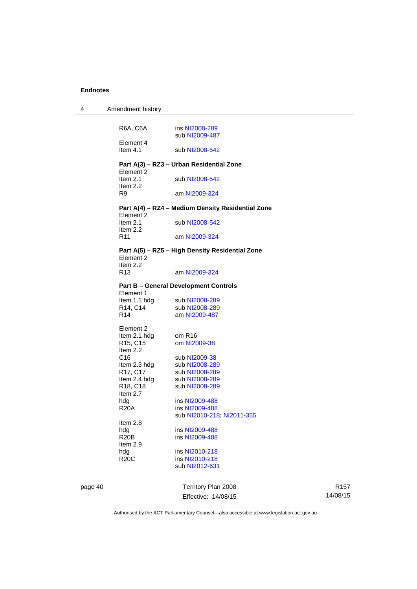4 Amendment history

| 4       | Amendment history                 |                                                   |
|---------|-----------------------------------|---------------------------------------------------|
|         |                                   |                                                   |
|         | R6A, C6A                          | ins NI2008-289<br>sub NI2009-487                  |
|         | Element 4<br>Item $4.1$           | sub NI2008-542                                    |
|         |                                   | Part A(3) - RZ3 - Urban Residential Zone          |
|         | Element 2                         |                                                   |
|         | Item $2.1$<br>Item $2.2$          | sub NI2008-542                                    |
|         | R9                                | am NI2009-324                                     |
|         |                                   | Part A(4) - RZ4 - Medium Density Residential Zone |
|         | Element 2<br>Item $2.1$           | sub NI2008-542                                    |
|         | Item $2.2$                        |                                                   |
|         | R <sub>11</sub>                   | am NI2009-324                                     |
|         | Element 2                         | Part A(5) - RZ5 - High Density Residential Zone   |
|         | Item $2.2$                        |                                                   |
|         | R <sub>13</sub>                   | am NI2009-324                                     |
|         |                                   | <b>Part B - General Development Controls</b>      |
|         | Element 1<br>Item 1.1 hdg         | sub NI2008-289                                    |
|         | R14, C14                          | sub NI2008-289                                    |
|         | R <sub>14</sub>                   | am NI2009-487                                     |
|         | Element 2                         |                                                   |
|         | Item 2.1 hdg                      | om R16                                            |
|         | R <sub>15</sub> , C <sub>15</sub> | om NI2009-38                                      |
|         | Item 2.2<br>C <sub>16</sub>       | sub NI2009-38                                     |
|         | Item 2.3 hdg                      | sub NI2008-289                                    |
|         | R17, C17                          | sub NI2008-289                                    |
|         | Item 2.4 hdg                      | sub NI2008-289                                    |
|         | R <sub>18</sub> , C <sub>18</sub> | sub NI2008-289                                    |
|         | Item $2.7$                        |                                                   |
|         | hdg                               | ins NI2009-488                                    |
|         | <b>R20A</b>                       | ins NI2009-488                                    |
|         |                                   | sub NI2010-218; NI2011-355                        |
|         | Item 2.8                          |                                                   |
|         | hdg                               | ins NI2009-488                                    |
|         | R <sub>20</sub> B                 | ins NI2009-488                                    |
|         | Item $2.9$                        | ins NI2010-218                                    |
|         | hdg<br><b>R20C</b>                | ins NI2010-218                                    |
|         |                                   | sub NI2012-631                                    |
|         |                                   |                                                   |
| page 40 |                                   | Territory Plan 2008                               |

R157 14/08/15

Authorised by the ACT Parliamentary Counsel—also accessible at www.legislation.act.gov.au

Effective: 14/08/15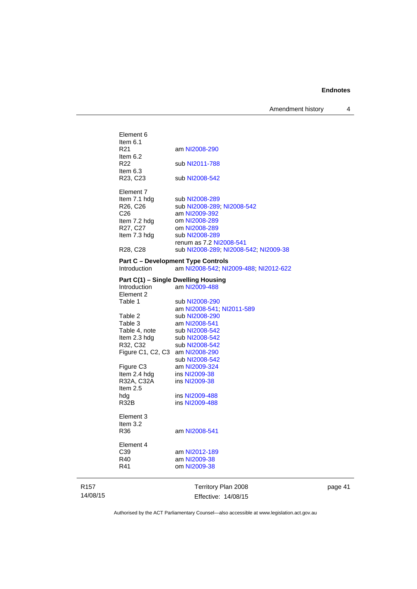Amendment history 4

| Element 6                         |                                                                                    |
|-----------------------------------|------------------------------------------------------------------------------------|
| Item $6.1$                        |                                                                                    |
| R21                               | am NI2008-290                                                                      |
| Item $6.2$<br>R22                 | sub NI2011-788                                                                     |
| Item $6.3$                        |                                                                                    |
| R <sub>23</sub> , C <sub>23</sub> | sub NI2008-542                                                                     |
| Element 7                         |                                                                                    |
| Item 7.1 hdg                      | sub NI2008-289                                                                     |
| R26, C26                          | sub NI2008-289; NI2008-542                                                         |
| C <sub>26</sub>                   | am NI2009-392                                                                      |
| Item 7.2 hdg                      | om NI2008-289                                                                      |
| R27, C27                          | om NI2008-289                                                                      |
| Item 7.3 hdg                      | sub NI2008-289                                                                     |
|                                   | renum as 7.2 NI2008-541                                                            |
| R <sub>28</sub> , C <sub>28</sub> | sub NI2008-289; NI2008-542; NI2009-38                                              |
|                                   |                                                                                    |
| Introduction                      | <b>Part C - Development Type Controls</b><br>am NI2008-542; NI2009-488; NI2012-622 |
|                                   | Part C(1) - Single Dwelling Housing                                                |
| Introduction                      | am NI2009-488                                                                      |
| Element 2                         |                                                                                    |
| Table 1                           | sub NI2008-290                                                                     |
|                                   | am NI2008-541; NI2011-589                                                          |
| Table 2                           | sub NI2008-290                                                                     |
| Table 3                           | am NI2008-541                                                                      |
| Table 4, note                     | sub NI2008-542                                                                     |
| Item 2.3 hdg                      | sub NI2008-542                                                                     |
| R32, C32                          | sub NI2008-542                                                                     |
| Figure C1, C2, C3 am NI2008-290   |                                                                                    |
|                                   | sub NI2008-542                                                                     |
| Figure C <sub>3</sub>             | am NI2009-324                                                                      |
| Item 2.4 hdg                      | ins NI2009-38                                                                      |
| R32A, C32A                        | ins NI2009-38                                                                      |
| Item 2.5                          |                                                                                    |
| hdg                               | ins NI2009-488                                                                     |
| R32B                              | ins NI2009-488                                                                     |
| Element 3                         |                                                                                    |
| Item $3.2$                        |                                                                                    |
| R36                               | am NI2008-541                                                                      |
|                                   |                                                                                    |
| Element 4                         |                                                                                    |
| C39                               | am NI2012-189                                                                      |
| R40                               | am NI2009-38                                                                       |
| R41                               | om NI2009-38                                                                       |
|                                   | Territory Plan 2008                                                                |

page 41

Authorised by the ACT Parliamentary Counsel—also accessible at www.legislation.act.gov.au

Effective: 14/08/15

R157 14/08/15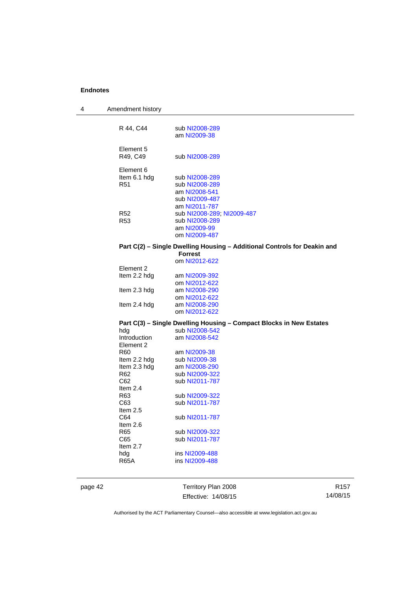| 4 | Amendment history  |                                                                          |
|---|--------------------|--------------------------------------------------------------------------|
|   |                    |                                                                          |
|   | R 44, C44          | sub NI2008-289                                                           |
|   |                    | am NI2009-38                                                             |
|   |                    |                                                                          |
|   | Element 5          |                                                                          |
|   | R49, C49           | sub NI2008-289                                                           |
|   | Element 6          |                                                                          |
|   | Item 6.1 hdg       | sub NI2008-289                                                           |
|   | R <sub>51</sub>    | sub NI2008-289                                                           |
|   |                    | am NI2008-541                                                            |
|   |                    | sub NI2009-487                                                           |
|   |                    | am NI2011-787                                                            |
|   | <b>R52</b>         | sub NI2008-289; NI2009-487                                               |
|   | <b>R53</b>         | sub NI2008-289                                                           |
|   |                    | am NI2009-99                                                             |
|   |                    | om NI2009-487                                                            |
|   |                    | Part C(2) - Single Dwelling Housing - Additional Controls for Deakin and |
|   |                    | <b>Forrest</b>                                                           |
|   | Element 2          | om NI2012-622                                                            |
|   | Item 2.2 hdg       | am NI2009-392                                                            |
|   |                    | om NI2012-622                                                            |
|   | Item 2.3 hdg       | am NI2008-290                                                            |
|   |                    | om NI2012-622                                                            |
|   | Item 2.4 hdg       | am NI2008-290                                                            |
|   |                    | om NI2012-622                                                            |
|   |                    | Part C(3) - Single Dwelling Housing - Compact Blocks in New Estates      |
|   | hdg                | sub NI2008-542                                                           |
|   | Introduction       | am NI2008-542                                                            |
|   | Element 2          |                                                                          |
|   | R <sub>60</sub>    | am NI2009-38                                                             |
|   | Item 2.2 hdg       | sub NI2009-38                                                            |
|   | Item 2.3 hdg       | am NI2008-290                                                            |
|   | R <sub>62</sub>    | sub NI2009-322                                                           |
|   | C62                | sub NI2011-787                                                           |
|   | Item 2.4           |                                                                          |
|   | R <sub>63</sub>    | sub NI2009-322                                                           |
|   | C63                | sub NI2011-787                                                           |
|   | Item 2.5           |                                                                          |
|   | C64                | sub NI2011-787                                                           |
|   | Item 2.6           |                                                                          |
|   | R <sub>65</sub>    | sub NI2009-322                                                           |
|   | C65                | sub NI2011-787                                                           |
|   | Item $2.7$         | ins NI2009-488                                                           |
|   | hdg<br><b>R65A</b> | ins NI2009-488                                                           |
|   |                    |                                                                          |
|   |                    |                                                                          |

page 42 Territory Plan 2008 Effective: 14/08/15

R157 14/08/15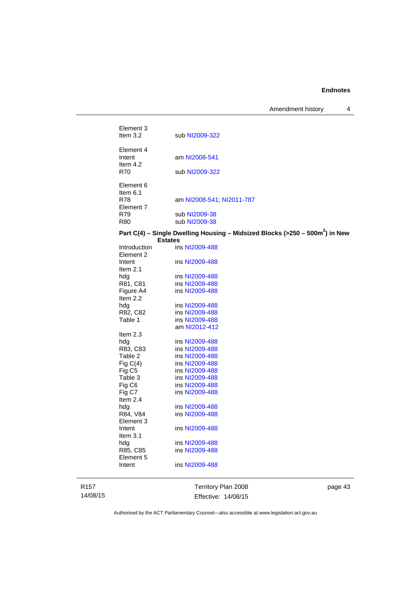Amendment history 4

| Element 3<br>Item $3.2$           |                                                                                                   |
|-----------------------------------|---------------------------------------------------------------------------------------------------|
|                                   | sub NI2009-322                                                                                    |
| Element 4<br>Intent<br>Item $4.2$ | am NI2008-541                                                                                     |
| R70                               | sub NI2009-322                                                                                    |
| Element 6<br>Item $6.1$           |                                                                                                   |
| <b>R78</b><br>Element 7           | am NI2008-541, NI2011-787                                                                         |
| R79                               | sub NI2009-38                                                                                     |
| R80                               | sub NI2009-38                                                                                     |
|                                   | Part C(4) – Single Dwelling Housing – Midsized Blocks (>250 – 500 $m2$ ) in New<br><b>Estates</b> |
| Introduction                      | ins NI2009-488                                                                                    |
| Element 2                         |                                                                                                   |
| Intent<br>Item $2.1$              | ins NI2009-488                                                                                    |
| hdg                               | ins NI2009-488                                                                                    |
| R81, C81                          | ins NI2009-488                                                                                    |
| Figure A4                         | ins NI2009-488                                                                                    |
| Item $2.2$                        |                                                                                                   |
| hdg                               | ins NI2009-488                                                                                    |
| R82, C82                          | ins NI2009-488                                                                                    |
| Table 1                           | ins NI2009-488                                                                                    |
|                                   | am NI2012-412                                                                                     |
| Item $2.3$                        |                                                                                                   |
| hdg<br>R83, C83                   | ins NI2009-488<br>ins NI2009-488                                                                  |
| Table 2                           | ins NI2009-488                                                                                    |
| Fig $C(4)$                        | ins NI2009-488                                                                                    |
| Fig C <sub>5</sub>                | ins NI2009-488                                                                                    |
| Table 3                           | ins NI2009-488                                                                                    |
| Fig C6                            | ins NI2009-488                                                                                    |
| Fig C7                            | ins NI2009-488                                                                                    |
| Item 2.4                          |                                                                                                   |
| hdg                               | ins NI2009-488                                                                                    |
| R84, V84<br>Element 3             | ins NI2009-488                                                                                    |
| Intent                            | ins NI2009-488                                                                                    |
| Item $3.1$                        |                                                                                                   |
| hdg                               | ins NI2009-488                                                                                    |
| R85, C85                          | ins NI2009-488                                                                                    |
| Element 5                         |                                                                                                   |
| Intent                            | ins NI2009-488                                                                                    |
|                                   |                                                                                                   |

R157 14/08/15

Territory Plan 2008 Effective: 14/08/15 page 43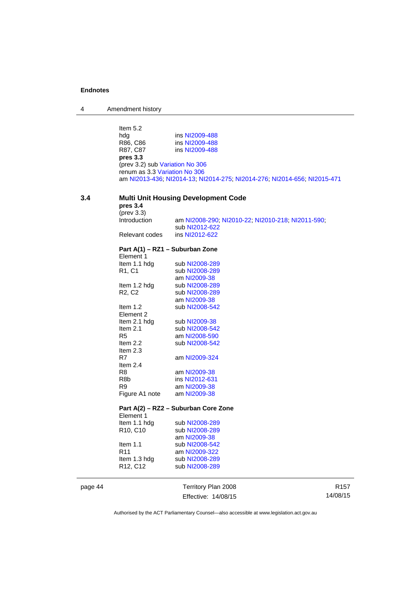4 Amendment history

Item 5.2<br>hdg<br>R86, C86<br>R87, C87 hdg **ins [NI2009-488](http://www.legislation.act.gov.au/ni/2009-488/)** R86, C86 ins [NI2009-488](http://www.legislation.act.gov.au/ni/2009-488/) ins [NI2009-488](http://www.legislation.act.gov.au/ni/2009-488/) **pres 3.3**  (prev 3.2) sub [Variation No 306](http://www.legislation.act.gov.au/ni/2013-93/default.asp) renum as 3.3 [Variation No 306](http://www.legislation.act.gov.au/ni/2013-93/default.asp) am [NI2013-436](http://www.legislation.act.gov.au/ni/2013-436/default.asp); [NI2014-13](http://www.legislation.act.gov.au/ni/2014-13/default.asp); [NI2014-275](http://www.legislation.act.gov.au/ni/2014-275/default.asp); [NI2014-276](http://www.legislation.act.gov.au/ni/2014-276/default.asp); [NI2014-656](http://www.legislation.act.gov.au/ni/2014-656/default.asp); [NI2015-471](http://www.legislation.act.gov.au/ni/2015-471/default.asp)

### **3.4 Multi Unit Housing Development Code**

| pres 3.4<br>$(\text{prev } 3.3)$             |                                                   |
|----------------------------------------------|---------------------------------------------------|
| Introduction                                 | am NI2008-290; NI2010-22; NI2010-218; NI2011-590; |
|                                              | sub NI2012-622                                    |
| Relevant codes                               | ins NI2012-622                                    |
| Part A(1) – RZ1 – Suburban Zone<br>Element 1 |                                                   |
| Item 1.1 hdg                                 | sub NI2008-289                                    |
| R1, C1                                       | sub NI2008-289                                    |
|                                              | am NI2009-38                                      |
| Item 1.2 hdg                                 | sub NI2008-289                                    |
| R <sub>2</sub> , C <sub>2</sub>              | sub NI2008-289                                    |
|                                              | am NI2009-38                                      |
| Item $1.2$                                   | sub NI2008-542                                    |
| Element 2                                    |                                                   |
| Item 2.1 hdg                                 | sub NI2009-38                                     |
| Item $2.1$                                   | sub NI2008-542                                    |
| R <sub>5</sub>                               | am NI2008-590                                     |
| Item $2.2$                                   | sub NI2008-542                                    |
| Item $2.3$                                   |                                                   |
| R7                                           | am NI2009-324                                     |
| Item $2.4$                                   |                                                   |
| R <sub>8</sub>                               | am NI2009-38                                      |
| R <sub>8</sub> b                             | ins NI2012-631                                    |
| R <sub>9</sub>                               | am NI2009-38                                      |
| Figure A1 note                               | am NI2009-38                                      |
|                                              | Part A(2) - RZ2 - Suburban Core Zone              |
| Element 1                                    |                                                   |
| Item 1.1 hdg                                 | sub NI2008-289                                    |
| R10, C10                                     | sub NI2008-289                                    |
|                                              | am NI2009-38                                      |
| Item $1.1$                                   | sub NI2008-542                                    |
| R <sub>11</sub>                              | am NI2009-322                                     |
| Item 1.3 hdg                                 | sub NI2008-289                                    |
| R12, C12                                     | sub NI2008-289                                    |

page 44 Territory Plan 2008 Effective: 14/08/15

R157 14/08/15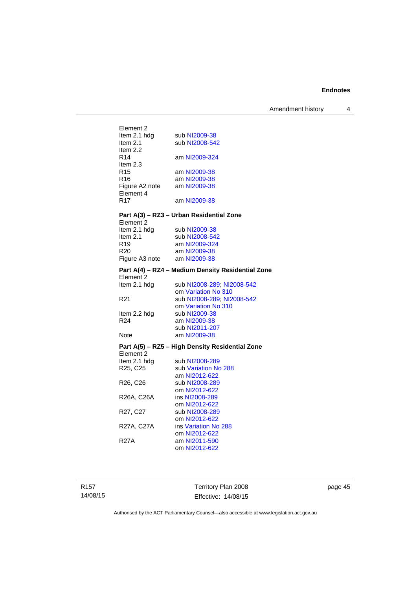| Element 2       |                                                   |
|-----------------|---------------------------------------------------|
| Item 2.1 hdg    | sub NI2009-38                                     |
| Item 2.1        | sub NI2008-542                                    |
| Item $2.2$      |                                                   |
| R <sub>14</sub> | am NI2009-324                                     |
| Item $2.3$      |                                                   |
| R <sub>15</sub> | am NI2009-38                                      |
| R <sub>16</sub> | am NI2009-38                                      |
|                 | Figure A2 note am NI2009-38                       |
| Element 4       |                                                   |
| R <sub>17</sub> | am NI2009-38                                      |
|                 | Part A(3) - RZ3 - Urban Residential Zone          |
| Element 2       |                                                   |
| Item 2.1 hdg    | sub NI2009-38                                     |
| Item $2.1$      | sub NI2008-542                                    |
| R <sub>19</sub> | am NI2009-324                                     |
| R <sub>20</sub> | am NI2009-38                                      |
|                 | Figure A3 note am NI2009-38                       |
|                 | Part A(4) - RZ4 - Medium Density Residential Zone |
| Element 2       |                                                   |
| Item 2.1 hdg    | sub NI2008-289; NI2008-542                        |
|                 | om Variation No 310                               |
| R <sub>21</sub> | sub NI2008-289; NI2008-542                        |
|                 | om Variation No 310                               |
| Item 2.2 hdg    | sub NI2009-38                                     |
| R <sub>24</sub> | am NI2009-38                                      |
|                 | sub NI2011-207                                    |
| Note            | am NI2009-38                                      |
|                 | Part A(5) - RZ5 - High Density Residential Zone   |
| Element 2       |                                                   |
| Item 2.1 hdg    | sub NI2008-289                                    |
| R25, C25        | sub Variation No 288                              |
|                 | am NI2012-622                                     |
| R26, C26        | sub NI2008-289                                    |
|                 | om NI2012-622                                     |
| R26A, C26A      | ins NI2008-289                                    |
|                 | om NI2012-622                                     |
| R27, C27        | sub NI2008-289<br>om NI2012-622                   |
| R27A, C27A      | ins Variation No 288                              |
|                 | om NI2012-622                                     |
| <b>R27A</b>     | am NI2011-590                                     |
|                 | om NI2012-622                                     |
|                 |                                                   |

R157 14/08/15 Territory Plan 2008 Effective: 14/08/15

page 45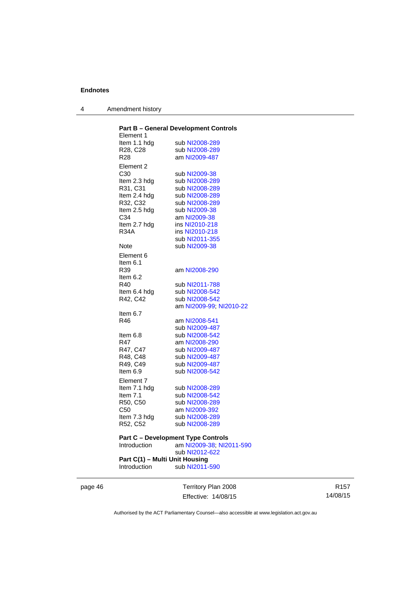4 Amendment history

|                 | <b>Part B - General Development Controls</b> |
|-----------------|----------------------------------------------|
| Element 1       |                                              |
| Item 1.1 hda    | sub NI2008-289                               |
| R28, C28        | sub NI2008-289                               |
| R <sub>28</sub> | am NI2009-487                                |
| Element 2       |                                              |
| C <sub>30</sub> | sub NI2009-38                                |
| Item 2.3 hdg    | sub NI2008-289                               |
| R31, C31        | sub NI2008-289                               |
| Item 2.4 hdg    | sub NI2008-289                               |
| R32, C32        | sub NI2008-289                               |
| Item 2.5 hdg    | sub NI2009-38                                |
| C34             | am NI2009-38                                 |
| Item 2.7 hdg    | ins NI2010-218                               |
| <b>R34A</b>     | ins NI2010-218                               |
|                 | sub NI2011-355                               |
| Note            | sub NI2009-38                                |
| Element 6       |                                              |
| Item 6.1        |                                              |
| R39             | am NI2008-290                                |
|                 |                                              |
| Item $6.2$      |                                              |
| R40             | sub NI2011-788                               |
| Item 6.4 hdg    | sub NI2008-542                               |
| R42, C42        | sub NI2008-542                               |
|                 | am NI2009-99; NI2010-22                      |
| Item $6.7$      |                                              |
| R46             | am NI2008-541                                |
|                 | sub NI2009-487                               |
| ltem 6.8        | sub NI2008-542                               |
| R47             | am NI2008-290                                |
| R47, C47        | sub NI2009-487                               |
| R48, C48        | sub NI2009-487                               |
| R49, C49        | sub NI2009-487                               |
| Item $6.9$      | sub NI2008-542                               |
| Element 7       |                                              |
| Item 7.1 hdg    | sub NI2008-289                               |
| Item $7.1$      | sub NI2008-542                               |
| R50, C50        | sub NI2008-289                               |
| C50             | am NI2009-392                                |
| Item 7.3 hdg    | sub NI2008-289                               |
| R52, C52        | sub NI2008-289                               |
|                 |                                              |
|                 | <b>Part C - Development Type Controls</b>    |
| Introduction    | am NI2009-38; NI2011-590                     |
|                 | sub NI2012-622                               |
|                 | Part C(1) - Multi Unit Housing               |

Introduction sub [NI2011-590](http://www.legislation.act.gov.au/ni/2011-590/)

page 46 Territory Plan 2008 Effective: 14/08/15

R157 14/08/15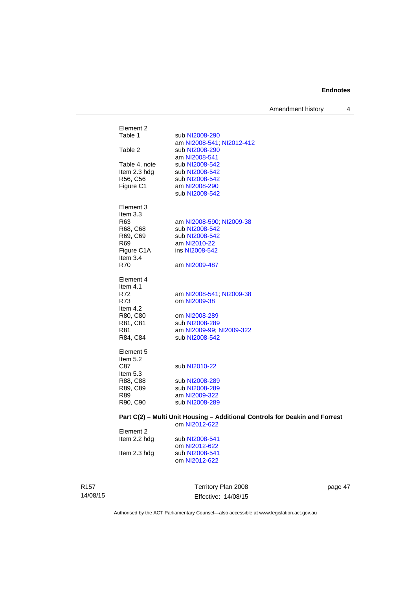Amendment history 4

| Element 2<br>Table 1<br>sub NI2008-290<br>am NI2008-541; NI2012-412<br>Table 2<br>sub NI2008-290<br>am NI2008-541<br>Table 4, note<br>sub NI2008-542<br>Item 2.3 hdg<br>sub NI2008-542<br>R56, C56<br>sub NI2008-542<br>Figure C1<br>am NI2008-290<br>sub NI2008-542<br>Element 3<br>Item 3.3<br>R63<br>am NI2008-590; NI2009-38<br>R68, C68<br>sub NI2008-542<br>R69, C69<br>sub NI2008-542<br>R69<br>am NI2010-22<br>Figure C1A<br>ins NI2008-542<br>Item $3.4$<br>R70<br>am NI2009-487<br>Element 4<br>Item $4.1$<br>R72<br>am NI2008-541, NI2009-38<br>R73<br>om NI2009-38<br>Item $4.2$<br>R80, C80<br>om NI2008-289<br>R81, C81<br>sub NI2008-289<br>R81<br>am NI2009-99; NI2009-322<br>R84, C84<br>sub NI2008-542<br>Element 5<br>Item $5.2$<br>C87<br>sub NI2010-22<br>Item $5.3$<br>R88, C88<br>sub NI2008-289<br>R89, C89<br>sub NI2008-289<br>R89<br>am NI2009-322<br>R90, C90<br>sub NI2008-289<br>om NI2012-622<br>Element 2<br>Item 2.2 hdg<br>sub NI2008-541 | Part C(2) - Multi Unit Housing - Additional Controls for Deakin and Forrest<br>om NI2012-622<br>sub NI2008-541<br>Item 2.3 hdg<br>om NI2012-622 |  |  |
|-----------------------------------------------------------------------------------------------------------------------------------------------------------------------------------------------------------------------------------------------------------------------------------------------------------------------------------------------------------------------------------------------------------------------------------------------------------------------------------------------------------------------------------------------------------------------------------------------------------------------------------------------------------------------------------------------------------------------------------------------------------------------------------------------------------------------------------------------------------------------------------------------------------------------------------------------------------------------------|-------------------------------------------------------------------------------------------------------------------------------------------------|--|--|
|                                                                                                                                                                                                                                                                                                                                                                                                                                                                                                                                                                                                                                                                                                                                                                                                                                                                                                                                                                             |                                                                                                                                                 |  |  |
|                                                                                                                                                                                                                                                                                                                                                                                                                                                                                                                                                                                                                                                                                                                                                                                                                                                                                                                                                                             |                                                                                                                                                 |  |  |
|                                                                                                                                                                                                                                                                                                                                                                                                                                                                                                                                                                                                                                                                                                                                                                                                                                                                                                                                                                             |                                                                                                                                                 |  |  |
|                                                                                                                                                                                                                                                                                                                                                                                                                                                                                                                                                                                                                                                                                                                                                                                                                                                                                                                                                                             |                                                                                                                                                 |  |  |
|                                                                                                                                                                                                                                                                                                                                                                                                                                                                                                                                                                                                                                                                                                                                                                                                                                                                                                                                                                             |                                                                                                                                                 |  |  |
|                                                                                                                                                                                                                                                                                                                                                                                                                                                                                                                                                                                                                                                                                                                                                                                                                                                                                                                                                                             |                                                                                                                                                 |  |  |
|                                                                                                                                                                                                                                                                                                                                                                                                                                                                                                                                                                                                                                                                                                                                                                                                                                                                                                                                                                             |                                                                                                                                                 |  |  |
|                                                                                                                                                                                                                                                                                                                                                                                                                                                                                                                                                                                                                                                                                                                                                                                                                                                                                                                                                                             |                                                                                                                                                 |  |  |
|                                                                                                                                                                                                                                                                                                                                                                                                                                                                                                                                                                                                                                                                                                                                                                                                                                                                                                                                                                             |                                                                                                                                                 |  |  |
|                                                                                                                                                                                                                                                                                                                                                                                                                                                                                                                                                                                                                                                                                                                                                                                                                                                                                                                                                                             |                                                                                                                                                 |  |  |
|                                                                                                                                                                                                                                                                                                                                                                                                                                                                                                                                                                                                                                                                                                                                                                                                                                                                                                                                                                             |                                                                                                                                                 |  |  |
|                                                                                                                                                                                                                                                                                                                                                                                                                                                                                                                                                                                                                                                                                                                                                                                                                                                                                                                                                                             |                                                                                                                                                 |  |  |
|                                                                                                                                                                                                                                                                                                                                                                                                                                                                                                                                                                                                                                                                                                                                                                                                                                                                                                                                                                             |                                                                                                                                                 |  |  |
|                                                                                                                                                                                                                                                                                                                                                                                                                                                                                                                                                                                                                                                                                                                                                                                                                                                                                                                                                                             |                                                                                                                                                 |  |  |
|                                                                                                                                                                                                                                                                                                                                                                                                                                                                                                                                                                                                                                                                                                                                                                                                                                                                                                                                                                             |                                                                                                                                                 |  |  |
|                                                                                                                                                                                                                                                                                                                                                                                                                                                                                                                                                                                                                                                                                                                                                                                                                                                                                                                                                                             |                                                                                                                                                 |  |  |
|                                                                                                                                                                                                                                                                                                                                                                                                                                                                                                                                                                                                                                                                                                                                                                                                                                                                                                                                                                             |                                                                                                                                                 |  |  |
|                                                                                                                                                                                                                                                                                                                                                                                                                                                                                                                                                                                                                                                                                                                                                                                                                                                                                                                                                                             |                                                                                                                                                 |  |  |
|                                                                                                                                                                                                                                                                                                                                                                                                                                                                                                                                                                                                                                                                                                                                                                                                                                                                                                                                                                             |                                                                                                                                                 |  |  |
|                                                                                                                                                                                                                                                                                                                                                                                                                                                                                                                                                                                                                                                                                                                                                                                                                                                                                                                                                                             |                                                                                                                                                 |  |  |
|                                                                                                                                                                                                                                                                                                                                                                                                                                                                                                                                                                                                                                                                                                                                                                                                                                                                                                                                                                             |                                                                                                                                                 |  |  |
|                                                                                                                                                                                                                                                                                                                                                                                                                                                                                                                                                                                                                                                                                                                                                                                                                                                                                                                                                                             |                                                                                                                                                 |  |  |
|                                                                                                                                                                                                                                                                                                                                                                                                                                                                                                                                                                                                                                                                                                                                                                                                                                                                                                                                                                             |                                                                                                                                                 |  |  |
|                                                                                                                                                                                                                                                                                                                                                                                                                                                                                                                                                                                                                                                                                                                                                                                                                                                                                                                                                                             |                                                                                                                                                 |  |  |
|                                                                                                                                                                                                                                                                                                                                                                                                                                                                                                                                                                                                                                                                                                                                                                                                                                                                                                                                                                             |                                                                                                                                                 |  |  |
|                                                                                                                                                                                                                                                                                                                                                                                                                                                                                                                                                                                                                                                                                                                                                                                                                                                                                                                                                                             |                                                                                                                                                 |  |  |
|                                                                                                                                                                                                                                                                                                                                                                                                                                                                                                                                                                                                                                                                                                                                                                                                                                                                                                                                                                             |                                                                                                                                                 |  |  |
|                                                                                                                                                                                                                                                                                                                                                                                                                                                                                                                                                                                                                                                                                                                                                                                                                                                                                                                                                                             |                                                                                                                                                 |  |  |
|                                                                                                                                                                                                                                                                                                                                                                                                                                                                                                                                                                                                                                                                                                                                                                                                                                                                                                                                                                             |                                                                                                                                                 |  |  |
|                                                                                                                                                                                                                                                                                                                                                                                                                                                                                                                                                                                                                                                                                                                                                                                                                                                                                                                                                                             |                                                                                                                                                 |  |  |
|                                                                                                                                                                                                                                                                                                                                                                                                                                                                                                                                                                                                                                                                                                                                                                                                                                                                                                                                                                             |                                                                                                                                                 |  |  |
|                                                                                                                                                                                                                                                                                                                                                                                                                                                                                                                                                                                                                                                                                                                                                                                                                                                                                                                                                                             |                                                                                                                                                 |  |  |
|                                                                                                                                                                                                                                                                                                                                                                                                                                                                                                                                                                                                                                                                                                                                                                                                                                                                                                                                                                             |                                                                                                                                                 |  |  |
|                                                                                                                                                                                                                                                                                                                                                                                                                                                                                                                                                                                                                                                                                                                                                                                                                                                                                                                                                                             |                                                                                                                                                 |  |  |
|                                                                                                                                                                                                                                                                                                                                                                                                                                                                                                                                                                                                                                                                                                                                                                                                                                                                                                                                                                             |                                                                                                                                                 |  |  |
|                                                                                                                                                                                                                                                                                                                                                                                                                                                                                                                                                                                                                                                                                                                                                                                                                                                                                                                                                                             |                                                                                                                                                 |  |  |
|                                                                                                                                                                                                                                                                                                                                                                                                                                                                                                                                                                                                                                                                                                                                                                                                                                                                                                                                                                             |                                                                                                                                                 |  |  |
|                                                                                                                                                                                                                                                                                                                                                                                                                                                                                                                                                                                                                                                                                                                                                                                                                                                                                                                                                                             |                                                                                                                                                 |  |  |
|                                                                                                                                                                                                                                                                                                                                                                                                                                                                                                                                                                                                                                                                                                                                                                                                                                                                                                                                                                             |                                                                                                                                                 |  |  |
|                                                                                                                                                                                                                                                                                                                                                                                                                                                                                                                                                                                                                                                                                                                                                                                                                                                                                                                                                                             |                                                                                                                                                 |  |  |
|                                                                                                                                                                                                                                                                                                                                                                                                                                                                                                                                                                                                                                                                                                                                                                                                                                                                                                                                                                             |                                                                                                                                                 |  |  |
|                                                                                                                                                                                                                                                                                                                                                                                                                                                                                                                                                                                                                                                                                                                                                                                                                                                                                                                                                                             |                                                                                                                                                 |  |  |
|                                                                                                                                                                                                                                                                                                                                                                                                                                                                                                                                                                                                                                                                                                                                                                                                                                                                                                                                                                             |                                                                                                                                                 |  |  |
|                                                                                                                                                                                                                                                                                                                                                                                                                                                                                                                                                                                                                                                                                                                                                                                                                                                                                                                                                                             |                                                                                                                                                 |  |  |
|                                                                                                                                                                                                                                                                                                                                                                                                                                                                                                                                                                                                                                                                                                                                                                                                                                                                                                                                                                             |                                                                                                                                                 |  |  |

R157 14/08/15 Territory Plan 2008 Effective: 14/08/15

page 47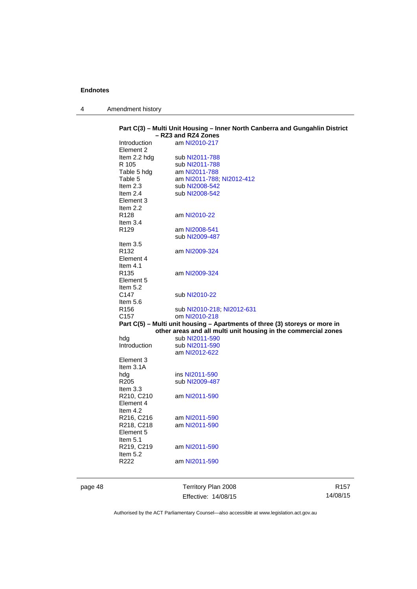| Amendment history |
|-------------------|
|                   |

|                           | Part C(3) - Multi Unit Housing - Inner North Canberra and Gungahlin District<br>- RZ3 and RZ4 Zones |
|---------------------------|-----------------------------------------------------------------------------------------------------|
| Introduction<br>Element 2 | am NI2010-217                                                                                       |
| Item 2.2 hdg              | sub NI2011-788                                                                                      |
| R 105                     | sub NI2011-788                                                                                      |
| Table 5 hdg               | am NI2011-788                                                                                       |
| Table 5                   | am NI2011-788; NI2012-412                                                                           |
| Item 2.3                  | sub NI2008-542                                                                                      |
| Item $2.4$                | sub NI2008-542                                                                                      |
| Element 3                 |                                                                                                     |
| Item 2.2                  |                                                                                                     |
| R <sub>128</sub>          | am NI2010-22                                                                                        |
| Item $3.4$                |                                                                                                     |
| R <sub>129</sub>          | am NI2008-541                                                                                       |
|                           | sub NI2009-487                                                                                      |
| Item $3.5$                |                                                                                                     |
| R <sub>132</sub>          | am NI2009-324                                                                                       |
| Element 4                 |                                                                                                     |
| Item $4.1$                |                                                                                                     |
| R <sub>135</sub>          | am NI2009-324                                                                                       |
| Element 5                 |                                                                                                     |
| Item $5.2$                |                                                                                                     |
| C147                      | sub NI2010-22                                                                                       |
| Item $5.6$                |                                                                                                     |
| R <sub>156</sub>          | sub NI2010-218, NI2012-631                                                                          |
| C <sub>157</sub>          | om NI2010-218                                                                                       |
|                           | Part C(5) - Multi unit housing - Apartments of three (3) storeys or more in                         |
|                           | other areas and all multi unit housing in the commercial zones                                      |
| hdg                       | sub NI2011-590                                                                                      |
| Introduction              | sub NI2011-590                                                                                      |
|                           | am NI2012-622                                                                                       |
| Element 3                 |                                                                                                     |
| Item $3.1A$               |                                                                                                     |
| hdg                       | ins NI2011-590                                                                                      |
| R <sub>205</sub>          | sub NI2009-487                                                                                      |
| Item $3.3$                |                                                                                                     |
| R210, C210                | am NI2011-590                                                                                       |
| Element 4                 |                                                                                                     |
| Item $4.2$                |                                                                                                     |
| R216, C216                | am NI2011-590                                                                                       |
| R218, C218                | am NI2011-590                                                                                       |
| Element 5                 |                                                                                                     |
| Item $5.1$                |                                                                                                     |
| R219, C219                | am NI2011-590                                                                                       |
| Item 5.2                  |                                                                                                     |
| R222                      | am NI2011-590                                                                                       |
|                           |                                                                                                     |
|                           |                                                                                                     |

page 48 Territory Plan 2008 Effective: 14/08/15

R157 14/08/15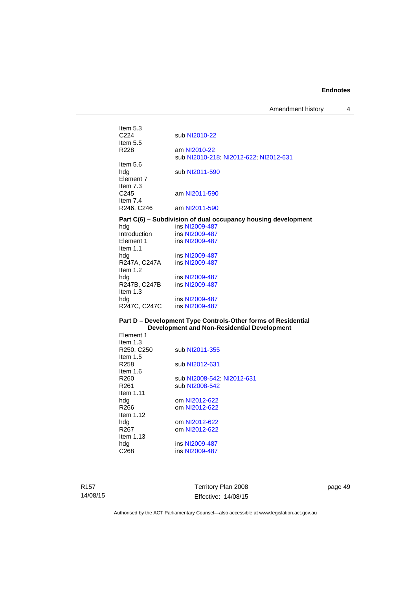Amendment history 4

| Item $5.3$<br>C <sub>224</sub>        | sub NI2010-22                                          |
|---------------------------------------|--------------------------------------------------------|
| Item $5.5$<br>R <sub>228</sub>        | am NI2010-22<br>sub NI2010-218; NI2012-622; NI2012-631 |
| Item $5.6$<br>hdg<br><b>Element 7</b> | sub NI2011-590                                         |
| Item $7.3$<br>C <sub>245</sub>        | am NI2011-590                                          |
| Item $7.4$<br>R246, C246              | am NI2011-590                                          |

### **Part C(6) – Subdivision of dual occupancy housing development**

| hdg          | ins NI2009-487 |
|--------------|----------------|
| Introduction | ins NI2009-487 |
| Element 1    | ins NI2009-487 |
| Item $1.1$   |                |
| hda          | ins NI2009-487 |
| R247A, C247A | ins NI2009-487 |
| Item $1.2$   |                |
| hda          | ins NI2009-487 |
| R247B, C247B | ins NI2009-487 |
| Item $1.3$   |                |
| hdg          | ins NI2009-487 |
| R247C, C247C | ins NI2009-487 |

#### **Part D – Development Type Controls-Other forms of Residential Development and Non-Residential Development**

| Element 1        |                            |
|------------------|----------------------------|
| Item $1.3$       |                            |
| R250, C250       | sub NI2011-355             |
| Item $1.5$       |                            |
| R <sub>258</sub> | sub NI2012-631             |
| Item 1.6         |                            |
| R260             | sub NI2008-542; NI2012-631 |
| R <sub>261</sub> | sub NI2008-542             |
| Item 1.11        |                            |
| hda              | om NI2012-622              |
| R266             | om NI2012-622              |
| Item $1.12$      |                            |
| hdg              | om NI2012-622              |
| R <sub>267</sub> | om NI2012-622              |
| Item $1.13$      |                            |
| hda              | ins NI2009-487             |
| C <sub>268</sub> | ins NI2009-487             |
|                  |                            |

R157 14/08/15

Territory Plan 2008 Effective: 14/08/15 page 49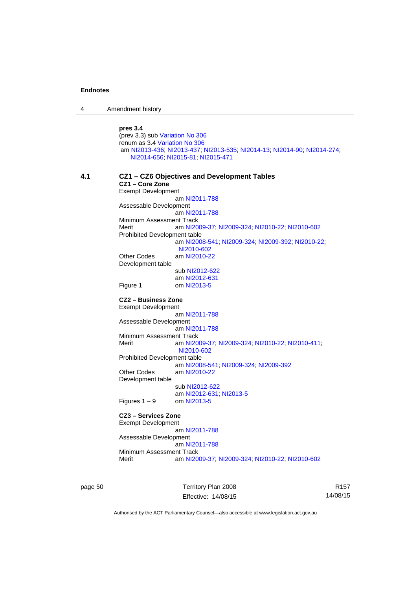4 Amendment history

**pres 3.4** (prev 3.3) sub [Variation No 306](http://www.legislation.act.gov.au/ni/2013-93/default.asp) renum as 3.4 [Variation No 306](http://www.legislation.act.gov.au/ni/2013-93/default.asp) am [NI2013-436](http://www.legislation.act.gov.au/ni/2013-436/default.asp); [NI2013-437](http://www.legislation.act.gov.au/ni/2013-437/default.asp); [NI2013-535](http://www.legislation.act.gov.au/ni/2013-535/); [NI2014-13](http://www.legislation.act.gov.au/ni/2014-13/default.asp); [NI2014-90](http://www.legislation.act.gov.au/ni/2014-90/default.asp); [NI2014-274](http://www.legislation.act.gov.au/ni/2014-274/default.asp); [NI2014-656](http://www.legislation.act.gov.au/ni/2014-656/default.asp); [NI2015-81](http://www.legislation.act.gov.au/ni/2015-81/default.asp); [NI2015-471](http://www.legislation.act.gov.au/ni/2015-471/default.asp) **4.1 CZ1 – CZ6 Objectives and Development Tables CZ1 – Core Zone**  Exempt Development am [NI2011-788](http://www.legislation.act.gov.au/ni/2011-788/) Assessable Development am [NI2011-788](http://www.legislation.act.gov.au/ni/2011-788/) Minimum Assessment Track Merit am [NI2009-37](http://www.legislation.act.gov.au/ni/2009-37/); [NI2009-324](http://www.legislation.act.gov.au/ni/2009-324/); [NI2010-22](http://www.legislation.act.gov.au/ni/2010-22/); [NI2010-602](http://www.legislation.act.gov.au/ni/2010-602/) Prohibited Development table am [NI2008-541](http://www.legislation.act.gov.au/ni/2008-541/); [NI2009-324](http://www.legislation.act.gov.au/ni/2009-324/); [NI2009-392](http://www.legislation.act.gov.au/ni/2009-392/); [NI2010-22](http://www.legislation.act.gov.au/ni/2010-22/); [NI2010-602](http://www.legislation.act.gov.au/ni/2010-602/) Other Codes am [NI2010-22](http://www.legislation.act.gov.au/ni/2010-22/) Development table sub [NI2012-622](http://www.legislation.act.gov.au/ni/2012-622/default.asp) am [NI2012-631](http://www.legislation.act.gov.au/ni/2012-631/default.asp) Figure 1 om [NI2013-5](http://www.legislation.act.gov.au/ni/2013-5/default.asp) **CZ2 – Business Zone**  Exempt Development am [NI2011-788](http://www.legislation.act.gov.au/ni/2011-788/) Assessable Development am [NI2011-788](http://www.legislation.act.gov.au/ni/2011-788/) Minimum Assessment Track Merit am [NI2009-37](http://www.legislation.act.gov.au/ni/2009-37/); [NI2009-324](http://www.legislation.act.gov.au/ni/2009-324/); [NI2010-22](http://www.legislation.act.gov.au/ni/2010-22/); [NI2010-411](http://www.legislation.act.gov.au/ni/2010-411/); [NI2010-602](http://www.legislation.act.gov.au/ni/2010-602/) Prohibited Development table am [NI2008-541](http://www.legislation.act.gov.au/ni/2008-541/); [NI2009-324](http://www.legislation.act.gov.au/ni/2009-324/); [NI2009-392](http://www.legislation.act.gov.au/ni/2009-392/) Other Codes am [NI2010-22](http://www.legislation.act.gov.au/ni/2010-22/) Development table sub [NI2012-622](http://www.legislation.act.gov.au/ni/2012-622/default.asp) am [NI2012-631](http://www.legislation.act.gov.au/ni/2012-631/default.asp); [NI2013-5](http://www.legislation.act.gov.au/ni/2013-5/default.asp)<br>om NI2013-5 Figures  $1 - 9$ **CZ3 – Services Zone**  Exempt Development am [NI2011-788](http://www.legislation.act.gov.au/ni/2011-788/) Assessable Development am [NI2011-788](http://www.legislation.act.gov.au/ni/2011-788/) Minimum Assessment Track Merit am [NI2009-37](http://www.legislation.act.gov.au/ni/2009-37/); [NI2009-324](http://www.legislation.act.gov.au/ni/2009-324/); [NI2010-22](http://www.legislation.act.gov.au/ni/2010-22/); [NI2010-602](http://www.legislation.act.gov.au/ni/2010-602/)

page 50 Territory Plan 2008 Effective: 14/08/15

R157 14/08/15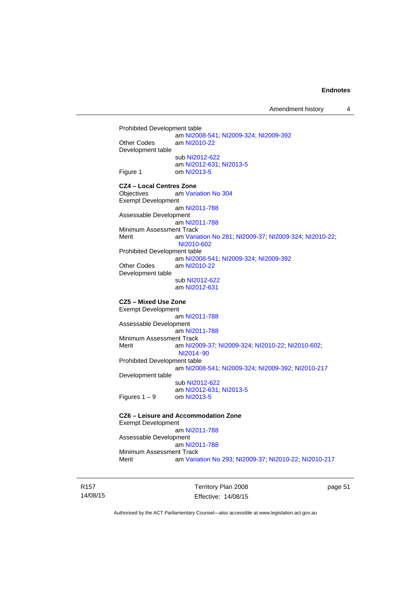Amendment history 4

```
Prohibited Development table 
                   am NI2008-541; NI2009-324; NI2009-392
Other Codes am NI2010-22
Development table 
                   sub NI2012-622
 NI2012-631 NI2013-5<br>Figure 1 com NI2013-5
                   NI2013-5
CZ4 – Local Centres Zone 
Objectives am Variation No 304
Exempt Development 
                   am NI2011-788
Assessable Development
                   am NI2011-788
Minimum Assessment Track 
Merit am Variation No 281; NI2009-37; NI2009-324; NI2010-22; 
                   NI2010-602
Prohibited Development table 
 NI2008-541 NI2009-324 NI2009-392<br>Other Codes am NI2010-22
                   NI2010-22
Development table 
                   sub NI2012-622
                   am NI2012-631
CZ5 – Mixed Use Zone 
Exempt Development 
                   am NI2011-788
Assessable Development
                   am NI2011-788
Minimum Assessment Track 
Merit am NI2009-37; NI2009-324; NI2010-22; NI2010-602; 
                   NI2014‑90
Prohibited Development table 
                   am NI2008-541; NI2009-324; NI2009-392; NI2010-217
Development table 
                   sub NI2012-622
                   NI2012-631 NI2013-5<br>om NI2013-5
Figures 1 - 9CZ6 – Leisure and Accommodation Zone
Exempt Development
```
 am [NI2011-788](http://www.legislation.act.gov.au/ni/2011-788/) Assessable Development am [NI2011-788](http://www.legislation.act.gov.au/ni/2011-788/) Minimum Assessment Track Merit am [Variation No 293](http://www.legislation.act.gov.au/ni/2008-219/); [NI2009-37](http://www.legislation.act.gov.au/ni/2009-37/); [NI2010-22](http://www.legislation.act.gov.au/ni/2010-22/); [NI2010-217](http://www.legislation.act.gov.au/ni/2010-217/)

R157 14/08/15 Territory Plan 2008 Effective: 14/08/15 page 51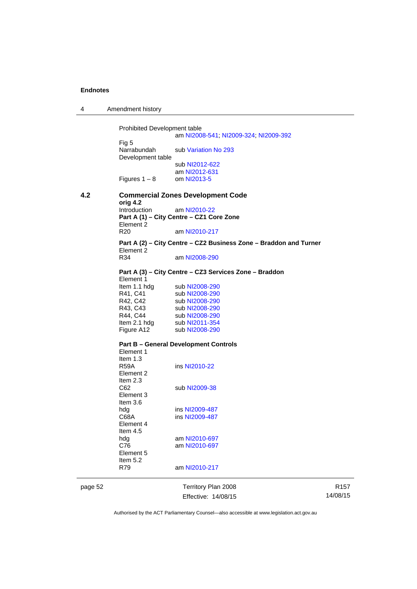4 Amendment history

Prohibited Development table am [NI2008-541](http://www.legislation.act.gov.au/ni/2008-541/); [NI2009-324](http://www.legislation.act.gov.au/ni/2009-324/); [NI2009-392](http://www.legislation.act.gov.au/ni/2009-392/) Fig 5<br>Narrabundah sub [Variation No 293](http://www.legislation.act.gov.au/ni/2008-219/) Development table sub [NI2012-622](http://www.legislation.act.gov.au/ni/2012-622/default.asp) am [NI2012-631](http://www.legislation.act.gov.au/ni/2012-631/default.asp) Figures  $1 - 8$  om [NI2013-5](http://www.legislation.act.gov.au/ni/2013-5/default.asp) **4.2 Commercial Zones Development Code orig 4.2**  Introduction am [NI2010-22](http://www.legislation.act.gov.au/ni/2010-22/) **Part A (1) – City Centre – CZ1 Core Zone**  Element 2 R20 am [NI2010-217](http://www.legislation.act.gov.au/ni/2010-217/) **Part A (2) – City Centre – CZ2 Business Zone – Braddon and Turner**  Element 2<br>R34 am [NI2008-290](http://www.legislation.act.gov.au/ni/2008-290/) **Part A (3) – City Centre – CZ3 Services Zone – Braddon**  Element 1<br>Item 1.1 hdg Item 1.1 hdg sub [NI2008-290](http://www.legislation.act.gov.au/ni/2008-290/)<br>R41, C41 sub NI2008-290 R41, C41 sub [NI2008-290](http://www.legislation.act.gov.au/ni/2008-290/)<br>R42, C42 sub NI2008-290 sub [NI2008-290](http://www.legislation.act.gov.au/ni/2008-290/) R43, C43 sub [NI2008-290](http://www.legislation.act.gov.au/ni/2008-290/) R44, C44 sub [NI2008-290](http://www.legislation.act.gov.au/ni/2008-290/)<br>Item 2.1 hdg sub NI2011-354 sub [NI2011-354](http://www.legislation.act.gov.au/ni/2011-354/) Figure A12 sub [NI2008-290](http://www.legislation.act.gov.au/ni/2008-290/) **Part B – General Development Controls**  Element 1 Item 1.3<br>R59A ins [NI2010-22](http://www.legislation.act.gov.au/ni/2010-22/) Element 2 Item 2.3<br>C<sub>62</sub> sub [NI2009-38](http://www.legislation.act.gov.au/ni/2009-38/) Element 3 Item 3.6 hdg ins [NI2009-487](http://www.legislation.act.gov.au/ni/2009-487/)<br>C68A ins NI2009-487 ins [NI2009-487](http://www.legislation.act.gov.au/ni/2009-487/) Element 4 Item 4.5 hdg am [NI2010-697](http://www.legislation.act.gov.au/ni/2010-697/) C76 am [NI2010-697](http://www.legislation.act.gov.au/ni/2010-697/) Element 5 Item 5.2 R79 am [NI2010-217](http://www.legislation.act.gov.au/ni/2010-217/)

page 52 Territory Plan 2008 Effective: 14/08/15

R157 14/08/15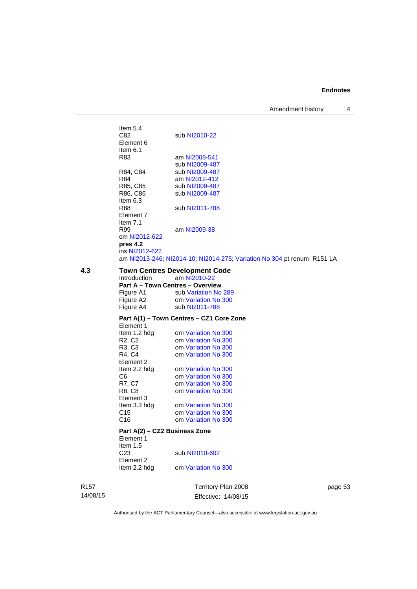Amendment history 4

Item  $5.4$ <br>C82 sub [NI2010-22](http://www.legislation.act.gov.au/ni/2010-22/) Element 6 Item 6.1<br>R83 am [NI2008-541](http://www.legislation.act.gov.au/ni/2008-541/) sub [NI2009-487](http://www.legislation.act.gov.au/ni/2009-487/)<br>R84, C84 sub NI2009-487 sub [NI2009-487](http://www.legislation.act.gov.au/ni/2009-487/) R84 am [NI2012-412](http://www.legislation.act.gov.au/ni/2012-412/) R85, C85 sub [NI2009-487](http://www.legislation.act.gov.au/ni/2009-487/)<br>R86, C86 sub NI2009-487 sub [NI2009-487](http://www.legislation.act.gov.au/ni/2009-487/) Item 6.3 R88 sub [NI2011-788](http://www.legislation.act.gov.au/ni/2011-788/) Element 7 Item 7.1 R99 am [NI2009-38](http://www.legislation.act.gov.au/ni/2009-38/) om [NI2012-622](http://www.legislation.act.gov.au/ni/2012-622/default.asp) **pres 4.2**  ins [NI2012-622](http://www.legislation.act.gov.au/ni/2012-622/default.asp) am [NI2013-246](http://www.legislation.act.gov.au/ni/2013-246/default.asp); [NI2014-10](http://www.legislation.act.gov.au/ni/2014-10/default.asp); [NI2014-275](http://www.legislation.act.gov.au/ni/2014-275/default.asp); [Variation No 304](http://www.legislation.act.gov.au/ni/2015-99/default.asp) pt renum R151 LA **4.3 Town Centres Development Code**  Introduction am [NI2010-22](http://www.legislation.act.gov.au/ni/2010-22/) **Part A – Town Centres – Overview**  Figure A1 sub [Variation No 289](http://www.legislation.act.gov.au/ni/2008-339/) Figure A2 om [Variation No 300](http://www.legislation.act.gov.au/ni/2011-691/) Figure A4 sub [NI2011-788](http://www.legislation.act.gov.au/ni/2011-788/) **Part A(1) – Town Centres – CZ1 Core Zone**  Element 1<br>Item 1.2 hdg Item 1.2 hdg om [Variation No 300](http://www.legislation.act.gov.au/ni/2011-691/)<br>R2, C2 om Variation No 300 R2, C2 om [Variation No 300](http://www.legislation.act.gov.au/ni/2011-691/)<br>R3, C3 om Variation No 300 om [Variation No 300](http://www.legislation.act.gov.au/ni/2011-691/) R4, C4 om [Variation No 300](http://www.legislation.act.gov.au/ni/2011-691/) Element 2 Item 2.2 hdg om [Variation No 300](http://www.legislation.act.gov.au/ni/2011-691/) C6 om [Variation No 300](http://www.legislation.act.gov.au/ni/2011-691/)<br>R7, C7 om Variation No 300 om [Variation No 300](http://www.legislation.act.gov.au/ni/2011-691/) R8, C8 om [Variation No 300](http://www.legislation.act.gov.au/ni/2011-691/) Element 3 Item 3.3 hdg om [Variation No 300](http://www.legislation.act.gov.au/ni/2011-691/)<br>C15 om Variation No 300 om [Variation No 300](http://www.legislation.act.gov.au/ni/2011-691/) C16 om [Variation No 300](http://www.legislation.act.gov.au/ni/2011-691/) **Part A(2) – CZ2 Business Zone** 

Element 1 Item 1.5 C23 sub [NI2010-602](http://www.legislation.act.gov.au/ni/2010-602/) Element 2 Item 2.2 hdg om [Variation No 300](http://www.legislation.act.gov.au/ni/2011-691/)

R157 14/08/15 Territory Plan 2008 Effective: 14/08/15 page 53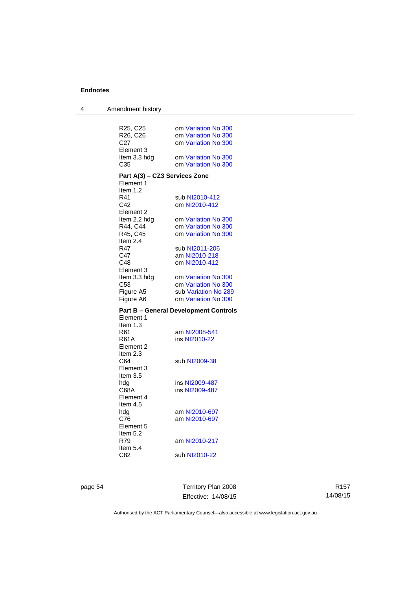| 4 | Amendment history             |                                              |
|---|-------------------------------|----------------------------------------------|
|   |                               |                                              |
|   | R25, C25                      | om Variation No 300                          |
|   | R26, C26                      | om Variation No 300                          |
|   | C <sub>27</sub>               | om Variation No 300                          |
|   | Element 3                     |                                              |
|   | Item 3.3 hdg                  | om Variation No 300                          |
|   | C35                           | om Variation No 300                          |
|   | Part A(3) - CZ3 Services Zone |                                              |
|   | Element 1                     |                                              |
|   | Item 1.2                      |                                              |
|   | R41                           | sub NI2010-412                               |
|   | C42                           | om NI2010-412                                |
|   | Element 2                     |                                              |
|   | Item 2.2 hdg                  | om Variation No 300                          |
|   | R44, C44                      | om Variation No 300                          |
|   | R45, C45                      | om Variation No 300                          |
|   | Item $2.4$                    |                                              |
|   | R47                           | sub NI2011-206                               |
|   | C47                           | am NI2010-218                                |
|   | C48<br>Element 3              | om NI2010-412                                |
|   | Item 3.3 hdg                  | om Variation No 300                          |
|   | C53                           | om Variation No 300                          |
|   | Figure A5                     | sub Variation No 289                         |
|   | Figure A6                     | om Variation No 300                          |
|   |                               |                                              |
|   | Element 1                     | <b>Part B – General Development Controls</b> |
|   | Item $1.3$                    |                                              |
|   | R61                           | am NI2008-541                                |
|   | R61A                          | ins NI2010-22                                |
|   | Element 2                     |                                              |
|   | Item $2.3$                    |                                              |
|   | C64                           | sub NI2009-38                                |
|   | Element 3                     |                                              |
|   | Item 3.5                      |                                              |
|   | hdg                           | ins NI2009-487                               |
|   | C68A                          | ins NI2009-487                               |
|   | Element 4                     |                                              |
|   | Item $4.5$                    |                                              |
|   | hdg<br>C76                    | am NI2010-697<br>am NI2010-697               |
|   | Element 5                     |                                              |
|   | Item 5.2                      |                                              |
|   | R79                           | am NI2010-217                                |
|   | Item 5.4                      |                                              |
|   | C82                           | sub NI2010-22                                |
|   |                               |                                              |

page 54 Territory Plan 2008 Effective: 14/08/15

R157 14/08/15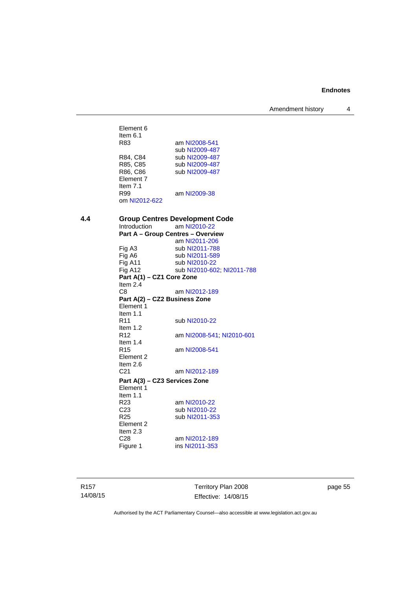Amendment history 4

Element 6 Item 6.1<br>R83 am [NI2008-541](http://www.legislation.act.gov.au/ni/2008-541/) sub [NI2009-487](http://www.legislation.act.gov.au/ni/2009-487/)<br>R84, C84 sub NI2009-487 R84, C84 sub [NI2009-487](http://www.legislation.act.gov.au/ni/2009-487/)<br>R85, C85 sub NI2009-487 R85, C85 sub [NI2009-487](http://www.legislation.act.gov.au/ni/2009-487/)<br>R86, C86 sub NI2009-487 sub [NI2009-487](http://www.legislation.act.gov.au/ni/2009-487/) Element 7 Item 7.1 R99 am [NI2009-38](http://www.legislation.act.gov.au/ni/2009-38/) om [NI2012-622](http://www.legislation.act.gov.au/ni/2012-622/default.asp) **4.4 Group Centres Development Code**  am [NI2010-22](http://www.legislation.act.gov.au/ni/2010-22/) **Part A – Group Centres – Overview**  am [NI2011-206](http://www.legislation.act.gov.au/ni/2011-206/) Fig A3 sub [NI2011-788](http://www.legislation.act.gov.au/ni/2011-788/) sub [NI2011-589](http://www.legislation.act.gov.au/ni/2011-589/) Fig A11 sub [NI2010-22](http://www.legislation.act.gov.au/ni/2010-22/) Fig A12 sub [NI2010-602](http://www.legislation.act.gov.au/ni/2010-602/); [NI2011-788](http://www.legislation.act.gov.au/ni/2011-788/) **Part A(1) – CZ1 Core Zone**  Item 2.4 C8 am [NI2012-189](http://www.legislation.act.gov.au/ni/2012-189/) **Part A(2) – CZ2 Business Zone**  Element 1 Item 1.1<br>R11 sub [NI2010-22](http://www.legislation.act.gov.au/ni/2010-22/) Item 1.2 R12 am [NI2008-541](http://www.legislation.act.gov.au/ni/2008-541/); [NI2010-601](http://www.legislation.act.gov.au/ni/2010-601/) Item  $1.4$ <br>R<sub>15</sub> am [NI2008-541](http://www.legislation.act.gov.au/ni/2008-541/) Element 2 Item  $2.6$ <br>C<sub>21</sub> am [NI2012-189](http://www.legislation.act.gov.au/ni/2012-189/) **Part A(3) – CZ3 Services Zone**  Element 1 Item 1.1<br>R23 R23 am [NI2010-22](http://www.legislation.act.gov.au/ni/2010-22/)<br>C23 sub NI2010-22 C23 sub [NI2010-22](http://www.legislation.act.gov.au/ni/2010-22/)<br>R25 sub NI2011-35 sub [NI2011-353](http://www.legislation.act.gov.au/ni/2011-353/) Element 2 Item 2.3 C28 am [NI2012-189](http://www.legislation.act.gov.au/ni/2012-189/) Figure 1 ins [NI2011-353](http://www.legislation.act.gov.au/ni/2011-353/)

R157 14/08/15 Territory Plan 2008 Effective: 14/08/15 page 55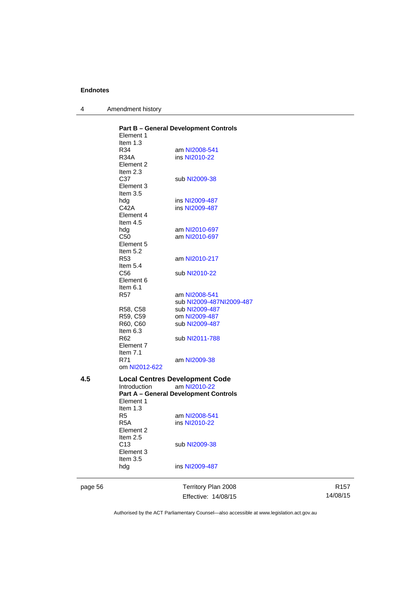| Amendment history |  |
|-------------------|--|
|                   |  |

|     | Element 1                                | <b>Part B - General Development Controls</b>                 |
|-----|------------------------------------------|--------------------------------------------------------------|
|     | Item $1.3$<br>R34<br><b>R34A</b>         | am NI2008-541<br>ins NI2010-22                               |
|     | Element 2<br>Item $2.3$<br>C37           | sub NI2009-38                                                |
|     | Element 3<br>Item $3.5$                  |                                                              |
|     | hda<br>C42A<br>Element 4                 | ins NI2009-487<br>ins NI2009-487                             |
|     | Item 4.5                                 |                                                              |
|     | hdg<br>C <sub>50</sub>                   | am NI2010-697<br>am NI2010-697                               |
|     | Element 5<br>Item 5.2                    |                                                              |
|     | R <sub>53</sub><br>Item 5.4              | am NI2010-217                                                |
|     | C <sub>56</sub><br>Element 6<br>Item 6.1 | sub NI2010-22                                                |
|     | R57                                      | am NI2008-541                                                |
|     |                                          | sub NI2009-487NI2009-487                                     |
|     | R58, C58                                 | sub NI2009-487                                               |
|     | R59. C59                                 | om NI2009-487                                                |
|     | R60, C60<br>Item 6.3                     | sub NI2009-487                                               |
|     | R62<br>Element 7                         | sub NI2011-788                                               |
|     | Item $7.1$<br>R71<br>om NI2012-622       | am NI2009-38                                                 |
| 4.5 |                                          | <b>Local Centres Development Code</b>                        |
|     | Introduction                             | am NI2010-22<br><b>Part A - General Development Controls</b> |
|     | Element 1<br>Item 1.3                    |                                                              |
|     | R5                                       | am NI2008-541                                                |
|     | R5A<br>Element 2                         | ins NI2010-22                                                |
|     | Item $2.5$<br>C13<br>Element 3           | sub NI2009-38                                                |
|     | Item $3.5$<br>hdg                        | ins NI2009-487                                               |

page 56 Territory Plan 2008 Effective: 14/08/15

R157 14/08/15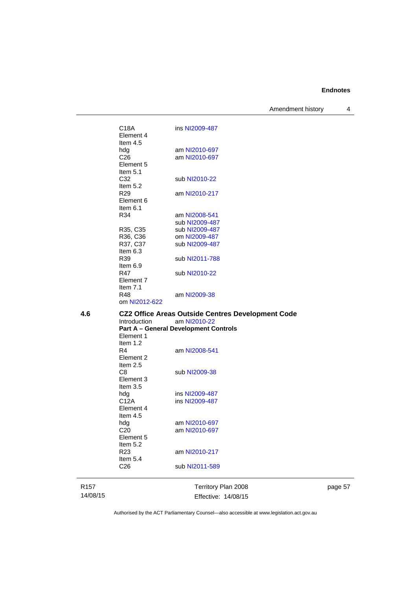Amendment history 4

C18A ins [NI2009-487](http://www.legislation.act.gov.au/ni/2009-487/) Element 4 Item 4.5<br>hdg hdg am [NI2010-697](http://www.legislation.act.gov.au/ni/2010-697/)<br>C26 am NI2010-697 am [NI2010-697](http://www.legislation.act.gov.au/ni/2010-697/) Element 5 Item 5.1 C32 sub [NI2010-22](http://www.legislation.act.gov.au/ni/2010-22/) Item  $5.2$ <br>R29 am [NI2010-217](http://www.legislation.act.gov.au/ni/2010-217/) Element 6 Item 6.1 R34 am [NI2008-541](http://www.legislation.act.gov.au/ni/2008-541/) sub [NI2009-487](http://www.legislation.act.gov.au/ni/2009-487/)<br>R35, C35 sub NI2009-487 sub [NI2009-487](http://www.legislation.act.gov.au/ni/2009-487/) R36, C36 om [NI2009-487](http://www.legislation.act.gov.au/ni/2009-487/)<br>R37, C37 sub NI2009-487 sub [NI2009-487](http://www.legislation.act.gov.au/ni/2009-487/) Item 6.3<br>R39 sub [NI2011-788](http://www.legislation.act.gov.au/ni/2011-788/) Item  $6.9$ <br>R47 sub [NI2010-22](http://www.legislation.act.gov.au/ni/2010-22/) Element 7 Item 7.1<br>R48 am [NI2009-38](http://www.legislation.act.gov.au/ni/2009-38/) om [NI2012-622](http://www.legislation.act.gov.au/ni/2012-622/default.asp) **4.6 CZ2 Office Areas Outside Centres Development Code** 

Introduction am [NI2010-22](http://www.legislation.act.gov.au/ni/2010-22/) **Part A – General Development Controls**  Element 1 Item 1.2<br>R4 am [NI2008-541](http://www.legislation.act.gov.au/ni/2008-541/) Element 2 Item 2.5<br>C8 sub [NI2009-38](http://www.legislation.act.gov.au/ni/2009-38/) Element 3 Item 3.5<br>hdg hdg ins [NI2009-487](http://www.legislation.act.gov.au/ni/2009-487/)<br>C12A ins NI2009-487 ins [NI2009-487](http://www.legislation.act.gov.au/ni/2009-487/)

hdg am [NI2010-697](http://www.legislation.act.gov.au/ni/2010-697/) C20 am [NI2010-697](http://www.legislation.act.gov.au/ni/2010-697/)

am [NI2010-217](http://www.legislation.act.gov.au/ni/2010-217/)

sub [NI2011-589](http://www.legislation.act.gov.au/ni/2011-589/)

R157 14/08/15 Element 4 Item 4.5

Element 5 Item  $5.2$ <br>R23

Item 5.4<br>C<sub>26</sub>

Territory Plan 2008 Effective: 14/08/15 page 57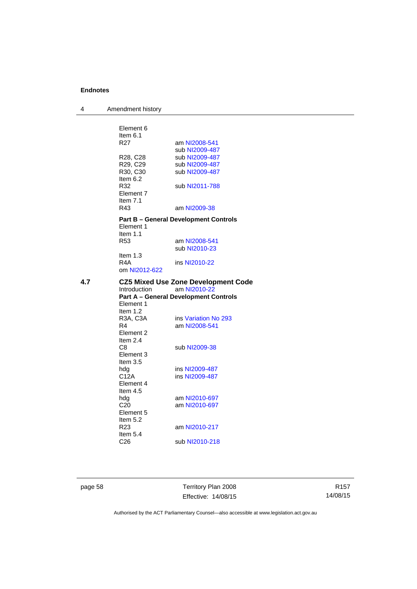| 4   | Amendment history                 |                                              |
|-----|-----------------------------------|----------------------------------------------|
|     |                                   |                                              |
|     | Element 6                         |                                              |
|     | Item $6.1$<br>R <sub>27</sub>     | am NI2008-541                                |
|     |                                   | sub NI2009-487                               |
|     | R <sub>28</sub> , C <sub>28</sub> | sub NI2009-487                               |
|     | R29, C29                          | sub NI2009-487                               |
|     | R <sub>30</sub> , C <sub>30</sub> | sub NI2009-487                               |
|     | Item 6.2                          |                                              |
|     | R32                               | sub NI2011-788                               |
|     | Element 7                         |                                              |
|     | Item $7.1$<br>R43                 | am NI2009-38                                 |
|     |                                   |                                              |
|     | Element 1                         | <b>Part B - General Development Controls</b> |
|     | Item $1.1$                        |                                              |
|     | R <sub>53</sub>                   | am NI2008-541                                |
|     |                                   | sub NI2010-23                                |
|     | Item $1.3$                        |                                              |
|     | R <sub>4</sub> A                  | ins NI2010-22                                |
|     | om NI2012-622                     |                                              |
| 4.7 |                                   | <b>CZ5 Mixed Use Zone Development Code</b>   |
|     | Introduction                      | am NI2010-22                                 |
|     | Element 1                         | <b>Part A - General Development Controls</b> |
|     | Item 1.2                          |                                              |
|     | R3A, C3A                          | ins Variation No 293                         |
|     | R4                                | am NI2008-541                                |
|     | Element 2                         |                                              |
|     | Item $2.4$                        |                                              |
|     | C8                                | sub NI2009-38                                |
|     | Element 3<br>Item $3.5$           |                                              |
|     | hdg                               | ins NI2009-487                               |
|     | C12A                              | ins NI2009-487                               |
|     | Element 4                         |                                              |
|     | Item 4.5                          |                                              |
|     | hdg                               | am NI2010-697                                |
|     | C <sub>20</sub>                   | am NI2010-697                                |
|     | Element 5<br>Item $5.2$           |                                              |
|     | R <sub>23</sub>                   | am NI2010-217                                |
|     | Item $5.4$                        |                                              |
|     | C <sub>26</sub>                   | sub NI2010-218                               |
|     |                                   |                                              |

page 58 Territory Plan 2008 Effective: 14/08/15

R157 14/08/15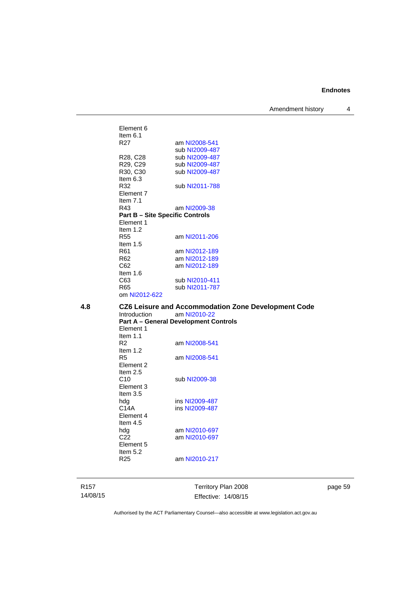Amendment history 4

Element 6 Item  $6.1$ <br>R27 am [NI2008-541](http://www.legislation.act.gov.au/ni/2008-541/) sub [NI2009-487](http://www.legislation.act.gov.au/ni/2009-487/)<br>R28, C28 sub NI2009-487 R28, C28 sub [NI2009-487](http://www.legislation.act.gov.au/ni/2009-487/)<br>R29, C29 sub NI2009-487 R29, C29 sub [NI2009-487](http://www.legislation.act.gov.au/ni/2009-487/)<br>R30, C30 sub NI2009-487 sub [NI2009-487](http://www.legislation.act.gov.au/ni/2009-487/) Item 6.3 R32 sub [NI2011-788](http://www.legislation.act.gov.au/ni/2011-788/) Element 7 Item 7.1 R43 am [NI2009-38](http://www.legislation.act.gov.au/ni/2009-38/) **Part B – Site Specific Controls**  Element 1 Item 1.2<br>R55 am [NI2011-206](http://www.legislation.act.gov.au/ni/2011-206/) Item 1.5<br>R61 am [NI2012-189](http://www.legislation.act.gov.au/ni/2012-189/) R62 am [NI2012-189](http://www.legislation.act.gov.au/ni/2012-189/)<br>C62 am NI2012-189 am [NI2012-189](http://www.legislation.act.gov.au/ni/2012-189/) Item 1.6 C63 sub [NI2010-411](http://www.legislation.act.gov.au/ni/2010-411/)<br>R65 sub NI2011-787 sub [NI2011-787](http://www.legislation.act.gov.au/ni/2011-787/) om [NI2012-622](http://www.legislation.act.gov.au/ni/2012-622/default.asp) **4.8 CZ6 Leisure and Accommodation Zone Development Code**  Introduction am [NI2010-22](http://www.legislation.act.gov.au/ni/2010-22/) **Part A – General Development Controls**  Element 1 Item 1.1 R2 am [NI2008-541](http://www.legislation.act.gov.au/ni/2008-541/) Item  $1.2$ <br>R5 am [NI2008-541](http://www.legislation.act.gov.au/ni/2008-541/) Element 2 Item  $2.5$ <br>C<sub>10</sub> sub [NI2009-38](http://www.legislation.act.gov.au/ni/2009-38/) Element 3 Item 3.5<br>hdg hdg ins [NI2009-487](http://www.legislation.act.gov.au/ni/2009-487/)<br>C14A ins NI2009-487 ins [NI2009-487](http://www.legislation.act.gov.au/ni/2009-487/) Element 4 Item 4.5 hdg am [NI2010-697](http://www.legislation.act.gov.au/ni/2010-697/) C22 am [NI2010-697](http://www.legislation.act.gov.au/ni/2010-697/) Element 5 Item 5.2

R157

14/08/15

Territory Plan 2008 Effective: 14/08/15 page 59

Authorised by the ACT Parliamentary Counsel—also accessible at www.legislation.act.gov.au

R25 am [NI2010-217](http://www.legislation.act.gov.au/ni/2010-217/)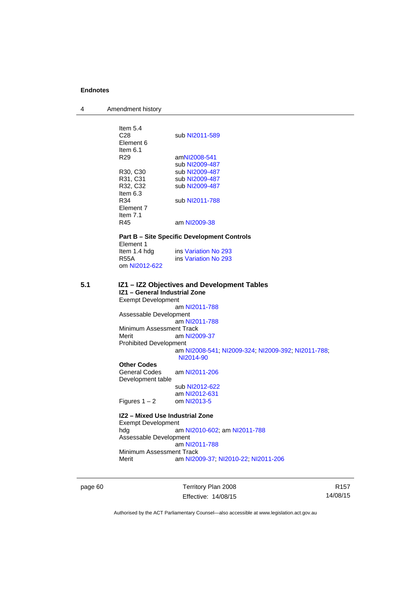4 Amendment history

|     | Item 5.4<br>C <sub>28</sub><br>Element 6<br>Item $6.1$<br>R <sub>29</sub><br>R30, C30<br>R31, C31<br>R32, C32<br>Item 6.3<br>R34<br>Element 7<br>Item $7.1$                                                            | sub NI2011-589<br>amNI2008-541<br>sub NI2009-487<br>sub NI2009-487<br>sub NI2009-487<br>sub NI2009-487<br>sub NI2011-788                                                                            |
|-----|------------------------------------------------------------------------------------------------------------------------------------------------------------------------------------------------------------------------|-----------------------------------------------------------------------------------------------------------------------------------------------------------------------------------------------------|
|     | R45                                                                                                                                                                                                                    | am NI2009-38                                                                                                                                                                                        |
|     |                                                                                                                                                                                                                        | <b>Part B – Site Specific Development Controls</b>                                                                                                                                                  |
|     | Element 1                                                                                                                                                                                                              |                                                                                                                                                                                                     |
|     | Item 1.4 hdg                                                                                                                                                                                                           | ins Variation No 293                                                                                                                                                                                |
|     | <b>R55A</b>                                                                                                                                                                                                            | ins Variation No 293                                                                                                                                                                                |
|     | om NI2012-622                                                                                                                                                                                                          |                                                                                                                                                                                                     |
| 5.1 | IZ1 - General Industrial Zone<br><b>Exempt Development</b><br>Assessable Development<br>Minimum Assessment Track<br>Merit<br><b>Prohibited Development</b><br><b>Other Codes</b><br>General Codes<br>Development table | IZ1 - IZ2 Objectives and Development Tables<br>am NI2011-788<br>am NI2011-788<br>am NI2009-37<br>am NI2008-541; NI2009-324; NI2009-392; NI2011-788;<br>NI2014-90<br>am NI2011-206<br>sub NI2012-622 |
|     | Figures $1 - 2$                                                                                                                                                                                                        | am NI2012-631<br>om NI2013-5                                                                                                                                                                        |
|     |                                                                                                                                                                                                                        |                                                                                                                                                                                                     |
|     | IZ2 - Mixed Use Industrial Zone                                                                                                                                                                                        |                                                                                                                                                                                                     |
|     | <b>Exempt Development</b>                                                                                                                                                                                              |                                                                                                                                                                                                     |
|     | hdg                                                                                                                                                                                                                    | am NI2010-602; am NI2011-788                                                                                                                                                                        |
|     | Assessable Development                                                                                                                                                                                                 | am NI2011-788                                                                                                                                                                                       |
|     | Minimum Assessment Track                                                                                                                                                                                               |                                                                                                                                                                                                     |
|     | Merit                                                                                                                                                                                                                  | am NI2009-37, NI2010-22, NI2011-206                                                                                                                                                                 |
|     |                                                                                                                                                                                                                        |                                                                                                                                                                                                     |

page 60 Territory Plan 2008 Effective: 14/08/15

R157 14/08/15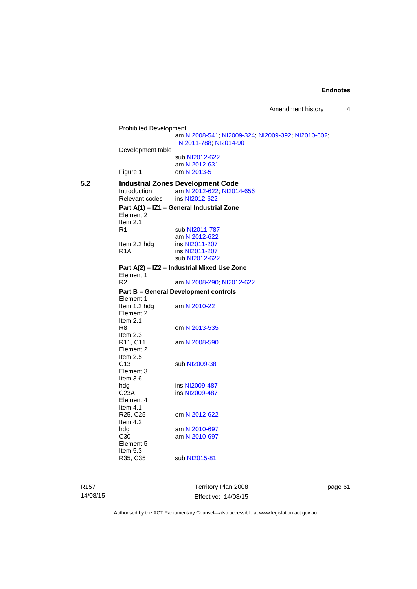Prohibited Development am [NI2008-541](http://www.legislation.act.gov.au/ni/2008-541/); [NI2009-324](http://www.legislation.act.gov.au/ni/2009-324/); [NI2009-392](http://www.legislation.act.gov.au/ni/2009-392/); [NI2010-602](http://www.legislation.act.gov.au/ni/2010-602/); [NI2011-788](http://www.legislation.act.gov.au/ni/2011-788/); [NI2014-90](http://www.legislation.act.gov.au/ni/2014-90/default.asp) Development table sub [NI2012-622](http://www.legislation.act.gov.au/ni/2012-622/default.asp) am [NI2012-631](http://www.legislation.act.gov.au/ni/2012-631/default.asp)<br>Figure 1 com NI2013-5 om [NI2013-5](http://www.legislation.act.gov.au/ni/2013-5/default.asp) **5.2 Industrial Zones Development Code**<br>Introduction **am NI2012-622: NI201** am [NI2012-622](http://www.legislation.act.gov.au/ni/2012-622/default.asp); [NI2014-656](http://www.legislation.act.gov.au/ni/2014-656/default.asp)<br>ins NI2012-622 Relevant codes **Part A(1) – IZ1 – General Industrial Zone**  Element 2 Item 2.1 R1 sub [NI2011-787](http://www.legislation.act.gov.au/ni/2011-787/) am [NI2012-622](http://www.legislation.act.gov.au/ni/2012-622/default.asp)<br>Item 2.2 hdg ins NI2011-207 ins [NI2011-207](http://www.legislation.act.gov.au/ni/2011-207/) R1A ins [NI2011-207](http://www.legislation.act.gov.au/ni/2011-207/) sub [NI2012-622](http://www.legislation.act.gov.au/ni/2012-622/default.asp) **Part A(2) – IZ2 – Industrial Mixed Use Zone**  Element 1 R2 am [NI2008-290](http://www.legislation.act.gov.au/ni/2008-290/); [NI2012-622](http://www.legislation.act.gov.au/ni/2012-622/default.asp) **Part B – General Development controls**  Element 1 Item 1.2 hdg am [NI2010-22](http://www.legislation.act.gov.au/ni/2010-22/) Element 2 Item 2.1 R8 om [NI2013-535](http://www.legislation.act.gov.au/ni/2013-535/) Item 2.3<br>R11, C11 am [NI2008-590](http://www.legislation.act.gov.au/ni/2008-590/default.asp) Element 2 Item  $2.5$ <br>C<sub>13</sub> sub [NI2009-38](http://www.legislation.act.gov.au/ni/2009-38/) Element 3 Item 3.6<br>hdg ins [NI2009-487](http://www.legislation.act.gov.au/ni/2009-487/) C23A ins [NI2009-487](http://www.legislation.act.gov.au/ni/2009-487/) Element 4 Item 4.1<br>R25, C25 om [NI2012-622](http://www.legislation.act.gov.au/ni/2012-622/default.asp) Item 4.2 hdg am [NI2010-697](http://www.legislation.act.gov.au/ni/2010-697/)<br>C30 am NI2010-697 am [NI2010-697](http://www.legislation.act.gov.au/ni/2010-697/) Element 5 Item 5.3<br>R35, C35 sub [NI2015-81](http://www.legislation.act.gov.au/ni/2015-81/default.asp)

R157 14/08/15 Territory Plan 2008 Effective: 14/08/15 page 61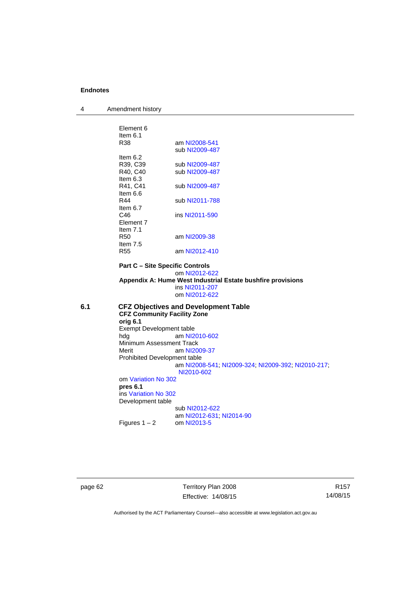| 4   | Amendment history                  |                                                             |
|-----|------------------------------------|-------------------------------------------------------------|
|     |                                    |                                                             |
|     | Element 6                          |                                                             |
|     | Item $6.1$                         |                                                             |
|     | R38                                | am NI2008-541                                               |
|     | Item $6.2$                         | sub NI2009-487                                              |
|     | R39, C39                           | sub NI2009-487                                              |
|     | R40, C40                           | sub NI2009-487                                              |
|     | Item $6.3$                         |                                                             |
|     | R41, C41                           | sub NI2009-487                                              |
|     | Item 6.6                           |                                                             |
|     | R44                                | sub NI2011-788                                              |
|     | Item $6.7$                         |                                                             |
|     | C46                                | ins NI2011-590                                              |
|     | Element 7                          |                                                             |
|     | Item $7.1$                         |                                                             |
|     | <b>R50</b>                         | am NI2009-38                                                |
|     | Item $7.5$                         |                                                             |
|     | <b>R55</b>                         | am NI2012-410                                               |
|     |                                    | <b>Part C - Site Specific Controls</b>                      |
|     |                                    | om NI2012-622                                               |
|     |                                    | Appendix A: Hume West Industrial Estate bushfire provisions |
|     |                                    | ins NI2011-207                                              |
|     |                                    | om NI2012-622                                               |
| 6.1 |                                    | <b>CFZ Objectives and Development Table</b>                 |
|     | <b>CFZ Community Facility Zone</b> |                                                             |
|     | orig 6.1                           |                                                             |
|     | Exempt Development table           | am NI2010-602                                               |
|     | hda<br>Minimum Assessment Track    |                                                             |
|     | Merit                              | am NI2009-37                                                |
|     | Prohibited Development table       |                                                             |
|     |                                    | am NI2008-541, NI2009-324, NI2009-392, NI2010-217,          |
|     |                                    | NI2010-602                                                  |
|     | om Variation No 302                |                                                             |
|     | pres 6.1                           |                                                             |
|     | ins Variation No 302               |                                                             |
|     | Development table                  |                                                             |
|     |                                    | sub NI2012-622                                              |
|     |                                    | am NI2012-631; NI2014-90                                    |
|     | Figures $1 - 2$                    | om NI2013-5                                                 |
|     |                                    |                                                             |
|     |                                    |                                                             |
|     |                                    |                                                             |
|     |                                    |                                                             |

page 62 Territory Plan 2008 Effective: 14/08/15

R157 14/08/15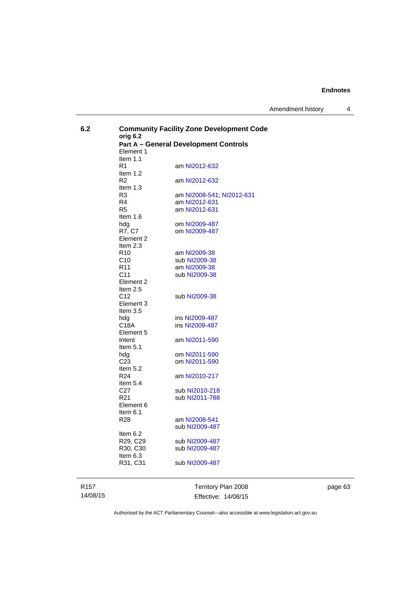Amendment history 4

| 6.2 | orig 6.2<br>Element 1                      | <b>Community Facility Zone Development Code</b><br><b>Part A - General Development Controls</b> |
|-----|--------------------------------------------|-------------------------------------------------------------------------------------------------|
|     | Item $1.1$<br>R <sub>1</sub><br>Item $1.2$ | am NI2012-632                                                                                   |
|     | R <sub>2</sub><br>Item $1.3$               | am NI2012-632                                                                                   |
|     | R3                                         | am NI2008-541, NI2012-631                                                                       |
|     | R4<br>R <sub>5</sub>                       | am NI2012-631<br>am NI2012-631                                                                  |
|     | Item $1.6$<br>hda                          | om NI2009-487                                                                                   |
|     | R7, C7<br>Element 2                        | om NI2009-487                                                                                   |
|     | Item $2.3$<br>R <sub>10</sub>              | am NI2009-38                                                                                    |
|     | C <sub>10</sub><br>R <sub>11</sub>         | sub NI2009-38<br>am NI2009-38                                                                   |
|     | C <sub>11</sub><br>Element 2               | sub NI2009-38                                                                                   |
|     | Item $2.5$<br>C <sub>12</sub>              | sub NI2009-38                                                                                   |
|     | Element 3<br>Item $3.5$                    |                                                                                                 |
|     | hdg<br>C18A                                | ins NI2009-487<br>ins NI2009-487                                                                |
|     | Element 5<br>Intent                        | am NI2011-590                                                                                   |
|     | Item $5.1$<br>hdg                          | om NI2011-590                                                                                   |
|     | C <sub>23</sub><br>Item $5.2$              | om NI2011-590                                                                                   |
|     | R <sub>24</sub><br>Item $5.4$              | am NI2010-217                                                                                   |
|     | C <sub>27</sub><br>R <sub>21</sub>         | sub NI2010-218<br>sub NI2011-788                                                                |
|     | Element 6<br>Item $6.1$                    |                                                                                                 |
|     | R28                                        | am NI2008-541<br>sub NI2009-487                                                                 |
|     | Item $6.2$<br>R29, C29                     | sub NI2009-487                                                                                  |
|     | R30, C30<br>Item $6.3$                     | sub NI2009-487                                                                                  |
|     | R31, C31                                   | sub NI2009-487                                                                                  |
|     |                                            |                                                                                                 |

R157 14/08/15

Territory Plan 2008 Effective: 14/08/15 page 63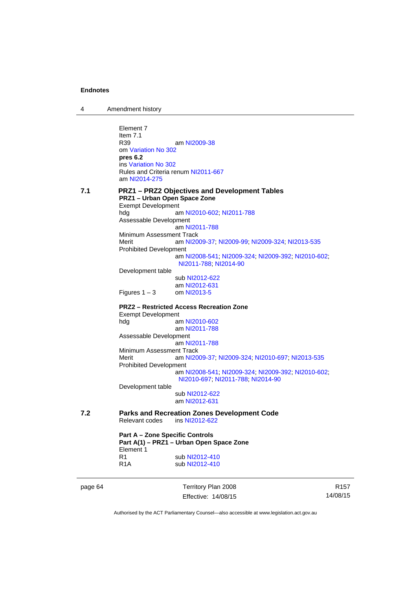4 Amendment history

page 64 Territory Plan 2008 Element 7 Item 7.1 R39 am [NI2009-38](http://www.legislation.act.gov.au/ni/2009-38/) om [Variation No 302](http://www.legislation.act.gov.au/ni/2011-573/) **pres 6.2** ins [Variation No 302](http://www.legislation.act.gov.au/ni/2011-573/) Rules and Criteria renum [NI2011-667](http://www.legislation.act.gov.au/ni/2011-667/) am [NI2014-275](http://www.legislation.act.gov.au/ni/2014-275/default.asp) **7.1 PRZ1 – PRZ2 Objectives and Development Tables PRZ1 – Urban Open Space Zone**  Exempt Development hdg **bluess** am [NI2010-602](http://www.legislation.act.gov.au/ni/2010-602/); [NI2011-788](http://www.legislation.act.gov.au/ni/2011-788/) Assessable Development am [NI2011-788](http://www.legislation.act.gov.au/ni/2011-788/) Minimum Assessment Track Merit am [NI2009-37](http://www.legislation.act.gov.au/ni/2009-37/); [NI2009-99](http://www.legislation.act.gov.au/ni/2009-99/); [NI2009-324](http://www.legislation.act.gov.au/ni/2009-324/); [NI2013-535](http://www.legislation.act.gov.au/ni/2013-535/) Prohibited Development am [NI2008-541](http://www.legislation.act.gov.au/ni/2008-541/); [NI2009-324](http://www.legislation.act.gov.au/ni/2009-324/); [NI2009-392](http://www.legislation.act.gov.au/ni/2009-392/); [NI2010-602](http://www.legislation.act.gov.au/ni/2010-602/); [NI2011-788](http://www.legislation.act.gov.au/ni/2011-788/); [NI2014-90](http://www.legislation.act.gov.au/ni/2014-90/default.asp) Development table sub [NI2012-622](http://www.legislation.act.gov.au/ni/2012-622/default.asp) am [NI2012-631](http://www.legislation.act.gov.au/ni/2012-631/default.asp) Figures  $1 - 3$  om [NI2013-5](http://www.legislation.act.gov.au/ni/2013-5/default.asp) **PRZ2 – Restricted Access Recreation Zone**  Exempt Development hdg am [NI2010-602](http://www.legislation.act.gov.au/ni/2010-602/) am [NI2011-788](http://www.legislation.act.gov.au/ni/2011-788/) Assessable Development am [NI2011-788](http://www.legislation.act.gov.au/ni/2011-788/) Minimum Assessment Track<br>Merit am NI20 am [NI2009-37](http://www.legislation.act.gov.au/ni/2009-37/); [NI2009-324](http://www.legislation.act.gov.au/ni/2009-324/); [NI2010-697](http://www.legislation.act.gov.au/ni/2010-697/); [NI2013-535](http://www.legislation.act.gov.au/ni/2013-535/) Prohibited Development am [NI2008-541](http://www.legislation.act.gov.au/ni/2008-541/); [NI2009-324](http://www.legislation.act.gov.au/ni/2009-324/); [NI2009-392](http://www.legislation.act.gov.au/ni/2009-392/); [NI2010-602](http://www.legislation.act.gov.au/ni/2010-602/); [NI2010-697](http://www.legislation.act.gov.au/ni/2010-697/); [NI2011-788](http://www.legislation.act.gov.au/ni/2011-788/); [NI2014-90](http://www.legislation.act.gov.au/ni/2014-90/default.asp) Development table sub [NI2012-622](http://www.legislation.act.gov.au/ni/2012-622/default.asp) am [NI2012-631](http://www.legislation.act.gov.au/ni/2012-631/default.asp) **7.2 Parks and Recreation Zones Development Code**  Relevant codes **Part A – Zone Specific Controls Part A(1) – PRZ1 – Urban Open Space Zone**  Element 1 R1 sub [NI2012-410](http://www.legislation.act.gov.au/ni/2012-410/)<br>R1A sub NI2012-410 sub [NI2012-410](http://www.legislation.act.gov.au/ni/2012-410/)

Authorised by the ACT Parliamentary Counsel—also accessible at www.legislation.act.gov.au

R157 14/08/15

Effective: 14/08/15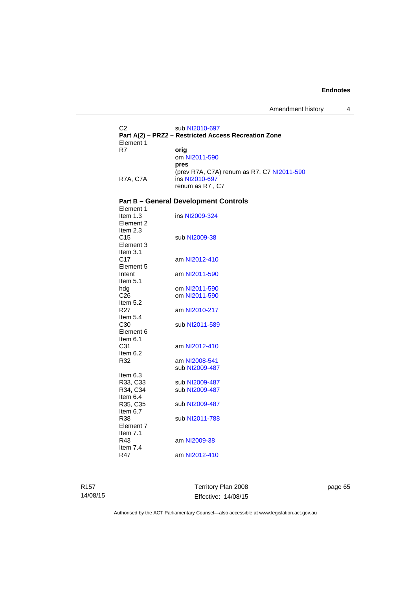Amendment history 4

C2 sub [NI2010-697](http://www.legislation.act.gov.au/ni/2010-697/) **Part A(2) – PRZ2 – Restricted Access Recreation Zone**  Element 1<br>R7 orig om [NI2011-590](http://www.legislation.act.gov.au/ni/2011-590/) **pres** (prev R7A, C7A) renum as R7, C7 [NI2011-590](http://www.legislation.act.gov.au/ni/2011-590/) R7A, C7A ins [NI2010-697](http://www.legislation.act.gov.au/ni/2010-697/) renum as R7 , C7

# **Part B – General Development Controls**

| Element 1       |                |
|-----------------|----------------|
| Item $1.3$      | ins NI2009-324 |
| Element 2       |                |
| Item 2.3        |                |
| C <sub>15</sub> | sub NI2009-38  |
| Element 3       |                |
| Item 3.1        |                |
| C17             | am NI2012-410  |
| Element 5       |                |
| Intent          | am NI2011-590  |
| Item $5.1$      |                |
| hdg             | om NI2011-590  |
| C <sub>26</sub> | om NI2011-590  |
| Item 5.2        |                |
| R <sub>27</sub> | am NI2010-217  |
| Item 5.4        |                |
| C30             | sub NI2011-589 |
| Element 6       |                |
| Item 6.1        |                |
| C31             | am NI2012-410  |
| Item 6.2        |                |
| R32             | am NI2008-541  |
|                 | sub NI2009-487 |
| Item 6.3        |                |
| R33, C33        | sub NI2009-487 |
| R34, C34        | sub NI2009-487 |
|                 |                |
| Item 6.4        |                |
| R35, C35        | sub NI2009-487 |
| Item $6.7$      |                |
| R38             | sub NI2011-788 |
| Element 7       |                |
| Item 7.1        |                |
| R43             | am NI2009-38   |
| Item 7.4<br>R47 | am NI2012-410  |

R157 14/08/15 Territory Plan 2008 Effective: 14/08/15 page 65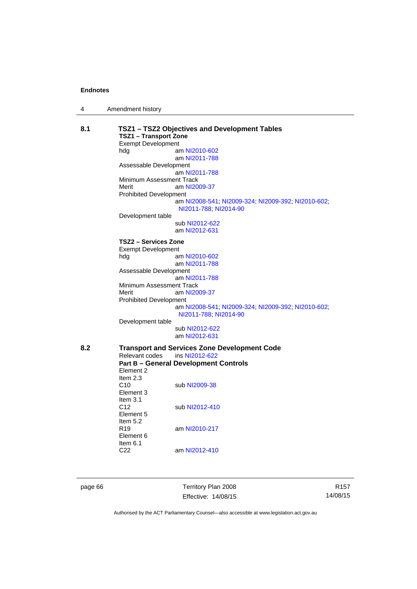|  | Amendment history |
|--|-------------------|
|--|-------------------|

| 8.1<br>TSZ1 - TSZ2 Objectives and Development Tables<br><b>TSZ1 - Transport Zone</b> |                               |                                                                             |  |
|--------------------------------------------------------------------------------------|-------------------------------|-----------------------------------------------------------------------------|--|
|                                                                                      | <b>Exempt Development</b>     |                                                                             |  |
|                                                                                      | hdg                           | am NI2010-602                                                               |  |
|                                                                                      |                               | am NI2011-788                                                               |  |
|                                                                                      | Assessable Development        |                                                                             |  |
|                                                                                      |                               | am NI2011-788                                                               |  |
|                                                                                      | Minimum Assessment Track      |                                                                             |  |
|                                                                                      | Merit                         | am NI2009-37                                                                |  |
|                                                                                      | <b>Prohibited Development</b> |                                                                             |  |
|                                                                                      |                               | am NI2008-541; NI2009-324; NI2009-392; NI2010-602;<br>NI2011-788, NI2014-90 |  |
|                                                                                      | Development table             |                                                                             |  |
|                                                                                      |                               | sub NI2012-622                                                              |  |
|                                                                                      |                               | am NI2012-631                                                               |  |
|                                                                                      |                               |                                                                             |  |
|                                                                                      | TSZ2 - Services Zone          |                                                                             |  |
|                                                                                      | <b>Exempt Development</b>     |                                                                             |  |
|                                                                                      | hdg                           | am NI2010-602                                                               |  |
|                                                                                      |                               | am NI2011-788                                                               |  |
|                                                                                      | Assessable Development        | am NI2011-788                                                               |  |
|                                                                                      | Minimum Assessment Track      |                                                                             |  |
|                                                                                      | Merit                         | am NI2009-37                                                                |  |
|                                                                                      | <b>Prohibited Development</b> |                                                                             |  |
|                                                                                      |                               | am NI2008-541, NI2009-324, NI2009-392, NI2010-602,                          |  |
|                                                                                      |                               | NI2011-788, NI2014-90                                                       |  |
|                                                                                      | Development table             |                                                                             |  |
|                                                                                      |                               | sub NI2012-622                                                              |  |
|                                                                                      |                               | am NI2012-631                                                               |  |
|                                                                                      |                               |                                                                             |  |
| 8.2                                                                                  |                               | <b>Transport and Services Zone Development Code</b>                         |  |
|                                                                                      | Relevant codes                | ins NI2012-622                                                              |  |
|                                                                                      |                               | <b>Part B - General Development Controls</b>                                |  |
|                                                                                      | Element 2                     |                                                                             |  |
|                                                                                      | Item $2.3$                    |                                                                             |  |
|                                                                                      | C10                           | sub NI2009-38                                                               |  |
|                                                                                      | Element 3                     |                                                                             |  |
|                                                                                      | Item $3.1$                    |                                                                             |  |
|                                                                                      | C <sub>12</sub>               | sub NI2012-410                                                              |  |
|                                                                                      | Element 5                     |                                                                             |  |
|                                                                                      | Item 5.2                      |                                                                             |  |
|                                                                                      | R <sub>19</sub>               | am NI2010-217                                                               |  |
|                                                                                      | Element 6                     |                                                                             |  |
|                                                                                      | Item $6.1$                    |                                                                             |  |
|                                                                                      | C <sub>22</sub>               | am NI2012-410                                                               |  |
|                                                                                      |                               |                                                                             |  |
|                                                                                      |                               |                                                                             |  |
|                                                                                      |                               |                                                                             |  |

page 66 Territory Plan 2008 Effective: 14/08/15

R157 14/08/15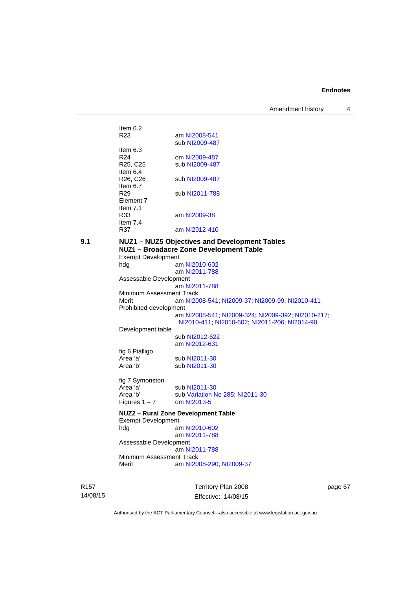Amendment history 4

| NII 174<br><b>ILIZE Ohiantivas and Dava</b> |                |  |
|---------------------------------------------|----------------|--|
| R37                                         | am NI2012-410  |  |
| Item $7.4$                                  |                |  |
| R33                                         | am NI2009-38   |  |
| Item $7.1$                                  |                |  |
| Element 7                                   |                |  |
| Item $6.7$<br>R29                           | sub NI2011-788 |  |
| R <sub>26</sub> , C <sub>26</sub>           | sub NI2009-487 |  |
| Item $6.4$                                  |                |  |
| R <sub>25</sub> , C <sub>25</sub>           | sub NI2009-487 |  |
| ltem 6.3<br>R <sub>24</sub>                 | om NI2009-487  |  |
|                                             | sub NI2009-487 |  |
| Item $6.2$<br>R23                           | am NI2008-541  |  |
|                                             |                |  |

|   | ۰. |
|---|----|
| I |    |

**9.1 NUZ1 – NUZ5 Objectives and Development Tables NUZ1 – Broadacre Zone Development Table**  Exempt Development hdg am [NI2010-602](http://www.legislation.act.gov.au/ni/2010-602/) am [NI2011-788](http://www.legislation.act.gov.au/ni/2011-788/default.asp) Assessable Development am [NI2011-788](http://www.legislation.act.gov.au/ni/2011-788/) Minimum Assessment Track Merit am [NI2008-541](http://www.legislation.act.gov.au/ni/2008-541/); [NI2009-37](http://www.legislation.act.gov.au/ni/2009-37/); [NI2009-99](http://www.legislation.act.gov.au/ni/2009-99/); [NI2010-411](http://www.legislation.act.gov.au/ni/2010-411/) Prohibited development am [NI2008-541](http://www.legislation.act.gov.au/ni/2008-541/); [NI2009-324](http://www.legislation.act.gov.au/ni/2009-324/); [NI2009-392](http://www.legislation.act.gov.au/ni/2009-392/); [NI2010-217](http://www.legislation.act.gov.au/ni/2010-217/); [NI2010-411](http://www.legislation.act.gov.au/ni/2010-411/); [NI2010-602](http://www.legislation.act.gov.au/ni/2010-602/); [NI2011-206](http://www.legislation.act.gov.au/ni/2011-206/); [NI2014-90](http://www.legislation.act.gov.au/ni/2014-90/default.asp) Development table sub [NI2012-622](http://www.legislation.act.gov.au/ni/2012-622/default.asp) am [NI2012-631](http://www.legislation.act.gov.au/ni/2012-631/default.asp) fig 6 Pialligo Area 'a' sub [NI2011-30](http://www.legislation.act.gov.au/ni/2011-30/)<br>Area 'b' sub NI2011-30 sub [NI2011-30](http://www.legislation.act.gov.au/ni/2011-30/) fig 7 Symonston<br>Area 'a' Area 'a' sub [NI2011-30](http://www.legislation.act.gov.au/ni/2011-30/)<br>Area 'b' sub Variation N sub [Variation No 285](http://www.legislation.act.gov.au/ni/2008-123/); [NI2011-30](http://www.legislation.act.gov.au/ni/2011-30/)<br>om NI2013-5 Figures  $1 - 7$ **NUZ2 – Rural Zone Development Table**  Exempt Development hdg am [NI2010-602](http://www.legislation.act.gov.au/ni/2010-602/) am [NI2011-788](http://www.legislation.act.gov.au/ni/2011-788/) Assessable Development am [NI2011-788](http://www.legislation.act.gov.au/ni/2011-788/) Minimum Assessment Track<br>Merit am NI20 am [NI2008-290](http://www.legislation.act.gov.au/ni/2008-290/); [NI2009-37](http://www.legislation.act.gov.au/ni/2009-37/)

R157 14/08/15 Territory Plan 2008 Effective: 14/08/15 page 67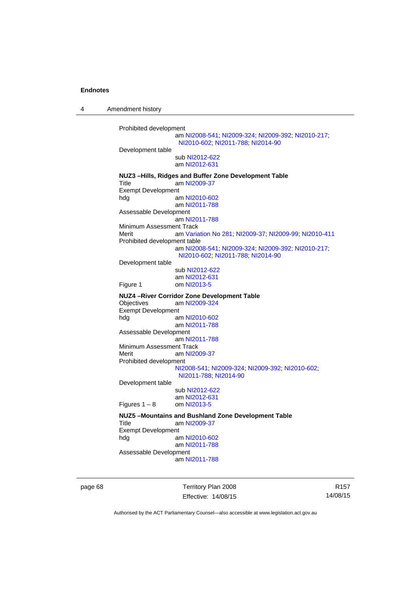4 Amendment history

```
Prohibited development 
                  am NI2008-541; NI2009-324; NI2009-392; NI2010-217; 
                  NI2010-602; NI2011-788; NI2014-90
Development table 
                  sub NI2012-622
                  am NI2012-631
NUZ3 –Hills, Ridges and Buffer Zone Development Table 
Title am NI2009-37
Exempt Development 
hdg am NI2010-602
                  am NI2011-788
Assessable Development
                  am NI2011-788
Minimum Assessment Track 
Merit am Variation No 281; NI2009-37; NI2009-99; NI2010-411
Prohibited development table 
                  am NI2008-541; NI2009-324; NI2009-392; NI2010-217; 
                  NI2010-602; NI2011-788; NI2014-90
Development table 
                  sub NI2012-622
                  am NI2012-631
Figure 1 om NI2013-5
NUZ4 –River Corridor Zone Development Table 
                  NI2009-324
Exempt Development 
hdg am NI2010-602
                  am NI2011-788
Assessable Development
                  am NI2011-788
Minimum Assessment Track 
 NI2009-37
Prohibited development 
                 NI2008-541; NI2009-324; NI2009-392; NI2010-602; 
                  NI2011-788; NI2014-90
Development table 
                  sub NI2012-622
                  NI2012-631<br>om NI2013-5
Figures 1 - 8NUZ5 –Mountains and Bushland Zone Development Table 
Title am NI2009-37
Exempt Development<br>hdg a
                  NI2010-602
                  am NI2011-788
Assessable Development
                  am NI2011-788
```
page 68 Territory Plan 2008 Effective: 14/08/15

R157 14/08/15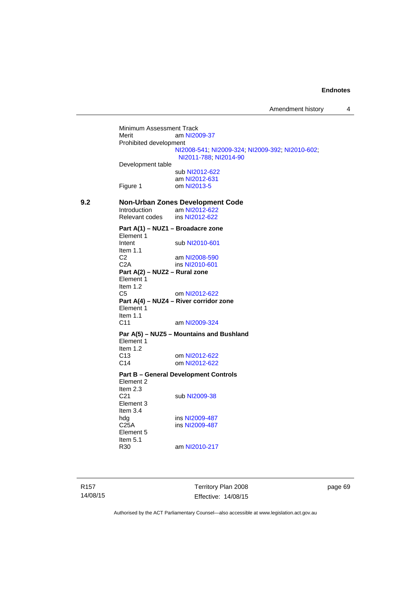Minimum Assessment Track<br>Merit am NI20 am [NI2009-37](http://www.legislation.act.gov.au/ni/2009-37/) Prohibited development [NI2008-541](http://www.legislation.act.gov.au/ni/2008-541/); [NI2009-324](http://www.legislation.act.gov.au/ni/2009-324/); [NI2009-392](http://www.legislation.act.gov.au/ni/2009-392/); [NI2010-602](http://www.legislation.act.gov.au/ni/2010-602/); [NI2011-788](http://www.legislation.act.gov.au/ni/2011-788/); [NI2014-90](http://www.legislation.act.gov.au/ni/2014-90/default.asp) Development table sub [NI2012-622](http://www.legislation.act.gov.au/ni/2012-622/default.asp) am [NI2012-631](http://www.legislation.act.gov.au/ni/2012-631/default.asp) Figure 1 om [NI2013-5](http://www.legislation.act.gov.au/ni/2013-5/default.asp) **9.2 Non-Urban Zones Development Code**  am [NI2012-622](http://www.legislation.act.gov.au/ni/2012-622/default.asp)<br>
Ins NI2012-622 Relevant codes **Part A(1) – NUZ1 – Broadacre zone**  Element 1 Intent sub [NI2010-601](http://www.legislation.act.gov.au/ni/2010-601/) Item  $1.1$ <br>C<sub>2</sub> am [NI2008-590](http://www.legislation.act.gov.au/ni/2008-590/default.asp) C2A ins [NI2010-601](http://www.legislation.act.gov.au/ni/2010-601/) **Part A(2) – NUZ2 – Rural zone**  Element 1 Item 1.2 C5 om [NI2012-622](http://www.legislation.act.gov.au/ni/2012-622/default.asp) **Part A(4) – NUZ4 – River corridor zone**  Element 1 Item 1.1 C11 am [NI2009-324](http://www.legislation.act.gov.au/ni/2009-324/) **Par A(5) – NUZ5 – Mountains and Bushland**  Element 1 Item  $1.2$ <br>C<sub>13</sub> om [NI2012-622](http://www.legislation.act.gov.au/ni/2012-622/default.asp) C14 om [NI2012-622](http://www.legislation.act.gov.au/ni/2012-622/default.asp) **Part B – General Development Controls**  Element 2 Item 2.3<br>C21 sub [NI2009-38](http://www.legislation.act.gov.au/ni/2009-38/) Element 3 Item 3.4 hdg ins [NI2009-487](http://www.legislation.act.gov.au/ni/2009-487/)<br>C25A ins NI2009-487 ins [NI2009-487](http://www.legislation.act.gov.au/ni/2009-487/) Element 5 Item  $5.1$ <br>R30 am [NI2010-217](http://www.legislation.act.gov.au/ni/2010-217/)

Territory Plan 2008 Effective: 14/08/15 page 69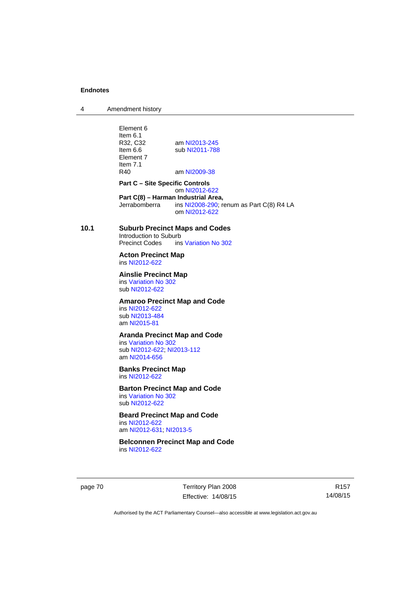4 Amendment history

Element 6 Item 6.1<br>R32. C32 R32, C32 am [NI2013-245](http://www.legislation.act.gov.au/ni/2013-245/default.asp)<br>Item 6.6 sub NI2011-788 sub [NI2011-788](http://www.legislation.act.gov.au/ni/2011-788/) Element 7 Item 7.1<br>R40 am [NI2009-38](http://www.legislation.act.gov.au/ni/2009-38/) **Part C – Site Specific Controls**  om [NI2012-622](http://www.legislation.act.gov.au/ni/2012-622/default.asp) **Part C(8) – Harman Industrial Area,**<br>
Jerrabomberra ins NI2008-290: re ins  $N$ 12008-290; renum as Part C(8) R4 LA om [NI2012-622](http://www.legislation.act.gov.au/ni/2012-622/default.asp) **10.1 Suburb Precinct Maps and Codes**  Introduction to Suburb<br>Precinct Codes ins ins [Variation No 302](http://www.legislation.act.gov.au/ni/2011-573/) **Acton Precinct Map**  ins [NI2012-622](http://www.legislation.act.gov.au/ni/2012-622/default.asp) **Ainslie Precinct Map**  ins [Variation No 302](http://www.legislation.act.gov.au/ni/2011-573/) sub [NI2012-622](http://www.legislation.act.gov.au/ni/2012-622/default.asp) **Amaroo Precinct Map and Code**  ins [NI2012-622](http://www.legislation.act.gov.au/ni/2012-622/default.asp) sub [NI2013-484](http://www.legislation.act.gov.au/ni/2013-484/default.asp) am [NI2015-81](http://www.legislation.act.gov.au/ni/2015-81/default.asp) **Aranda Precinct Map and Code**  ins [Variation No 302](http://www.legislation.act.gov.au/ni/2011-573/) sub [NI2012-622](http://www.legislation.act.gov.au/ni/2012-622/default.asp); [NI2013-112](http://www.legislation.act.gov.au/ni/2013-112/default.asp) am [NI2014-656](http://www.legislation.act.gov.au/ni/2014-656/default.asp) **Banks Precinct Map**  ins [NI2012-622](http://www.legislation.act.gov.au/ni/2012-622/default.asp) **Barton Precinct Map and Code**  ins [Variation No 302](http://www.legislation.act.gov.au/ni/2011-573/) sub [NI2012-622](http://www.legislation.act.gov.au/ni/2012-622/default.asp) **Beard Precinct Map and Code**  ins [NI2012-622](http://www.legislation.act.gov.au/ni/2012-622/default.asp) am [NI2012-631](http://www.legislation.act.gov.au/ni/2012-631/default.asp); [NI2013-5](http://www.legislation.act.gov.au/ni/2013-5/default.asp) **Belconnen Precinct Map and Code**  ins [NI2012-622](http://www.legislation.act.gov.au/ni/2012-622/default.asp)

page 70 Territory Plan 2008 Effective: 14/08/15

R157 14/08/15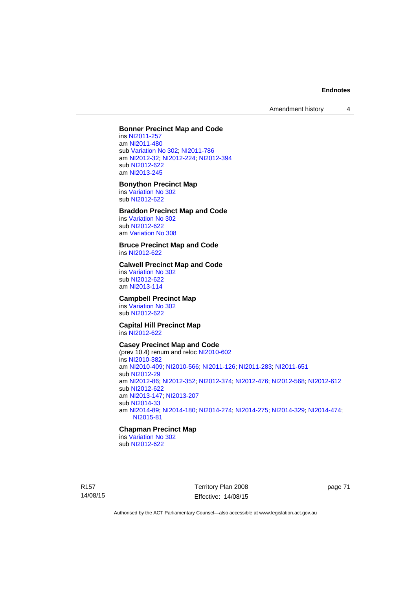Amendment history 4

#### **Bonner Precinct Map and Code**

ins [NI2011-257](http://www.legislation.act.gov.au/ni/2011-257/) am [NI2011-480](http://www.legislation.act.gov.au/ni/2011-480/) sub [Variation No 302](http://www.legislation.act.gov.au/ni/2011-573/); [NI2011-786](http://www.legislation.act.gov.au/ni/2011-786/) am [NI2012-32](http://www.legislation.act.gov.au/ni/2012-32/); [NI2012-224](http://www.legislation.act.gov.au/ni/2012-224/); [NI2012-394](http://www.legislation.act.gov.au/ni/2012-394/) sub [NI2012-622](http://www.legislation.act.gov.au/ni/2012-622/default.asp) am [NI2013-245](http://www.legislation.act.gov.au/ni/2013-245/default.asp)

#### **Bonython Precinct Map**

ins [Variation No 302](http://www.legislation.act.gov.au/ni/2011-573/) sub [NI2012-622](http://www.legislation.act.gov.au/ni/2012-622/default.asp)

### **Braddon Precinct Map and Code**

ins [Variation No 302](http://www.legislation.act.gov.au/ni/2011-573/) sub [NI2012-622](http://www.legislation.act.gov.au/ni/2012-622/default.asp) am [Variation No 308](http://www.legislation.act.gov.au/ni/2014-60/default.asp)

#### **Bruce Precinct Map and Code**  ins [NI2012-622](http://www.legislation.act.gov.au/ni/2012-622/default.asp)

#### **Calwell Precinct Map and Code**

ins [Variation No 302](http://www.legislation.act.gov.au/ni/2011-573/) sub [NI2012-622](http://www.legislation.act.gov.au/ni/2012-622/default.asp) am [NI2013-114](http://www.legislation.act.gov.au/ni/2013-114/default.asp)

#### **Campbell Precinct Map**

ins [Variation No 302](http://www.legislation.act.gov.au/ni/2011-573/) sub [NI2012-622](http://www.legislation.act.gov.au/ni/2012-622/default.asp)

#### **Capital Hill Precinct Map**  ins [NI2012-622](http://www.legislation.act.gov.au/ni/2012-622/default.asp)

#### **Casey Precinct Map and Code**

(prev 10.4) renum and reloc [NI2010-602](http://www.legislation.act.gov.au/ni/2010-602/) ins [NI2010-382](http://www.legislation.act.gov.au/ni/2010-382/) am [NI2010-409](http://www.legislation.act.gov.au/ni/2010-409/); [NI2010-566](http://www.legislation.act.gov.au/ni/2010-566/); [NI2011-126](http://www.legislation.act.gov.au/ni/2011-126/); [NI2011-283](http://www.legislation.act.gov.au/ni/2011-283/); [NI2011-651](http://www.legislation.act.gov.au/ni/2011-651/) sub [NI2012-29](http://www.legislation.act.gov.au/ni/2012-29/) am [NI2012-86](http://www.legislation.act.gov.au/ni/2012-86/); [NI2012-352](http://www.legislation.act.gov.au/ni/2012-352/); [NI2012-374](http://www.legislation.act.gov.au/ni/2012-374/); [NI2012-476](http://www.legislation.act.gov.au/ni/2012-476/); [NI2012-568](http://www.legislation.act.gov.au/ni/2012-568/default.asp); [NI2012-612](http://www.legislation.act.gov.au/ni/2012-612/default.asp) sub [NI2012-622](http://www.legislation.act.gov.au/ni/2012-622/default.asp) am [NI2013-147](http://www.legislation.act.gov.au/ni/2013-147/default.asp); [NI2013-207](http://www.legislation.act.gov.au/ni/2013-207/default.asp) sub [NI2014-33](http://www.legislation.act.gov.au/ni/2014-33/default.asp) am [NI2014-89](http://www.legislation.act.gov.au/ni/2014-89/default.asp); [NI2014-180](http://www.legislation.act.gov.au/ni/2014-180/default.asp); [NI2014-274](http://www.legislation.act.gov.au/ni/2014-274/default.asp); [NI2014-275](http://www.legislation.act.gov.au/ni/2014-275/default.asp); [NI2014-329](http://www.legislation.act.gov.au/ni/2014-329/default.asp); [NI2014-474](http://www.legislation.act.gov.au/ni/2014-474/default.asp); [NI2015-81](http://www.legislation.act.gov.au/ni/2015-81/default.asp)

#### **Chapman Precinct Map**

ins [Variation No 302](http://www.legislation.act.gov.au/ni/2011-573/) sub [NI2012-622](http://www.legislation.act.gov.au/ni/2012-622/default.asp)

R157 14/08/15 Territory Plan 2008 Effective: 14/08/15 page 71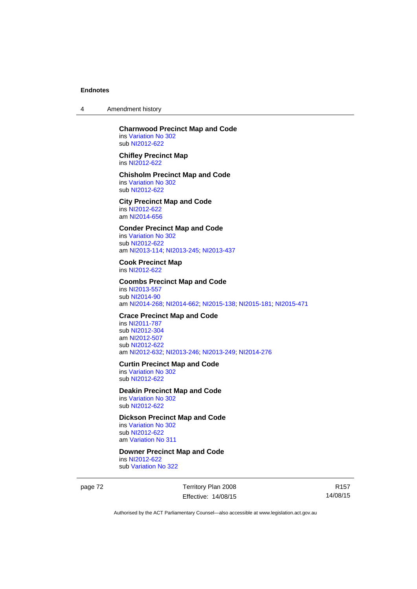4 Amendment history

#### **Charnwood Precinct Map and Code**  ins [Variation No 302](http://www.legislation.act.gov.au/ni/2011-573/) sub [NI2012-622](http://www.legislation.act.gov.au/ni/2012-622/default.asp)

**Chifley Precinct Map**  ins [NI2012-622](http://www.legislation.act.gov.au/ni/2012-622/default.asp)

#### **Chisholm Precinct Map and Code**  ins [Variation No 302](http://www.legislation.act.gov.au/ni/2011-573/) sub [NI2012-622](http://www.legislation.act.gov.au/ni/2012-622/default.asp)

**City Precinct Map and Code**  ins [NI2012-622](http://www.legislation.act.gov.au/ni/2012-622/default.asp) am [NI2014-656](http://www.legislation.act.gov.au/ni/2014-656/default.asp)

#### **Conder Precinct Map and Code**  ins [Variation No 302](http://www.legislation.act.gov.au/ni/2011-573/) sub [NI2012-622](http://www.legislation.act.gov.au/ni/2012-622/default.asp)

am [NI2013-114](http://www.legislation.act.gov.au/ni/2013-114/default.asp); [NI2013-245](http://www.legislation.act.gov.au/ni/2013-245/default.asp); [NI2013-437](http://www.legislation.act.gov.au/ni/2013-437/default.asp)

#### **Cook Precinct Map**  ins [NI2012-622](http://www.legislation.act.gov.au/ni/2012-622/default.asp)

### **Coombs Precinct Map and Code**  ins [NI2013-557](http://www.legislation.act.gov.au/ni/2013-557/default.asp) sub [NI2014-90](http://www.legislation.act.gov.au/ni/2014-90/default.asp)

am [NI2014-268](http://www.legislation.act.gov.au/ni/2014-268/default.asp); [NI2014-662](http://www.legislation.act.gov.au/ni/2014-662/default.asp); [NI2015-138](http://www.legislation.act.gov.au/ni/2015-138/default.asp); [NI2015-181](http://www.legislation.act.gov.au/ni/2015-181/default.asp); [NI2015-471](http://www.legislation.act.gov.au/ni/2015-471/default.asp)

### **Crace Precinct Map and Code**

ins [NI2011-787](http://www.legislation.act.gov.au/ni/2011-787/) sub [NI2012-304](http://www.legislation.act.gov.au/ni/2012-304/) am [NI2012-507](http://www.legislation.act.gov.au/ni/2012-507/) sub [NI2012-622](http://www.legislation.act.gov.au/ni/2012-622/default.asp) am [NI2012-632](http://www.legislation.act.gov.au/ni/2012-632/default.asp); [NI2013-246](http://www.legislation.act.gov.au/ni/2013-246/default.asp); [NI2013-249](http://www.legislation.act.gov.au/ni/2013-248/default.asp); [NI2014-276](http://www.legislation.act.gov.au/ni/2014-276/default.asp)

#### **Curtin Precinct Map and Code**

ins [Variation No 302](http://www.legislation.act.gov.au/ni/2011-573/) sub [NI2012-622](http://www.legislation.act.gov.au/ni/2012-622/default.asp)

#### **Deakin Precinct Map and Code**

ins [Variation No 302](http://www.legislation.act.gov.au/ni/2011-573/) sub [NI2012-622](http://www.legislation.act.gov.au/ni/2012-622/default.asp)

### **Dickson Precinct Map and Code**

ins [Variation No 302](http://www.legislation.act.gov.au/ni/2011-573/) sub [NI2012-622](http://www.legislation.act.gov.au/ni/2012-622/default.asp) am [Variation No 311](http://www.legislation.act.gov.au/ni/2013-208/default.asp)

### **Downer Precinct Map and Code**

ins [NI2012-622](http://www.legislation.act.gov.au/ni/2012-622/default.asp) sub [Variation No 322](http://www.legislation.act.gov.au/ni/2015-185/default.asp)

page 72 Territory Plan 2008 Effective: 14/08/15

R157 14/08/15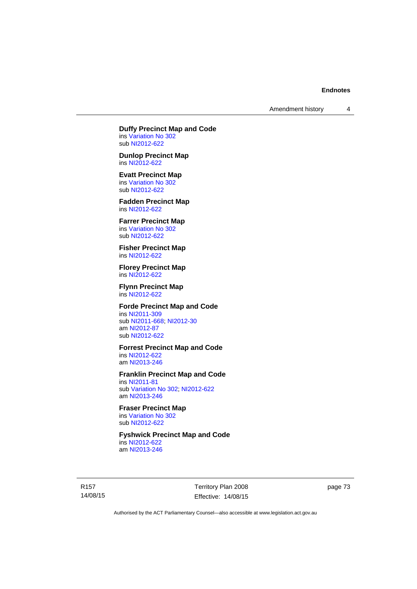Amendment history 4

**Duffy Precinct Map and Code**  ins [Variation No 302](http://www.legislation.act.gov.au/ni/2011-573/)

sub [NI2012-622](http://www.legislation.act.gov.au/ni/2012-622/default.asp) **Dunlop Precinct Map** 

ins [NI2012-622](http://www.legislation.act.gov.au/ni/2012-622/default.asp)

**Evatt Precinct Map**  ins [Variation No 302](http://www.legislation.act.gov.au/ni/2011-573/) sub [NI2012-622](http://www.legislation.act.gov.au/ni/2012-622/default.asp)

**Fadden Precinct Map**  ins [NI2012-622](http://www.legislation.act.gov.au/ni/2012-622/default.asp)

**Farrer Precinct Map**  ins [Variation No 302](http://www.legislation.act.gov.au/ni/2011-573/) sub [NI2012-622](http://www.legislation.act.gov.au/ni/2012-622/default.asp)

**Fisher Precinct Map**  ins [NI2012-622](http://www.legislation.act.gov.au/ni/2012-622/default.asp)

**Florey Precinct Map**  ins [NI2012-622](http://www.legislation.act.gov.au/ni/2012-622/default.asp)

**Flynn Precinct Map**  ins [NI2012-622](http://www.legislation.act.gov.au/ni/2012-622/default.asp)

**Forde Precinct Map and Code** 

ins [NI2011-309](http://www.legislation.act.gov.au/ni/2011-309/) sub [NI2011-668](http://www.legislation.act.gov.au/ni/2011-668/); [NI2012-30](http://www.legislation.act.gov.au/ni/2012-30/) am [NI2012-87](http://www.legislation.act.gov.au/ni/2012-87/) sub [NI2012-622](http://www.legislation.act.gov.au/ni/2012-622/default.asp)

**Forrest Precinct Map and Code** 

ins [NI2012-622](http://www.legislation.act.gov.au/ni/2012-622/default.asp) am [NI2013-246](http://www.legislation.act.gov.au/ni/2013-246/default.asp)

**Franklin Precinct Map and Code** 

ins [NI2011-81](http://www.legislation.act.gov.au/ni/2011-81/) sub [Variation No 302](http://www.legislation.act.gov.au/ni/2011-573/); [NI2012-622](http://www.legislation.act.gov.au/ni/2012-622/default.asp) am [NI2013-246](http://www.legislation.act.gov.au/ni/2013-246/default.asp)

**Fraser Precinct Map**  ins [Variation No 302](http://www.legislation.act.gov.au/ni/2011-573/)

sub [NI2012-622](http://www.legislation.act.gov.au/ni/2012-622/default.asp)

**Fyshwick Precinct Map and Code** 

ins [NI2012-622](http://www.legislation.act.gov.au/ni/2012-622/default.asp) am [NI2013-246](http://www.legislation.act.gov.au/ni/2013-246/default.asp)

R157 14/08/15 Territory Plan 2008 Effective: 14/08/15 page 73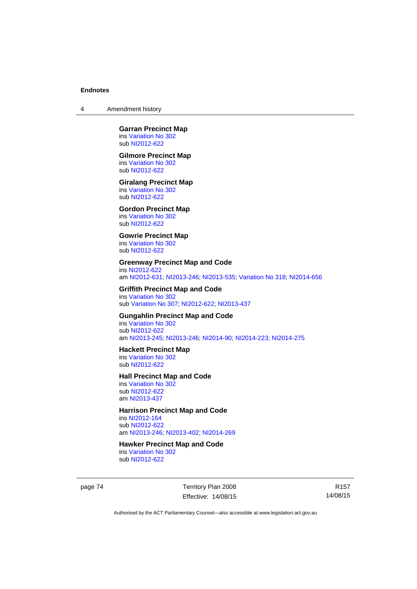4 Amendment history

#### **Garran Precinct Map**  ins [Variation No 302](http://www.legislation.act.gov.au/ni/2011-573/) sub [NI2012-622](http://www.legislation.act.gov.au/ni/2012-622/default.asp)

#### **Gilmore Precinct Map**

ins [Variation No 302](http://www.legislation.act.gov.au/ni/2011-573/) sub [NI2012-622](http://www.legislation.act.gov.au/ni/2012-622/default.asp)

#### **Giralang Precinct Map**

ins [Variation No 302](http://www.legislation.act.gov.au/ni/2011-573/) sub [NI2012-622](http://www.legislation.act.gov.au/ni/2012-622/default.asp)

## **Gordon Precinct Map**

ins [Variation No 302](http://www.legislation.act.gov.au/ni/2011-573/) sub [NI2012-622](http://www.legislation.act.gov.au/ni/2012-622/default.asp)

## **Gowrie Precinct Map**

ins [Variation No 302](http://www.legislation.act.gov.au/ni/2011-573/) sub [NI2012-622](http://www.legislation.act.gov.au/ni/2012-622/default.asp)

#### **Greenway Precinct Map and Code**

ins [NI2012-622](http://www.legislation.act.gov.au/ni/2012-622/default.asp) am [NI2012-631](http://www.legislation.act.gov.au/ni/2012-631/default.asp); [NI2013-246](http://www.legislation.act.gov.au/ni/2013-246/default.asp); [NI2013-535](http://www.legislation.act.gov.au/ni/2013-535/); [Variation No 318](http://www.legislation.act.gov.au/ni/2014-294/default.asp); [NI2014-656](http://www.legislation.act.gov.au/ni/2014-656/default.asp)

#### **Griffith Precinct Map and Code**  ins [Variation No 302](http://www.legislation.act.gov.au/ni/2011-573/)

sub [Variation No 307](http://www.legislation.act.gov.au/ni/2012-201/); [NI2012-622](http://www.legislation.act.gov.au/ni/2012-622/default.asp); [NI2013-437](http://www.legislation.act.gov.au/ni/2013-437/default.asp)

#### **Gungahlin Precinct Map and Code**

ins [Variation No 302](http://www.legislation.act.gov.au/ni/2011-573/) sub [NI2012-622](http://www.legislation.act.gov.au/ni/2012-622/default.asp) am [NI2013-245](http://www.legislation.act.gov.au/ni/2013-245/default.asp); [NI2013-246](http://www.legislation.act.gov.au/ni/2013-246/default.asp); [NI2014-90](http://www.legislation.act.gov.au/ni/2014-90/default.asp); [NI2014-223](http://www.legislation.act.gov.au/ni/2014-223/default.asp); [NI2014-275](http://www.legislation.act.gov.au/ni/2014-275/default.asp)

#### **Hackett Precinct Map**

ins [Variation No 302](http://www.legislation.act.gov.au/ni/2011-573/) sub [NI2012-622](http://www.legislation.act.gov.au/ni/2012-622/default.asp)

#### **Hall Precinct Map and Code**

ins [Variation No 302](http://www.legislation.act.gov.au/ni/2011-573/) sub [NI2012-622](http://www.legislation.act.gov.au/ni/2012-622/default.asp) am [NI2013-437](http://www.legislation.act.gov.au/ni/2013-437/default.asp)

## **Harrison Precinct Map and Code**

ins [NI2012-164](http://www.legislation.act.gov.au/ni/2012-164/) sub [NI2012-622](http://www.legislation.act.gov.au/ni/2012-622/default.asp) am [NI2013-246](http://www.legislation.act.gov.au/ni/2013-246/default.asp); [NI2013-402](http://www.legislation.act.gov.au/ni/2013-402/default.asp); [NI2014-269](http://www.legislation.act.gov.au/ni/2014-269/default.asp)

## **Hawker Precinct Map and Code**

ins [Variation No 302](http://www.legislation.act.gov.au/ni/2011-573/) sub [NI2012-622](http://www.legislation.act.gov.au/ni/2012-622/default.asp)

page 74 Territory Plan 2008 Effective: 14/08/15

R157 14/08/15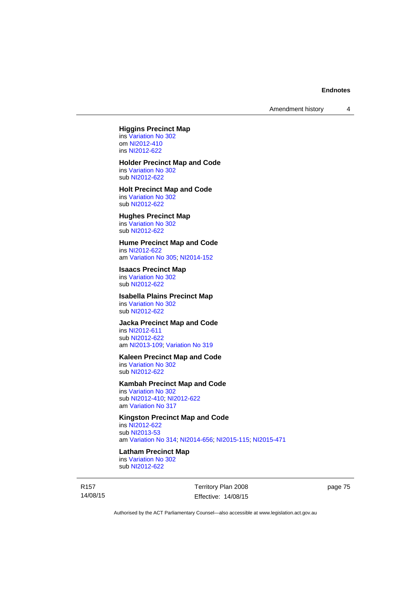Amendment history 4

#### **Higgins Precinct Map**

ins [Variation No 302](http://www.legislation.act.gov.au/ni/2011-573/) om [NI2012-410](http://www.legislation.act.gov.au/ni/2012-410/) ins [NI2012-622](http://www.legislation.act.gov.au/ni/2012-622/default.asp)

# **Holder Precinct Map and Code**

ins [Variation No 302](http://www.legislation.act.gov.au/ni/2011-573/) sub [NI2012-622](http://www.legislation.act.gov.au/ni/2012-622/default.asp)

## **Holt Precinct Map and Code**  ins [Variation No 302](http://www.legislation.act.gov.au/ni/2011-573/)

sub [NI2012-622](http://www.legislation.act.gov.au/ni/2012-622/default.asp)

# **Hughes Precinct Map**

ins [Variation No 302](http://www.legislation.act.gov.au/ni/2011-573/) sub [NI2012-622](http://www.legislation.act.gov.au/ni/2012-622/default.asp)

#### **Hume Precinct Map and Code**

ins [NI2012-622](http://www.legislation.act.gov.au/ni/2012-622/default.asp) am [Variation No 305](http://www.legislation.act.gov.au/ni/2013-530/default.asp); [NI2014-152](http://www.legislation.act.gov.au/ni/2014-152/default.asp)

## **Isaacs Precinct Map**

ins [Variation No 302](http://www.legislation.act.gov.au/ni/2011-573/) sub [NI2012-622](http://www.legislation.act.gov.au/ni/2012-622/default.asp)

## **Isabella Plains Precinct Map**

ins [Variation No 302](http://www.legislation.act.gov.au/ni/2011-573/) sub [NI2012-622](http://www.legislation.act.gov.au/ni/2012-622/default.asp)

#### **Jacka Precinct Map and Code**

ins [NI2012-611](http://www.legislation.act.gov.au/ni/2012-611/default.asp) sub [NI2012-622](http://www.legislation.act.gov.au/ni/2012-622/default.asp) am [NI2013-109](http://www.legislation.act.gov.au/ni/2013-109/default.asp); [Variation No 319](http://www.legislation.act.gov.au/ni/2014-501/default.asp)

## **Kaleen Precinct Map and Code**

ins [Variation No 302](http://www.legislation.act.gov.au/ni/2011-573/) sub [NI2012-622](http://www.legislation.act.gov.au/ni/2012-622/default.asp)

## **Kambah Precinct Map and Code**

ins [Variation No 302](http://www.legislation.act.gov.au/ni/2011-573/) sub [NI2012-410](http://www.legislation.act.gov.au/ni/2012-410/); [NI2012-622](http://www.legislation.act.gov.au/ni/2012-622/default.asp) am [Variation No 317](http://www.legislation.act.gov.au/ni/2014-137/default.asp)

## **Kingston Precinct Map and Code**

ins [NI2012-622](http://www.legislation.act.gov.au/ni/2012-622/default.asp) sub [NI2013-53](http://www.legislation.act.gov.au/ni/2013-53/default.asp) am [Variation No 314](http://www.legislation.act.gov.au/ni/2014-187/default.asp); [NI2014-656](http://www.legislation.act.gov.au/ni/2014-656/default.asp); [NI2015-115](http://www.legislation.act.gov.au/ni/2015-115/default.asp); [NI2015-471](http://www.legislation.act.gov.au/ni/2015-471/default.asp)

## **Latham Precinct Map**

ins [Variation No 302](http://www.legislation.act.gov.au/ni/2011-573/) sub [NI2012-622](http://www.legislation.act.gov.au/ni/2012-622/default.asp)

R157 14/08/15 Territory Plan 2008 Effective: 14/08/15 page 75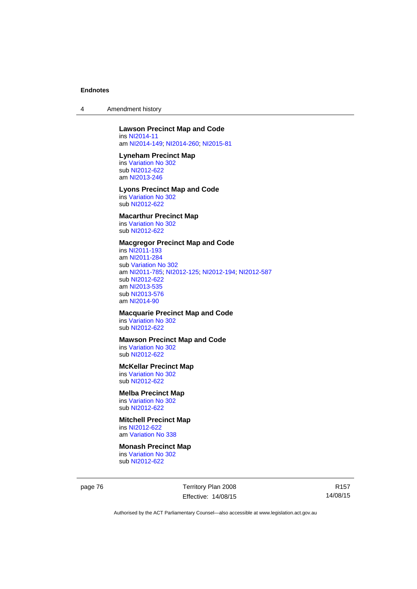4 Amendment history

## **Lawson Precinct Map and Code**

ins [NI2014-11](http://www.legislation.act.gov.au/ni/2014-11/default.asp) am [NI2014-149](http://www.legislation.act.gov.au/ni/2014-149/default.asp); [NI2014-260](http://www.legislation.act.gov.au/ni/2014-260/default.asp); [NI2015-81](http://www.legislation.act.gov.au/ni/2015-81/default.asp)

#### **Lyneham Precinct Map**

ins [Variation No 302](http://www.legislation.act.gov.au/ni/2011-573/) sub [NI2012-622](http://www.legislation.act.gov.au/ni/2012-622/default.asp) am [NI2013-246](http://www.legislation.act.gov.au/ni/2013-246/default.asp)

#### **Lyons Precinct Map and Code**  ins [Variation No 302](http://www.legislation.act.gov.au/ni/2011-573/)

sub [NI2012-622](http://www.legislation.act.gov.au/ni/2012-622/default.asp)

## **Macarthur Precinct Map**

ins [Variation No 302](http://www.legislation.act.gov.au/ni/2011-573/) sub [NI2012-622](http://www.legislation.act.gov.au/ni/2012-622/default.asp)

## **Macgregor Precinct Map and Code**

ins [NI2011-193](http://www.legislation.act.gov.au/ni/2011-193/) am [NI2011-284](http://www.legislation.act.gov.au/ni/2011-284/) sub [Variation No 302](http://www.legislation.act.gov.au/ni/2011-573/) am [NI2011-785](http://www.legislation.act.gov.au/ni/2011-785/); [NI2012-125](http://www.legislation.act.gov.au/ni/2012-125/); [NI2012-194](http://www.legislation.act.gov.au/ni/2012-194/); [NI2012-587](http://www.legislation.act.gov.au/ni/2012-587/default.asp) sub [NI2012-622](http://www.legislation.act.gov.au/ni/2012-622/default.asp) am [NI2013-535](http://www.legislation.act.gov.au/ni/2013-535/) sub [NI2013-576](http://www.legislation.act.gov.au/ni/2013-576/default.asp) am [NI2014-90](http://www.legislation.act.gov.au/ni/2014-90/default.asp)

## **Macquarie Precinct Map and Code**

ins [Variation No 302](http://www.legislation.act.gov.au/ni/2011-573/) sub [NI2012-622](http://www.legislation.act.gov.au/ni/2012-622/default.asp)

## **Mawson Precinct Map and Code**

ins [Variation No 302](http://www.legislation.act.gov.au/ni/2011-573/) sub [NI2012-622](http://www.legislation.act.gov.au/ni/2012-622/default.asp)

## **McKellar Precinct Map**

ins [Variation No 302](http://www.legislation.act.gov.au/ni/2011-573/) sub [NI2012-622](http://www.legislation.act.gov.au/ni/2012-622/default.asp)

# **Melba Precinct Map**

ins [Variation No 302](http://www.legislation.act.gov.au/ni/2011-573/) sub [NI2012-622](http://www.legislation.act.gov.au/ni/2012-622/default.asp)

#### **Mitchell Precinct Map**  ins [NI2012-622](http://www.legislation.act.gov.au/ni/2012-622/default.asp)

am [Variation No 338](http://www.legislation.act.gov.au/ni/2015-101/default.asp)

#### **Monash Precinct Map**

ins [Variation No 302](http://www.legislation.act.gov.au/ni/2011-573/) sub [NI2012-622](http://www.legislation.act.gov.au/ni/2012-622/default.asp)

page 76 Territory Plan 2008 Effective: 14/08/15

R157 14/08/15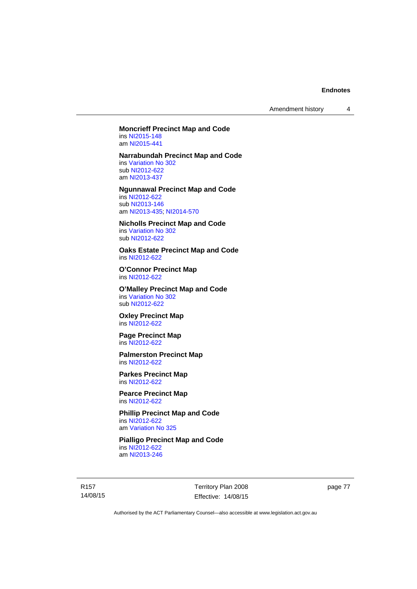Amendment history 4

#### **Moncrieff Precinct Map and Code**  ins [NI2015-148](http://www.legislation.act.gov.au/ni/2015-148/default.asp)

am [NI2015-441](http://www.legislation.act.gov.au/ni/2015-441/default.asp)

#### **Narrabundah Precinct Map and Code**

ins [Variation No 302](http://www.legislation.act.gov.au/ni/2011-573/) sub [NI2012-622](http://www.legislation.act.gov.au/ni/2012-622/default.asp) am [NI2013-437](http://www.legislation.act.gov.au/ni/2013-437/default.asp)

## **Ngunnawal Precinct Map and Code**

ins [NI2012-622](http://www.legislation.act.gov.au/ni/2012-622/default.asp) sub [NI2013-146](http://www.legislation.act.gov.au/ni/2013-146/default.asp) am [NI2013-435](http://www.legislation.act.gov.au/ni/2013-435/default.asp); [NI2014-570](http://www.legislation.act.gov.au/ni/2014-570/default.asp)

# **Nicholls Precinct Map and Code**

ins [Variation No 302](http://www.legislation.act.gov.au/ni/2011-573/) sub [NI2012-622](http://www.legislation.act.gov.au/ni/2012-622/default.asp)

#### **Oaks Estate Precinct Map and Code**  ins [NI2012-622](http://www.legislation.act.gov.au/ni/2012-622/default.asp)

**O'Connor Precinct Map**  ins [NI2012-622](http://www.legislation.act.gov.au/ni/2012-622/default.asp)

**O'Malley Precinct Map and Code**  ins [Variation No 302](http://www.legislation.act.gov.au/ni/2011-573/) sub [NI2012-622](http://www.legislation.act.gov.au/ni/2012-622/default.asp)

**Oxley Precinct Map**  ins [NI2012-622](http://www.legislation.act.gov.au/ni/2012-622/default.asp)

#### **Page Precinct Map**  ins [NI2012-622](http://www.legislation.act.gov.au/ni/2012-622/default.asp)

**Palmerston Precinct Map**  ins [NI2012-622](http://www.legislation.act.gov.au/ni/2012-622/default.asp)

**Parkes Precinct Map**  ins [NI2012-622](http://www.legislation.act.gov.au/ni/2012-622/default.asp)

#### **Pearce Precinct Map**  ins [NI2012-622](http://www.legislation.act.gov.au/ni/2012-622/default.asp)

**Phillip Precinct Map and Code**  ins [NI2012-622](http://www.legislation.act.gov.au/ni/2012-622/default.asp)

am [Variation No 325](http://www.legislation.act.gov.au/ni/2014-427/default.asp)

#### **Pialligo Precinct Map and Code**  ins [NI2012-622](http://www.legislation.act.gov.au/ni/2012-622/default.asp) am [NI2013-246](http://www.legislation.act.gov.au/ni/2013-246/default.asp)

R157 14/08/15

Territory Plan 2008 Effective: 14/08/15 page 77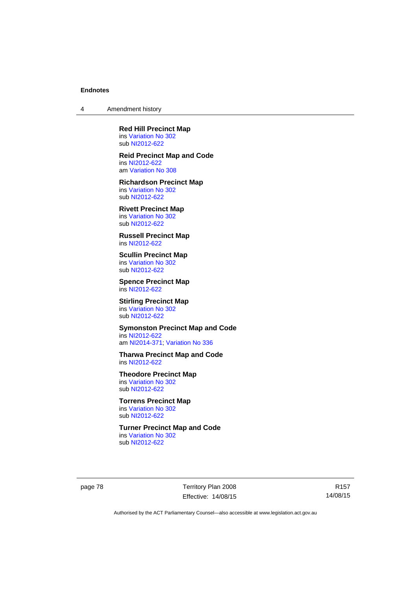4 Amendment history

**Red Hill Precinct Map**  ins [Variation No 302](http://www.legislation.act.gov.au/ni/2011-573/) sub [NI2012-622](http://www.legislation.act.gov.au/ni/2012-622/default.asp)

**Reid Precinct Map and Code**  ins [NI2012-622](http://www.legislation.act.gov.au/ni/2012-622/default.asp) am [Variation No 308](http://www.legislation.act.gov.au/ni/2014-60/default.asp)

**Richardson Precinct Map**  ins [Variation No 302](http://www.legislation.act.gov.au/ni/2011-573/) sub [NI2012-622](http://www.legislation.act.gov.au/ni/2012-622/default.asp)

**Rivett Precinct Map**  ins [Variation No 302](http://www.legislation.act.gov.au/ni/2011-573/) sub [NI2012-622](http://www.legislation.act.gov.au/ni/2012-622/default.asp)

**Russell Precinct Map**  ins [NI2012-622](http://www.legislation.act.gov.au/ni/2012-622/default.asp)

**Scullin Precinct Map**  ins [Variation No 302](http://www.legislation.act.gov.au/ni/2011-573/) sub [NI2012-622](http://www.legislation.act.gov.au/ni/2012-622/default.asp)

**Spence Precinct Map**  ins [NI2012-622](http://www.legislation.act.gov.au/ni/2012-622/default.asp)

**Stirling Precinct Map**  ins [Variation No 302](http://www.legislation.act.gov.au/ni/2011-573/) sub [NI2012-622](http://www.legislation.act.gov.au/ni/2012-622/default.asp)

**Symonston Precinct Map and Code**  ins [NI2012-622](http://www.legislation.act.gov.au/ni/2012-622/default.asp) am [NI2014-371](http://www.legislation.act.gov.au/ni/2014-371/default.asp); [Variation No 336](http://www.legislation.act.gov.au/ni/2015-100/default.asp)

**Tharwa Precinct Map and Code**  ins [NI2012-622](http://www.legislation.act.gov.au/ni/2012-622/default.asp)

**Theodore Precinct Map**  ins [Variation No 302](http://www.legislation.act.gov.au/ni/2011-573/) sub [NI2012-622](http://www.legislation.act.gov.au/ni/2012-622/default.asp)

**Torrens Precinct Map**  ins [Variation No 302](http://www.legislation.act.gov.au/ni/2011-573/) sub [NI2012-622](http://www.legislation.act.gov.au/ni/2012-622/default.asp)

**Turner Precinct Map and Code**  ins [Variation No 302](http://www.legislation.act.gov.au/ni/2011-573/) sub [NI2012-622](http://www.legislation.act.gov.au/ni/2012-622/default.asp)

page 78 Territory Plan 2008 Effective: 14/08/15

R157 14/08/15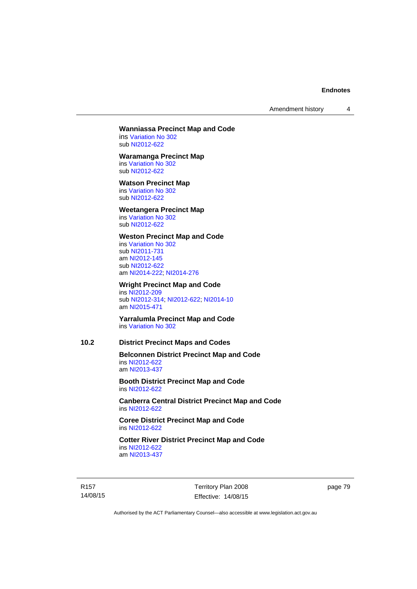Amendment history 4

## **Wanniassa Precinct Map and Code**

ins [Variation No 302](http://www.legislation.act.gov.au/ni/2011-573/) sub [NI2012-622](http://www.legislation.act.gov.au/ni/2012-622/default.asp)

#### **Waramanga Precinct Map**

ins [Variation No 302](http://www.legislation.act.gov.au/ni/2011-573/) sub [NI2012-622](http://www.legislation.act.gov.au/ni/2012-622/default.asp)

#### **Watson Precinct Map**

ins [Variation No 302](http://www.legislation.act.gov.au/ni/2011-573/) sub [NI2012-622](http://www.legislation.act.gov.au/ni/2012-622/default.asp)

## **Weetangera Precinct Map**

ins [Variation No 302](http://www.legislation.act.gov.au/ni/2011-573/) sub [NI2012-622](http://www.legislation.act.gov.au/ni/2012-622/default.asp)

## **Weston Precinct Map and Code**

ins [Variation No 302](http://www.legislation.act.gov.au/ni/2011-573/) sub [NI2011-731](http://www.legislation.act.gov.au/ni/2011-731/) am [NI2012-145](http://www.legislation.act.gov.au/ni/2012-145/) sub [NI2012-622](http://www.legislation.act.gov.au/ni/2012-622/default.asp) am [NI2014-222](http://www.legislation.act.gov.au/ni/2014-222/default.asp); [NI2014-276](http://www.legislation.act.gov.au/ni/2014-276/default.asp)

## **Wright Precinct Map and Code**

ins [NI2012-209](http://www.legislation.act.gov.au/ni/2012-209/) sub [NI2012-314](http://www.legislation.act.gov.au/ni/2012-314/); [NI2012-622](http://www.legislation.act.gov.au/ni/2012-622/default.asp); [NI2014-10](http://www.legislation.act.gov.au/ni/2014-10/default.asp) am [NI2015-471](http://www.legislation.act.gov.au/ni/2015-471/default.asp)

**Yarralumla Precinct Map and Code**  ins [Variation No 302](http://www.legislation.act.gov.au/ni/2011-573/)

# **10.2 District Precinct Maps and Codes**

**Belconnen District Precinct Map and Code**  ins [NI2012-622](http://www.legislation.act.gov.au/ni/2012-622/default.asp) am [NI2013-437](http://www.legislation.act.gov.au/ni/2013-437/default.asp)

**Booth District Precinct Map and Code**  ins [NI2012-622](http://www.legislation.act.gov.au/ni/2012-622/default.asp)

**Canberra Central District Precinct Map and Code**  ins [NI2012-622](http://www.legislation.act.gov.au/ni/2012-622/default.asp)

**Coree District Precinct Map and Code**  ins [NI2012-622](http://www.legislation.act.gov.au/ni/2012-622/default.asp)

**Cotter River District Precinct Map and Code**  ins [NI2012-622](http://www.legislation.act.gov.au/ni/2012-622/default.asp) am [NI2013-437](http://www.legislation.act.gov.au/ni/2013-437/default.asp)

R157 14/08/15 Territory Plan 2008 Effective: 14/08/15 page 79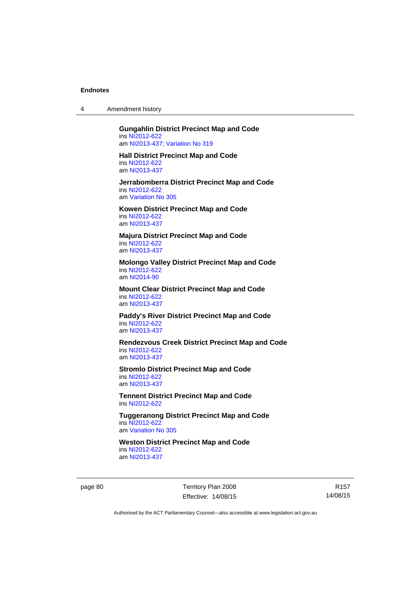4 Amendment history

#### **Gungahlin District Precinct Map and Code**  ins [NI2012-622](http://www.legislation.act.gov.au/ni/2012-622/default.asp) am [NI2013-437](http://www.legislation.act.gov.au/ni/2013-437/default.asp); [Variation No 319](http://www.legislation.act.gov.au/ni/2014-501/default.asp)

**Hall District Precinct Map and Code**  ins [NI2012-622](http://www.legislation.act.gov.au/ni/2012-622/default.asp) am [NI2013-437](http://www.legislation.act.gov.au/ni/2013-437/default.asp)

**Jerrabomberra District Precinct Map and Code**  ins [NI2012-622](http://www.legislation.act.gov.au/ni/2012-622/default.asp) am [Variation No 305](http://www.legislation.act.gov.au/ni/2013-530/default.asp)

**Kowen District Precinct Map and Code**  ins [NI2012-622](http://www.legislation.act.gov.au/ni/2012-622/default.asp) am [NI2013-437](http://www.legislation.act.gov.au/ni/2013-437/default.asp)

**Majura District Precinct Map and Code**  ins [NI2012-622](http://www.legislation.act.gov.au/ni/2012-622/default.asp) am [NI2013-437](http://www.legislation.act.gov.au/ni/2013-437/default.asp)

**Molongo Valley District Precinct Map and Code**  ins [NI2012-622](http://www.legislation.act.gov.au/ni/2012-622/default.asp) am [NI2014-90](http://www.legislation.act.gov.au/ni/2014-90/default.asp)

**Mount Clear District Precinct Map and Code**  ins [NI2012-622](http://www.legislation.act.gov.au/ni/2012-622/default.asp) am [NI2013-437](http://www.legislation.act.gov.au/ni/2013-437/default.asp)

**Paddy's River District Precinct Map and Code**  ins [NI2012-622](http://www.legislation.act.gov.au/ni/2012-622/default.asp) am [NI2013-437](http://www.legislation.act.gov.au/ni/2013-437/default.asp)

**Rendezvous Creek District Precinct Map and Code**  ins [NI2012-622](http://www.legislation.act.gov.au/ni/2012-622/default.asp) am [NI2013-437](http://www.legislation.act.gov.au/ni/2013-437/default.asp)

**Stromlo District Precinct Map and Code**  ins [NI2012-622](http://www.legislation.act.gov.au/ni/2012-622/default.asp) am [NI2013-437](http://www.legislation.act.gov.au/ni/2013-437/default.asp)

**Tennent District Precinct Map and Code**  ins [NI2012-622](http://www.legislation.act.gov.au/ni/2012-622/default.asp)

**Tuggeranong District Precinct Map and Code**  ins [NI2012-622](http://www.legislation.act.gov.au/ni/2012-622/default.asp) am [Variation No 305](http://www.legislation.act.gov.au/ni/2013-530/default.asp)

**Weston District Precinct Map and Code**  ins [NI2012-622](http://www.legislation.act.gov.au/ni/2012-622/default.asp) am [NI2013-437](http://www.legislation.act.gov.au/ni/2013-437/default.asp)

page 80 Territory Plan 2008 Effective: 14/08/15

R157 14/08/15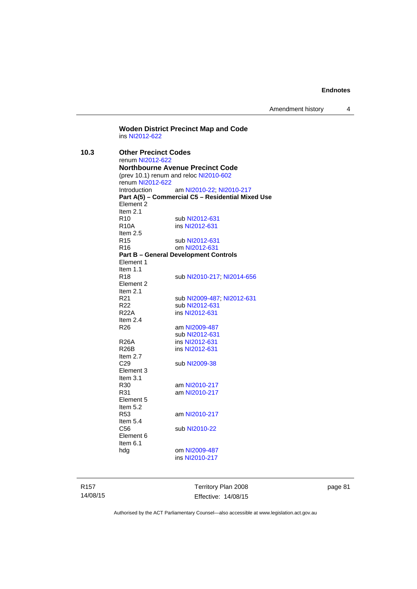Amendment history 4

**Woden District Precinct Map and Code**  ins [NI2012-622](http://www.legislation.act.gov.au/ni/2012-622/default.asp) **10.3 Other Precinct Codes**  renum [NI2012-622](http://www.legislation.act.gov.au/ni/2012-622/default.asp) **Northbourne Avenue Precinct Code**  (prev 10.1) renum and reloc [NI2010-602](http://www.legislation.act.gov.au/ni/2010-602/) renum [NI2012-622](http://www.legislation.act.gov.au/ni/2012-622/default.asp) Introduction am [NI2010-22](http://www.legislation.act.gov.au/ni/2010-22/); [NI2010-217](http://www.legislation.act.gov.au/ni/2010-217/) **Part A(5) – Commercial C5 – Residential Mixed Use**  Element 2 Item  $2.1$ <br>R<sub>10</sub> R10 sub [NI2012-631](http://www.legislation.act.gov.au/ni/2012-631/default.asp)<br>R10A ins NI2012-631 ins [NI2012-631](http://www.legislation.act.gov.au/ni/2012-631/default.asp) Item 2.5 R15 sub [NI2012-631](http://www.legislation.act.gov.au/ni/2012-631/default.asp) R16 om [NI2012-631](http://www.legislation.act.gov.au/ni/2012-631/default.asp) **Part B – General Development Controls**  Element 1 Item 1.1 R18 sub [NI2010-217](http://www.legislation.act.gov.au/ni/2010-217/); [NI2014-656](http://www.legislation.act.gov.au/ni/2014-656/default.asp) Element 2 Item 2.1 R21 sub [NI2009-487](http://www.legislation.act.gov.au/ni/2009-487/); [NI2012-631](http://www.legislation.act.gov.au/ni/2012-631/default.asp)<br>R22 sub NI2012-631 R22 sub [NI2012-631](http://www.legislation.act.gov.au/ni/2012-631/default.asp)<br>R22A ins NI2012-631 ins [NI2012-631](http://www.legislation.act.gov.au/ni/2012-631/default.asp) Item 2.4 R26 am [NI2009-487](http://www.legislation.act.gov.au/ni/2009-487/) sub [NI2012-631](http://www.legislation.act.gov.au/ni/2012-631/default.asp)<br>R26A ins NI2012-631 R26A ins [NI2012-631](http://www.legislation.act.gov.au/ni/2012-631/default.asp)<br>R26B ins NI2012-631 ins [NI2012-631](http://www.legislation.act.gov.au/ni/2012-631/default.asp) Item  $2.7$ <br>C<sub>29</sub> sub [NI2009-38](http://www.legislation.act.gov.au/ni/2009-38/) Element 3 Item  $3.1$ <br>R $30$ am [NI2010-217](http://www.legislation.act.gov.au/ni/2010-217/) R31 am [NI2010-217](http://www.legislation.act.gov.au/ni/2010-217/) Element 5 Item 5.2 R53 am [NI2010-217](http://www.legislation.act.gov.au/ni/2010-217/) Item 5.4<br>C56 sub [NI2010-22](http://www.legislation.act.gov.au/ni/2010-22/) Element 6 Item 6.1<br>hdg om [NI2009-487](http://www.legislation.act.gov.au/ni/2009-487/) ins [NI2010-217](http://www.legislation.act.gov.au/ni/2010-217/)

R157 14/08/15 Territory Plan 2008 Effective: 14/08/15 page 81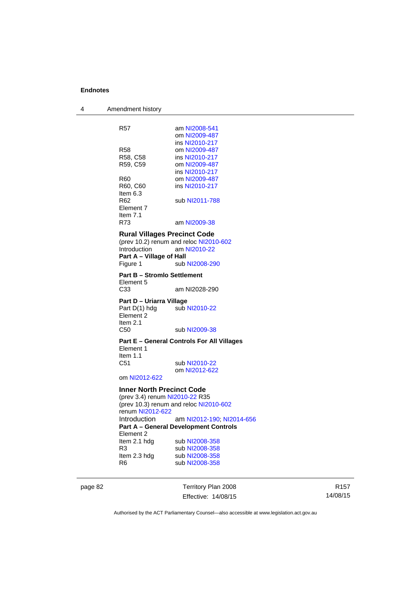4 Amendment history R57 am [NI2008-541](http://www.legislation.act.gov.au/ni/2008-541/) om [NI2009-487](http://www.legislation.act.gov.au/ni/2009-487/) ins [NI2010-217](http://www.legislation.act.gov.au/ni/2010-217/)<br>R58 **com NI2009-487** R58 cm [NI2009-487](http://www.legislation.act.gov.au/ni/2009-487/)<br>R58, C58 ins NI2010-217 ins [NI2010-217](http://www.legislation.act.gov.au/ni/2010-217/) R59, C59 om [NI2009-487](http://www.legislation.act.gov.au/ni/2009-487/) ins [NI2010-217](http://www.legislation.act.gov.au/ni/2010-217/) R60 om [NI2009-487](http://www.legislation.act.gov.au/ni/2009-487/) R60, C60 ins [NI2010-217](http://www.legislation.act.gov.au/ni/2010-217/) Item  $6.3$ <br>R62 sub [NI2011-788](http://www.legislation.act.gov.au/ni/2011-788/) Element 7 Item  $7.1$ <br>R $7.3$ am [NI2009-38](http://www.legislation.act.gov.au/ni/2009-38/) **Rural Villages Precinct Code**  (prev 10.2) renum and reloc [NI2010-602](http://www.legislation.act.gov.au/ni/2010-602/) Introduction am [NI2010-22](http://www.legislation.act.gov.au/ni/2010-22/) **Part A – Village of Hall**<br>Figure 1 sub sub [NI2008-290](http://www.legislation.act.gov.au/ni/2008-290/) **Part B – Stromlo Settlement**  Element 5<br>C<sub>33</sub> am NI2028-290 **Part D – Uriarra Village**  Part D(1) hdg sub [NI2010-22](http://www.legislation.act.gov.au/ni/2010-22/) Element 2 Item 2.1 C50 sub [NI2009-38](http://www.legislation.act.gov.au/ni/2009-38/) **Part E – General Controls For All Villages**  Element 1 Item 1.1 C51 sub [NI2010-22](http://www.legislation.act.gov.au/ni/2010-22/) om [NI2012-622](http://www.legislation.act.gov.au/ni/2012-622/default.asp) om [NI2012-622](http://www.legislation.act.gov.au/ni/2012-622/default.asp) **Inner North Precinct Code**  (prev 3.4) renum [NI2010-22](http://www.legislation.act.gov.au/ni/2010-22/) R35 (prev 10.3) renum and reloc [NI2010-602](http://www.legislation.act.gov.au/ni/2010-602/) renum [NI2012-622](http://www.legislation.act.gov.au/ni/2012-622/default.asp) Introduction am [NI2012-190;](http://www.legislation.act.gov.au/ni/2012-190/) [NI2014-656](http://www.legislation.act.gov.au/ni/2014-656/default.asp) **Part A – General Development Controls**  Element 2 Item 2.1 hdg sub [NI2008-358](http://www.legislation.act.gov.au/ni/2008-358/) R3 sub [NI2008-358](http://www.legislation.act.gov.au/ni/2008-358/)<br>Item 2.3 hdg sub NI2008-358 sub [NI2008-358](http://www.legislation.act.gov.au/ni/2008-358/)

page 82 Territory Plan 2008 Effective: 14/08/15

R6 sub [NI2008-358](http://www.legislation.act.gov.au/ni/2008-358/)

R157 14/08/15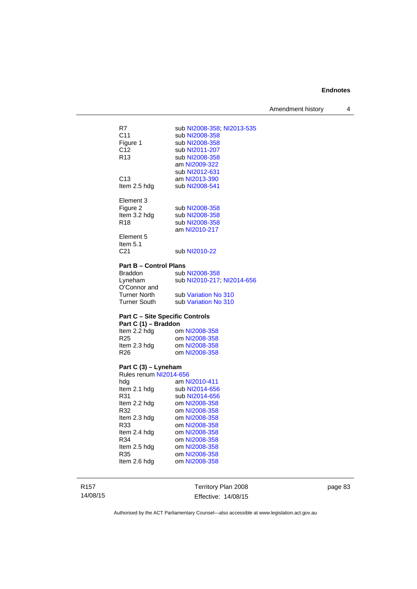Amendment history 4

| R7              | sub NI2008-358; NI2013-535 |
|-----------------|----------------------------|
| C <sub>11</sub> | sub NI2008-358             |
| Figure 1        | sub NI2008-358             |
| C12             | sub NI2011-207             |
| R <sub>13</sub> | sub NI2008-358             |
|                 | am NI2009-322              |
|                 | sub NI2012-631             |
| C13             | am NI2013-390              |
| Item 2.5 hdg    | sub NI2008-541             |
| Element 3       |                            |
| Figure 2        | sub NI2008-358             |
| Item 3.2 hdg    | sub NI2008-358             |
| R <sub>18</sub> | sub NI2008-358             |
|                 | am NI2010-217              |
| Element 5       |                            |
| ltem 5.1<br>C21 | sub NI2010-22              |
|                 |                            |
|                 |                            |

## **Part B – Control Plans**

| <b>Braddon</b>      | sub NI2008-358             |
|---------------------|----------------------------|
| Lyneham             | sub NI2010-217; NI2014-656 |
| O'Connor and        |                            |
| <b>Turner North</b> | sub Variation No 310       |
| <b>Turner South</b> | sub Variation No 310       |

## **Part C – Site Specific Controls**

| Part C (1) - Braddon |               |  |  |  |
|----------------------|---------------|--|--|--|
| Item 2.2 hdg         | om NI2008-358 |  |  |  |
| R <sub>25</sub>      | om NI2008-358 |  |  |  |
| Item 2.3 hdg         | om NI2008-358 |  |  |  |
| R <sub>26</sub>      | om NI2008-358 |  |  |  |
|                      |               |  |  |  |

#### **Part C (3) – Lyneham**

| Rules renum NI2014-656 |                |  |  |  |
|------------------------|----------------|--|--|--|
| hda                    | am NI2010-411  |  |  |  |
| Item 2.1 hdg           | sub NI2014-656 |  |  |  |
| R31                    | sub NI2014-656 |  |  |  |
| Item 2.2 hdg           | om NI2008-358  |  |  |  |
| R32                    | om NI2008-358  |  |  |  |
| Item 2.3 hdg           | om NI2008-358  |  |  |  |
| R33                    | om NI2008-358  |  |  |  |
| Item 2.4 hdg           | om NI2008-358  |  |  |  |
| R34                    | om NI2008-358  |  |  |  |
| Item 2.5 hdg           | om NI2008-358  |  |  |  |
| R35                    | om NI2008-358  |  |  |  |
| Item 2.6 hdg           | om NI2008-358  |  |  |  |
|                        |                |  |  |  |

R157 14/08/15

Territory Plan 2008 Effective: 14/08/15 page 83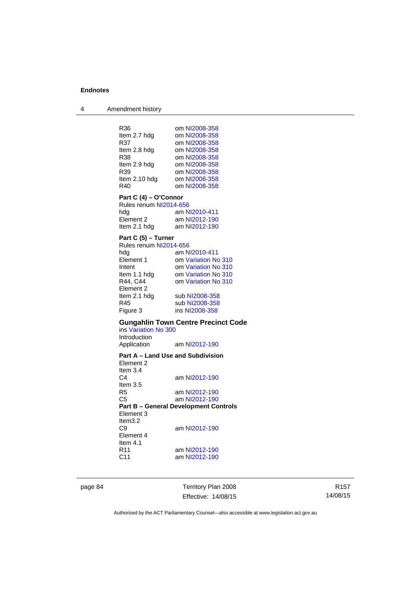4 Amendment history

R36 om [NI2008-358](http://www.legislation.act.gov.au/ni/2008-358/)<br>Item 2.7 hdg om NI2008-358 om [NI2008-358](http://www.legislation.act.gov.au/ni/2008-358/) R37 om [NI2008-358](http://www.legislation.act.gov.au/ni/2008-358/)<br>Item 2.8 hdg om NI2008-358 Item 2.8 hdg om [NI2008-358](http://www.legislation.act.gov.au/ni/2008-358/)<br>R38 om NI2008-358 R38 om [NI2008-358](http://www.legislation.act.gov.au/ni/2008-358/)<br>Item 2.9 hdg om NI2008-358 om [NI2008-358](http://www.legislation.act.gov.au/ni/2008-358/) R39 om [NI2008-358](http://www.legislation.act.gov.au/ni/2008-358/) Item 2.10 hdg om [NI2008-358](http://www.legislation.act.gov.au/ni/2008-358/) R40 om [NI2008-358](http://www.legislation.act.gov.au/ni/2008-358/) **Part C (4) – O'Connor**  Rules renum [NI2014-656](http://www.legislation.act.gov.au/ni/2014-656/default.asp)<br>hda am N am [NI2010-411](http://www.legislation.act.gov.au/ni/2010-411/) Element 2 am [NI2012-190](http://www.legislation.act.gov.au/ni/2012-190/)<br>Item 2.1 hdg am NI2012-190 am [NI2012-190](http://www.legislation.act.gov.au/ni/2012-190/) **Part C (5) – Turner**  Rules renum [NI2014-656](http://www.legislation.act.gov.au/ni/2014-656/default.asp) hdg am [NI2010-411](http://www.legislation.act.gov.au/ni/2010-411/)<br>Element 1 om Variation No om [Variation No 310](http://www.legislation.act.gov.au/ni/2011-688/) Intent om [Variation No 310](http://www.legislation.act.gov.au/ni/2011-688/) Item 1.1 hdg om [Variation No 310](http://www.legislation.act.gov.au/ni/2011-688/)<br>R44, C44 om Variation No 310 om [Variation No 310](http://www.legislation.act.gov.au/ni/2011-688/) Element 2 Item 2.1 hdg sub [NI2008-358](http://www.legislation.act.gov.au/ni/2008-358/)<br>R45 sub NI2008-358 R45 sub [NI2008-358](http://www.legislation.act.gov.au/ni/2008-358/)<br>Figure 3 ins NI2008-358 ins [NI2008-358](http://www.legislation.act.gov.au/ni/2008-358/) **Gungahlin Town Centre Precinct Code**  ins [Variation No 300](http://www.legislation.act.gov.au/ni/2011-691/) Introduction<br>Application am [NI2012-190](http://www.legislation.act.gov.au/ni/2012-190/) **Part A – Land Use and Subdivision**  Element 2 Item 3.4 C4 am [NI2012-190](http://www.legislation.act.gov.au/ni/2012-190/) Item 3.5 R5 am [NI2012-190](http://www.legislation.act.gov.au/ni/2012-190/) C5 am [NI2012-190](http://www.legislation.act.gov.au/ni/2012-190/) **Part B – General Development Controls**  Element 3 Item3.2<br>C9 am [NI2012-190](http://www.legislation.act.gov.au/ni/2012-190/) Element 4 Item  $4.1$ <br>R11 am [NI2012-190](http://www.legislation.act.gov.au/ni/2012-190/) C11 am [NI2012-190](http://www.legislation.act.gov.au/ni/2012-190/)

page 84 Territory Plan 2008 Effective: 14/08/15

R157 14/08/15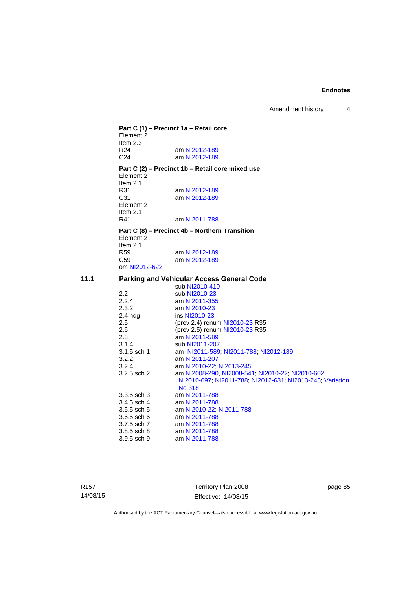Amendment history 4

**Part C (1) – Precinct 1a – Retail core**  Element 2 Item  $2.3$ <br>R24 R24 am [NI2012-189](http://www.legislation.act.gov.au/ni/2012-189/)<br>C24 am NI2012-189 am [NI2012-189](http://www.legislation.act.gov.au/ni/2012-189/) **Part C (2) – Precinct 1b – Retail core mixed use**  Element 2 Item 2.1 R31 am [NI2012-189](http://www.legislation.act.gov.au/ni/2012-189/) C31 am [NI2012-189](http://www.legislation.act.gov.au/ni/2012-189/) Element 2 Item 2.1 R41 am [NI2011-788](http://www.legislation.act.gov.au/ni/2011-788/) **Part C (8) – Precinct 4b – Northern Transition**  Element 2 Item 2.1 R59 am [NI2012-189](http://www.legislation.act.gov.au/ni/2012-189/)<br>C59 am NI2012-189 am [NI2012-189](http://www.legislation.act.gov.au/ni/2012-189/) om [NI2012-622](http://www.legislation.act.gov.au/ni/2012-622/default.asp) **11.1 Parking and Vehicular Access General Code**  sub [NI2010-410](http://www.legislation.act.gov.au/ni/2010-410/)<br>2.2 sub NI2010-23 2.2 sub [NI2010-23](http://www.legislation.act.gov.au/ni/2010-23/)<br>2.2.4 am NI2011-355 am [NI2011-355](http://www.legislation.act.gov.au/ni/2011-355/) 2.3.2 am [NI2010-23](http://www.legislation.act.gov.au/ni/2010-23/) 2.4 hdg ins [NI2010-23](http://www.legislation.act.gov.au/ni/2010-23/) 2.5 (prev 2.4) renum [NI2010-23](http://www.legislation.act.gov.au/ni/2010-23/) R35 2.6 (prev 2.5) renum [NI2010-23](http://www.legislation.act.gov.au/ni/2010-23/) R35<br>2.8 am NI2011-589 2.8 am [NI2011-589](http://www.legislation.act.gov.au/ni/2011-589/)<br>3.1.4 sub NI2011-207 3.1.4 sub [NI2011-207](http://www.legislation.act.gov.au/ni/2011-207/)<br>3.1.5 sch 1 am NI2011-589 am [NI2011-589;](http://www.legislation.act.gov.au/ni/2011-589/) [NI2011-788;](http://www.legislation.act.gov.au/ni/2011-788/) [NI2012-189](http://www.legislation.act.gov.au/ni/2012-189/) 3.2.2 am [NI2011-207](http://www.legislation.act.gov.au/ni/2011-207/)<br>3.2.4 am NI2010-22: 3.2.4 am [NI2010-22](http://www.legislation.act.gov.au/ni/2010-22/); [NI2013-245](http://www.legislation.act.gov.au/ni/2013-245/default.asp)<br>3.2.5 sch 2 am NI2008-290. NI2008-541 am [NI2008-290](http://www.legislation.act.gov.au/ni/2008-290/), [NI2008-541](http://www.legislation.act.gov.au/ni/2008-541/); [NI2010-22](http://www.legislation.act.gov.au/ni/2010-22/); [NI2010-602](http://www.legislation.act.gov.au/ni/2010-602/); [NI2010-697](http://www.legislation.act.gov.au/ni/2010-697/); [NI2011-788](http://www.legislation.act.gov.au/ni/2011-788/); [NI2012-631](http://www.legislation.act.gov.au/ni/2012-631/default.asp); [NI2013-245](http://www.legislation.act.gov.au/ni/2013-245/default.asp); [Variation](http://www.legislation.act.gov.au/ni/2014-294/default.asp)  [No 318](http://www.legislation.act.gov.au/ni/2014-294/default.asp) 3.3.5 sch 3 am [NI2011-788](http://www.legislation.act.gov.au/ni/2011-788/) 3.4.5 sch 4 am [NI2011-788](http://www.legislation.act.gov.au/ni/2011-788/)<br>3.5.5 sch 5 am NI2010-22; 3.5.5 sch 5 am [NI2010-22](http://www.legislation.act.gov.au/ni/2010-22/); [NI2011-788](http://www.legislation.act.gov.au/ni/2011-788/)<br>3.6.5 sch 6 am NI2011-788 3.6.5 sch 6 am [NI2011-788](http://www.legislation.act.gov.au/ni/2011-788/)<br>3.7.5 sch 7 am NI2011-788 am [NI2011-788](http://www.legislation.act.gov.au/ni/2011-788/)

R157 14/08/15 Territory Plan 2008 Effective: 14/08/15 page 85

Authorised by the ACT Parliamentary Counsel—also accessible at www.legislation.act.gov.au

3.8.5 sch 8 am [NI2011-788](http://www.legislation.act.gov.au/ni/2011-788/) 3.9.5 sch 9 am [NI2011-788](http://www.legislation.act.gov.au/ni/2011-788/)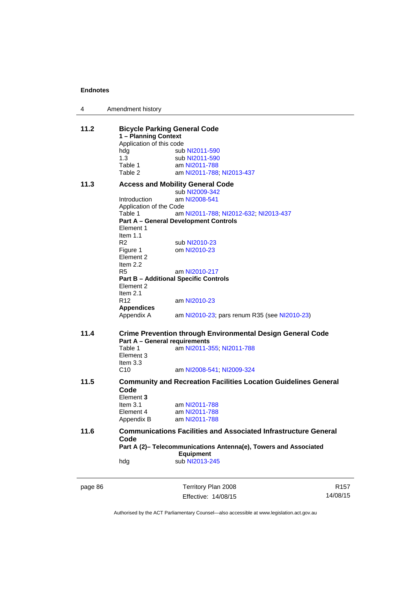| 4       | Amendment history             |                                                                        |                  |
|---------|-------------------------------|------------------------------------------------------------------------|------------------|
| 11.2    | 1 - Planning Context          | <b>Bicycle Parking General Code</b>                                    |                  |
|         | Application of this code      |                                                                        |                  |
|         | hdg                           | sub NI2011-590                                                         |                  |
|         | 1.3                           | sub NI2011-590                                                         |                  |
|         | Table 1                       | am NI2011-788                                                          |                  |
|         | Table 2                       | am NI2011-788, NI2013-437                                              |                  |
| 11.3    |                               | <b>Access and Mobility General Code</b>                                |                  |
|         |                               | sub NI2009-342                                                         |                  |
|         | Introduction                  | am NI2008-541                                                          |                  |
|         | Application of the Code       |                                                                        |                  |
|         | Table 1                       | am NI2011-788, NI2012-632, NI2013-437                                  |                  |
|         |                               | <b>Part A - General Development Controls</b>                           |                  |
|         | Element 1                     |                                                                        |                  |
|         | Item $1.1$                    |                                                                        |                  |
|         | R <sub>2</sub>                | sub NI2010-23                                                          |                  |
|         |                               | om NI2010-23                                                           |                  |
|         | Figure 1<br>Element 2         |                                                                        |                  |
|         |                               |                                                                        |                  |
|         | Item $2.2$                    |                                                                        |                  |
|         | R5                            | am NI2010-217                                                          |                  |
|         |                               | <b>Part B - Additional Specific Controls</b>                           |                  |
|         | Element 2                     |                                                                        |                  |
|         | Item $2.1$                    |                                                                        |                  |
|         | R <sub>12</sub>               | am NI2010-23                                                           |                  |
|         | <b>Appendices</b>             |                                                                        |                  |
|         | Appendix A                    | am NI2010-23; pars renum R35 (see NI2010-23)                           |                  |
| 11.4    |                               | <b>Crime Prevention through Environmental Design General Code</b>      |                  |
|         |                               | <b>Part A - General requirements</b>                                   |                  |
|         | Table 1                       | am NI2011-355; NI2011-788                                              |                  |
|         | Element 3                     |                                                                        |                  |
|         |                               |                                                                        |                  |
|         | Item $3.3$<br>C <sub>10</sub> |                                                                        |                  |
|         |                               | am NI2008-541; NI2009-324                                              |                  |
| 11.5    | Code                          | <b>Community and Recreation Facilities Location Guidelines General</b> |                  |
|         |                               |                                                                        |                  |
|         | Element 3                     |                                                                        |                  |
|         | Item $3.1$                    | am NI2011-788                                                          |                  |
|         | Element 4                     | am NI2011-788                                                          |                  |
|         | Appendix B                    | am NI2011-788                                                          |                  |
| 11.6    |                               | <b>Communications Facilities and Associated Infrastructure General</b> |                  |
|         | Code                          |                                                                        |                  |
|         |                               | Part A (2)- Telecommunications Antenna(e), Towers and Associated       |                  |
|         |                               | <b>Equipment</b>                                                       |                  |
|         | hdg                           | sub NI2013-245                                                         |                  |
|         |                               |                                                                        |                  |
| page 86 |                               | Territory Plan 2008                                                    | R <sub>157</sub> |
|         |                               | Effective: 14/08/15                                                    | 14/08/15         |
|         |                               |                                                                        |                  |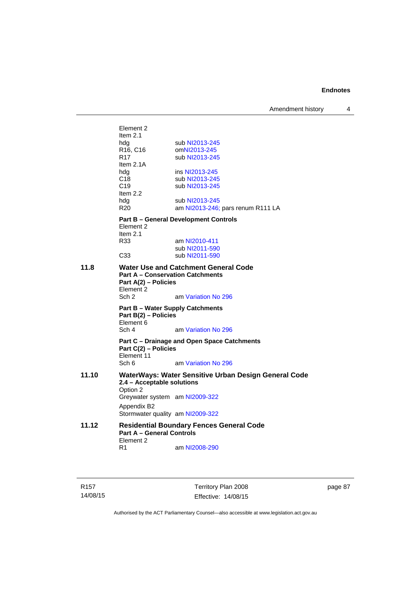Amendment history 4

Element 2 Item 2.1 hdg sub [NI2013-245](http://www.legislation.act.gov.au/ni/2013-245/default.asp)<br>R16, C16 omNI2013-245 R16, C16 om[NI2013-245](http://www.legislation.act.gov.au/ni/2013-245/default.asp)<br>R17 sub NI2013-245 sub [NI2013-245](http://www.legislation.act.gov.au/ni/2013-245/default.asp) Item 2.1A hdg ins [NI2013-245](http://www.legislation.act.gov.au/ni/2013-245/default.asp) C18 sub [NI2013-245](http://www.legislation.act.gov.au/ni/2013-245/default.asp) C19 sub [NI2013-245](http://www.legislation.act.gov.au/ni/2013-245/default.asp) Item 2.2 hdg sub [NI2013-245](http://www.legislation.act.gov.au/ni/2013-245/default.asp) R20 am [NI2013-246](http://www.legislation.act.gov.au/ni/2013-246/default.asp); pars renum R111 LA **Part B – General Development Controls**  Element 2 Item 2.1<br>R33 am [NI2010-411](http://www.legislation.act.gov.au/ni/2010-411/) sub [NI2011-590](http://www.legislation.act.gov.au/ni/2011-590/) C33 sub [NI2011-590](http://www.legislation.act.gov.au/ni/2011-590/) **11.8 Water Use and Catchment General Code Part A – Conservation Catchments Part A(2) – Policies**  Element<sup>2</sup><br>Sch 2 am [Variation No 296](http://www.legislation.act.gov.au/ni/2009-108/) **Part B – Water Supply Catchments Part B(2) – Policies**  Element 6 Sch 4 am [Variation No 296](http://www.legislation.act.gov.au/ni/2009-108/) **Part C – Drainage and Open Space Catchments Part C(2) – Policies**  Element 11 Sch 6 am [Variation No 296](http://www.legislation.act.gov.au/ni/2009-108/) **11.10 WaterWays: Water Sensitive Urban Design General Code 2.4 – Acceptable solutions**  Option 2 Greywater system am [NI2009-322](http://www.legislation.act.gov.au/ni/2009-322/) Appendix B2 Stormwater quality am [NI2009-322](http://www.legislation.act.gov.au/ni/2009-322/) **11.12 Residential Boundary Fences General Code Part A – General Controls**  Element 2<br>R1 am [NI2008-290](http://www.legislation.act.gov.au/ni/2008-290/)

R157 14/08/15 Territory Plan 2008 Effective: 14/08/15 page 87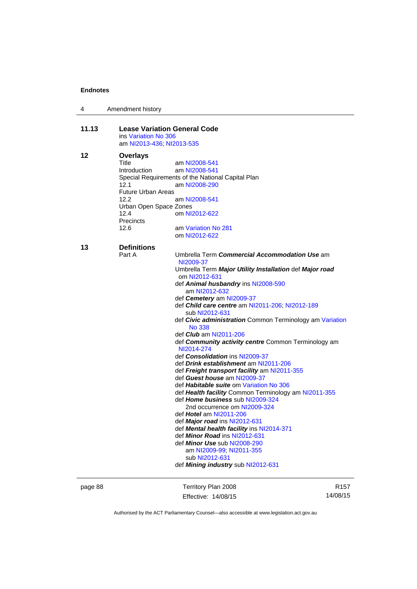| 4     | Amendment history                                           |                                                                              |  |  |
|-------|-------------------------------------------------------------|------------------------------------------------------------------------------|--|--|
| 11.13 | <b>Lease Variation General Code</b><br>ins Variation No 306 |                                                                              |  |  |
|       |                                                             | am NI2013-436; NI2013-535                                                    |  |  |
| 12    | <b>Overlays</b><br>Title<br>Introduction                    | am NI2008-541<br>am NI2008-541                                               |  |  |
|       |                                                             | Special Requirements of the National Capital Plan                            |  |  |
|       | 12.1                                                        | am NI2008-290                                                                |  |  |
|       | <b>Future Urban Areas</b>                                   |                                                                              |  |  |
|       | 12.2<br>Urban Open Space Zones                              | am NI2008-541                                                                |  |  |
|       | 12.4                                                        | om NI2012-622                                                                |  |  |
|       | Precincts                                                   |                                                                              |  |  |
|       | 12.6                                                        | am Variation No 281                                                          |  |  |
|       |                                                             | om NI2012-622                                                                |  |  |
| 13    | <b>Definitions</b>                                          |                                                                              |  |  |
|       | Part A                                                      | Umbrella Term Commercial Accommodation Use am<br>NI2009-37                   |  |  |
|       |                                                             | Umbrella Term Major Utility Installation def Major road<br>om NI2012-631     |  |  |
|       |                                                             | def Animal husbandry ins NI2008-590<br>am NI2012-632                         |  |  |
|       |                                                             | def Cemetery am NI2009-37                                                    |  |  |
|       |                                                             | def Child care centre am NI2011-206; NI2012-189<br>sub NI2012-631            |  |  |
|       |                                                             | def Civic administration Common Terminology am Variation                     |  |  |
|       |                                                             | No 338<br>def Club am NI2011-206                                             |  |  |
|       |                                                             | def Community activity centre Common Terminology am<br>NI2014-274            |  |  |
|       |                                                             | def <b>Consolidation</b> ins NI2009-37                                       |  |  |
|       |                                                             | def Drink establishment am NI2011-206                                        |  |  |
|       |                                                             | def Freight transport facility am NI2011-355<br>def Guest house am NI2009-37 |  |  |
|       |                                                             | def Habitable suite om Variation No 306                                      |  |  |
|       |                                                             | def Health facility Common Terminology am NI2011-355                         |  |  |
|       |                                                             | def Home business sub NI2009-324                                             |  |  |
|       |                                                             | 2nd occurrence om NI2009-324                                                 |  |  |
|       |                                                             | def <i>Hotel</i> am NI2011-206<br>def Major road ins NI2012-631              |  |  |
|       |                                                             | def Mental health facility ins NI2014-371                                    |  |  |
|       |                                                             | def Minor Road ins NI2012-631                                                |  |  |
|       |                                                             | def Minor Use sub NI2008-290                                                 |  |  |
|       |                                                             | am NI2009-99; NI2011-355<br>sub NI2012-631                                   |  |  |
|       |                                                             | def Mining industry sub NI2012-631                                           |  |  |
|       |                                                             |                                                                              |  |  |

page 88 Territory Plan 2008 Effective: 14/08/15

R157 14/08/15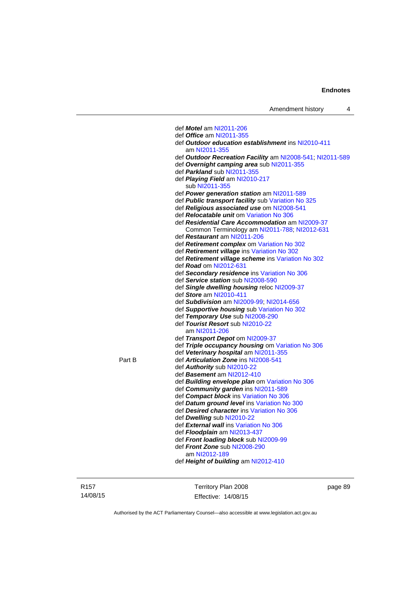|        | def <i>Motel</i> am NI2011-206                            |
|--------|-----------------------------------------------------------|
|        | def <i>Office</i> am NI2011-355                           |
|        | def Outdoor education establishment ins NI2010-411        |
|        | am NI2011-355                                             |
|        | def Outdoor Recreation Facility am NI2008-541; NI2011-589 |
|        | def Overnight camping area sub NI2011-355                 |
|        | def Parkland sub NI2011-355                               |
|        | def <i>Playing Field</i> am NI2010-217                    |
|        | sub NI2011-355                                            |
|        | def <b>Power generation station</b> am NI2011-589         |
|        | def Public transport facility sub Variation No 325        |
|        | def Religious associated use om NI2008-541                |
|        | def <b>Relocatable unit</b> om Variation No 306           |
|        | def Residential Care Accommodation am NI2009-37           |
|        | Common Terminology am NI2011-788; NI2012-631              |
|        | def Restaurant am NI2011-206                              |
|        | def Retirement complex om Variation No 302                |
|        | def Retirement village ins Variation No 302               |
|        | def Retirement village scheme ins Variation No 302        |
|        | def <i>Road</i> om NI2012-631                             |
|        | def Secondary residence ins Variation No 306              |
|        | def Service station sub NI2008-590                        |
|        | def Single dwelling housing reloc NI2009-37               |
|        | def Store am NI2010-411                                   |
|        | def Subdivision am NI2009-99, NI2014-656                  |
|        | def Supportive housing sub Variation No 302               |
|        | def Temporary Use sub NI2008-290                          |
|        | def Tourist Resort sub NI2010-22                          |
|        | am NI2011-206                                             |
|        | def Transport Depot om NI2009-37                          |
|        | def Triple occupancy housing om Variation No 306          |
|        | def Veterinary hospital am NI2011-355                     |
| Part B | def Articulation Zone ins NI2008-541                      |
|        | def Authority sub NI2010-22                               |
|        | def <i>Basement</i> am NI2012-410                         |
|        | def <b>Building envelope plan</b> om Variation No 306     |
|        | def Community garden ins NI2011-589                       |
|        | def Compact block ins Variation No 306                    |
|        | def Datum ground level ins Variation No 300               |
|        | def Desired character ins Variation No 306                |
|        | def Dwelling sub NI2010-22                                |
|        | def External wall ins Variation No 306                    |
|        | def Floodplain am NI2013-437                              |
|        | def Front loading block sub NI2009-99                     |
|        | def Front Zone sub NI2008-290                             |
|        | am NI2012-189                                             |
|        | def Height of building am NI2012-410                      |
|        |                                                           |

R157 14/08/15

Territory Plan 2008 Effective: 14/08/15 page 89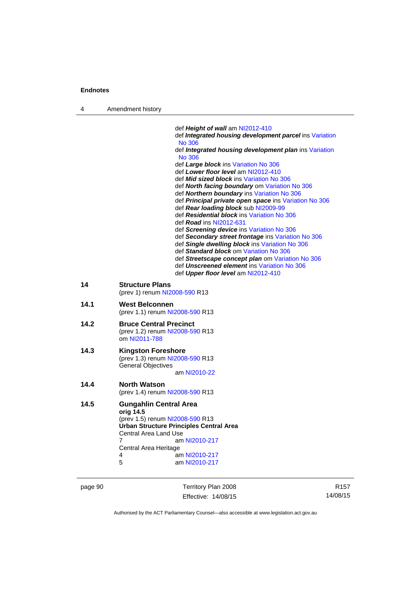4 Amendment history

|      | def Height of wall am NI2012-410                                                            |
|------|---------------------------------------------------------------------------------------------|
|      | def Integrated housing development parcel ins Variation<br><b>No 306</b>                    |
|      | def Integrated housing development plan ins Variation                                       |
|      | <b>No 306</b>                                                                               |
|      | def Large block ins Variation No 306                                                        |
|      | def Lower floor level am NI2012-410                                                         |
|      | def Mid sized block ins Variation No 306                                                    |
|      | def North facing boundary om Variation No 306<br>def Northern boundary ins Variation No 306 |
|      | def Principal private open space ins Variation No 306                                       |
|      | def Rear loading block sub NI2009-99                                                        |
|      | def Residential block ins Variation No 306                                                  |
|      | def <b>Road</b> ins NI2012-631                                                              |
|      | def Screening device ins Variation No 306                                                   |
|      | def Secondary street frontage ins Variation No 306                                          |
|      | def Single dwelling block ins Variation No 306                                              |
|      | def Standard block om Variation No 306                                                      |
|      | def Streetscape concept plan om Variation No 306                                            |
|      | def Unscreened element ins Variation No 306<br>def Upper floor level am NI2012-410          |
|      |                                                                                             |
| 14   | <b>Structure Plans</b>                                                                      |
|      | (prev 1) renum NI2008-590 R13                                                               |
| 14.1 | <b>West Belconnen</b>                                                                       |
|      | (prev 1.1) renum NI2008-590 R13                                                             |
| 14.2 | <b>Bruce Central Precinct</b>                                                               |
|      | (prev 1.2) renum NI2008-590 R13                                                             |
|      | om NI2011-788                                                                               |
| 14.3 | <b>Kingston Foreshore</b>                                                                   |
|      | (prev 1.3) renum NI2008-590 R13                                                             |
|      | <b>General Objectives</b>                                                                   |
|      | am NI2010-22                                                                                |
| 14.4 | <b>North Watson</b>                                                                         |
|      | (prev 1.4) renum NI2008-590 R13                                                             |
|      |                                                                                             |
| 14.5 | <b>Gungahlin Central Area</b>                                                               |
|      | orig 14.5<br>(prev 1.5) renum NI2008-590 R13                                                |
|      | <b>Ürban Structure Principles Central Area</b>                                              |
|      | Central Area Land Use                                                                       |
|      | 7<br>am NI2010-217                                                                          |
|      | Central Area Heritage                                                                       |
|      | am NI2010-217<br>4                                                                          |
|      | 5<br>am NI2010-217                                                                          |
|      |                                                                                             |

page 90 Territory Plan 2008 Effective: 14/08/15

R157 14/08/15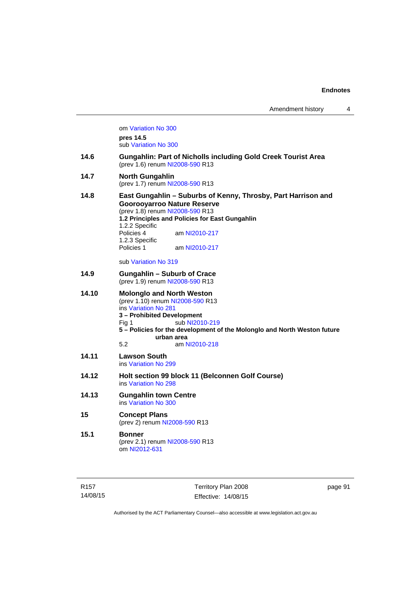om [Variation No 300](http://www.legislation.act.gov.au/ni/2011-691/) **pres 14.5** sub [Variation No 300](http://www.legislation.act.gov.au/ni/2011-691/) **14.6 Gungahlin: Part of Nicholls including Gold Creek Tourist Area**  (prev 1.6) renum [NI2008-590](http://www.legislation.act.gov.au/ni/2008-590/default.asp) R13 **14.7 North Gungahlin**  (prev 1.7) renum [NI2008-590](http://www.legislation.act.gov.au/ni/2008-590/default.asp) R13 **14.8 East Gungahlin – Suburbs of Kenny, Throsby, Part Harrison and Goorooyarroo Nature Reserve**  (prev 1.8) renum [NI2008-590](http://www.legislation.act.gov.au/ni/2008-590/default.asp) R13 **1.2 Principles and Policies for East Gungahlin**  1.2.2 Specific am [NI2010-217](http://www.legislation.act.gov.au/ni/2010-217/) 1.2.3 Specific Policies 1 am [NI2010-217](http://www.legislation.act.gov.au/ni/2010-217/) sub [Variation No 319](http://www.legislation.act.gov.au/ni/2014-501/default.asp) **14.9 Gungahlin – Suburb of Crace**  (prev 1.9) renum [NI2008-590](http://www.legislation.act.gov.au/ni/2008-590/default.asp) R13 **14.10 Molonglo and North Weston**  (prev 1.10) renum [NI2008-590](http://www.legislation.act.gov.au/ni/2008-590/default.asp) R13 ins [Variation No 281](http://www.legislation.act.gov.au/ni/2008-352/) **3 – Prohibited Development**  Fig 1 sub [NI2010-219](http://www.legislation.act.gov.au/ni/2010-219/) **5 – Policies for the development of the Molonglo and North Weston future urban area**  5.2 am [NI2010-218](http://www.legislation.act.gov.au/ni/2010-218/) **14.11 Lawson South**  ins [Variation No 299](http://www.legislation.act.gov.au/ni/2010-575/) **14.12 Holt section 99 block 11 (Belconnen Golf Course)**  ins [Variation No 298](http://www.legislation.act.gov.au/ni/2011-152/) **14.13 Gungahlin town Centre**  ins [Variation No 300](http://www.legislation.act.gov.au/ni/2011-691/) **15 Concept Plans**  (prev 2) renum [NI2008-590](http://www.legislation.act.gov.au/ni/2008-590/default.asp) R13 **15.1 Bonner**  (prev 2.1) renum [NI2008-590](http://www.legislation.act.gov.au/ni/2008-590/default.asp) R13 om [NI2012-631](http://www.legislation.act.gov.au/ni/2012-631/default.asp)

Territory Plan 2008 Effective: 14/08/15 page 91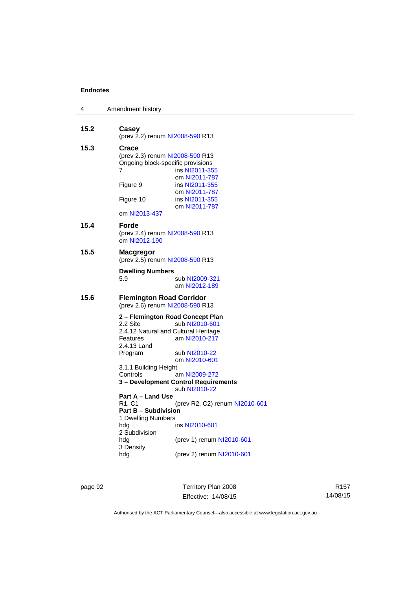| 4    | Amendment history                                                                                                                                                                                                                                                                                                                                                                                                                                                                                                                                                                            |
|------|----------------------------------------------------------------------------------------------------------------------------------------------------------------------------------------------------------------------------------------------------------------------------------------------------------------------------------------------------------------------------------------------------------------------------------------------------------------------------------------------------------------------------------------------------------------------------------------------|
| 15.2 | Casey<br>(prev 2.2) renum NI2008-590 R13                                                                                                                                                                                                                                                                                                                                                                                                                                                                                                                                                     |
| 15.3 | Crace<br>(prev 2.3) renum NI2008-590 R13<br>Ongoing block-specific provisions<br>7<br>ins NI2011-355<br>om NI2011-787<br>Figure 9<br>ins NI2011-355<br>om NI2011-787<br>Figure 10<br>ins NI2011-355<br>om NI2011-787<br>om NI2013-437                                                                                                                                                                                                                                                                                                                                                        |
| 15.4 | Forde<br>(prev 2.4) renum NI2008-590 R13<br>om NI2012-190                                                                                                                                                                                                                                                                                                                                                                                                                                                                                                                                    |
| 15.5 | <b>Macgregor</b><br>(prev 2.5) renum NI2008-590 R13                                                                                                                                                                                                                                                                                                                                                                                                                                                                                                                                          |
|      | <b>Dwelling Numbers</b><br>5.9<br>sub NI2009-321<br>am NI2012-189                                                                                                                                                                                                                                                                                                                                                                                                                                                                                                                            |
| 15.6 | <b>Flemington Road Corridor</b><br>(prev 2.6) renum NI2008-590 R13                                                                                                                                                                                                                                                                                                                                                                                                                                                                                                                           |
|      | 2 – Flemington Road Concept Plan<br>2.2 Site<br>sub NI2010-601<br>2.4.12 Natural and Cultural Heritage<br>am NI2010-217<br>Features<br>2.4.13 Land<br>Program<br>sub NI2010-22<br>om NI2010-601<br>3.1.1 Building Height<br>Controls<br>am NI2009-272<br>3 - Development Control Requirements<br>sub NI2010-22<br>Part A - Land Use<br>R <sub>1</sub> , C <sub>1</sub><br>(prev R2, C2) renum NI2010-601<br><b>Part B - Subdivision</b><br>1 Dwelling Numbers<br>hdg<br>ins NI2010-601<br>2 Subdivision<br>hdg<br>(prev 1) renum NI2010-601<br>3 Density<br>(prev 2) renum NI2010-601<br>hdg |

page 92 Territory Plan 2008 Effective: 14/08/15

R157 14/08/15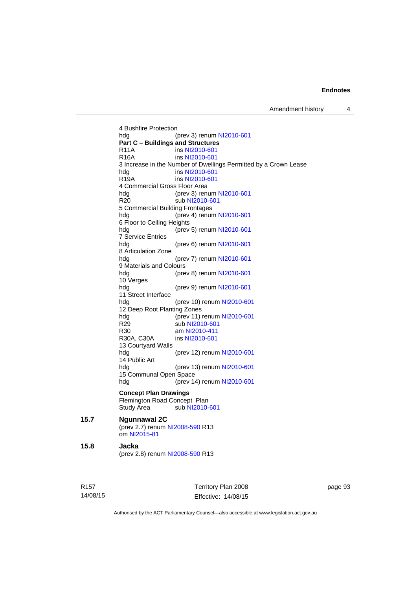4 Bushfire Protection hdg (prev 3) renum [NI2010-601](http://www.legislation.act.gov.au/ni/2010-601/) **Part C – Buildings and Structures**  R11A ins [NI2010-601](http://www.legislation.act.gov.au/ni/2010-601/)<br>R16A ins NI2010-601 ins [NI2010-601](http://www.legislation.act.gov.au/ni/2010-601/) 3 Increase in the Number of Dwellings Permitted by a Crown Lease hdg ins [NI2010-601](http://www.legislation.act.gov.au/ni/2010-601/) R19A ins [NI2010-601](http://www.legislation.act.gov.au/ni/2010-601/) 4 Commercial Gross Floor Area<br>hdg (prev 3) ren (prev 3) renum [NI2010-601](http://www.legislation.act.gov.au/ni/2010-601/) R20 sub [NI2010-601](http://www.legislation.act.gov.au/ni/2010-601/) 5 Commercial Building Frontages hdg (prev 4) renum [NI2010-601](http://www.legislation.act.gov.au/ni/2010-601/) 6 Floor to Ceiling Heights hdg (prev 5) renum [NI2010-601](http://www.legislation.act.gov.au/ni/2010-601/) 7 Service Entries hdg (prev 6) renum [NI2010-601](http://www.legislation.act.gov.au/ni/2010-601/) 8 Articulation Zone hdg (prev 7) renum [NI2010-601](http://www.legislation.act.gov.au/ni/2010-601/) 9 Materials and Colours hdg (prev 8) renum [NI2010-601](http://www.legislation.act.gov.au/ni/2010-601/) 10 Verges hdg (prev 9) renum [NI2010-601](http://www.legislation.act.gov.au/ni/2010-601/) 11 Street Interface hdg (prev 10) renum [NI2010-601](http://www.legislation.act.gov.au/ni/2010-601/) 12 Deep Root Planting Zones<br>hdg (prev 11) (prev 11) renum [NI2010-601](http://www.legislation.act.gov.au/ni/2010-601/) R29 sub [NI2010-601](http://www.legislation.act.gov.au/ni/2010-601/) R30 am [NI2010-411](http://www.legislation.act.gov.au/ni/2010-411/)<br>R30A, C30A ins NI2010-601 ins [NI2010-601](http://www.legislation.act.gov.au/ni/2010-601/) 13 Courtyard Walls hdg (prev 12) renum [NI2010-601](http://www.legislation.act.gov.au/ni/2010-601/) 14 Public Art hdg (prev 13) renum [NI2010-601](http://www.legislation.act.gov.au/ni/2010-601/) 15 Communal Open Space hdg (prev 14) renum [NI2010-601](http://www.legislation.act.gov.au/ni/2010-601/) **Concept Plan Drawings**  Flemington Road Concept Plan Study Area sub [NI2010-601](http://www.legislation.act.gov.au/ni/2010-601/) **15.7 Ngunnawal 2C**  (prev 2.7) renum [NI2008-590](http://www.legislation.act.gov.au/ni/2008-590/default.asp) R13 om [NI2015-81](http://www.legislation.act.gov.au/ni/2015-81/default.asp) **15.8 Jacka**  (prev 2.8) renum [NI2008-590](http://www.legislation.act.gov.au/ni/2008-590/default.asp) R13

R157 14/08/15 Territory Plan 2008 Effective: 14/08/15 page 93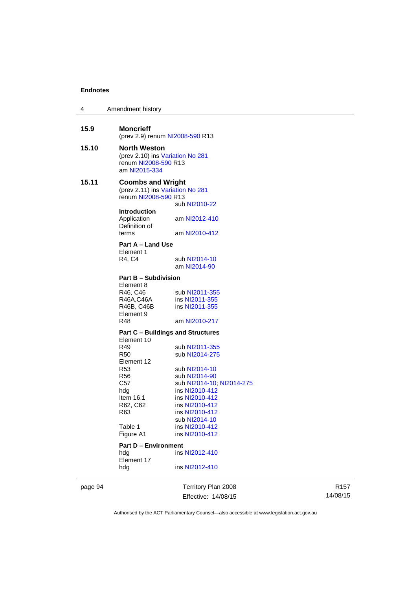| 4     | Amendment history                                                                                |                                            |
|-------|--------------------------------------------------------------------------------------------------|--------------------------------------------|
| 15.9  | <b>Moncrieff</b><br>(prev 2.9) renum NI2008-590 R13                                              |                                            |
| 15.10 | <b>North Weston</b><br>(prev 2.10) ins Variation No 281<br>renum NI2008-590 R13<br>am NI2015-334 |                                            |
| 15.11 | <b>Coombs and Wright</b><br>(prev 2.11) ins Variation No 281<br>renum NI2008-590 R13             | sub NI2010-22                              |
|       | <b>Introduction</b><br>Application<br>Definition of                                              | am NI2012-410                              |
|       | terms                                                                                            | am NI2010-412                              |
|       | Part A - Land Use                                                                                |                                            |
|       | Element 1                                                                                        | sub NI2014-10                              |
|       | R4, C4                                                                                           | am NI2014-90                               |
|       | <b>Part B - Subdivision</b><br>Element 8                                                         |                                            |
|       | R46, C46                                                                                         | sub NI2011-355                             |
|       | R46A,C46A<br>R46B, C46B                                                                          | ins NI2011-355<br>ins NI2011-355           |
|       | Element 9                                                                                        |                                            |
|       | R48                                                                                              | am NI2010-217                              |
|       | <b>Part C - Buildings and Structures</b>                                                         |                                            |
|       | Element 10<br>R49                                                                                | sub NI2011-355                             |
|       | R50                                                                                              | sub NI2014-275                             |
|       | Element 12                                                                                       |                                            |
|       | R <sub>53</sub>                                                                                  | sub NI2014-10                              |
|       | R56<br>C57                                                                                       | sub NI2014-90<br>sub NI2014-10, NI2014-275 |
|       | hdg                                                                                              | ins NI2010-412                             |
|       | Item $16.1$                                                                                      | ins NI2010-412                             |
|       | R62, C62<br>R63                                                                                  | ins NI2010-412<br>ins NI2010-412           |
|       |                                                                                                  |                                            |
|       | Table 1                                                                                          | ins NI2010-412                             |
|       | Figure A1                                                                                        | ins NI2010-412                             |
|       | <b>Part D - Environment</b>                                                                      |                                            |
|       | hdg<br>Element 17                                                                                | ins NI2012-410                             |
|       | hdg                                                                                              | ins NI2012-410                             |
|       |                                                                                                  |                                            |

page 94 Territory Plan 2008 Effective: 14/08/15

R157 14/08/15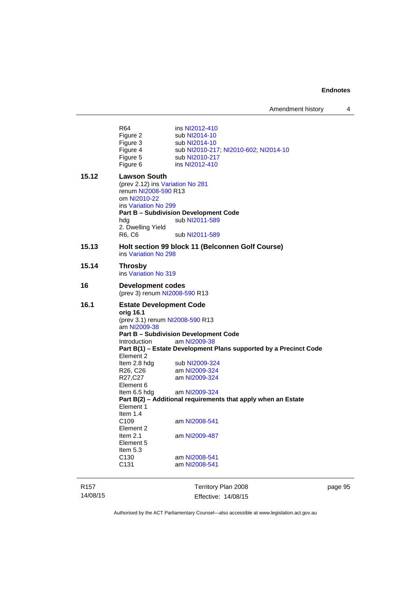| R <sub>157</sub><br>14/08/15 |                                                           | Territory Plan 2008<br>Effective: 14/08/15                                     | page 95 |
|------------------------------|-----------------------------------------------------------|--------------------------------------------------------------------------------|---------|
|                              | C131                                                      | am NI2008-541                                                                  |         |
|                              | Item 5.3<br>C <sub>130</sub>                              | am NI2008-541                                                                  |         |
|                              | Element 5                                                 |                                                                                |         |
|                              | Item 2.1                                                  | am NI2009-487                                                                  |         |
|                              | C <sub>109</sub><br>Element 2                             | am NI2008-541                                                                  |         |
|                              | Item $1.4$                                                |                                                                                |         |
|                              | Element 1                                                 |                                                                                |         |
|                              | Item 6.5 hdg                                              | am NI2009-324<br>Part B(2) - Additional requirements that apply when an Estate |         |
|                              | Element 6                                                 |                                                                                |         |
|                              | R27,C27                                                   | am NI2009-324                                                                  |         |
|                              | R26, C26                                                  | am NI2009-324                                                                  |         |
|                              | Element 2<br>Item 2.8 hdg                                 | sub NI2009-324                                                                 |         |
|                              |                                                           | Part B(1) - Estate Development Plans supported by a Precinct Code              |         |
|                              | Introduction                                              | <b>Part B - Subdivision Development Code</b><br>am NI2009-38                   |         |
|                              | am NI2009-38                                              |                                                                                |         |
|                              |                                                           | (prev 3.1) renum NI2008-590 R13                                                |         |
|                              | <b>Estate Development Code</b><br>orig 16.1               |                                                                                |         |
| 16.1                         | <b>Development codes</b><br>(prev 3) renum NI2008-590 R13 |                                                                                |         |
| 16                           |                                                           |                                                                                |         |
| 15.14                        | <b>Throsby</b><br>ins Variation No 319                    |                                                                                |         |
| 15.13                        | ins Variation No 298                                      | Holt section 99 block 11 (Belconnen Golf Course)                               |         |
|                              | R6, C6                                                    | sub NI2011-589                                                                 |         |
|                              | hdg<br>2. Dwelling Yield                                  | sub NI2011-589                                                                 |         |
|                              | ins Variation No 299                                      | <b>Part B - Subdivision Development Code</b>                                   |         |
|                              | om NI2010-22                                              |                                                                                |         |
|                              | (prev 2.12) ins Variation No 281<br>renum NI2008-590 R13  |                                                                                |         |
| 15.12                        | <b>Lawson South</b>                                       |                                                                                |         |
|                              | Figure 5<br>Figure 6                                      | sub NI2010-217<br>ins NI2012-410                                               |         |
|                              | Figure 4                                                  | sub NI2010-217, NI2010-602, NI2014-10                                          |         |
|                              | Figure 3                                                  | sub NI2014-10<br>sub NI2014-10                                                 |         |
|                              | Figure 2                                                  |                                                                                |         |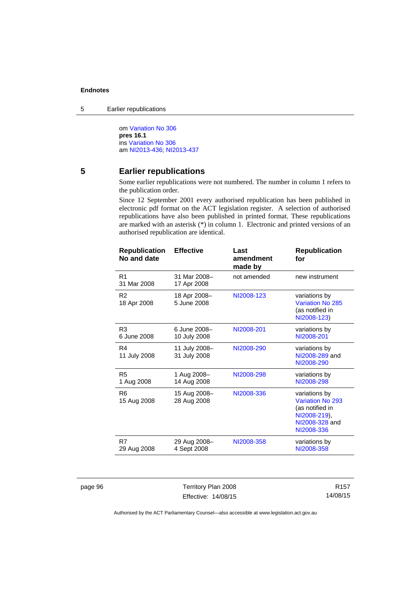5 Earlier republications

om [Variation No 306](http://www.legislation.act.gov.au/ni/2013-93/default.asp) **pres 16.1** ins [Variation No 306](http://www.legislation.act.gov.au/ni/2013-93/default.asp) am [NI2013-436](http://www.legislation.act.gov.au/ni/2013-436/default.asp); [NI2013-437](http://www.legislation.act.gov.au/ni/2013-437/default.asp)

# **5 Earlier republications**

Some earlier republications were not numbered. The number in column 1 refers to the publication order.

Since 12 September 2001 every authorised republication has been published in electronic pdf format on the ACT legislation register. A selection of authorised republications have also been published in printed format. These republications are marked with an asterisk (\*) in column 1. Electronic and printed versions of an authorised republication are identical.

| <b>Republication</b><br>No and date | <b>Effective</b>              | Last<br>amendment<br>made by | <b>Republication</b><br>for                                                                          |
|-------------------------------------|-------------------------------|------------------------------|------------------------------------------------------------------------------------------------------|
| R <sub>1</sub><br>31 Mar 2008       | 31 Mar 2008-<br>17 Apr 2008   | not amended                  | new instrument                                                                                       |
| R <sub>2</sub><br>18 Apr 2008       | 18 Apr 2008-<br>5 June 2008   | NI2008-123                   | variations by<br>Variation No 285<br>(as notified in<br>NI2008-123)                                  |
| R <sub>3</sub><br>6 June 2008       | 6 June 2008-<br>10 July 2008  | NI2008-201                   | variations by<br>NI2008-201                                                                          |
| R4<br>11 July 2008                  | 11 July 2008-<br>31 July 2008 | NI2008-290                   | variations by<br>NI2008-289 and<br>NI2008-290                                                        |
| R <sub>5</sub><br>1 Aug 2008        | 1 Aug 2008-<br>14 Aug 2008    | NI2008-298                   | variations by<br>NI2008-298                                                                          |
| R <sub>6</sub><br>15 Aug 2008       | 15 Aug 2008-<br>28 Aug 2008   | NI2008-336                   | variations by<br>Variation No 293<br>(as notified in<br>NI2008-219),<br>NI2008-328 and<br>NI2008-336 |
| R7<br>29 Aug 2008                   | 29 Aug 2008-<br>4 Sept 2008   | NI2008-358                   | variations by<br>NI2008-358                                                                          |
|                                     |                               |                              |                                                                                                      |

page 96 Territory Plan 2008 Effective: 14/08/15

R157 14/08/15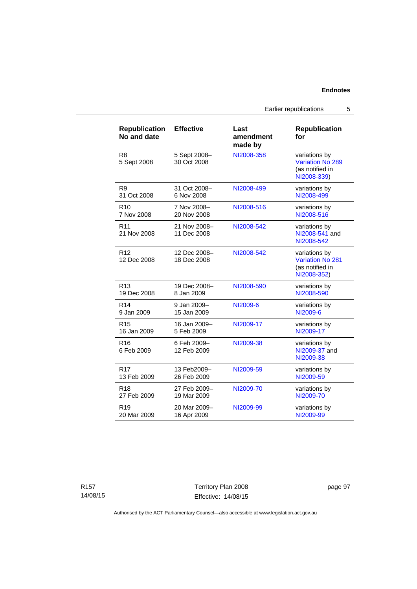Earlier republications 5

| <b>Republication</b><br>No and date | <b>Effective</b>            | Last<br>amendment<br>made by | <b>Republication</b><br>for                                         |
|-------------------------------------|-----------------------------|------------------------------|---------------------------------------------------------------------|
| R <sub>8</sub><br>5 Sept 2008       | 5 Sept 2008-<br>30 Oct 2008 | NI2008-358                   | variations by<br>Variation No 289<br>(as notified in<br>NI2008-339) |
| R <sub>9</sub>                      | 31 Oct 2008-                | NI2008-499                   | variations by                                                       |
| 31 Oct 2008                         | 6 Nov 2008                  |                              | NI2008-499                                                          |
| R <sub>10</sub>                     | 7 Nov 2008-                 | NI2008-516                   | variations by                                                       |
| 7 Nov 2008                          | 20 Nov 2008                 |                              | NI2008-516                                                          |
| R <sub>11</sub><br>21 Nov 2008      | 21 Nov 2008-<br>11 Dec 2008 | NI2008-542                   | variations by<br>NI2008-541 and<br>NI2008-542                       |
| R <sub>12</sub><br>12 Dec 2008      | 12 Dec 2008-<br>18 Dec 2008 | NI2008-542                   | variations by<br>Variation No 281<br>(as notified in<br>NI2008-352) |
| R <sub>13</sub>                     | 19 Dec 2008-                | NI2008-590                   | variations by                                                       |
| 19 Dec 2008                         | 8 Jan 2009                  |                              | NI2008-590                                                          |
| R <sub>14</sub>                     | 9 Jan 2009-                 | NI2009-6                     | variations by                                                       |
| 9 Jan 2009                          | 15 Jan 2009                 |                              | NI2009-6                                                            |
| R <sub>15</sub>                     | 16 Jan 2009-                | NI2009-17                    | variations by                                                       |
| 16 Jan 2009                         | 5 Feb 2009                  |                              | NI2009-17                                                           |
| R <sub>16</sub><br>6 Feb 2009       | 6 Feb 2009-<br>12 Feb 2009  | NI2009-38                    | variations by<br>NI2009-37 and<br>NI2009-38                         |
| R <sub>17</sub>                     | 13 Feb2009-                 | NI2009-59                    | variations by                                                       |
| 13 Feb 2009                         | 26 Feb 2009                 |                              | NI2009-59                                                           |
| R <sub>18</sub>                     | 27 Feb 2009-                | NI2009-70                    | variations by                                                       |
| 27 Feb 2009                         | 19 Mar 2009                 |                              | NI2009-70                                                           |
| R <sub>19</sub>                     | 20 Mar 2009-                | NI2009-99                    | variations by                                                       |
| 20 Mar 2009                         | 16 Apr 2009                 |                              | NI2009-99                                                           |

R157 14/08/15

Territory Plan 2008 Effective: 14/08/15 page 97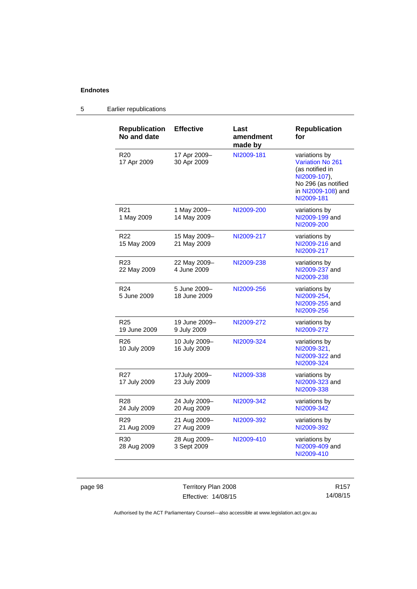# 5 Earlier republications

| <b>Republication</b><br>No and date | <b>Effective</b>              | Last<br>amendment<br>made by | <b>Republication</b><br>for                                                                                                     |
|-------------------------------------|-------------------------------|------------------------------|---------------------------------------------------------------------------------------------------------------------------------|
| R20<br>17 Apr 2009                  | 17 Apr 2009-<br>30 Apr 2009   | NI2009-181                   | variations by<br>Variation No 261<br>(as notified in<br>NI2009-107),<br>No 296 (as notified<br>in NI2009-108) and<br>NI2009-181 |
| R <sub>21</sub><br>1 May 2009       | 1 May 2009-<br>14 May 2009    | NI2009-200                   | variations by<br>NI2009-199 and<br>NI2009-200                                                                                   |
| R22<br>15 May 2009                  | 15 May 2009-<br>21 May 2009   | NI2009-217                   | variations by<br>NI2009-216 and<br>NI2009-217                                                                                   |
| R <sub>23</sub><br>22 May 2009      | 22 May 2009-<br>4 June 2009   | NI2009-238                   | variations by<br>NI2009-237 and<br>NI2009-238                                                                                   |
| R <sub>24</sub><br>5 June 2009      | 5 June 2009-<br>18 June 2009  | NI2009-256                   | variations by<br>NI2009-254,<br>NI2009-255 and<br>NI2009-256                                                                    |
| R <sub>25</sub><br>19 June 2009     | 19 June 2009-<br>9 July 2009  | NI2009-272                   | variations by<br>NI2009-272                                                                                                     |
| R <sub>26</sub><br>10 July 2009     | 10 July 2009-<br>16 July 2009 | NI2009-324                   | variations by<br>NI2009-321.<br>NI2009-322 and<br>NI2009-324                                                                    |
| R <sub>27</sub><br>17 July 2009     | 17July 2009-<br>23 July 2009  | NI2009-338                   | variations by<br>NI2009-323 and<br>NI2009-338                                                                                   |
| R28<br>24 July 2009                 | 24 July 2009-<br>20 Aug 2009  | NI2009-342                   | variations by<br>NI2009-342                                                                                                     |
| R <sub>29</sub><br>21 Aug 2009      | 21 Aug 2009-<br>27 Aug 2009   | NI2009-392                   | variations by<br>NI2009-392                                                                                                     |
| R <sub>30</sub><br>28 Aug 2009      | 28 Aug 2009-<br>3 Sept 2009   | NI2009-410                   | variations by<br>NI2009-409 and<br>NI2009-410                                                                                   |

page 98 Territory Plan 2008 Effective: 14/08/15

R157 14/08/15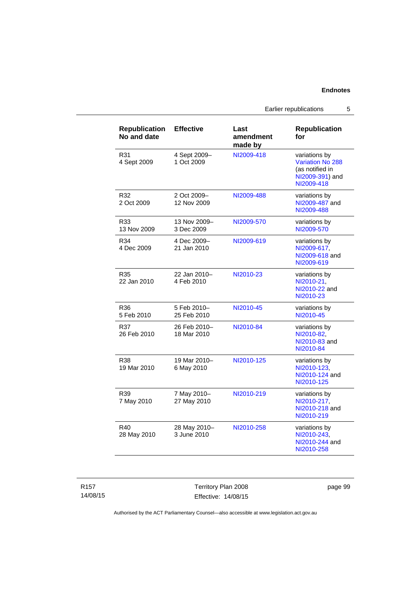Earlier republications 5

| <b>Republication</b><br>No and date | <b>Effective</b>            | Last<br>amendment<br>made by | <b>Republication</b><br>for                                                                  |
|-------------------------------------|-----------------------------|------------------------------|----------------------------------------------------------------------------------------------|
| R31<br>4 Sept 2009                  | 4 Sept 2009-<br>1 Oct 2009  | NI2009-418                   | variations by<br><b>Variation No 288</b><br>(as notified in<br>NI2009-391) and<br>NI2009-418 |
| R32<br>2 Oct 2009                   | 2 Oct 2009-<br>12 Nov 2009  | NI2009-488                   | variations by<br>NI2009-487 and<br>NI2009-488                                                |
| R33<br>13 Nov 2009                  | 13 Nov 2009-<br>3 Dec 2009  | NI2009-570                   | variations by<br>NI2009-570                                                                  |
| R34<br>4 Dec 2009                   | 4 Dec 2009-<br>21 Jan 2010  | NI2009-619                   | variations by<br>NI2009-617,<br>NI2009-618 and<br>NI2009-619                                 |
| R35<br>22 Jan 2010                  | 22 Jan 2010-<br>4 Feb 2010  | NI2010-23                    | variations by<br>NI2010-21.<br>NI2010-22 and<br>NI2010-23                                    |
| R36<br>5 Feb 2010                   | 5 Feb 2010-<br>25 Feb 2010  | NI2010-45                    | variations by<br>NI2010-45                                                                   |
| R37<br>26 Feb 2010                  | 26 Feb 2010-<br>18 Mar 2010 | NI2010-84                    | variations by<br>NI2010-82,<br>NI2010-83 and<br>NI2010-84                                    |
| R38<br>19 Mar 2010                  | 19 Mar 2010-<br>6 May 2010  | NI2010-125                   | variations by<br>NI2010-123.<br>NI2010-124 and<br>NI2010-125                                 |
| R39<br>7 May 2010                   | 7 May 2010-<br>27 May 2010  | NI2010-219                   | variations by<br>NI2010-217.<br>NI2010-218 and<br>NI2010-219                                 |
| R40<br>28 May 2010                  | 28 May 2010-<br>3 June 2010 | NI2010-258                   | variations by<br>NI2010-243,<br>NI2010-244 and<br>NI2010-258                                 |

Territory Plan 2008 Effective: 14/08/15 page 99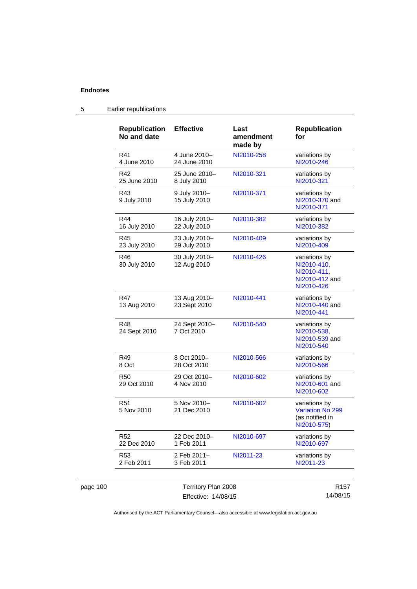page 100

| <b>Republication</b><br>No and date | <b>Effective</b>                           | Last<br>amendment<br>made by | <b>Republication</b><br>for                                                 |
|-------------------------------------|--------------------------------------------|------------------------------|-----------------------------------------------------------------------------|
| R41<br>4 June 2010                  | 4 June 2010-<br>24 June 2010               | NI2010-258                   | variations by<br>NI2010-246                                                 |
| R42<br>25 June 2010                 | 25 June 2010-<br>8 July 2010               | NI2010-321                   | variations by<br>NI2010-321                                                 |
| R43<br>9 July 2010                  | 9 July 2010-<br>15 July 2010               | NI2010-371                   | variations by<br>NI2010-370 and<br>NI2010-371                               |
| R44<br>16 July 2010                 | 16 July 2010-<br>22 July 2010              | NI2010-382                   | variations by<br>NI2010-382                                                 |
| R45<br>23 July 2010                 | 23 July 2010-<br>29 July 2010              | NI2010-409                   | variations by<br>NI2010-409                                                 |
| R46<br>30 July 2010                 | 30 July 2010-<br>12 Aug 2010               | NI2010-426                   | variations by<br>NI2010-410,<br>NI2010-411,<br>NI2010-412 and<br>NI2010-426 |
| <b>R47</b><br>13 Aug 2010           | 13 Aug 2010-<br>23 Sept 2010               | NI2010-441                   | variations by<br>NI2010-440 and<br>NI2010-441                               |
| R48<br>24 Sept 2010                 | 24 Sept 2010-<br>7 Oct 2010                | NI2010-540                   | variations by<br>NI2010-538,<br>NI2010-539 and<br>NI2010-540                |
| R49<br>8 Oct                        | 8 Oct 2010-<br>28 Oct 2010                 | NI2010-566                   | variations by<br>NI2010-566                                                 |
| R <sub>50</sub><br>29 Oct 2010      | 29 Oct 2010-<br>4 Nov 2010                 | NI2010-602                   | variations by<br>NI2010-601 and<br>NI2010-602                               |
| R <sub>51</sub><br>5 Nov 2010       | 5 Nov 2010-<br>21 Dec 2010                 | NI2010-602                   | variations by<br>Variation No 299<br>(as notified in<br>NI2010-575)         |
| <b>R52</b><br>22 Dec 2010           | 22 Dec 2010-<br>1 Feb 2011                 | NI2010-697                   | variations by<br>NI2010-697                                                 |
| R <sub>53</sub><br>2 Feb 2011       | 2 Feb 2011-<br>3 Feb 2011                  | NI2011-23                    | variations by<br>NI2011-23                                                  |
|                                     | Territory Plan 2008<br>Effective: 14/08/15 |                              | R <sub>157</sub><br>14/08/15                                                |

# 5 Earlier republications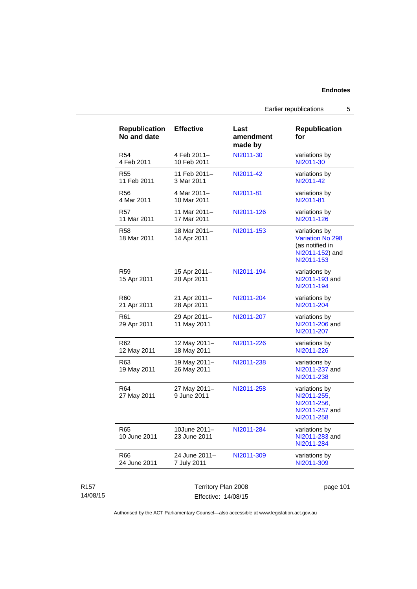| <b>Republication</b><br>No and date | <b>Effective</b>             | Last<br>amendment<br>made by | <b>Republication</b><br>for                                                                  |
|-------------------------------------|------------------------------|------------------------------|----------------------------------------------------------------------------------------------|
| R <sub>54</sub><br>4 Feb 2011       | 4 Feb 2011-<br>10 Feb 2011   | NI2011-30                    | variations by<br>NI2011-30                                                                   |
| R <sub>55</sub><br>11 Feb 2011      | 11 Feb 2011-<br>3 Mar 2011   | NI2011-42                    | variations by<br>NI2011-42                                                                   |
| R56<br>4 Mar 2011                   | 4 Mar 2011-<br>10 Mar 2011   | NI2011-81                    | variations by<br>NI2011-81                                                                   |
| <b>R57</b><br>11 Mar 2011           | 11 Mar 2011-<br>17 Mar 2011  | NI2011-126                   | variations by<br>NI2011-126                                                                  |
| <b>R58</b><br>18 Mar 2011           | 18 Mar 2011-<br>14 Apr 2011  | NI2011-153                   | variations by<br><b>Variation No 298</b><br>(as notified in<br>NI2011-152) and<br>NI2011-153 |
| R <sub>59</sub><br>15 Apr 2011      | 15 Apr 2011-<br>20 Apr 2011  | NI2011-194                   | variations by<br>NI2011-193 and<br>NI2011-194                                                |
| R60<br>21 Apr 2011                  | 21 Apr 2011-<br>28 Apr 2011  | NI2011-204                   | variations by<br>NI2011-204                                                                  |
| R61<br>29 Apr 2011                  | 29 Apr 2011-<br>11 May 2011  | NI2011-207                   | variations by<br>NI2011-206 and<br>NI2011-207                                                |
| R <sub>62</sub><br>12 May 2011      | 12 May 2011-<br>18 May 2011  | NI2011-226                   | variations by<br>NI2011-226                                                                  |
| R63<br>19 May 2011                  | 19 May 2011-<br>26 May 2011  | NI2011-238                   | variations by<br>NI2011-237 and<br>NI2011-238                                                |
| R64<br>27 May 2011                  | 27 May 2011-<br>9 June 2011  | NI2011-258                   | variations by<br>NI2011-255.<br>NI2011-256,<br>NI2011-257 and<br>NI2011-258                  |
| R65<br>10 June 2011                 | 10June 2011-<br>23 June 2011 | NI2011-284                   | variations by<br>NI2011-283 and<br>NI2011-284                                                |
| R66                                 | 24 June 2011-<br>7 July 2011 | NI2011-309                   | variations by<br>NI2011-309                                                                  |

Earlier republications 5

Authorised by the ACT Parliamentary Counsel—also accessible at www.legislation.act.gov.au

14/08/15

R157

Effective: 14/08/15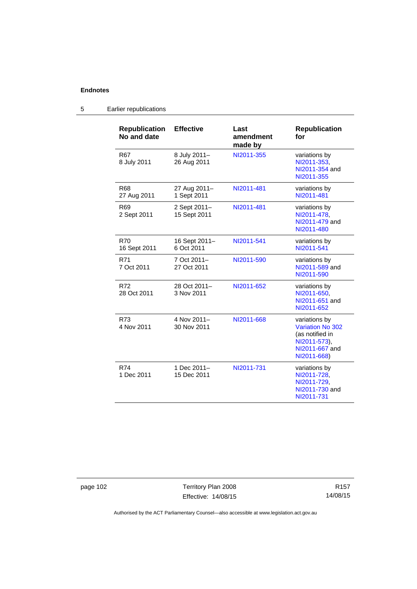| <b>Republication</b><br>No and date | <b>Effective</b>             | Last<br>amendment<br>made by | <b>Republication</b><br>for                                                                                  |
|-------------------------------------|------------------------------|------------------------------|--------------------------------------------------------------------------------------------------------------|
| R67<br>8 July 2011                  | 8 July 2011-<br>26 Aug 2011  | NI2011-355                   | variations by<br>NI2011-353,<br>NI2011-354 and<br>NI2011-355                                                 |
| R68<br>27 Aug 2011                  | 27 Aug 2011-<br>1 Sept 2011  | NI2011-481                   | variations by<br>NI2011-481                                                                                  |
| R <sub>69</sub><br>2 Sept 2011      | 2 Sept 2011-<br>15 Sept 2011 | NI2011-481                   | variations by<br>NI2011-478,<br>NI2011-479 and<br>NI2011-480                                                 |
| <b>R70</b><br>16 Sept 2011          | 16 Sept 2011-<br>6 Oct 2011  | NI2011-541                   | variations by<br>NI2011-541                                                                                  |
| <b>R71</b><br>7 Oct 2011            | 7 Oct 2011-<br>27 Oct 2011   | NI2011-590                   | variations by<br>NI2011-589 and<br>NI2011-590                                                                |
| R72<br>28 Oct 2011                  | 28 Oct 2011-<br>3 Nov 2011   | NI2011-652                   | variations by<br>NI2011-650,<br>NI2011-651 and<br>NI2011-652                                                 |
| R73<br>4 Nov 2011                   | 4 Nov 2011-<br>30 Nov 2011   | NI2011-668                   | variations by<br><b>Variation No 302</b><br>(as notified in<br>NI2011-573),<br>NI2011-667 and<br>NI2011-668) |
| R74<br>1 Dec 2011                   | 1 Dec 2011-<br>15 Dec 2011   | NI2011-731                   | variations by<br>NI2011-728,<br>NI2011-729,<br>NI2011-730 and<br>NI2011-731                                  |

# 5 Earlier republications

page 102 Territory Plan 2008 Effective: 14/08/15

R157 14/08/15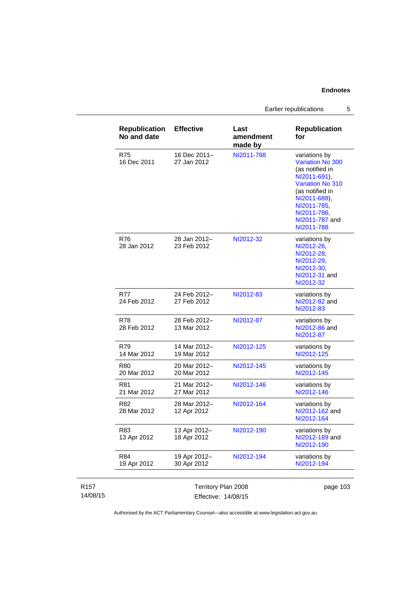Earlier republications 5

| 16 Dec 2011-<br>27 Jan 2012<br>28 Jan 2012-<br>23 Feb 2012 | made by<br>NI2011-788<br>NI2012-32 | variations by<br><b>Variation No 300</b><br>(as notified in<br>NI2011-691),<br><b>Variation No 310</b><br>(as notified in<br>NI2011-688),<br>NI2011-785.<br>NI2011-786,<br>NI2011-787 and<br>NI2011-788<br>variations by<br>NI2012-26, |
|------------------------------------------------------------|------------------------------------|----------------------------------------------------------------------------------------------------------------------------------------------------------------------------------------------------------------------------------------|
|                                                            |                                    |                                                                                                                                                                                                                                        |
|                                                            |                                    | NI2012-28,<br>NI2012-29,<br>NI2012-30,<br>NI2012-31 and<br>NI2012-32                                                                                                                                                                   |
| 24 Feb 2012-<br>27 Feb 2012                                | NI2012-83                          | variations by<br>NI2012-82 and<br>NI2012-83                                                                                                                                                                                            |
| 28 Feb 2012-<br>13 Mar 2012                                | NI2012-87                          | variations by<br>NI2012-86 and<br>NI2012-87                                                                                                                                                                                            |
| 14 Mar 2012-<br>19 Mar 2012                                | NI2012-125                         | variations by<br>NI2012-125                                                                                                                                                                                                            |
| 20 Mar 2012-<br>20 Mar 2012                                | NI2012-145                         | variations by<br>NI2012-145                                                                                                                                                                                                            |
| 21 Mar 2012-<br>27 Mar 2012                                | NI2012-146                         | variations by<br>NI2012-146                                                                                                                                                                                                            |
| 28 Mar 2012-<br>12 Apr 2012                                | NI2012-164                         | variations by<br>NI2012-162 and<br>NI2012-164                                                                                                                                                                                          |
| 13 Apr 2012-<br>18 Apr 2012                                | NI2012-190                         | variations by<br>NI2012-189 and<br>NI2012-190                                                                                                                                                                                          |
| 19 Apr 2012-<br>30 Apr 2012                                | NI2012-194                         | variations by<br>NI2012-194                                                                                                                                                                                                            |
|                                                            |                                    | Territory Plan 2008                                                                                                                                                                                                                    |

| R <sub>157</sub> | Territory Plan 2008 | page 103 |
|------------------|---------------------|----------|
| 14/08/15         | Effective: 14/08/15 |          |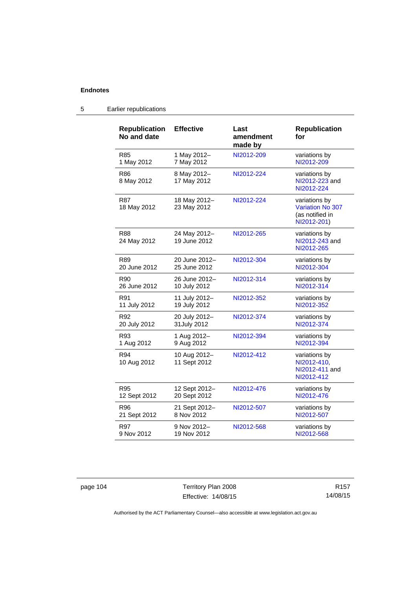| <b>Republication</b><br>No and date | <b>Effective</b>             | Last<br>amendment<br>made by | <b>Republication</b><br>for                                                |
|-------------------------------------|------------------------------|------------------------------|----------------------------------------------------------------------------|
| <b>R85</b>                          | 1 May 2012-                  | NI2012-209                   | variations by                                                              |
| 1 May 2012                          | 7 May 2012                   |                              | NI2012-209                                                                 |
| R86<br>8 May 2012                   | 8 May 2012-<br>17 May 2012   | NI2012-224                   | variations by<br>NI2012-223 and<br>NI2012-224                              |
| R87<br>18 May 2012                  | 18 May 2012-<br>23 May 2012  | NI2012-224                   | variations by<br><b>Variation No 307</b><br>(as notified in<br>NI2012-201) |
| <b>R88</b><br>24 May 2012           | 24 May 2012-<br>19 June 2012 | NI2012-265                   | variations by<br>NI2012-243 and<br>NI2012-265                              |
| R89                                 | 20 June 2012-                | NI2012-304                   | variations by                                                              |
| 20 June 2012                        | 25 June 2012                 |                              | NI2012-304                                                                 |
| R90                                 | 26 June 2012-                | NI2012-314                   | variations by                                                              |
| 26 June 2012                        | 10 July 2012                 |                              | NI2012-314                                                                 |
| R91                                 | 11 July 2012-                | NI2012-352                   | variations by                                                              |
| 11 July 2012                        | 19 July 2012                 |                              | NI2012-352                                                                 |
| R92                                 | 20 July 2012-                | NI2012-374                   | variations by                                                              |
| 20 July 2012                        | 31 July 2012                 |                              | NI2012-374                                                                 |
| R93                                 | 1 Aug 2012-                  | NI2012-394                   | variations by                                                              |
| 1 Aug 2012                          | 9 Aug 2012                   |                              | NI2012-394                                                                 |
| R94<br>10 Aug 2012                  | 10 Aug 2012-<br>11 Sept 2012 | NI2012-412                   | variations by<br>NI2012-410,<br>NI2012-411 and<br>NI2012-412               |
| R95                                 | 12 Sept 2012-                | NI2012-476                   | variations by                                                              |
| 12 Sept 2012                        | 20 Sept 2012                 |                              | NI2012-476                                                                 |
| R96                                 | 21 Sept 2012-                | NI2012-507                   | variations by                                                              |
| 21 Sept 2012                        | 8 Nov 2012                   |                              | NI2012-507                                                                 |
| R97                                 | 9 Nov 2012-                  | NI2012-568                   | variations by                                                              |
| 9 Nov 2012                          | 19 Nov 2012                  |                              | NI2012-568                                                                 |

# 5 Earlier republications

page 104 Territory Plan 2008 Effective: 14/08/15

R157 14/08/15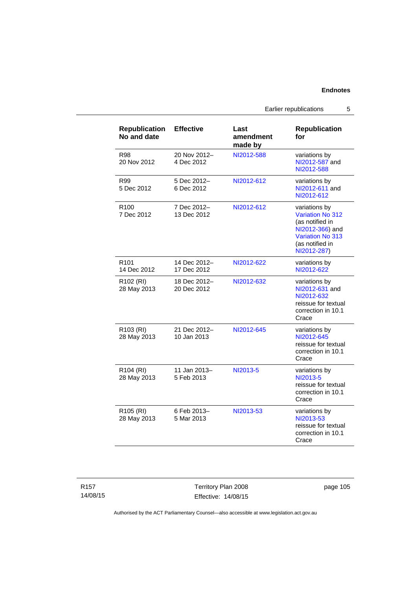Earlier republications 5

| <b>Republication</b><br>No and date  | <b>Effective</b>            | Last<br>amendment<br>made by | <b>Republication</b><br>for                                                                                                          |
|--------------------------------------|-----------------------------|------------------------------|--------------------------------------------------------------------------------------------------------------------------------------|
| R98<br>20 Nov 2012                   | 20 Nov 2012-<br>4 Dec 2012  | NI2012-588                   | variations by<br>NI2012-587 and<br>NI2012-588                                                                                        |
| R99<br>5 Dec 2012                    | 5 Dec 2012-<br>6 Dec 2012   | NI2012-612                   | variations by<br>NI2012-611 and<br>NI2012-612                                                                                        |
| R <sub>100</sub><br>7 Dec 2012       | 7 Dec 2012-<br>13 Dec 2012  | NI2012-612                   | variations by<br>Variation No 312<br>(as notified in<br>NI2012-366) and<br><b>Variation No 313</b><br>(as notified in<br>NI2012-287) |
| R <sub>101</sub><br>14 Dec 2012      | 14 Dec 2012-<br>17 Dec 2012 | NI2012-622                   | variations by<br>NI2012-622                                                                                                          |
| R <sub>102</sub> (RI)<br>28 May 2013 | 18 Dec 2012-<br>20 Dec 2012 | NI2012-632                   | variations by<br>NI2012-631 and<br>NI2012-632<br>reissue for textual<br>correction in 10.1<br>Crace                                  |
| R103 (RI)<br>28 May 2013             | 21 Dec 2012-<br>10 Jan 2013 | NI2012-645                   | variations by<br>NI2012-645<br>reissue for textual<br>correction in 10.1<br>Crace                                                    |
| R104 (RI)<br>28 May 2013             | 11 Jan 2013-<br>5 Feb 2013  | NI2013-5                     | variations by<br>NI2013-5<br>reissue for textual<br>correction in 10.1<br>Crace                                                      |
| R105 (RI)<br>28 May 2013             | 6 Feb 2013-<br>5 Mar 2013   | NI2013-53                    | variations by<br>NI2013-53<br>reissue for textual<br>correction in 10.1<br>Crace                                                     |

Territory Plan 2008 Effective: 14/08/15 page 105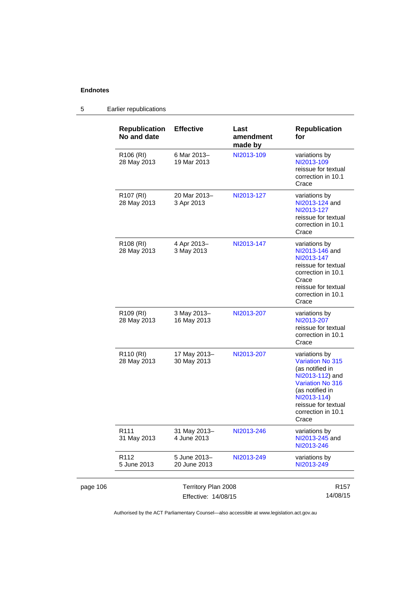|          | <b>Republication</b><br>No and date  | <b>Effective</b>                           | Last<br>amendment<br>made by | <b>Republication</b><br>for                                                                                                                                                                       |
|----------|--------------------------------------|--------------------------------------------|------------------------------|---------------------------------------------------------------------------------------------------------------------------------------------------------------------------------------------------|
|          | R106 (RI)<br>28 May 2013             | 6 Mar 2013-<br>19 Mar 2013                 | NI2013-109                   | variations by<br>NI2013-109<br>reissue for textual<br>correction in 10.1<br>Crace                                                                                                                 |
|          | R <sub>107</sub> (RI)<br>28 May 2013 | 20 Mar 2013-<br>3 Apr 2013                 | NI2013-127                   | variations by<br>NI2013-124 and<br>NI2013-127<br>reissue for textual<br>correction in 10.1<br>Crace                                                                                               |
|          | R <sub>108</sub> (RI)<br>28 May 2013 | 4 Apr 2013-<br>3 May 2013                  | NI2013-147                   | variations by<br>NI2013-146 and<br>NI2013-147<br>reissue for textual<br>correction in 10.1<br>Crace<br>reissue for textual<br>correction in 10.1<br>Crace                                         |
|          | R <sub>109</sub> (RI)<br>28 May 2013 | 3 May 2013-<br>16 May 2013                 | NI2013-207                   | variations by<br>NI2013-207<br>reissue for textual<br>correction in 10.1<br>Crace                                                                                                                 |
|          | R <sub>110</sub> (RI)<br>28 May 2013 | 17 May 2013-<br>30 May 2013                | NI2013-207                   | variations by<br><b>Variation No 315</b><br>(as notified in<br>NI2013-112) and<br><b>Variation No 316</b><br>(as notified in<br>NI2013-114)<br>reissue for textual<br>correction in 10.1<br>Crace |
|          | R <sub>111</sub><br>31 May 2013      | 31 May 2013-<br>4 June 2013                | NI2013-246                   | variations by<br>NI2013-245 and<br>NI2013-246                                                                                                                                                     |
|          | R112<br>5 June 2013                  | 5 June 2013-<br>20 June 2013               | NI2013-249                   | variations by<br>NI2013-249                                                                                                                                                                       |
| page 106 |                                      | Territory Plan 2008<br>Effective: 14/08/15 |                              | R <sub>157</sub><br>14/08/15                                                                                                                                                                      |

# 5 Earlier republications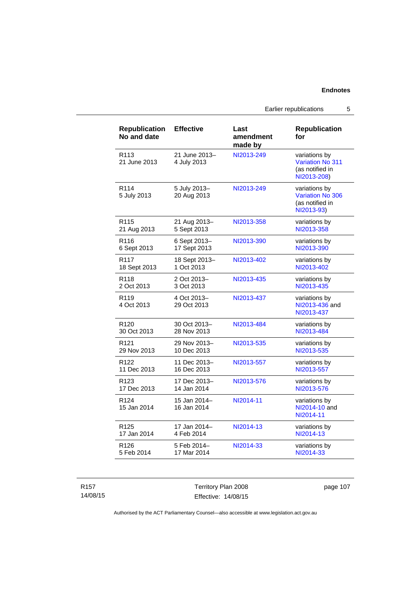Earlier republications 5

| <b>Republication</b><br>No and date | <b>Effective</b>             | Last<br>amendment<br>made by | <b>Republication</b><br>for                                                |
|-------------------------------------|------------------------------|------------------------------|----------------------------------------------------------------------------|
| R <sub>113</sub><br>21 June 2013    | 21 June 2013-<br>4 July 2013 | NI2013-249                   | variations by<br><b>Variation No 311</b><br>(as notified in<br>NI2013-208) |
| R <sub>114</sub><br>5 July 2013     | 5 July 2013-<br>20 Aug 2013  | NI2013-249                   | variations by<br><b>Variation No 306</b><br>(as notified in<br>NI2013-93)  |
| R <sub>115</sub>                    | 21 Aug 2013-                 | NI2013-358                   | variations by                                                              |
| 21 Aug 2013                         | 5 Sept 2013                  |                              | NI2013-358                                                                 |
| R116                                | 6 Sept 2013-                 | NI2013-390                   | variations by                                                              |
| 6 Sept 2013                         | 17 Sept 2013                 |                              | NI2013-390                                                                 |
| R117                                | 18 Sept 2013-                | NI2013-402                   | variations by                                                              |
| 18 Sept 2013                        | 1 Oct 2013                   |                              | NI2013-402                                                                 |
| R118                                | 2 Oct 2013-                  | NI2013-435                   | variations by                                                              |
| 2 Oct 2013                          | 3 Oct 2013                   |                              | NI2013-435                                                                 |
| R <sub>119</sub><br>4 Oct 2013      | 4 Oct 2013-<br>29 Oct 2013   | NI2013-437                   | variations by<br>NI2013-436 and<br>NI2013-437                              |
| R <sub>120</sub>                    | 30 Oct 2013-                 | NI2013-484                   | variations by                                                              |
| 30 Oct 2013                         | 28 Nov 2013                  |                              | NI2013-484                                                                 |
| R <sub>121</sub>                    | 29 Nov 2013-                 | NI2013-535                   | variations by                                                              |
| 29 Nov 2013                         | 10 Dec 2013                  |                              | NI2013-535                                                                 |
| R <sub>122</sub>                    | 11 Dec 2013-                 | NI2013-557                   | variations by                                                              |
| 11 Dec 2013                         | 16 Dec 2013                  |                              | NI2013-557                                                                 |
| R <sub>123</sub>                    | 17 Dec 2013-                 | NI2013-576                   | variations by                                                              |
| 17 Dec 2013                         | 14 Jan 2014                  |                              | NI2013-576                                                                 |
| R <sub>124</sub><br>15 Jan 2014     | 15 Jan 2014-<br>16 Jan 2014  | NI2014-11                    | variations by<br>NI2014-10 and<br>NI2014-11                                |
| R <sub>125</sub>                    | 17 Jan 2014-                 | NI2014-13                    | variations by                                                              |
| 17 Jan 2014                         | 4 Feb 2014                   |                              | NI2014-13                                                                  |
| R126                                | 5 Feb 2014-                  | NI2014-33                    | variations by                                                              |
| 5 Feb 2014                          | 17 Mar 2014                  |                              | NI2014-33                                                                  |

R157 14/08/15 Territory Plan 2008 Effective: 14/08/15

page 107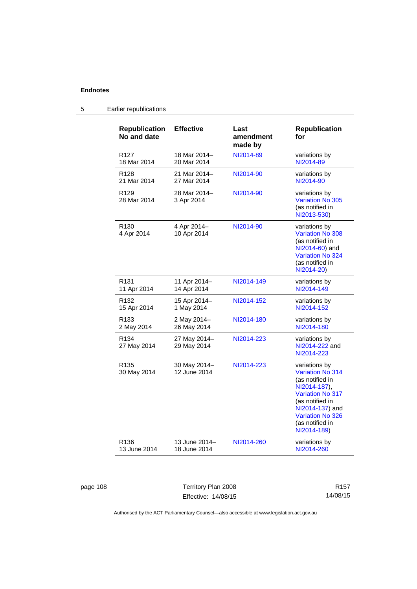| <b>Republication</b><br>No and date | <b>Effective</b>             | Last<br>amendment<br>made by | <b>Republication</b><br>for                                                                                                                                                                 |
|-------------------------------------|------------------------------|------------------------------|---------------------------------------------------------------------------------------------------------------------------------------------------------------------------------------------|
| R <sub>127</sub>                    | 18 Mar 2014-                 | NI2014-89                    | variations by                                                                                                                                                                               |
| 18 Mar 2014                         | 20 Mar 2014                  |                              | NI2014-89                                                                                                                                                                                   |
| R <sub>128</sub>                    | 21 Mar 2014-                 | NI2014-90                    | variations by                                                                                                                                                                               |
| 21 Mar 2014                         | 27 Mar 2014                  |                              | NI2014-90                                                                                                                                                                                   |
| R <sub>129</sub><br>28 Mar 2014     | 28 Mar 2014-<br>3 Apr 2014   | NI2014-90                    | variations by<br>Variation No 305<br>(as notified in<br>NI2013-530)                                                                                                                         |
| R <sub>130</sub><br>4 Apr 2014      | 4 Apr 2014-<br>10 Apr 2014   | NI2014-90                    | variations by<br><b>Variation No 308</b><br>(as notified in<br>NI2014-60) and<br>Variation No 324<br>(as notified in<br>NI2014-20)                                                          |
| R <sub>131</sub>                    | 11 Apr 2014-                 | NI2014-149                   | variations by                                                                                                                                                                               |
| 11 Apr 2014                         | 14 Apr 2014                  |                              | NI2014-149                                                                                                                                                                                  |
| R <sub>132</sub>                    | 15 Apr 2014-                 | NI2014-152                   | variations by                                                                                                                                                                               |
| 15 Apr 2014                         | 1 May 2014                   |                              | NI2014-152                                                                                                                                                                                  |
| R <sub>133</sub>                    | 2 May 2014-                  | NI2014-180                   | variations by                                                                                                                                                                               |
| 2 May 2014                          | 26 May 2014                  |                              | NI2014-180                                                                                                                                                                                  |
| R <sub>134</sub><br>27 May 2014     | 27 May 2014-<br>29 May 2014  | NI2014-223                   | variations by<br>NI2014-222 and<br>NI2014-223                                                                                                                                               |
| R <sub>135</sub><br>30 May 2014     | 30 May 2014-<br>12 June 2014 | NI2014-223                   | variations by<br>Variation No 314<br>(as notified in<br>NI2014-187),<br><b>Variation No 317</b><br>(as notified in<br>NI2014-137) and<br>Variation No 326<br>(as notified in<br>NI2014-189) |
| R <sub>136</sub>                    | 13 June 2014-                | NI2014-260                   | variations by                                                                                                                                                                               |
| 13 June 2014                        | 18 June 2014                 |                              | NI2014-260                                                                                                                                                                                  |

# 5 Earlier republications

page 108 Territory Plan 2008 Effective: 14/08/15

R157 14/08/15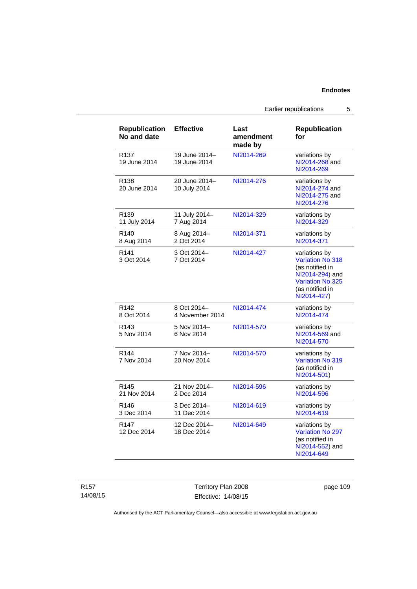## **Endnotes**

Earlier republications 5

| <b>Republication</b><br>No and date | <b>Effective</b>               | Last<br>amendment<br>made by | <b>Republication</b><br>for                                                                                                   |
|-------------------------------------|--------------------------------|------------------------------|-------------------------------------------------------------------------------------------------------------------------------|
| R <sub>137</sub><br>19 June 2014    | 19 June 2014-<br>19 June 2014  | NI2014-269                   | variations by<br>NI2014-268 and<br>NI2014-269                                                                                 |
| R <sub>138</sub><br>20 June 2014    | 20 June 2014-<br>10 July 2014  | NI2014-276                   | variations by<br>NI2014-274 and<br>NI2014-275 and<br>NI2014-276                                                               |
| R <sub>139</sub><br>11 July 2014    | 11 July 2014-<br>7 Aug 2014    | NI2014-329                   | variations by<br>NI2014-329                                                                                                   |
| R <sub>140</sub><br>8 Aug 2014      | 8 Aug 2014-<br>2 Oct 2014      | NI2014-371                   | variations by<br>NI2014-371                                                                                                   |
| R <sub>141</sub><br>3 Oct 2014      | 3 Oct 2014-<br>7 Oct 2014      | NI2014-427                   | variations by<br>Variation No 318<br>(as notified in<br>NI2014-294) and<br>Variation No 325<br>(as notified in<br>NI2014-427) |
| R <sub>142</sub><br>8 Oct 2014      | 8 Oct 2014-<br>4 November 2014 | NI2014-474                   | variations by<br>NI2014-474                                                                                                   |
| R <sub>143</sub><br>5 Nov 2014      | 5 Nov 2014-<br>6 Nov 2014      | NI2014-570                   | variations by<br>NI2014-569 and<br>NI2014-570                                                                                 |
| R144<br>7 Nov 2014                  | 7 Nov 2014-<br>20 Nov 2014     | NI2014-570                   | variations by<br>Variation No 319<br>(as notified in<br>NI2014-501)                                                           |
| R <sub>145</sub><br>21 Nov 2014     | 21 Nov 2014-<br>2 Dec 2014     | NI2014-596                   | variations by<br>NI2014-596                                                                                                   |
| R <sub>146</sub><br>3 Dec 2014      | 3 Dec 2014-<br>11 Dec 2014     | NI2014-619                   | variations by<br>NI2014-619                                                                                                   |
| R147<br>12 Dec 2014                 | 12 Dec 2014-<br>18 Dec 2014    | NI2014-649                   | variations by<br>Variation No 297<br>(as notified in<br>NI2014-552) and<br>NI2014-649                                         |

Territory Plan 2008 Effective: 14/08/15

page 109

Authorised by the ACT Parliamentary Counsel—also accessible at www.legislation.act.gov.au